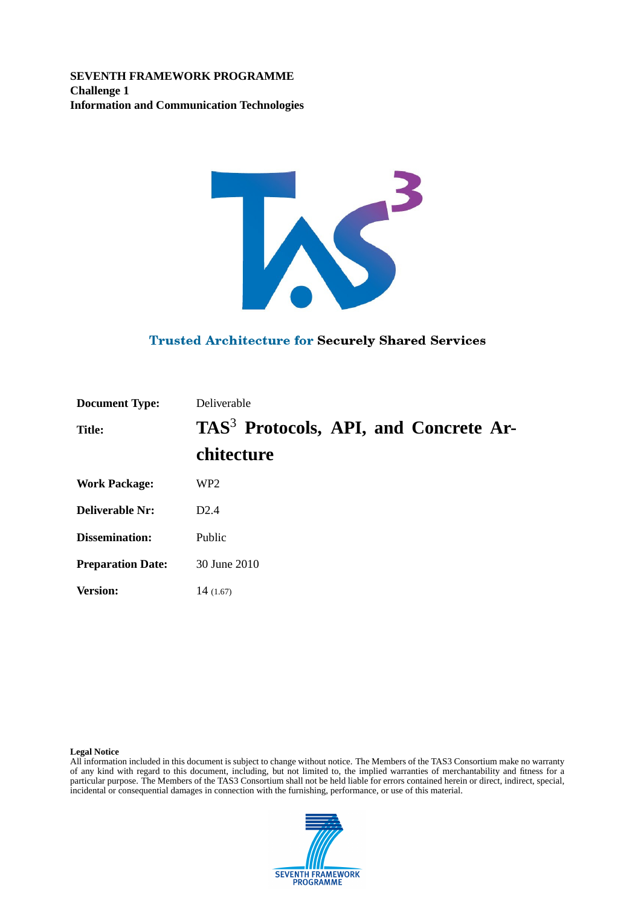**SEVENTH FRAMEWORK PROGRAMME Challenge 1 Information and Communication Technologies**



#### **Trusted Architecture for Securely Shared Services**

| <b>Document Type:</b>    | Deliverable                                       |
|--------------------------|---------------------------------------------------|
| <b>Title:</b>            | TAS <sup>3</sup> Protocols, API, and Concrete Ar- |
|                          | chitecture                                        |
| <b>Work Package:</b>     | WP <sub>2</sub>                                   |
| <b>Deliverable Nr:</b>   | D2.4                                              |
| <b>Dissemination:</b>    | Public                                            |
| <b>Preparation Date:</b> | 30 June 2010                                      |
| <b>Version:</b>          | 14(1.67)                                          |

#### **Legal Notice**

All information included in this document is subject to change without notice. The Members of the TAS3 Consortium make no warranty of any kind with regard to this document, including, but not limited to, the implied warranties of merchantability and fitness for a particular purpose. The Members of the TAS3 Consortium shall not be held liable for errors contained herein or direct, indirect, special, incidental or consequential damages in connection with the furnishing, performance, or use of this material.

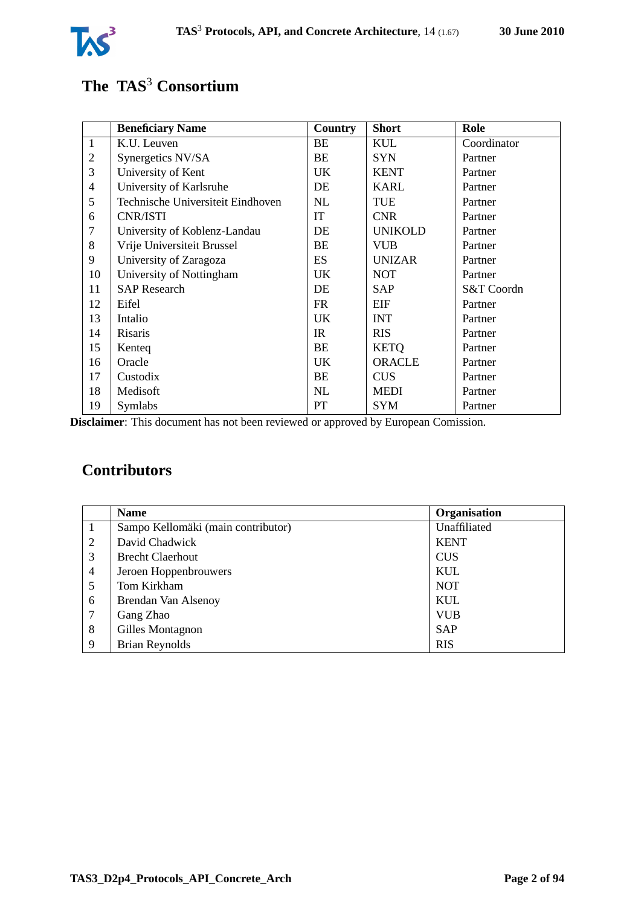

# **The TAS**<sup>3</sup> **Consortium**

|                | <b>Beneficiary Name</b>           | <b>Country</b> | <b>Short</b>   | Role        |
|----------------|-----------------------------------|----------------|----------------|-------------|
| $\mathbf{1}$   | K.U. Leuven                       | BE             | <b>KUL</b>     | Coordinator |
| $\overline{2}$ | Synergetics NV/SA                 | BE             | <b>SYN</b>     | Partner     |
| 3              | University of Kent                | UK.            | <b>KENT</b>    | Partner     |
| $\overline{4}$ | University of Karlsruhe           | DE             | <b>KARL</b>    | Partner     |
| 5              | Technische Universiteit Eindhoven | NL             | <b>TUE</b>     | Partner     |
| 6              | <b>CNR/ISTI</b>                   | <b>IT</b>      | <b>CNR</b>     | Partner     |
| 7              | University of Koblenz-Landau      | DE             | <b>UNIKOLD</b> | Partner     |
| 8              | Vrije Universiteit Brussel        | BE             | <b>VUB</b>     | Partner     |
| 9              | University of Zaragoza            | <b>ES</b>      | <b>UNIZAR</b>  | Partner     |
| 10             | University of Nottingham          | UK.            | <b>NOT</b>     | Partner     |
| 11             | <b>SAP</b> Research               | DE             | SAP            | S&T Coordn  |
| 12             | Eifel                             | <b>FR</b>      | EIF            | Partner     |
| 13             | Intalio                           | UK.            | <b>INT</b>     | Partner     |
| 14             | Risaris                           | IR             | <b>RIS</b>     | Partner     |
| 15             | Kenteq                            | BE             | <b>KETQ</b>    | Partner     |
| 16             | Oracle                            | UK.            | <b>ORACLE</b>  | Partner     |
| 17             | Custodix                          | BE             | <b>CUS</b>     | Partner     |
| 18             | Medisoft                          | NL             | MEDI           | Partner     |
| 19             | Symlabs                           | <b>PT</b>      | SYM            | Partner     |

**Disclaimer**: This document has not been reviewed or approved by European Comission.

# **Contributors**

|   | <b>Name</b>                        | Organisation |
|---|------------------------------------|--------------|
|   | Sampo Kellomäki (main contributor) | Unaffiliated |
| 2 | David Chadwick                     | <b>KENT</b>  |
| 3 | <b>Brecht Claerhout</b>            | <b>CUS</b>   |
| 4 | Jeroen Hoppenbrouwers              | KUL          |
| 5 | Tom Kirkham                        | <b>NOT</b>   |
| 6 | Brendan Van Alsenoy                | <b>KUL</b>   |
| 7 | Gang Zhao                          | <b>VUB</b>   |
| 8 | Gilles Montagnon                   | <b>SAP</b>   |
| 9 | <b>Brian Reynolds</b>              | <b>RIS</b>   |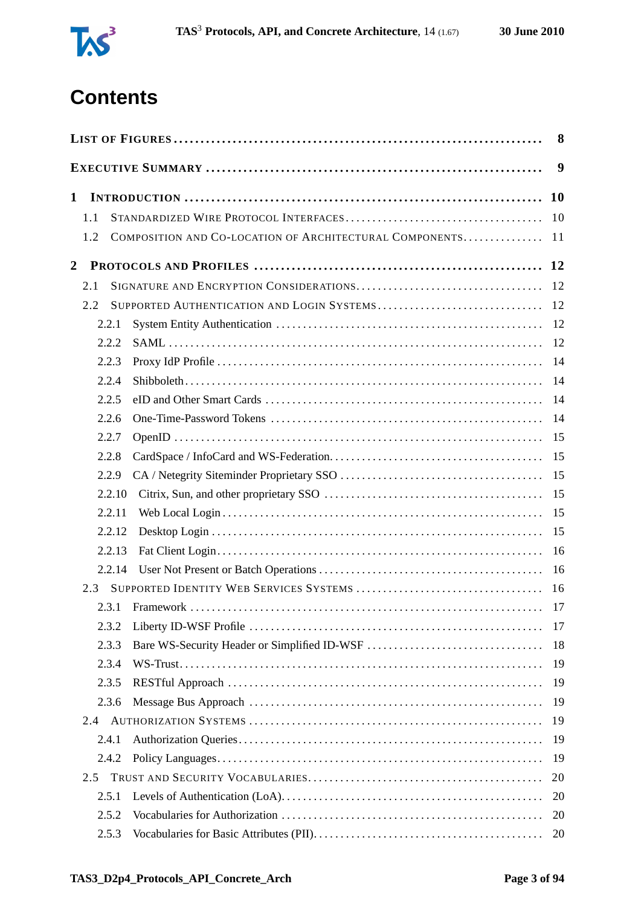

# **Contents**

|                |        |                                                         | 8         |
|----------------|--------|---------------------------------------------------------|-----------|
|                |        |                                                         | 9         |
| 1              |        |                                                         | <b>10</b> |
|                | 1.1    |                                                         | 10        |
|                | 1.2    | COMPOSITION AND CO-LOCATION OF ARCHITECTURAL COMPONENTS | 11        |
| $\overline{2}$ |        |                                                         |           |
|                | 2.1    |                                                         |           |
|                | 2.2    |                                                         |           |
|                | 2.2.1  |                                                         | 12        |
|                | 2.2.2  |                                                         | 12        |
|                | 2.2.3  |                                                         | 14        |
|                | 2.2.4  |                                                         | 14        |
|                | 2.2.5  |                                                         | 14        |
|                | 2.2.6  |                                                         | -14       |
|                | 2.2.7  |                                                         | 15        |
|                | 2.2.8  |                                                         | 15        |
|                | 2.2.9  |                                                         | 15        |
|                | 2.2.10 |                                                         | 15        |
|                | 2.2.11 |                                                         | 15        |
|                | 2.2.12 |                                                         | 15        |
|                | 2.2.13 |                                                         | 16        |
|                | 2.2.14 |                                                         | 16        |
|                | 2.3    |                                                         |           |
|                | 2.3.1  |                                                         |           |
|                | 2.3.2  |                                                         | 17        |
|                | 2.3.3  | Bare WS-Security Header or Simplified ID-WSF            | 18        |
|                | 2.3.4  |                                                         | 19        |
|                | 2.3.5  |                                                         | 19        |
|                | 2.3.6  |                                                         | 19        |
|                | 2.4    |                                                         | 19        |
|                | 2.4.1  |                                                         | 19        |
|                | 2.4.2  |                                                         | 19        |
|                | 2.5    |                                                         | 20        |
|                | 2.5.1  |                                                         | 20        |
|                | 2.5.2  |                                                         | 20        |
|                | 2.5.3  |                                                         | 20        |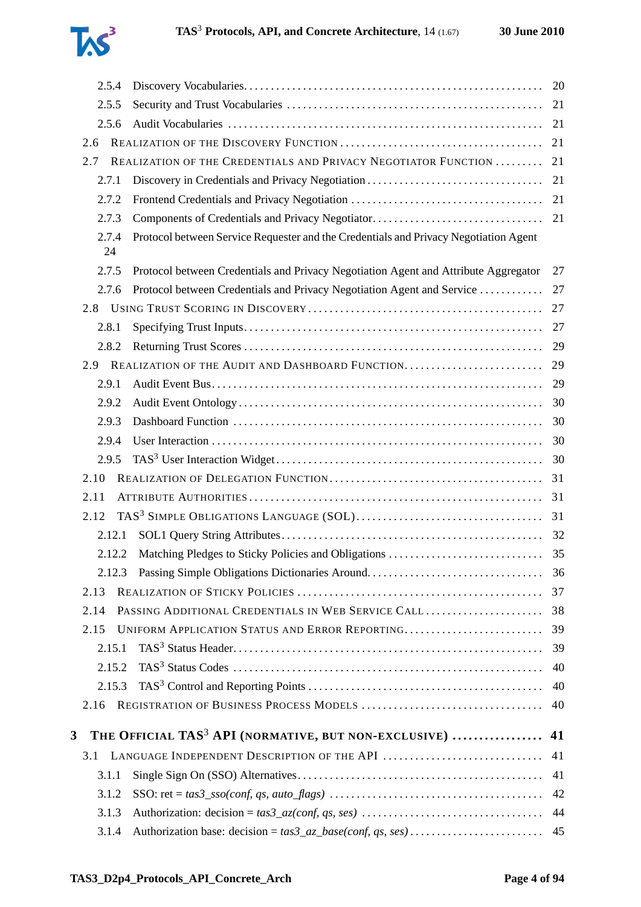

| 2.5.4       |                                                                                      | 20 |
|-------------|--------------------------------------------------------------------------------------|----|
| 2.5.5       |                                                                                      | 21 |
| 2.5.6       |                                                                                      | 21 |
| 2.6         |                                                                                      | 21 |
| 2.7         | REALIZATION OF THE CREDENTIALS AND PRIVACY NEGOTIATOR FUNCTION                       | 21 |
| 2.7.1       |                                                                                      | 21 |
| 2.7.2       |                                                                                      | 21 |
| 2.7.3       |                                                                                      |    |
| 2.7.4<br>24 | Protocol between Service Requester and the Credentials and Privacy Negotiation Agent |    |
| 2.7.5       | Protocol between Credentials and Privacy Negotiation Agent and Attribute Aggregator  | 27 |
| 2.7.6       | Protocol between Credentials and Privacy Negotiation Agent and Service               | 27 |
|             |                                                                                      | 27 |
| 2.8.1       |                                                                                      | 27 |
| 2.8.2       |                                                                                      | 29 |
| 2.9         | REALIZATION OF THE AUDIT AND DASHBOARD FUNCTION                                      | 29 |
| 2.9.1       |                                                                                      | 29 |
| 2.9.2       |                                                                                      | 30 |
| 2.9.3       |                                                                                      | 30 |
| 2.9.4       |                                                                                      | 30 |
| 2.9.5       |                                                                                      | 30 |
| 2.10        |                                                                                      | 31 |
| 2.11        |                                                                                      | 31 |
| 2.12        |                                                                                      | 31 |
| 2.12.1      |                                                                                      |    |
| 2.12.2      | Matching Pledges to Sticky Policies and Obligations                                  | 35 |
| 2.12.3      | Passing Simple Obligations Dictionaries Around                                       | 36 |
| 2.13        |                                                                                      | 37 |
| 2.14        | PASSING ADDITIONAL CREDENTIALS IN WEB SERVICE CALL                                   | 38 |
| 2.15        | UNIFORM APPLICATION STATUS AND ERROR REPORTING                                       | 39 |
| 2.15.1      |                                                                                      | 39 |
| 2.15.2      |                                                                                      | 40 |
| 2.15.3      |                                                                                      | 40 |
| 2.16        |                                                                                      | 40 |
| 3           | THE OFFICIAL TAS <sup>3</sup> API (NORMATIVE, BUT NON-EXCLUSIVE)                     | 41 |
| 3.1         |                                                                                      | 41 |
| 3.1.1       |                                                                                      | 41 |
| 3.1.2       |                                                                                      | 42 |
| 3.1.3       |                                                                                      | 44 |
| 3.1.4       |                                                                                      |    |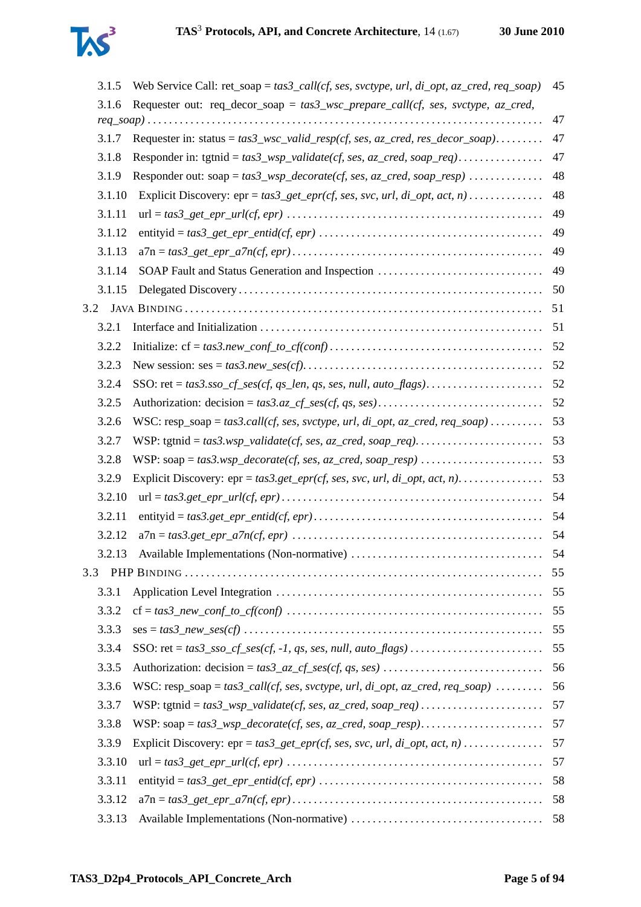

|     | 3.1.5  | Web Service Call: ret_soap = $tas3_call(cf, ses, svctype, url, di_opt, az_cred, req_soap)$ | 45 |
|-----|--------|--------------------------------------------------------------------------------------------|----|
|     | 3.1.6  | Requester out: req_decor_soap = $tas3_wsc\_prepare\_call(cf, ses, svctype, az\_cred,$      |    |
|     |        |                                                                                            | 47 |
|     | 3.1.7  | Requester in: status = $tas3_wsc\_valid\_resp(cf, ses, az\_cred, res\_decor\_soap)$        | 47 |
|     | 3.1.8  |                                                                                            | 47 |
|     | 3.1.9  | Responder out: soap = $tas3_wsp\_decorate(cf, ses, az\_cred, soap\_resp)$                  | 48 |
|     | 3.1.10 | Explicit Discovery: $epr = tas3\_get\_epr(cf, ses, src, url, di\_opt, act, n)$             | 48 |
|     | 3.1.11 |                                                                                            | 49 |
|     | 3.1.12 |                                                                                            | 49 |
|     | 3.1.13 |                                                                                            | 49 |
|     | 3.1.14 | SOAP Fault and Status Generation and Inspection                                            | 49 |
|     | 3.1.15 |                                                                                            | 50 |
| 3.2 |        |                                                                                            | 51 |
|     | 3.2.1  |                                                                                            | 51 |
|     | 3.2.2  |                                                                                            |    |
|     | 3.2.3  |                                                                                            |    |
|     | 3.2.4  |                                                                                            |    |
|     | 3.2.5  |                                                                                            |    |
|     | 3.2.6  | WSC: resp_soap = tas3.call(cf, ses, svctype, url, di_opt, az_cred, req_soap)               | 53 |
|     | 3.2.7  |                                                                                            | 53 |
|     | 3.2.8  |                                                                                            | 53 |
|     | 3.2.9  | Explicit Discovery: $epr = tas3.get\_epr(cf, ses, sve, url, di\_opt, act, n)$              | 53 |
|     | 3.2.10 |                                                                                            | 54 |
|     | 3.2.11 |                                                                                            | 54 |
|     | 3.2.12 |                                                                                            | 54 |
|     | 3.2.13 |                                                                                            | 54 |
| 3.3 |        |                                                                                            | 55 |
|     | 3.3.1  |                                                                                            | 55 |
|     | 3.3.2  |                                                                                            | 55 |
|     | 3.3.3  |                                                                                            | 55 |
|     | 3.3.4  |                                                                                            | 55 |
|     | 3.3.5  |                                                                                            | 56 |
|     | 3.3.6  | WSC: resp_soap = $tas3\_call(cf, ses, svctype, url, di\_opt, az\_cred, req\_soap)$         | 56 |
|     | 3.3.7  |                                                                                            | 57 |
|     | 3.3.8  |                                                                                            | 57 |
|     | 3.3.9  | Explicit Discovery: $epr = tas3.get\_epr(cf, ses, src, url, di\_opt, act, n)$              | 57 |
|     | 3.3.10 |                                                                                            | 57 |
|     | 3.3.11 |                                                                                            | 58 |
|     | 3.3.12 |                                                                                            | 58 |
|     | 3.3.13 |                                                                                            |    |
|     |        |                                                                                            |    |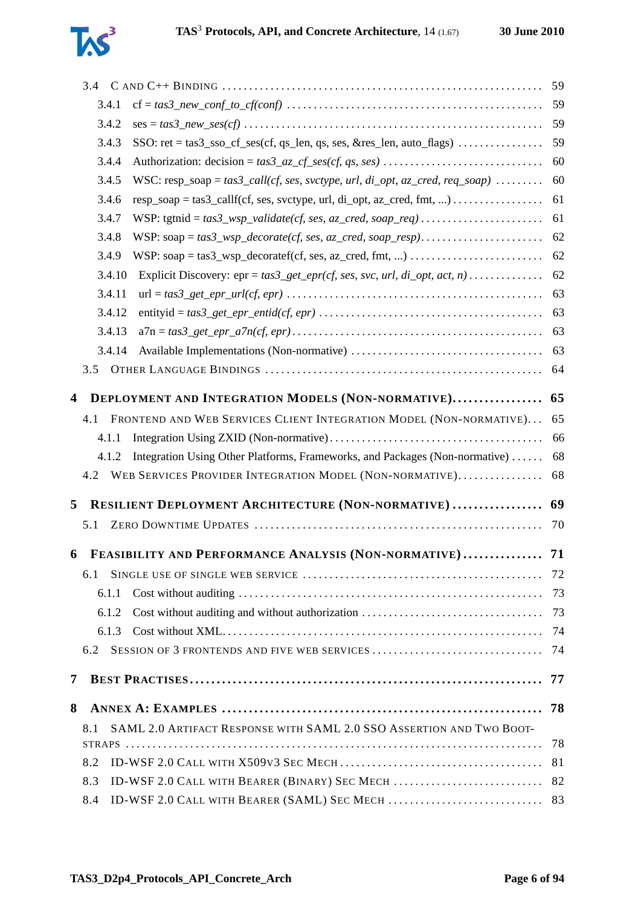

|   |        |                                                                                                     | 59  |
|---|--------|-----------------------------------------------------------------------------------------------------|-----|
|   | 3.4.1  |                                                                                                     | 59  |
|   | 3.4.2  |                                                                                                     | 59  |
|   | 3.4.3  | SSO: $ret = tas3\_sso_c f_ses(cf, qs_len, qs, ses, & res_len, auto_flags) \dots \dots \dots \dots$  | 59  |
|   | 3.4.4  |                                                                                                     | 60  |
|   | 3.4.5  | WSC: resp_soap = $tas3_call(cf, ses, svctype, url, di_opt, az_cred, req_soop)$                      | 60  |
|   | 3.4.6  | $resp\_soap = tas3\_callf(cf, ses, svctype, url, di\_opt, az\_cred, fmt, ) \dots \dots \dots \dots$ | 61  |
|   | 3.4.7  |                                                                                                     | 61  |
|   | 3.4.8  |                                                                                                     | 62  |
|   | 3.4.9  |                                                                                                     | 62  |
|   | 3.4.10 | Explicit Discovery: $epr = tas3\_get\_epr(cf, ses, src, url, di\_opt, act, n)$                      | 62  |
|   | 3.4.11 |                                                                                                     | 63  |
|   | 3.4.12 |                                                                                                     | 63  |
|   | 3.4.13 |                                                                                                     | 63  |
|   | 3.4.14 |                                                                                                     | 63  |
|   | 3.5    |                                                                                                     | 64  |
| 4 |        | DEPLOYMENT AND INTEGRATION MODELS (NON-NORMATIVE)                                                   | 65  |
|   | 4.1    | FRONTEND AND WEB SERVICES CLIENT INTEGRATION MODEL (NON-NORMATIVE)                                  | 65  |
|   |        |                                                                                                     |     |
|   |        |                                                                                                     |     |
|   | 4.1.1  |                                                                                                     | 66  |
|   | 4.1.2  | Integration Using Other Platforms, Frameworks, and Packages (Non-normative)                         | 68  |
|   | 4.2    | WEB SERVICES PROVIDER INTEGRATION MODEL (NON-NORMATIVE)                                             | 68  |
| 5 |        | RESILIENT DEPLOYMENT ARCHITECTURE (NON-NORMATIVE)                                                   | 69  |
|   | 5.1    |                                                                                                     | 70  |
|   |        |                                                                                                     |     |
| 6 |        | FEASIBILITY AND PERFORMANCE ANALYSIS (NON-NORMATIVE) 71                                             |     |
|   | 6.1    |                                                                                                     | 72  |
|   | 6.1.1  |                                                                                                     | 73  |
|   | 6.1.2  | Cost without auditing and without authorization                                                     | 73  |
|   | 6.1.3  |                                                                                                     | -74 |
|   | 6.2    | SESSION OF 3 FRONTENDS AND FIVE WEB SERVICES                                                        | 74  |
| 7 |        |                                                                                                     | 77  |
| 8 |        |                                                                                                     | 78  |
|   | 8.1    | SAML 2.0 ARTIFACT RESPONSE WITH SAML 2.0 SSO ASSERTION AND TWO BOOT-                                |     |
|   |        |                                                                                                     | 78  |
|   | 8.2    |                                                                                                     | 81  |
|   | 8.3    | ID-WSF 2.0 CALL WITH BEARER (BINARY) SEC MECH                                                       | 82  |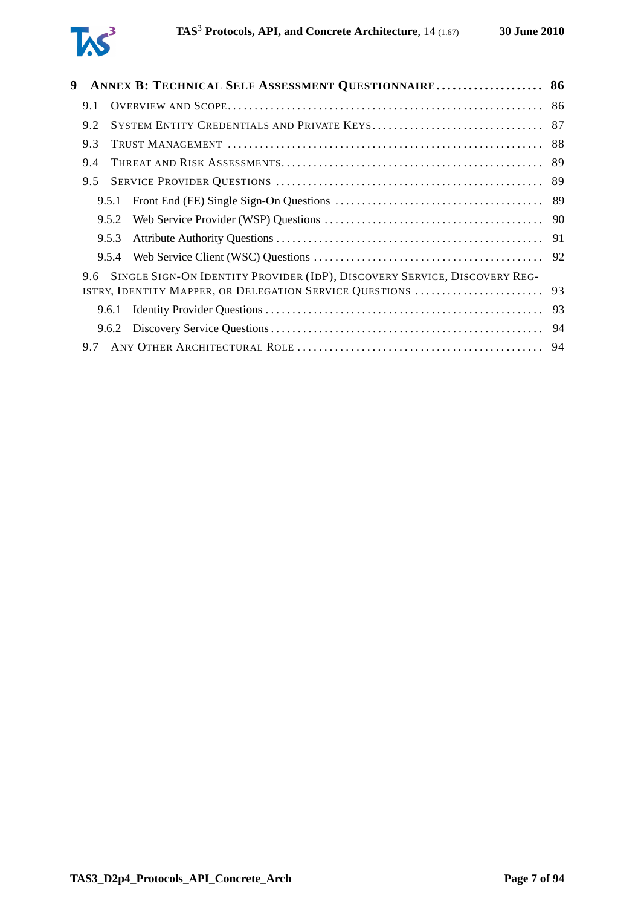| 9 |     | ANNEX B: TECHNICAL SELF ASSESSMENT QUESTIONNAIRE 86                           |     |
|---|-----|-------------------------------------------------------------------------------|-----|
|   | 9.1 |                                                                               |     |
|   | 9.2 |                                                                               |     |
|   | 9.3 |                                                                               | 88  |
|   | 9.4 |                                                                               |     |
|   | 9.5 |                                                                               | 89  |
|   |     |                                                                               |     |
|   |     | 9.5.2                                                                         |     |
|   |     | 9.5.3                                                                         |     |
|   |     | 9.5.4                                                                         |     |
|   |     | 9.6 SINGLE SIGN-ON IDENTITY PROVIDER (IDP), DISCOVERY SERVICE, DISCOVERY REG- |     |
|   |     | 9.6.1                                                                         |     |
|   |     |                                                                               | -94 |
|   |     |                                                                               |     |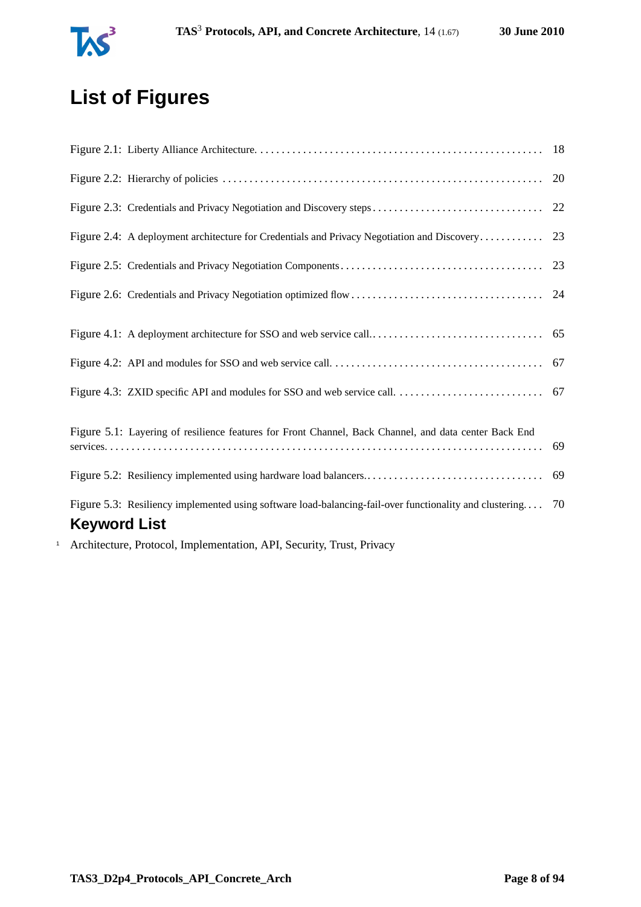

# **List of Figures**

<span id="page-7-0"></span>

|                                                                                                         | 20 |
|---------------------------------------------------------------------------------------------------------|----|
| Figure 2.3: Credentials and Privacy Negotiation and Discovery steps                                     | 22 |
| Figure 2.4: A deployment architecture for Credentials and Privacy Negotiation and Discovery             | 23 |
|                                                                                                         | 23 |
|                                                                                                         |    |
|                                                                                                         |    |
|                                                                                                         |    |
|                                                                                                         | 67 |
|                                                                                                         |    |
|                                                                                                         |    |
| Figure 5.1: Layering of resilience features for Front Channel, Back Channel, and data center Back End   | 69 |
|                                                                                                         |    |
| Figure 5.3: Resiliency implemented using software load-balancing-fail-over functionality and clustering | 70 |
| <b>Keyword List</b>                                                                                     |    |
| Architecture Protocol Implementation ADI Cocurity Trust Privacy                                         |    |

<sup>1</sup> Architecture, Protocol, Implementation, API, Security, Trust, Privacy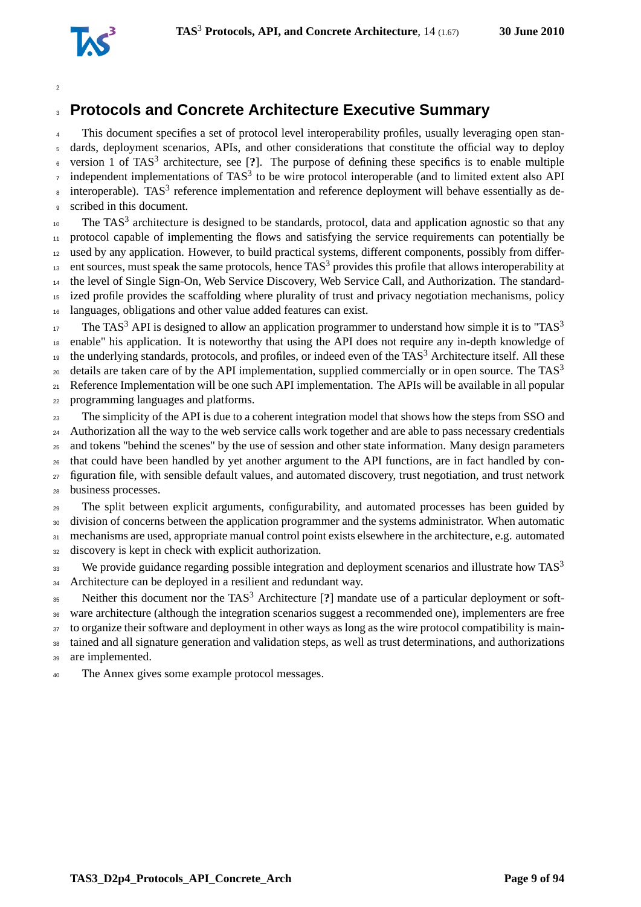

## **Protocols and Concrete Architecture Executive Summary**

This document specifies a set of protocol level interoperability profiles, usually leveraging open stan- dards, deployment scenarios, APIs, and other considerations that constitute the official way to deploy <sup>6</sup> version 1 of TAS<sup>3</sup> architecture, see [?]. The purpose of defining these specifics is to enable multiple  $\sigma$  independent implementations of TAS<sup>3</sup> to be wire protocol interoperable (and to limited extent also API <sup>8</sup> interoperable). TAS<sup>3</sup> reference implementation and reference deployment will behave essentially as de-scribed in this document.

 $10<sub>10</sub>$  The TAS<sup>3</sup> architecture is designed to be standards, protocol, data and application agnostic so that any protocol capable of implementing the flows and satisfying the service requirements can potentially be used by any application. However, to build practical systems, different components, possibly from differ- ent sources, must speak the same protocols, hence TAS<sup>3</sup> provides this profile that allows interoperability at the level of Single Sign-On, Web Service Discovery, Web Service Call, and Authorization. The standard- ized profile provides the scaffolding where plurality of trust and privacy negotiation mechanisms, policy languages, obligations and other value added features can exist.

The TAS<sup>3</sup> API is designed to allow an application programmer to understand how simple it is to "TAS<sup>3</sup> enable" his application. It is noteworthy that using the API does not require any in-depth knowledge of the underlying standards, protocols, and profiles, or indeed even of the TAS<sup>3</sup> Architecture itself. All these details are taken care of by the API implementation, supplied commercially or in open source. The  $TAS<sup>3</sup>$  Reference Implementation will be one such API implementation. The APIs will be available in all popular programming languages and platforms.

 The simplicity of the API is due to a coherent integration model that shows how the steps from SSO and <sup>24</sup> Authorization all the way to the web service calls work together and are able to pass necessary credentials and tokens "behind the scenes" by the use of session and other state information. Many design parameters that could have been handled by yet another argument to the API functions, are in fact handled by con- figuration file, with sensible default values, and automated discovery, trust negotiation, and trust network business processes.

 The split between explicit arguments, configurability, and automated processes has been guided by division of concerns between the application programmer and the systems administrator. When automatic mechanisms are used, appropriate manual control point exists elsewhere in the architecture, e.g. automated

discovery is kept in check with explicit authorization.

We provide guidance regarding possible integration and deployment scenarios and illustrate how  $TAS<sup>3</sup>$  34 Architecture can be deployed in a resilient and redundant way.

Neither this document nor the TAS<sup>3</sup> Architecture [**?**] mandate use of a particular deployment or soft-ware architecture (although the integration scenarios suggest a recommended one), implementers are free

to organize their software and deployment in other ways as long as the wire protocol compatibility is main-

 tained and all signature generation and validation steps, as well as trust determinations, and authorizations are implemented.

The Annex gives some example protocol messages.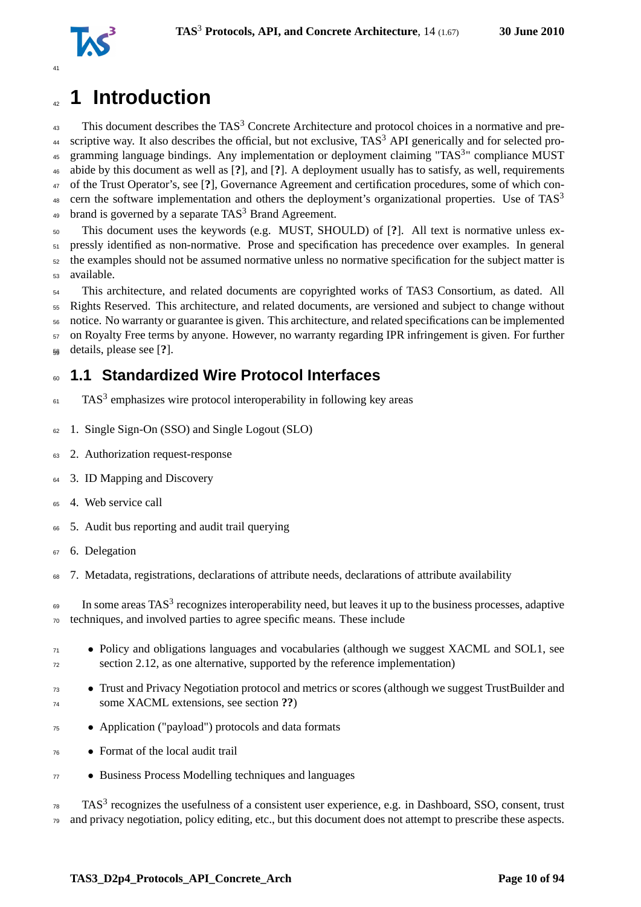

# <span id="page-9-0"></span>**1 Introduction**

 This document describes the TAS<sup>3</sup> Concrete Architecture and protocol choices in a normative and pre-<sup>44</sup> scriptive way. It also describes the official, but not exclusive,  $TAS<sup>3</sup>$  API generically and for selected pro-45 gramming language bindings. Any implementation or deployment claiming "TAS<sup>3</sup>" compliance MUST abide by this document as well as [**?**], and [**?**]. A deployment usually has to satisfy, as well, requirements of the Trust Operator's, see [**?**], Governance Agreement and certification procedures, some of which concern the software implementation and others the deployment's organizational properties. Use of TAS<sup>3</sup> 49 brand is governed by a separate  $TAS<sup>3</sup>$  Brand Agreement.

 This document uses the keywords (e.g. MUST, SHOULD) of [**?**]. All text is normative unless ex- pressly identified as non-normative. Prose and specification has precedence over examples. In general the examples should not be assumed normative unless no normative specification for the subject matter is available.

<sup>54</sup> This architecture, and related documents are copyrighted works of TAS3 Consortium, as dated. All Rights Reserved. This architecture, and related documents, are versioned and subject to change without notice. No warranty or guarantee is given. This architecture, and related specifications can be implemented on Royalty Free terms by anyone. However, no warranty regarding IPR infringement is given. For further details, please see [**?**]. <sup>59</sup>

## <span id="page-9-1"></span>**1.1 Standardized Wire Protocol Interfaces**

- $F_{61}$  TAS<sup>3</sup> emphasizes wire protocol interoperability in following key areas
- 1. Single Sign-On (SSO) and Single Logout (SLO)
- 2. Authorization request-response
- <sup>64</sup> 3. ID Mapping and Discovery
- <sup>65</sup> 4. Web service call
- 5. Audit bus reporting and audit trail querying
- <sup>67</sup> 6. Delegation
- 7. Metadata, registrations, declarations of attribute needs, declarations of attribute availability

 $\epsilon_{\text{9}}$  In some areas TAS<sup>3</sup> recognizes interoperability need, but leaves it up to the business processes, adaptive techniques, and involved parties to agree specific means. These include

- <sup>71</sup> Policy and obligations languages and vocabularies (although we suggest XACML and SOL1, see section [2.12,](#page-30-2) as one alternative, supported by the reference implementation)
- Trust and Privacy Negotiation protocol and metrics or scores (although we suggest TrustBuilder and some XACML extensions, see section **??**)
- Application ("payload") protocols and data formats
- Format of the local audit trail
- Business Process Modelling techniques and languages

 TAS<sup>3</sup> recognizes the usefulness of a consistent user experience, e.g. in Dashboard, SSO, consent, trust and privacy negotiation, policy editing, etc., but this document does not attempt to prescribe these aspects.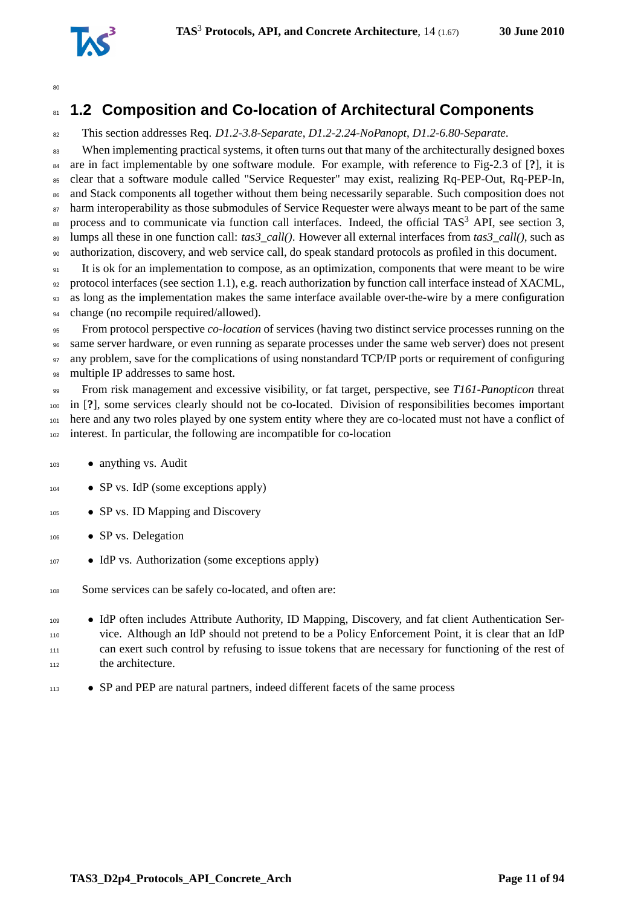

## <span id="page-10-0"></span>**1.2 Composition and Co-location of Architectural Components**

This section addresses Req. *D1.2-3.8-Separate*, *D1.2-2.24-NoPanopt*, *D1.2-6.80-Separate*.

<sup>83</sup> When implementing practical systems, it often turns out that many of the architecturally designed boxes are in fact implementable by one software module. For example, with reference to Fig-2.3 of [**?**], it is clear that a software module called "Service Requester" may exist, realizing Rq-PEP-Out, Rq-PEP-In, and Stack components all together without them being necessarily separable. Such composition does not <sup>87</sup> harm interoperability as those submodules of Service Requester were always meant to be part of the same 88 process and to communicate via function call interfaces. Indeed, the official TAS<sup>3</sup> API, see section [3,](#page-40-0) lumps all these in one function call: *tas3\_call()*. However all external interfaces from *tas3\_call()*, such as authorization, discovery, and web service call, do speak standard protocols as profiled in this document.

 It is ok for an implementation to compose, as an optimization, components that were meant to be wire protocol interfaces (see section [1.1\)](#page-9-1), e.g. reach authorization by function call interface instead of XACML, as long as the implementation makes the same interface available over-the-wire by a mere configuration 94 change (no recompile required/allowed).

 From protocol perspective *co-location* of services (having two distinct service processes running on the same server hardware, or even running as separate processes under the same web server) does not present 97 any problem, save for the complications of using nonstandard TCP/IP ports or requirement of configuring multiple IP addresses to same host.

 From risk management and excessive visibility, or fat target, perspective, see *T161-Panopticon* threat in [**?**], some services clearly should not be co-located. Division of responsibilities becomes important here and any two roles played by one system entity where they are co-located must not have a conflict of interest. In particular, the following are incompatible for co-location

- anything vs. Audit
- $104 \rightarrow$  SP vs. IdP (some exceptions apply)
- SP vs. ID Mapping and Discovery
- 106 SP vs. Delegation
- IdP vs. Authorization (some exceptions apply)
- Some services can be safely co-located, and often are:
- IdP often includes Attribute Authority, ID Mapping, Discovery, and fat client Authentication Ser- vice. Although an IdP should not pretend to be a Policy Enforcement Point, it is clear that an IdP can exert such control by refusing to issue tokens that are necessary for functioning of the rest of 112 the architecture.
- SP and PEP are natural partners, indeed different facets of the same process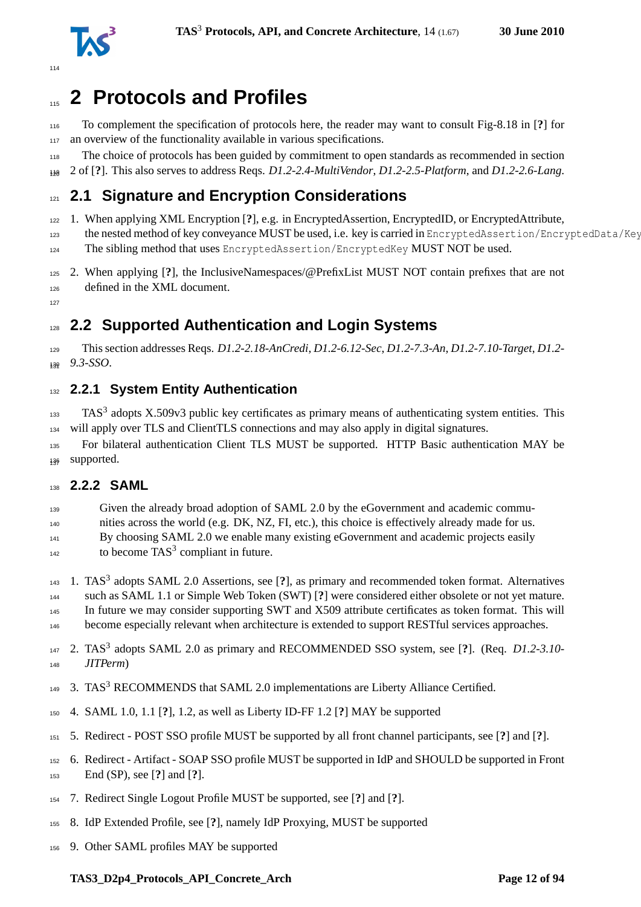

# <span id="page-11-0"></span>**2 Protocols and Profiles**

 To complement the specification of protocols here, the reader may want to consult Fig-8.18 in [**?**] for 117 an overview of the functionality available in various specifications.

- The choice of protocols has been guided by commitment to open standards as recommended in section
- 2 of [**?**]. This also serves to address Reqs. *D1.2-2.4-MultiVendor*, *D1.2-2.5-Platform*, and *D1.2-2.6-Lang*. <sup>120</sup>

## <span id="page-11-1"></span>**2.1 Signature and Encryption Considerations**

1. When applying XML Encryption [**?**], e.g. in EncryptedAssertion, EncryptedID, or EncryptedAttribute,

the nested method of key conveyance MUST be used, i.e. key is carried in EncryptedAssertion/EncryptedData/Key

- 124 The sibling method that uses EncryptedAssertion/EncryptedKey MUST NOT be used.
- 2. When applying [**?**], the InclusiveNamespaces/@PrefixList MUST NOT contain prefixes that are not defined in the XML document.
- <span id="page-11-2"></span>

## **2.2 Supported Authentication and Login Systems**

 This section addresses Reqs. *D1.2-2.18-AnCredi*, *D1.2-6.12-Sec*, *D1.2-7.3-An*, *D1.2-7.10-Target*, *D1.2-*  $130 \quad 9.3-SSO.$ 

### <span id="page-11-3"></span>**2.2.1 System Entity Authentication**

 TAS<sup>3</sup> adopts X.509v3 public key certificates as primary means of authenticating system entities. This will apply over TLS and ClientTLS connections and may also apply in digital signatures.

 For bilateral authentication Client TLS MUST be supported. HTTP Basic authentication MAY be 136 supported.

#### <span id="page-11-4"></span>**2.2.2 SAML**

Given the already broad adoption of SAML 2.0 by the eGovernment and academic commu-

nities across the world (e.g. DK, NZ, FI, etc.), this choice is effectively already made for us.

- <sup>141</sup> By choosing SAML 2.0 we enable many existing eGovernment and academic projects easily
- $_{142}$  to become TAS<sup>3</sup> compliant in future.
- 1. TAS<sup>3</sup> adopts SAML 2.0 Assertions, see [**?**], as primary and recommended token format. Alternatives
- such as SAML 1.1 or Simple Web Token (SWT) [**?**] were considered either obsolete or not yet mature.
- In future we may consider supporting SWT and X509 attribute certificates as token format. This will
- 146 become especially relevant when architecture is extended to support RESTful services approaches.
- 147 2. TAS<sup>3</sup> adopts SAML 2.0 as primary and RECOMMENDED SSO system, see [?]. (Req. *D1.2-3.10-* $JITPerm$
- 149 3. TAS<sup>3</sup> RECOMMENDS that SAML 2.0 implementations are Liberty Alliance Certified.
- 4. SAML 1.0, 1.1 [**?**], 1.2, as well as Liberty ID-FF 1.2 [**?**] MAY be supported
- 5. Redirect POST SSO profile MUST be supported by all front channel participants, see [**?**] and [**?**].
- 6. Redirect Artifact SOAP SSO profile MUST be supported in IdP and SHOULD be supported in Front End (SP), see [**?**] and [**?**].
- 7. Redirect Single Logout Profile MUST be supported, see [**?**] and [**?**].
- 8. IdP Extended Profile, see [**?**], namely IdP Proxying, MUST be supported
- 9. Other SAML profiles MAY be supported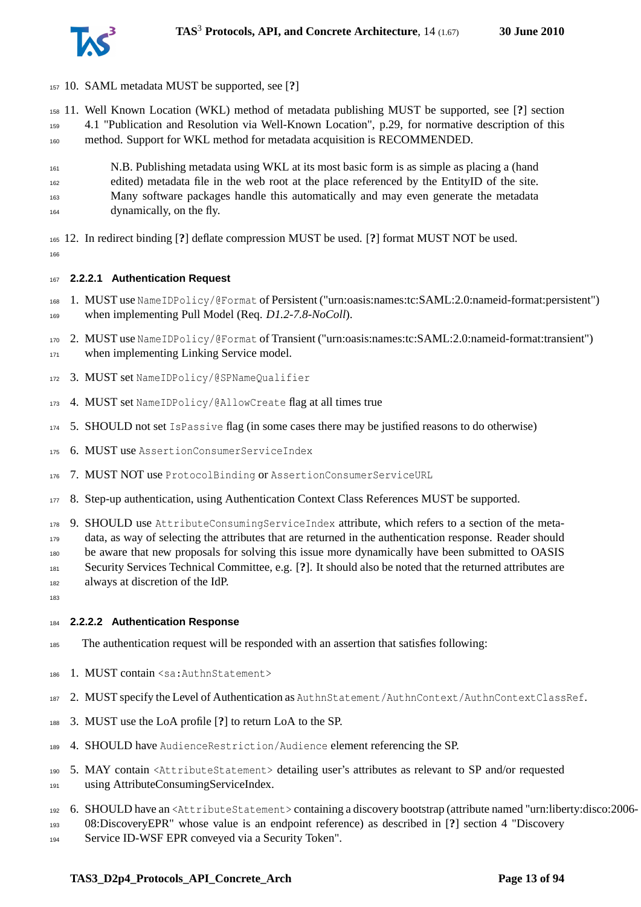

- 10. SAML metadata MUST be supported, see [**?**]
- 11. Well Known Location (WKL) method of metadata publishing MUST be supported, see [**?**] section 4.1 "Publication and Resolution via Well-Known Location", p.29, for normative description of this
- method. Support for WKL method for metadata acquisition is RECOMMENDED.
- N.B. Publishing metadata using WKL at its most basic form is as simple as placing a (hand edited) metadata file in the web root at the place referenced by the EntityID of the site. Many software packages handle this automatically and may even generate the metadata dynamically, on the fly.
- 12. In redirect binding [**?**] deflate compression MUST be used. [**?**] format MUST NOT be used.

#### **2.2.2.1 Authentication Request**

- 1. MUST use NameIDPolicy/@Format of Persistent ("urn:oasis:names:tc:SAML:2.0:nameid-format:persistent") when implementing Pull Model (Req. *D1.2-7.8-NoColl*).
- 2. MUST use NameIDPolicy/@Format of Transient ("urn:oasis:names:tc:SAML:2.0:nameid-format:transient") 171 when implementing Linking Service model.
- 3. MUST set NameIDPolicy/@SPNameQualifier
- 4. MUST set NameIDPolicy/@AllowCreate flag at all times true
- 5. SHOULD not set IsPassive flag (in some cases there may be justified reasons to do otherwise)
- 6. MUST use AssertionConsumerServiceIndex
- 7. MUST NOT use ProtocolBinding or AssertionConsumerServiceURL
- 8. Step-up authentication, using Authentication Context Class References MUST be supported.
- 9. SHOULD use AttributeConsumingServiceIndex attribute, which refers to a section of the meta-
- data, as way of selecting the attributes that are returned in the authentication response. Reader should
- be aware that new proposals for solving this issue more dynamically have been submitted to OASIS
- Security Services Technical Committee, e.g. [**?**]. It should also be noted that the returned attributes are
- always at discretion of the IdP.
- 

#### **2.2.2.2 Authentication Response**

- The authentication request will be responded with an assertion that satisfies following:
- 1. MUST contain <sa:AuthnStatement>
- 2. MUST specify the Level of Authentication as AuthnStatement/AuthnContext/AuthnContextClassRef.
- 3. MUST use the LoA profile [**?**] to return LoA to the SP.
- 4. SHOULD have AudienceRestriction/Audience element referencing the SP.
- 5. MAY contain <AttributeStatement> detailing user's attributes as relevant to SP and/or requested using AttributeConsumingServiceIndex.
- 6. SHOULD have an <AttributeStatement> containing a discovery bootstrap (attribute named "urn:liberty:disco:2006-
- 08:DiscoveryEPR" whose value is an endpoint reference) as described in [**?**] section 4 "Discovery
- Service ID-WSF EPR conveyed via a Security Token".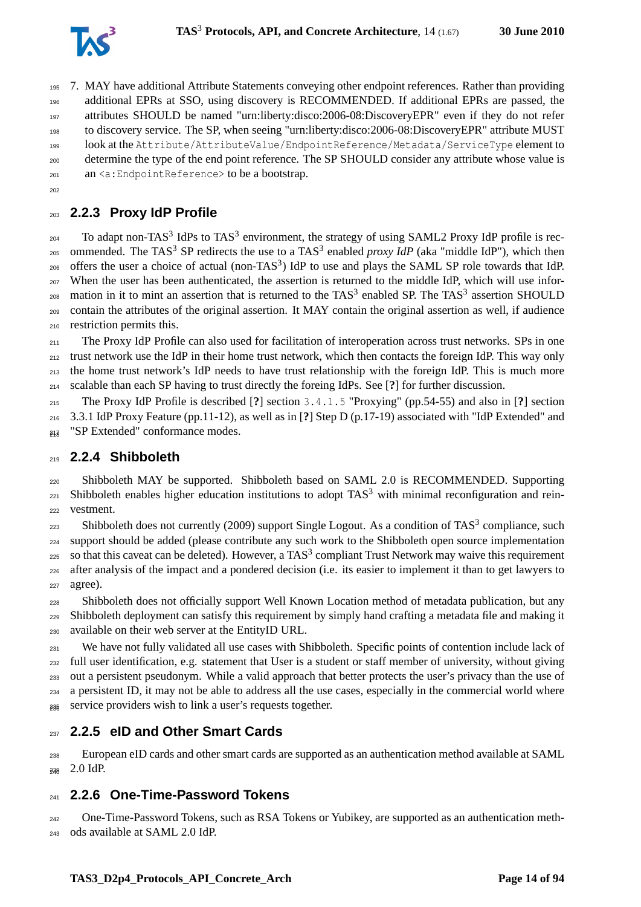

 7. MAY have additional Attribute Statements conveying other endpoint references. Rather than providing additional EPRs at SSO, using discovery is RECOMMENDED. If additional EPRs are passed, the attributes SHOULD be named "urn:liberty:disco:2006-08:DiscoveryEPR" even if they do not refer to discovery service. The SP, when seeing "urn:liberty:disco:2006-08:DiscoveryEPR" attribute MUST look at the Attribute/AttributeValue/EndpointReference/Metadata/ServiceType element to determine the type of the end point reference. The SP SHOULD consider any attribute whose value is an <a: Endpoint Reference> to be a bootstrap.

<span id="page-13-0"></span>

### **2.2.3 Proxy IdP Profile**

 $_{204}$  To adapt non-TAS<sup>3</sup> IdPs to TAS<sup>3</sup> environment, the strategy of using SAML2 Proxy IdP profile is rec-<sup>205</sup> ommended. The TAS<sup>3</sup> SP redirects the use to a TAS<sup>3</sup> enabled *proxy IdP* (aka "middle IdP"), which then  $_{206}$  offers the user a choice of actual (non-TAS<sup>3</sup>) IdP to use and plays the SAML SP role towards that IdP. When the user has been authenticated, the assertion is returned to the middle IdP, which will use infor- $_{208}$  mation in it to mint an assertion that is returned to the TAS<sup>3</sup> enabled SP. The TAS<sup>3</sup> assertion SHOULD contain the attributes of the original assertion. It MAY contain the original assertion as well, if audience restriction permits this.

 The Proxy IdP Profile can also used for facilitation of interoperation across trust networks. SPs in one trust network use the IdP in their home trust network, which then contacts the foreign IdP. This way only the home trust network's IdP needs to have trust relationship with the foreign IdP. This is much more scalable than each SP having to trust directly the foreing IdPs. See [**?**] for further discussion.

 The Proxy IdP Profile is described [**?**] section 3.4.1.5 "Proxying" (pp.54-55) and also in [**?**] section 3.3.1 IdP Proxy Feature (pp.11-12), as well as in [**?**] Step D (p.17-19) associated with "IdP Extended" and <sup>217</sup> "SP Extended" conformance modes.

#### <span id="page-13-1"></span>**2.2.4 Shibboleth**

 Shibboleth MAY be supported. Shibboleth based on SAML 2.0 is RECOMMENDED. Supporting  $_{221}$  Shibboleth enables higher education institutions to adopt TAS<sup>3</sup> with minimal reconfiguration and rein-vestment.

223 Shibboleth does not currently (2009) support Single Logout. As a condition of TAS<sup>3</sup> compliance, such support should be added (please contribute any such work to the Shibboleth open source implementation 225 so that this caveat can be deleted). However, a TAS<sup>3</sup> compliant Trust Network may waive this requirement after analysis of the impact and a pondered decision (i.e. its easier to implement it than to get lawyers to agree).

 Shibboleth does not officially support Well Known Location method of metadata publication, but any Shibboleth deployment can satisfy this requirement by simply hand crafting a metadata file and making it available on their web server at the EntityID URL.

<sup>231</sup> We have not fully validated all use cases with Shibboleth. Specific points of contention include lack of full user identification, e.g. statement that User is a student or staff member of university, without giving out a persistent pseudonym. While a valid approach that better protects the user's privacy than the use of a persistent ID, it may not be able to address all the use cases, especially in the commercial world where  $_{235}$  service providers wish to link a user's requests together.

#### <span id="page-13-2"></span>**2.2.5 eID and Other Smart Cards**

 European eID cards and other smart cards are supported as an authentication method available at SAML  $_{238}$  2.0 IdP.

#### <span id="page-13-3"></span>**2.2.6 One-Time-Password Tokens**

 One-Time-Password Tokens, such as RSA Tokens or Yubikey, are supported as an authentication meth-ods available at SAML 2.0 IdP.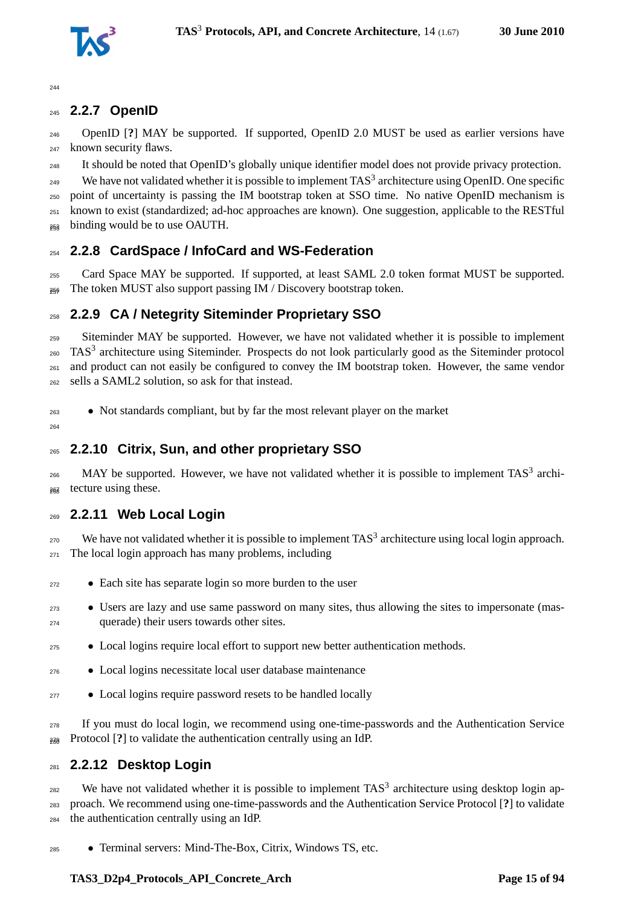

### <span id="page-14-0"></span>**2.2.7 OpenID**

 OpenID [**?**] MAY be supported. If supported, OpenID 2.0 MUST be used as earlier versions have known security flaws.

It should be noted that OpenID's globally unique identifier model does not provide privacy protection.

249 We have not validated whether it is possible to implement  $TAS^3$  architecture using OpenID. One specific

 point of uncertainty is passing the IM bootstrap token at SSO time. No native OpenID mechanism is known to exist (standardized; ad-hoc approaches are known). One suggestion, applicable to the RESTful

<span id="page-14-1"></span><sup>253</sup> binding would be to use OAUTH.

#### **2.2.8 CardSpace / InfoCard and WS-Federation**

 Card Space MAY be supported. If supported, at least SAML 2.0 token format MUST be supported.  $_{256}$  The token MUST also support passing IM / Discovery bootstrap token.

#### <span id="page-14-2"></span>**2.2.9 CA / Netegrity Siteminder Proprietary SSO**

 Siteminder MAY be supported. However, we have not validated whether it is possible to implement 260 TAS<sup>3</sup> architecture using Siteminder. Prospects do not look particularly good as the Siteminder protocol and product can not easily be configured to convey the IM bootstrap token. However, the same vendor sells a SAML2 solution, so ask for that instead.

• Not standards compliant, but by far the most relevant player on the market

<span id="page-14-3"></span>

#### **2.2.10 Citrix, Sun, and other proprietary SSO**

 $_{266}$  MAY be supported. However, we have not validated whether it is possible to implement TAS<sup>3</sup> archi-<sub>268</sub> tecture using these.

#### <span id="page-14-4"></span>**2.2.11 Web Local Login**

 We have not validated whether it is possible to implement TAS<sup>3</sup> architecture using local login approach. The local login approach has many problems, including

- Each site has separate login so more burden to the user
- Users are lazy and use same password on many sites, thus allowing the sites to impersonate (mas-querade) their users towards other sites.
- Local logins require local effort to support new better authentication methods.
- Local logins necessitate local user database maintenance
- Local logins require password resets to be handled locally

 If you must do local login, we recommend using one-time-passwords and the Authentication Service Protocol [**?**] to validate the authentication centrally using an IdP. <sup>280</sup>

#### <span id="page-14-5"></span>**2.2.12 Desktop Login**

 We have not validated whether it is possible to implement TAS<sup>3</sup> architecture using desktop login ap- proach. We recommend using one-time-passwords and the Authentication Service Protocol [**?**] to validate the authentication centrally using an IdP.

• Terminal servers: Mind-The-Box, Citrix, Windows TS, etc.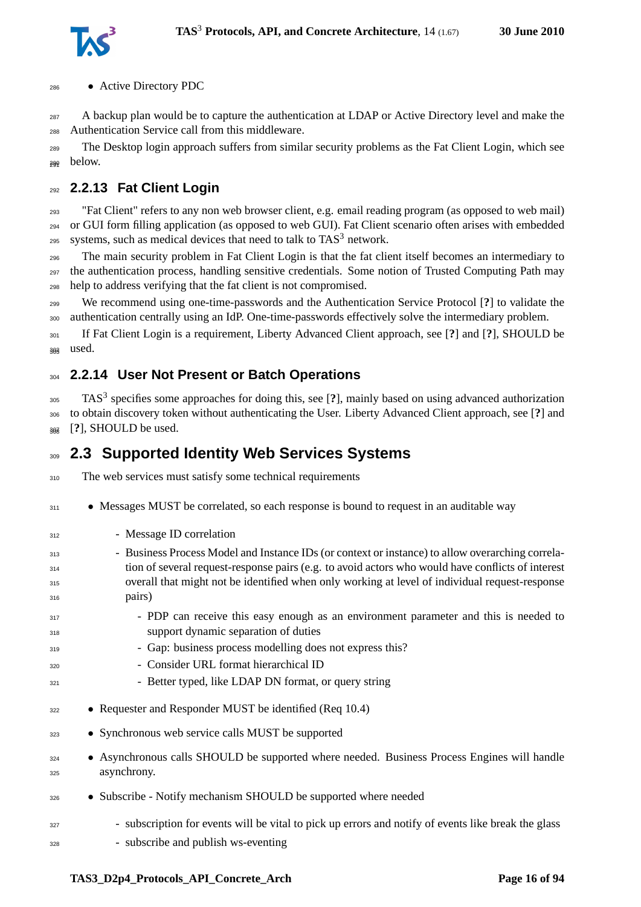

• Active Directory PDC

<sub>287</sub> A backup plan would be to capture the authentication at LDAP or Active Directory level and make the Authentication Service call from this middleware.

 The Desktop login approach suffers from similar security problems as the Fat Client Login, which see 290 below.

### <span id="page-15-0"></span>**2.2.13 Fat Client Login**

 "Fat Client" refers to any non web browser client, e.g. email reading program (as opposed to web mail) or GUI form filling application (as opposed to web GUI). Fat Client scenario often arises with embedded systems, such as medical devices that need to talk to  $TAS<sup>3</sup>$  network.

 The main security problem in Fat Client Login is that the fat client itself becomes an intermediary to the authentication process, handling sensitive credentials. Some notion of Trusted Computing Path may help to address verifying that the fat client is not compromised.

 We recommend using one-time-passwords and the Authentication Service Protocol [**?**] to validate the authentication centrally using an IdP. One-time-passwords effectively solve the intermediary problem.

 If Fat Client Login is a requirement, Liberty Advanced Client approach, see [**?**] and [**?**], SHOULD be 302 used.

#### <span id="page-15-1"></span>**2.2.14 User Not Present or Batch Operations**

TAS<sup>3</sup> specifies some approaches for doing this, see [**?**], mainly based on using advanced authorization to obtain discovery token without authenticating the User. Liberty Advanced Client approach, see [**?**] and  $_{\text{307}}$  [?], SHOULD be used.

## <span id="page-15-2"></span>**2.3 Supported Identity Web Services Systems**

310 The web services must satisfy some technical requirements

- <sup>311</sup> Messages MUST be correlated, so each response is bound to request in an auditable way
- 312 Message ID correlation
- Business Process Model and Instance IDs (or context or instance) to allow overarching correla- tion of several request-response pairs (e.g. to avoid actors who would have conflicts of interest overall that might not be identified when only working at level of individual request-response pairs)
- <sup>317</sup> PDP can receive this easy enough as an environment parameter and this is needed to support dynamic separation of duties
- Gap: business process modelling does not express this?
- Consider URL format hierarchical ID
- <sup>321</sup> Better typed, like LDAP DN format, or query string
- Requester and Responder MUST be identified (Req 10.4)
- Synchronous web service calls MUST be supported
- <sup>324</sup> Asynchronous calls SHOULD be supported where needed. Business Process Engines will handle asynchrony.
- Subscribe Notify mechanism SHOULD be supported where needed
- subscription for events will be vital to pick up errors and notify of events like break the glass
- subscribe and publish ws-eventing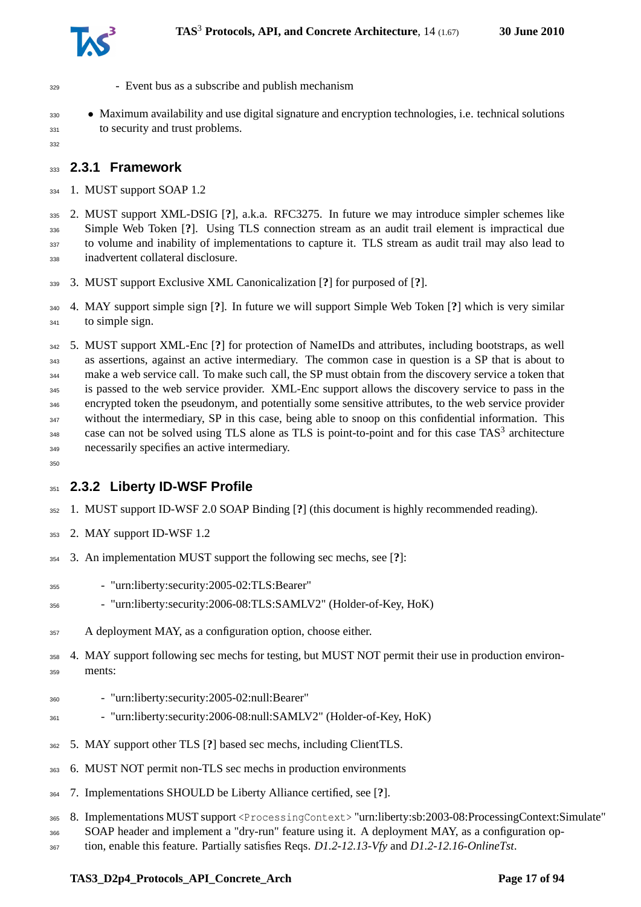

- Event bus as a subscribe and publish mechanism
- Maximum availability and use digital signature and encryption technologies, i.e. technical solutions 331 to security and trust problems.
- <span id="page-16-0"></span>

**2.3.1 Framework**

1. MUST support SOAP 1.2

 2. MUST support XML-DSIG [**?**], a.k.a. RFC3275. In future we may introduce simpler schemes like Simple Web Token [**?**]. Using TLS connection stream as an audit trail element is impractical due to volume and inability of implementations to capture it. TLS stream as audit trail may also lead to inadvertent collateral disclosure.

3. MUST support Exclusive XML Canonicalization [**?**] for purposed of [**?**].

 4. MAY support simple sign [**?**]. In future we will support Simple Web Token [**?**] which is very similar to simple sign.

 5. MUST support XML-Enc [**?**] for protection of NameIDs and attributes, including bootstraps, as well as assertions, against an active intermediary. The common case in question is a SP that is about to make a web service call. To make such call, the SP must obtain from the discovery service a token that is passed to the web service provider. XML-Enc support allows the discovery service to pass in the encrypted token the pseudonym, and potentially some sensitive attributes, to the web service provider 347 without the intermediary, SP in this case, being able to snoop on this confidential information. This 348 case can not be solved using TLS alone as TLS is point-to-point and for this case TAS<sup>3</sup> architecture necessarily specifies an active intermediary.

<span id="page-16-1"></span>

## **2.3.2 Liberty ID-WSF Profile**

- 1. MUST support ID-WSF 2.0 SOAP Binding [**?**] (this document is highly recommended reading).
- 2. MAY support ID-WSF 1.2
- 3. An implementation MUST support the following sec mechs, see [**?**]:
- "urn:liberty:security:2005-02:TLS:Bearer"
- "urn:liberty:security:2006-08:TLS:SAMLV2" (Holder-of-Key, HoK)
- A deployment MAY, as a configuration option, choose either.
- 4. MAY support following sec mechs for testing, but MUST NOT permit their use in production environ-ments:
- "urn:liberty:security:2005-02:null:Bearer"
- "urn:liberty:security:2006-08:null:SAMLV2" (Holder-of-Key, HoK)
- 5. MAY support other TLS [**?**] based sec mechs, including ClientTLS.
- 6. MUST NOT permit non-TLS sec mechs in production environments
- 7. Implementations SHOULD be Liberty Alliance certified, see [**?**].
- 8. Implementations MUST support <ProcessingContext> "urn:liberty:sb:2003-08:ProcessingContext:Simulate"
- SOAP header and implement a "dry-run" feature using it. A deployment MAY, as a configuration op-
- tion, enable this feature. Partially satisfies Reqs. *D1.2-12.13-Vfy* and *D1.2-12.16-OnlineTst*.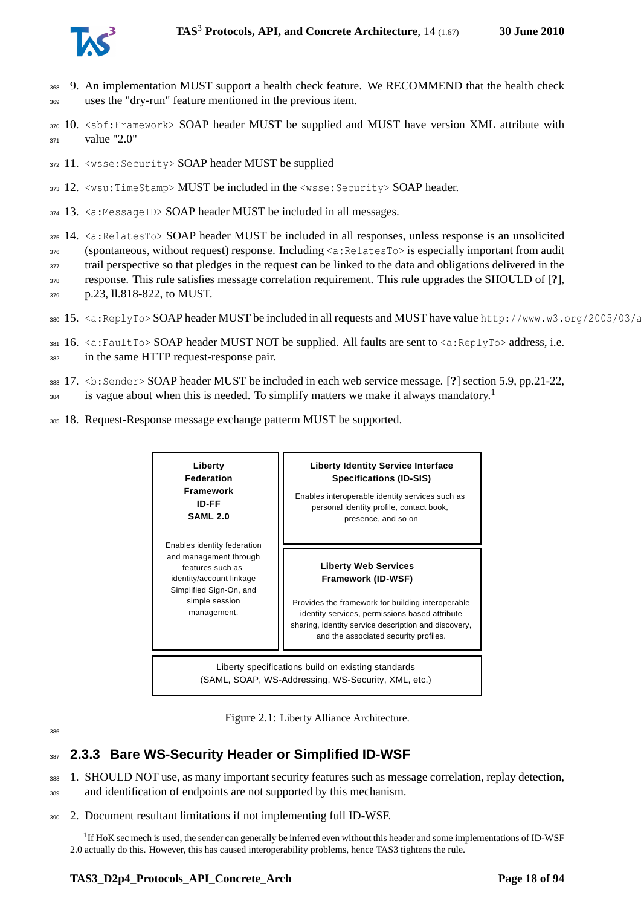

- <sup>368</sup> 9. An implementation MUST support a health check feature. We RECOMMEND that the health check <sup>369</sup> uses the "dry-run" feature mentioned in the previous item.
- 370 10. <sbf:Framework> SOAP header MUST be supplied and MUST have version XML attribute with  $371$  value "2.0"
- <sup>372</sup> 11. <wsse:Security> SOAP header MUST be supplied
- <sup>373</sup> 12. <wsu:TimeStamp> MUST be included in the <wsse:Security> SOAP header.
- $374$  13.  $\le a$ : Message ID> SOAP header MUST be included in all messages.
- <sup>375</sup> 14. <a:RelatesTo> SOAP header MUST be included in all responses, unless response is an unsolicited
- <sup>376</sup> (spontaneous, without request) response. Including <a:RelatesTo> is especially important from audit
- 377 trail perspective so that pledges in the request can be linked to the data and obligations delivered in the
- <sup>378</sup> response. This rule satisfies message correlation requirement. This rule upgrades the SHOULD of [**?**],
- <sup>379</sup> p.23, ll.818-822, to MUST.
- 380 15. <a:ReplyTo> SOAP header MUST be included in all requests and MUST have value http://www.w3.org/2005/03/a
- 381 16.  $\leq a: \text{FaultTo} > \text{SOAP}$  header MUST NOT be supplied. All faults are sent to  $\leq a: \text{ReplyTo} >$  address, i.e.
- <sup>382</sup> in the same HTTP request-response pair.
- <sup>383</sup> 17. <b:Sender> SOAP header MUST be included in each web service message. [**?**] section 5.9, pp.21-22,
- is vague about when this is needed. To simplify matters we make it always mandatory.<sup>[1](#page-17-2)</sup> 384
- <sup>385</sup> 18. Request-Response message exchange patterm MUST be supported.



<span id="page-17-1"></span>Figure 2.1: Liberty Alliance Architecture.

## <span id="page-17-0"></span><sup>387</sup> **2.3.3 Bare WS-Security Header or Simplified ID-WSF**

- <sup>388</sup> 1. SHOULD NOT use, as many important security features such as message correlation, replay detection,
- <sup>389</sup> and identification of endpoints are not supported by this mechanism.
- <sup>390</sup> 2. Document resultant limitations if not implementing full ID-WSF.

<span id="page-17-2"></span><sup>&</sup>lt;sup>1</sup>If HoK sec mech is used, the sender can generally be inferred even without this header and some implementations of ID-WSF 2.0 actually do this. However, this has caused interoperability problems, hence TAS3 tightens the rule.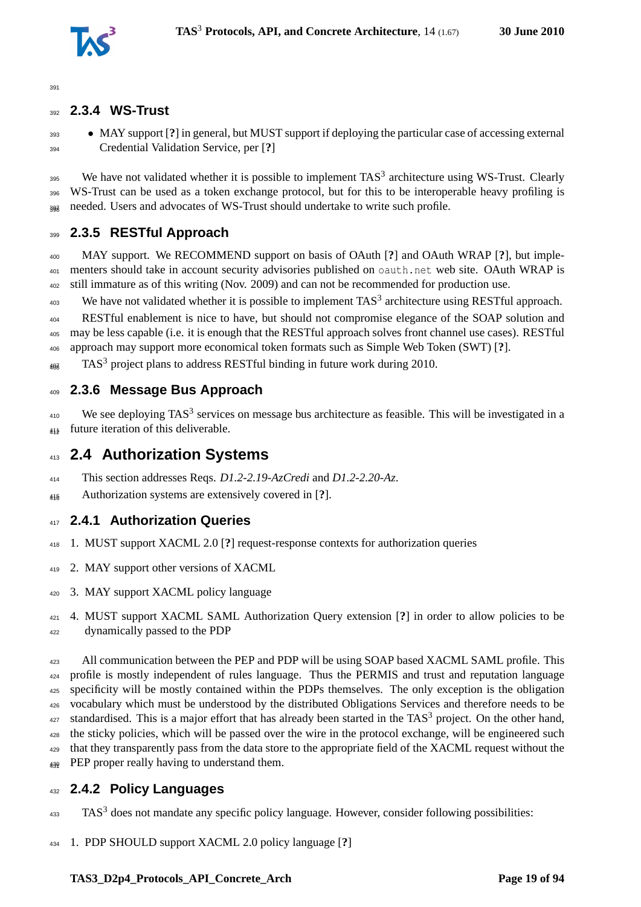

<span id="page-18-0"></span>39<sup>1</sup>

#### **2.3.4 WS-Trust**

 • MAY support [**?**] in general, but MUST support if deploying the particular case of accessing external Credential Validation Service, per [**?**]

 We have not validated whether it is possible to implement TAS<sup>3</sup> architecture using WS-Trust. Clearly WS-Trust can be used as a token exchange protocol, but for this to be interoperable heavy profiling is 397 needed. Users and advocates of WS-Trust should undertake to write such profile.

#### <span id="page-18-1"></span>**2.3.5 RESTful Approach**

 MAY support. We RECOMMEND support on basis of OAuth [**?**] and OAuth WRAP [**?**], but implementers should take in account security advisories published on oauth.net web site. OAuth WRAP is still immature as of this writing (Nov. 2009) and can not be recommended for production use.

We have not validated whether it is possible to implement TAS<sup>3</sup> architecture using RESTful approach.

 RESTful enablement is nice to have, but should not compromise elegance of the SOAP solution and may be less capable (i.e. it is enough that the RESTful approach solves front channel use cases). RESTful approach may support more economical token formats such as Simple Web Token (SWT) [**?**].

 $_{408}$  TAS<sup>3</sup> project plans to address RESTful binding in future work during 2010.

### <span id="page-18-2"></span>**2.3.6 Message Bus Approach**

 We see deploying TAS<sup>3</sup> services on message bus architecture as feasible. This will be investigated in a future iteration of this deliverable. <sup>412</sup>

## <span id="page-18-3"></span>**2.4 Authorization Systems**

- This section addresses Reqs. *D1.2-2.19-AzCredi* and *D1.2-2.20-Az*.
- <span id="page-18-4"></span>Authorization systems are extensively covered in [**?**]. <sup>416</sup>

#### **2.4.1 Authorization Queries**

- 1. MUST support XACML 2.0 [**?**] request-response contexts for authorization queries
- 2. MAY support other versions of XACML
- 3. MAY support XACML policy language
- 4. MUST support XACML SAML Authorization Query extension [**?**] in order to allow policies to be dynamically passed to the PDP

423 All communication between the PEP and PDP will be using SOAP based XACML SAML profile. This profile is mostly independent of rules language. Thus the PERMIS and trust and reputation language specificity will be mostly contained within the PDPs themselves. The only exception is the obligation vocabulary which must be understood by the distributed Obligations Services and therefore needs to be  $\frac{427}{427}$  standardised. This is a major effort that has already been started in the TAS<sup>3</sup> project. On the other hand, the sticky policies, which will be passed over the wire in the protocol exchange, will be engineered such that they transparently pass from the data store to the appropriate field of the XACML request without the  $_{439}$  PEP proper really having to understand them.

#### <span id="page-18-5"></span>**2.4.2 Policy Languages**

- TAS<sup>3</sup> does not mandate any specific policy language. However, consider following possibilities:
- 1. PDP SHOULD support XACML 2.0 policy language [**?**]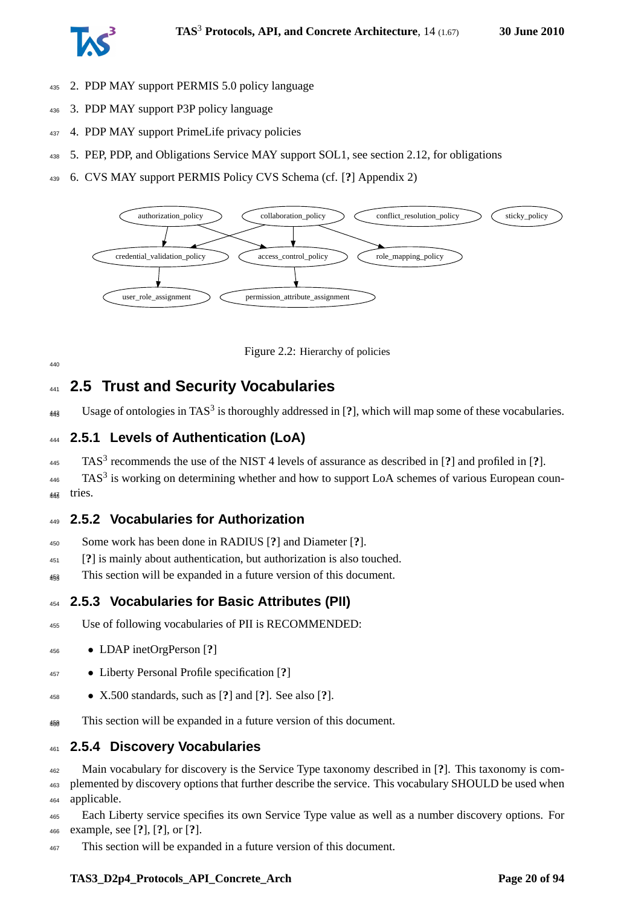

- 2. PDP MAY support PERMIS 5.0 policy language
- 3. PDP MAY support P3P policy language
- 4. PDP MAY support PrimeLife privacy policies
- 5. PEP, PDP, and Obligations Service MAY support SOL1, see section [2.12,](#page-30-2) for obligations
- 6. CVS MAY support PERMIS Policy CVS Schema (cf. [**?**] Appendix 2)



<span id="page-19-5"></span>Figure 2.2: Hierarchy of policies

## <span id="page-19-0"></span>**2.5 Trust and Security Vocabularies**

<span id="page-19-1"></span> $_{448}$  Usage of ontologies in TAS<sup>3</sup> is thoroughly addressed in [?], which will map some of these vocabularies.

#### **2.5.1 Levels of Authentication (LoA)**

TAS<sup>3</sup> recommends the use of the NIST 4 levels of assurance as described in [**?**] and profiled in [**?**].

 TAS<sup>3</sup> is working on determining whether and how to support LoA schemes of various European coun-tries. <sup>448</sup>

#### <span id="page-19-2"></span>**2.5.2 Vocabularies for Authorization**

- Some work has been done in RADIUS [**?**] and Diameter [**?**].
- [**?**] is mainly about authentication, but authorization is also touched.
- <span id="page-19-3"></span><sub>453</sub> This section will be expanded in a future version of this document.

#### **2.5.3 Vocabularies for Basic Attributes (PII)**

- Use of following vocabularies of PII is RECOMMENDED:
- LDAP inetOrgPerson [**?**]
- Liberty Personal Profile specification [**?**]
- X.500 standards, such as [**?**] and [**?**]. See also [**?**].
- <span id="page-19-4"></span><sub>459</sub> This section will be expanded in a future version of this document.

#### **2.5.4 Discovery Vocabularies**

Main vocabulary for discovery is the Service Type taxonomy described in [**?**]. This taxonomy is com-

 plemented by discovery options that further describe the service. This vocabulary SHOULD be used when applicable.

 Each Liberty service specifies its own Service Type value as well as a number discovery options. For example, see [**?**], [**?**], or [**?**].

This section will be expanded in a future version of this document.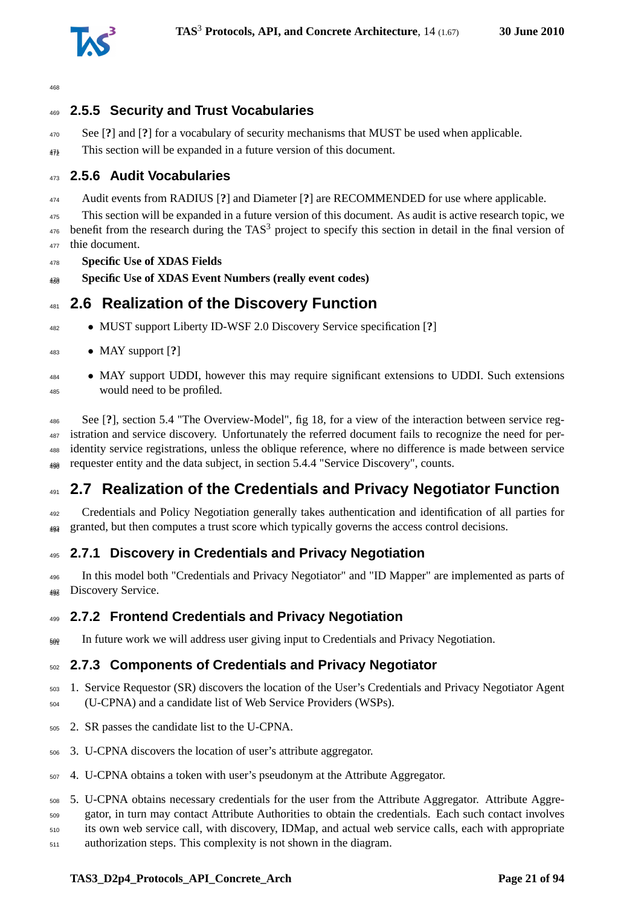

### <span id="page-20-0"></span>**2.5.5 Security and Trust Vocabularies**

- See [**?**] and [**?**] for a vocabulary of security mechanisms that MUST be used when applicable.
- <sup>474</sup> This section will be expanded in a future version of this document.

#### <span id="page-20-1"></span>**2.5.6 Audit Vocabularies**

Audit events from RADIUS [**?**] and Diameter [**?**] are RECOMMENDED for use where applicable.

 This section will be expanded in a future version of this document. As audit is active research topic, we benefit from the research during the TAS<sup>3</sup> project to specify this section in detail in the final version of

- thie document.
- **Specific Use of XDAS Fields** <sup>480</sup> **Specific Use of XDAS Event Numbers (really event codes)**

## <span id="page-20-2"></span>**2.6 Realization of the Discovery Function**

• MUST support Liberty ID-WSF 2.0 Discovery Service specification [**?**]

#### • MAY support [**?**]

 • MAY support UDDI, however this may require significant extensions to UDDI. Such extensions would need to be profiled.

 See [**?**], section 5.4 "The Overview-Model", fig 18, for a view of the interaction between service reg- istration and service discovery. Unfortunately the referred document fails to recognize the need for per- identity service registrations, unless the oblique reference, where no difference is made between service  $_{488}$  requester entity and the data subject, in section 5.4.4 "Service Discovery", counts.

## <span id="page-20-3"></span>**2.7 Realization of the Credentials and Privacy Negotiator Function**

 Credentials and Policy Negotiation generally takes authentication and identification of all parties for granted, but then computes a trust score which typically governs the access control decisions. <sup>494</sup>

#### <span id="page-20-4"></span>**2.7.1 Discovery in Credentials and Privacy Negotiation**

 In this model both "Credentials and Privacy Negotiator" and "ID Mapper" are implemented as parts of 498 Discovery Service.

#### <span id="page-20-5"></span>**2.7.2 Frontend Credentials and Privacy Negotiation**

<span id="page-20-6"></span> $_{509}$  In future work we will address user giving input to Credentials and Privacy Negotiation.

#### **2.7.3 Components of Credentials and Privacy Negotiator**

- 1. Service Requestor (SR) discovers the location of the User's Credentials and Privacy Negotiator Agent (U-CPNA) and a candidate list of Web Service Providers (WSPs).
- 2. SR passes the candidate list to the U-CPNA.
- 3. U-CPNA discovers the location of user's attribute aggregator.
- 4. U-CPNA obtains a token with user's pseudonym at the Attribute Aggregator.
- 5. U-CPNA obtains necessary credentials for the user from the Attribute Aggregator. Attribute Aggre-
- gator, in turn may contact Attribute Authorities to obtain the credentials. Each such contact involves
- its own web service call, with discovery, IDMap, and actual web service calls, each with appropriate
- authorization steps. This complexity is not shown in the diagram.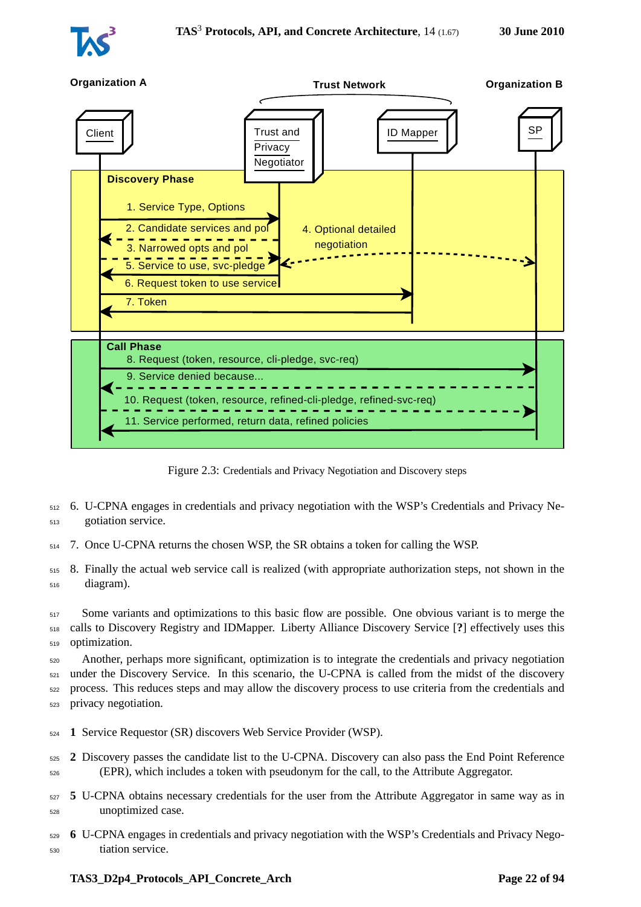



<span id="page-21-0"></span>Figure 2.3: Credentials and Privacy Negotiation and Discovery steps

- <sup>512</sup> 6. U-CPNA engages in credentials and privacy negotiation with the WSP's Credentials and Privacy Ne-<sup>513</sup> gotiation service.
- <sup>514</sup> 7. Once U-CPNA returns the chosen WSP, the SR obtains a token for calling the WSP.
- <sup>515</sup> 8. Finally the actual web service call is realized (with appropriate authorization steps, not shown in the <sup>516</sup> diagram).

<sup>517</sup> Some variants and optimizations to this basic flow are possible. One obvious variant is to merge the <sup>518</sup> calls to Discovery Registry and IDMapper. Liberty Alliance Discovery Service [**?**] effectively uses this <sup>519</sup> optimization.

 Another, perhaps more significant, optimization is to integrate the credentials and privacy negotiation under the Discovery Service. In this scenario, the U-CPNA is called from the midst of the discovery process. This reduces steps and may allow the discovery process to use criteria from the credentials and privacy negotiation.

- <sup>524</sup> **1** Service Requestor (SR) discovers Web Service Provider (WSP).
- <sup>525</sup> **2** Discovery passes the candidate list to the U-CPNA. Discovery can also pass the End Point Reference <sup>526</sup> (EPR), which includes a token with pseudonym for the call, to the Attribute Aggregator.
- <sup>527</sup> **5** U-CPNA obtains necessary credentials for the user from the Attribute Aggregator in same way as in <sup>528</sup> unoptimized case.
- <sup>529</sup> **6** U-CPNA engages in credentials and privacy negotiation with the WSP's Credentials and Privacy Nego-<sup>530</sup> tiation service.

#### **TAS3\_D2p4\_Protocols\_API\_Concrete\_Arch Page 22 of [94](#page-93-0)**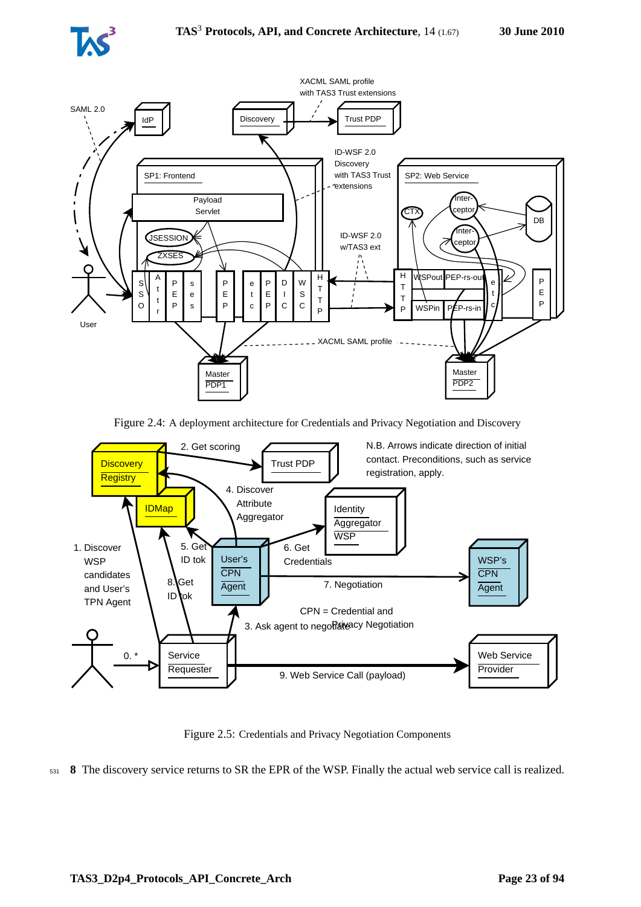



<span id="page-22-0"></span>Figure 2.4: A deployment architecture for Credentials and Privacy Negotiation and Discovery



<span id="page-22-1"></span>Figure 2.5: Credentials and Privacy Negotiation Components

<sup>531</sup> **8** The discovery service returns to SR the EPR of the WSP. Finally the actual web service call is realized.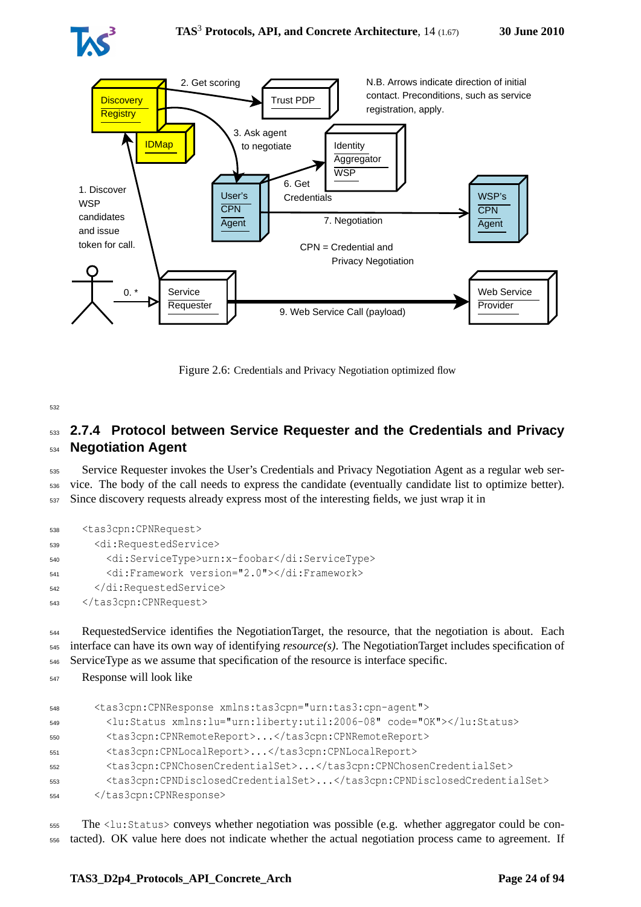



<span id="page-23-1"></span>Figure 2.6: Credentials and Privacy Negotiation optimized flow

## <span id="page-23-0"></span><sup>533</sup> **2.7.4 Protocol between Service Requester and the Credentials and Privacy** <sup>534</sup> **Negotiation Agent**

<sup>535</sup> Service Requester invokes the User's Credentials and Privacy Negotiation Agent as a regular web ser-<sup>536</sup> vice. The body of the call needs to express the candidate (eventually candidate list to optimize better). <sup>537</sup> Since discovery requests already express most of the interesting fields, we just wrap it in

```
538 <tas3cpn:CPNRequest>
539 <di:RequestedService>
540 <di:ServiceType>urn:x-foobar</di:ServiceType>
         541 <di:Framework version="2.0"></di:Framework>
542 </di:RequestedService>
543 </tas3cpn:CPNRequest>
```
<sup>544</sup> RequestedService identifies the NegotiationTarget, the resource, that the negotiation is about. Each <sup>545</sup> interface can have its own way of identifying *resource(s)*. The NegotiationTarget includes specification of <sup>546</sup> ServiceType as we assume that specification of the resource is interface specific.

<sup>547</sup> Response will look like

```
548 <tas3cpn:CPNResponse xmlns:tas3cpn="urn:tas3:cpn-agent">
549 <lu:Status xmlns:lu="urn:liberty:util:2006-08" code="OK"></lu:Status>
         550 <tas3cpn:CPNRemoteReport>...</tas3cpn:CPNRemoteReport>
551 <tas3cpn:CPNLocalReport>...</tas3cpn:CPNLocalReport>
552 <tas3cpn:CPNChosenCredentialSet>...</tas3cpn:CPNChosenCredentialSet>
553 <tas3cpn:CPNDisclosedCredentialSet>...</tas3cpn:CPNDisclosedCredentialSet>
554 </tas3cpn:CPNResponse>
```
<sup>555</sup> The <lu:Status> conveys whether negotiation was possible (e.g. whether aggregator could be con-<sup>556</sup> tacted). OK value here does not indicate whether the actual negotiation process came to agreement. If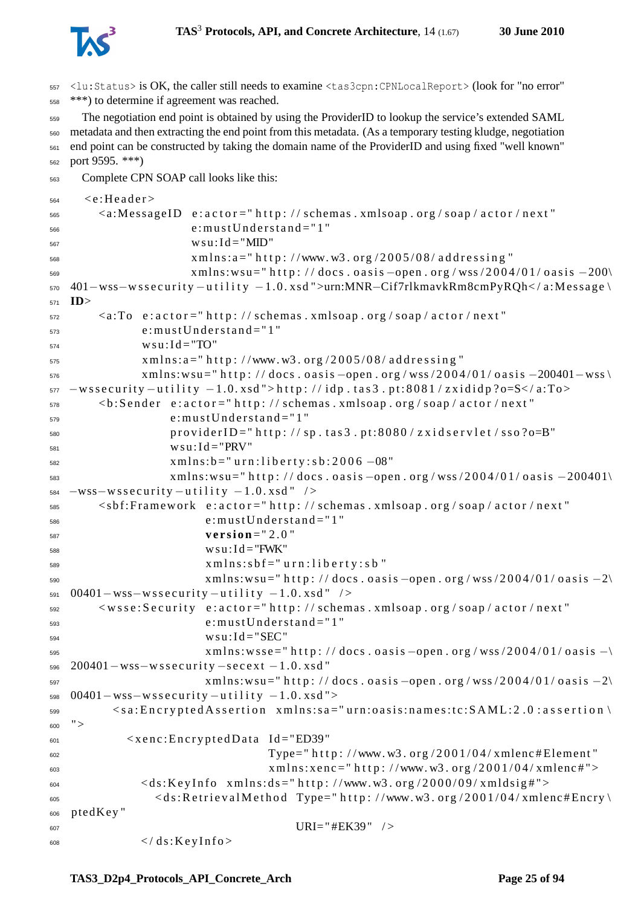

<sup>557</sup> <lu:Status> is OK, the caller still needs to examine <tas3cpn:CPNLocalReport> (look for "no error" <sup>558</sup> \*\*\*) to determine if agreement was reached.

 The negotiation end point is obtained by using the ProviderID to lookup the service's extended SAML metadata and then extracting the end point from this metadata. (As a temporary testing kludge, negotiation end point can be constructed by taking the domain name of the ProviderID and using fixed "well known" port 9595. \*\*\*)

<sup>563</sup> Complete CPN SOAP call looks like this:

```
564 \leq c: Header >
565 <a:MessageID e : a c t o r =" h t t p : / / schemas . xmlsoap . org / soap / a c t o r / n e x t "
                       e: must Un der stand = " 1"567 w s u : I d = "MID"
x \text{ m} \ln s: a = \ln t \text{ t p}: //www.w3.org/2005/08/addressing"
569 xmlns:wsu=" http://docs.oasis-open.org/wss/2004/01/oasis-200\
570 401−wss−w s s e c u r i t y −u t i l i t y −1.0. xsd ">urn:MNR−Cif7rlkmavkRm8cmPyRQh< / a:Message \
571 ID>
572 \leq a:To e:actor="http://schemas.xmlsoap.org/soap/actor/next"
               e: must Un der stand = " 1"574 w s u : I d = "TO"
575 x m l n s : a = " h t t p : //www. w3. org /2005/08/ addressing "
576 xmlns:wsu=" http://docs.oasis –open.org/wss/2004/01/oasis -200401-wss
577 -w s s e c u rity -u tility -1.0. x s d "> http: //idp.tas 3.pt:8081/z xididp?o=S</a:To>
578 <b: Sender e: actor ="http: // schemas . xmlsoap . org/soap/actor/next"
579 e: must Understand = "1"
580 providerID="http://sp.tas3.pt:8080/zxidservlet/sso?o=B"
581 w s u : I d = "PRV"
x \text{ m} \ln s : b = " \text{ u} \ln 1 \text{ i} \cdot b \text{ e} \ln t \text{ y} : s \text{ b} : 2006 -08"583 xmlns:wsu=" http://docs.oasis –open.org/wss/2004/01/oasis –200401\
584 -WSS-Ws security-utility-1.0.xsd"585 <sbf:Framework e:actor="http://schemas.xmlsoap.org/soap/actor/next"
586 e: must Understand = "1"
\mathbf{v} \, \mathbf{e} \, \mathbf{r} \, \mathbf{s} \, \mathbf{i} \, \mathbf{o} \, \mathbf{n} = " 2.0"588 w s u : I d = "FWK"
589 \times m \ln s: s \cdot b f =" u r n : l i b e r t y : s b "
                         xmlns:wsu=" http://docs. oasis–open.org/wss/2004/01/oasis-2\591 00401 – wss – ws security – utility – 1.0. xsd " />
592 <wsse:Security e:actor="http://schemas.xmlsoap.org/soap/actor/next"
593 e: must Understand = "1"
594 \text{ W} \cdot \text{I} \cdot \text{I} = "SEC"xmlns:wsse = " http://docs. oasis-open.org/wss/2004/01/oasis -\596 200401 – wss – wssecurity – secext –1.0. xsd "
xmlns:wsu="http://docs.oasis-open.org/wss/2004/01/oasis-2\598 00401 – wss – wss ecurity – utility – 1.0. xsd ">
599 < s a : E n c r y p t e d A s s e r t i o n x m l n s : s a =" u r n : o a s i s : n a m e s : t c : S A M L : 2 . 0 : a s s e r t i o n \
600 "
601 < x e n c : E n c r y p t e d D a t a Id ="ED39"
                                    Type=" http://www.w3.org/2001/04/xmlenc#Element"
x \text{ min } x \text{ s.t. } x \text{ e } \text{ n c} = " \text{ h } \text{ t } \text{ t } \text{ p} : // \text{www. w3. or g} / 2001 / 04 / x \text{ m} \text{ l } \text{ e } \text{ m}<ds:KeyInfo xmlns:ds="http://www.w3.org/2000/09/xmldsig#">
<ds: Retrieval Method Type=" http://www.w3.org/2001/04/xmlenc#Encry
606 ptedKey "
                                        IIRI = "HEK39" />
\frac{1}{608} </ds:KeyInfo>
```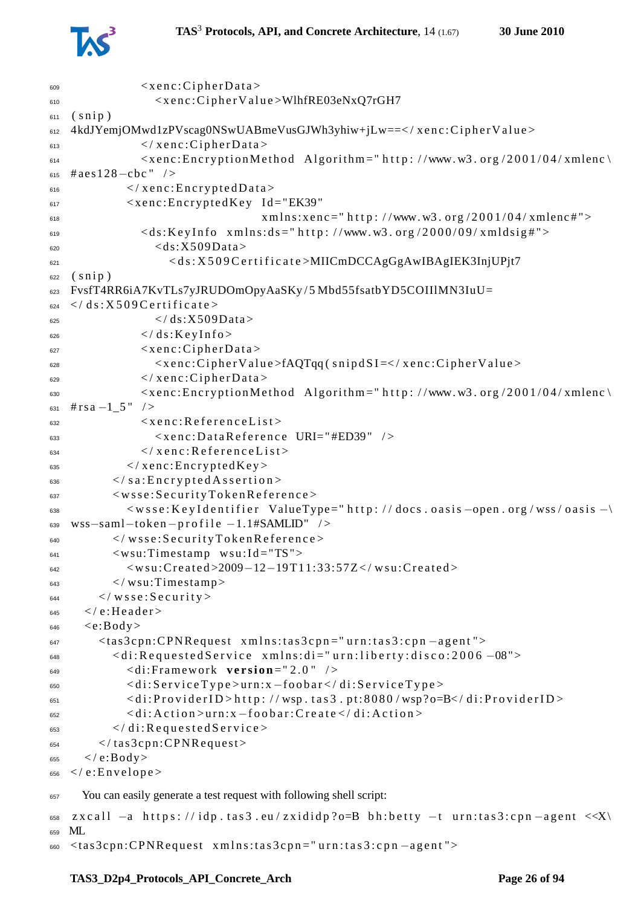

```
\leq x \cdot e \cdot c: Cipher Data >
610 < x e n c : C i p h e r V a l u e >WlhfRE03eNxQ7rGH7
611 (snip)612 4kdJYemjOMwd1zPVscag0NSwUABmeVusGJWh3yhiw+jLw==</xenc:CipherValue>
\epsilon / xenc: Cipher Data >
\epsilon_{\text{614}} \epsilon_{\text{816}} \epsilon_{\text{816}} \epsilon_{\text{816}} \epsilon_{\text{816}} \epsilon_{\text{816}} \epsilon_{\text{816}} \epsilon_{\text{816}} \epsilon_{\text{816}} \epsilon_{\text{816}} \epsilon_{\text{816}} \epsilon_{\text{816}} \epsilon_{\text{816}} \epsilon_{\text{816}} \epsilon_{\text{816}} \epsilon_{\text{816}} \epsilon_{\text{816}} 
_{615} #aes128-cbc" />
616 < \sqrt{x} enc: Encrypted D at a >
617 < x e n c : E n c r y p t e d K e y Id ="EK39"
$\text{cm} \text{ln} \text{s}: \text{xe} \text{nc} = " \text{h} \text{t} \text{t} \text{p}: // \text{www. w3. org} / 2001 / 04 / \text{x} \text{m} \text{lenc} \text{#} ">}\langle ds:KeyInfo \times mlns: ds = "http://www.w3.org/2000/09/xmldsig#")\langle ds: X509Data \rangle\leq d s : X 509C e r t i f i c a t e \geqMIICmDCCAgGgAwIBAgIEK3InjUPjt7
622 (s \nni p)623 FvsfT4RR6iA7KvTLs7yJRUDOmOpyAaSKy/5Mbd55fsatbYD5COIIlMN3IuU=
_{624} </ds:X509Certificate>
\frac{625}{100} </ds:X509Data>
\epsilon<sup>626</sup> </ds:KeyInfo>
\epsilon \leq x e n c : C i p h e r D a t a >628 < xenc:CipherValue>fAQTqq(snipdSI=</xenc:CipherValue>
\epsilon \langle x \text{ enc}: C \text{ i } p \text{ her } D \text{ at } a \rangle630 < xenc: Encryption Method Algorithm = " http: //www.w3.org/2001/04/xmlenc
\sin \# rs \cdot a - 1 \cdot 5" />
\leq x \cdot enc: Reference List >
633 < x e n c : D a t a R e f e r e n c e URI=" #ED39" / >
\epsilon \langle x \rangle x e n c : R e f e r e n c e L i s t >\epsilon / x enc : Encrypted Key >
\epsilon \leq / s a : Encrypted A s sertion >
637 \langle wsse: Security Token Reference >
638 < w s s e : K e y I d e n t i f i e r Value T y p e = " h t t p : // docs . o a s i s -open . org / wss / o a s i s -\
\text{639}\ \text{WSS}-\text{saml}-\text{token}-\text{profile}-1.1\#\text{SAMLID}'' />
640 </wsse:SecurityTokenReference>
641 \langle wsu:Timestamp wsu:Id="TS">
642 < w s u : C r e a t e d >2009−12−19 T11:33:57Z < / w s u : C r e a t e d >
\frac{1}{643} \frac{1}{2} wsu:Timestamp>
_{644} \langle wsse: Security>
_{645} \lt / e: Header >
646 \leq c:Body>647 <tas3cpn:CPNRequest xmlns:tas3cpn="urn:tas3:cpn-agent">
648 < d i : R e q u e s t e d S e r v i c e x m l n s : d i =" u r n : l i b e r t y : d i s c o : 2 0 0 6 −08">
649 < di:Framework v e r s i o n =" 2 . 0 " / >
650 < d i : S e r v i c e T y p e > u r n : x −f o o b a r < / d i : S e r v i c e T y p e >
\epsilon_{651} < di:ProviderID>http://wsp.tas3.pt:8080/wsp?o=B</di:ProviderID>
652 < d i : A c t i o n > u r n : x −f o o b a r : C r e a t e < / d i : A c t i o n >
\epsilon \langle di: Requested Service >
_{654} </tas3cpn:CPNRequest>
655 \langle e:Body \rangle656 \lt / e: Envelope >
657 You can easily generate a test request with following shell script:
\frac{1}{658} zxcall -a https://idp.tas3.eu/zxididp?o=B bh:betty -t urn:tas3:cpn-agent <<X\
659 ML
660 <tas3cpn:CPNRequest xmlns:tas3cpn="urn:tas3:cpn-agent">
```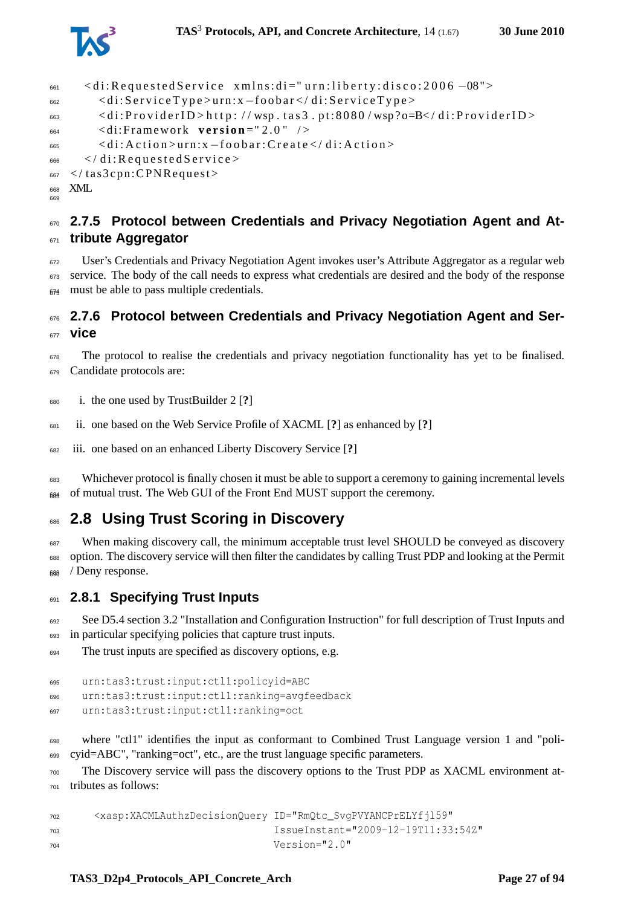

```
_{661} < di: Requested Service xmlns: di=" urn: liberty: disco: 2006 -08">
662 < d i : S e r v i c e T y p e > u r n : x −f o o b a r < / d i : S e r v i c e T y p e >
\epsilon_{663} < di:ProviderID > http://wsp.tas3.pt:8080/wsp?o=B</di:ProviderID >
664 <di:Framework version="2.0" />
665 < d i : A c t i o n > u r n : x −f o o b a r : C r e a t e < / d i : A c t i o n >
_{666} </di:Requested Service>
667 < / tas3cpn: CPNRequest>
668 XML
66<sub>0</sub>
```
## <span id="page-26-0"></span> **2.7.5 Protocol between Credentials and Privacy Negotiation Agent and At-tribute Aggregator**

 User's Credentials and Privacy Negotiation Agent invokes user's Attribute Aggregator as a regular web 673 service. The body of the call needs to express what credentials are desired and the body of the response must be able to pass multiple credentials.

#### <span id="page-26-1"></span> **2.7.6 Protocol between Credentials and Privacy Negotiation Agent and Ser-vice**

 The protocol to realise the credentials and privacy negotiation functionality has yet to be finalised. Candidate protocols are:

i. the one used by TrustBuilder 2 [**?**]

ii. one based on the Web Service Profile of XACML [**?**] as enhanced by [**?**]

iii. one based on an enhanced Liberty Discovery Service [**?**]

 Whichever protocol is finally chosen it must be able to support a ceremony to gaining incremental levels of mutual trust. The Web GUI of the Front End MUST support the ceremony.

## <span id="page-26-2"></span>**2.8 Using Trust Scoring in Discovery**

 When making discovery call, the minimum acceptable trust level SHOULD be conveyed as discovery option. The discovery service will then filter the candidates by calling Trust PDP and looking at the Permit / Deny response.

#### <span id="page-26-3"></span>**2.8.1 Specifying Trust Inputs**

 See D5.4 section 3.2 "Installation and Configuration Instruction" for full description of Trust Inputs and in particular specifying policies that capture trust inputs.

The trust inputs are specified as discovery options, e.g.

```
695 urn:tas3:trust:input:ctl1:policyid=ABC
696 urn:tas3:trust:input:ctl1:ranking=avgfeedback
697 urn:tas3:trust:input:ctl1:ranking=oct
```
 where "ctl1" identifies the input as conformant to Combined Trust Language version 1 and "poli-cyid=ABC", "ranking=oct", etc., are the trust language specific parameters.

 The Discovery service will pass the discovery options to the Trust PDP as XACML environment at-tributes as follows:

```
702 <xasp:XACMLAuthzDecisionQuery ID="RmQtc_SvgPVYANCPrELYfjl59"
703 IssueInstant="2009-12-19T11:33:54Z"
Version = "2.0"
```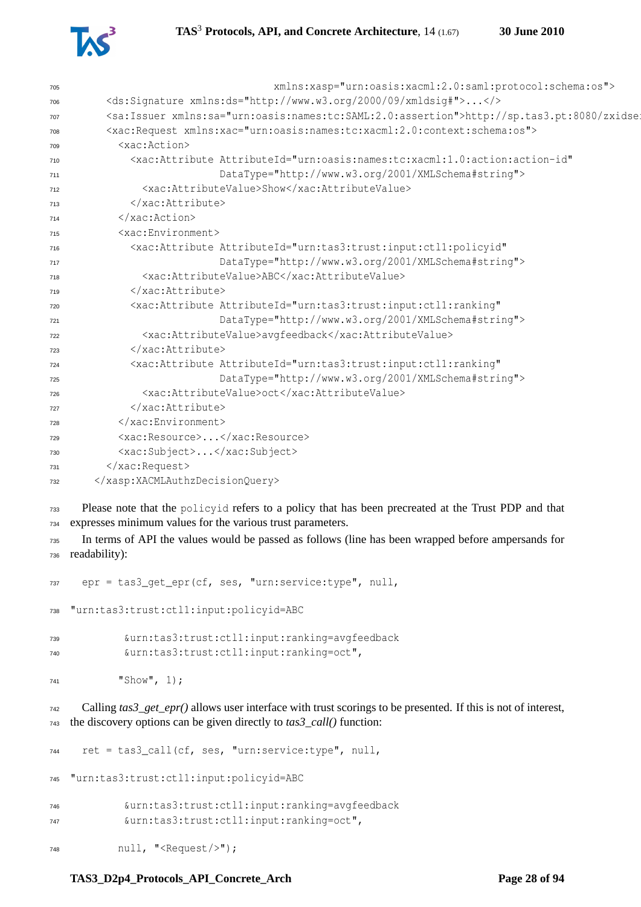



| 705 | xmlns:xasp="urn:oasis:xacml:2.0:saml:protocol:schema:os">                                              |
|-----|--------------------------------------------------------------------------------------------------------|
| 706 | <ds:signature xmlns:ds="http://www.w3.org/2000/09/xmldsig#"></ds:signature>                            |
| 707 | <sa:issuer xmlns:sa="urn:oasis:names:tc:SAML:2.0:assertion">http://sp.tas3.pt:8080/zxidse:</sa:issuer> |
| 708 | <xac:request xmlns:xac="urn:oasis:names:tc:xacml:2.0:context:schema:os"></xac:request>                 |
| 709 | <xac:action></xac:action>                                                                              |
| 710 | <xac:attribute <="" attributeid="urn:oasis:names:tc:xacml:1.0:action:action-id" td=""></xac:attribute> |
| 711 | DataType="http://www.w3.org/2001/XMLSchema#string">                                                    |
| 712 | <xac:attributevalue>Show</xac:attributevalue>                                                          |
| 713 | $\langle x \rangle$ xac: Attribute>                                                                    |
| 714 | $\langle x \rangle$ xac: Action>                                                                       |
| 715 | <xac:environment></xac:environment>                                                                    |
| 716 | <xac:attribute <="" attributeid="urn:tas3:trust:input:ctl1:policyid" td=""></xac:attribute>            |
| 717 | DataType="http://www.w3.org/2001/XMLSchema#string">                                                    |
| 718 | <xac:attributevalue>ABC</xac:attributevalue>                                                           |
| 719 | $\langle x \rangle$ xac: Attribute>                                                                    |
| 720 | <xac:attribute <="" attributeid="urn:tas3:trust:input:ctl1:ranking" td=""></xac:attribute>             |
| 721 | DataType="http://www.w3.org/2001/XMLSchema#string">                                                    |
| 722 | <xac:attributevalue>avqfeedback</xac:attributevalue>                                                   |
| 723 |                                                                                                        |
| 724 | <xac:attribute <="" attributeid="urn:tas3:trust:input:ctl1:ranking" td=""></xac:attribute>             |
| 725 | DataType="http://www.w3.org/2001/XMLSchema#string">                                                    |
| 726 | <xac:attributevalue>oct</xac:attributevalue>                                                           |
| 727 | $\langle x \rangle$ xac: Attribute>                                                                    |
| 728 |                                                                                                        |
| 729 | <xac:resource></xac:resource>                                                                          |
| 730 | <xac:subject></xac:subject>                                                                            |
| 731 |                                                                                                        |
| 732 |                                                                                                        |

 Please note that the policyid refers to a policy that has been precreated at the Trust PDP and that expresses minimum values for the various trust parameters.

 In terms of API the values would be passed as follows (line has been wrapped before ampersands for readability):

 epr = tas3\_get\_epr(cf, ses, "urn:service:type", null, "urn:tas3:trust:ctl1:input:policyid=ABC &urn:tas3:trust:ctl1:input:ranking=avgfeedback &urn:tas3:trust:ctl1:input:ranking=oct", "Show", 1);

 Calling *tas3\_get\_epr()* allows user interface with trust scorings to be presented. If this is not of interest, the discovery options can be given directly to *tas3\_call()* function:

 ret = tas3\_call(cf, ses, "urn:service:type", null, "urn:tas3:trust:ctl1:input:policyid=ABC &urn:tas3:trust:ctl1:input:ranking=avgfeedback &urn:tas3:trust:ctl1:input:ranking=oct", null, "<Request/>");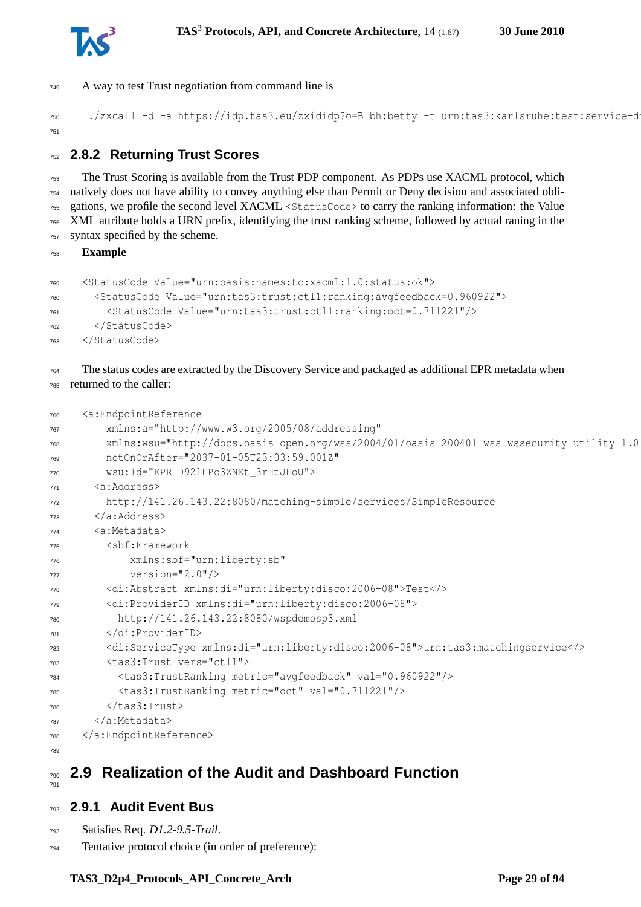

A way to test Trust negotiation from command line is

750 ./zxcall -d -a https://idp.tas3.eu/zxididp?o=B bh:betty -t urn:tas3:karlsruhe:test:service-d 

## <span id="page-28-0"></span>**2.8.2 Returning Trust Scores**

 The Trust Scoring is available from the Trust PDP component. As PDPs use XACML protocol, which natively does not have ability to convey anything else than Permit or Deny decision and associated obli- gations, we profile the second level XACML <StatusCode> to carry the ranking information: the Value XML attribute holds a URN prefix, identifying the trust ranking scheme, followed by actual raning in the syntax specified by the scheme.

**Example**

```
759 <StatusCode Value="urn:oasis:names:tc:xacml:1.0:status:ok">
760 <StatusCode Value="urn:tas3:trust:ctl1:ranking:avgfeedback=0.960922">
761 <StatusCode Value="urn:tas3:trust:ctl1:ranking:oct=0.711221"/>
762 </StatusCode>
```
</StatusCode>

#### The status codes are extracted by the Discovery Service and packaged as additional EPR metadata when returned to the caller:

```
766 <a:EndpointReference
767 xmlns:a="http://www.w3.org/2005/08/addressing"
768 xmlns:wsu="http://docs.oasis-open.org/wss/2004/01/oasis-200401-wss-wssecurity-utility-1.0
769 notOnOrAfter="2037-01-05T23:03:59.001Z"
770 wsu:Id="EPRID92lFPo3ZNEt_3rHtJFoU">
771 <a:Address>
772 http://141.26.143.22:8080/matching-simple/services/SimpleResource
773 </a:Address>
      22 \cdot \text{Mat}atadata>775 <sbf:Framework
776 xmlns:sbf="urn:liberty:sb"
777 version="2.0"/>
778 <di:Abstract xmlns:di="urn:liberty:disco:2006-08">Test</>
779 <di:ProviderID xmlns:di="urn:liberty:disco:2006-08">
780 http://141.26.143.22:8080/wspdemosp3.xml
781 </di:ProviderID>
782 <di:ServiceType xmlns:di="urn:liberty:disco:2006-08">urn:tas3:matchingservice</>
783 <tas3:Trust vers="ctl1">
784 <tas3:TrustRanking metric="avgfeedback" val="0.960922"/>
785 <tas3:TrustRanking metric="oct" val="0.711221"/>
        786 </tas3:Trust>
787 </a:Metadata>
788 </a:EndpointReference>
789
```
#### <span id="page-28-1"></span> **2.9 Realization of the Audit and Dashboard Function**

#### <span id="page-28-2"></span>**2.9.1 Audit Event Bus**

Satisfies Req. *D1.2-9.5-Trail*.

Tentative protocol choice (in order of preference):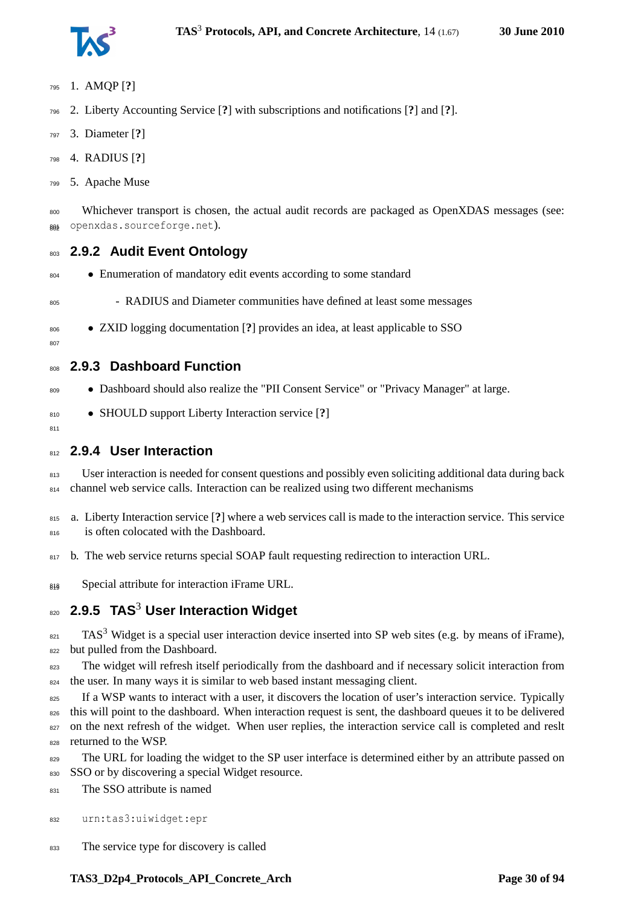- <sup>795</sup> 1. AMQP [**?**]
- <sup>796</sup> 2. Liberty Accounting Service [**?**] with subscriptions and notifications [**?**] and [**?**].
- <sup>797</sup> 3. Diameter [**?**]
- <sup>798</sup> 4. RADIUS [**?**]
- <sup>799</sup> 5. Apache Muse

<sup>800</sup> Whichever transport is chosen, the actual audit records are packaged as OpenXDAS messages (see: 801 openxdas.sourceforge.net).

- <span id="page-29-0"></span><sup>803</sup> **2.9.2 Audit Event Ontology**
- 804 Enumeration of mandatory edit events according to some standard
- <sup>805</sup> RADIUS and Diameter communities have defined at least some messages
- <sup>806</sup> ZXID logging documentation [**?**] provides an idea, at least applicable to SSO

#### $\mathsf{on}$

<span id="page-29-2"></span>81<sup>-</sup>

<span id="page-29-1"></span><sup>808</sup> **2.9.3 Dashboard Function**

- 809 Dashboard should also realize the "PII Consent Service" or "Privacy Manager" at large.
- <sup>810</sup> SHOULD support Liberty Interaction service [**?**]

#### <sup>812</sup> **2.9.4 User Interaction**

813 User interaction is needed for consent questions and possibly even soliciting additional data during back 814 channel web service calls. Interaction can be realized using two different mechanisms

<sup>815</sup> a. Liberty Interaction service [**?**] where a web services call is made to the interaction service. This service <sup>816</sup> is often colocated with the Dashboard.

- 817 b. The web service returns special SOAP fault requesting redirection to interaction URL.
- $_{818}$  Special attribute for interaction iFrame URL.

## <span id="page-29-3"></span>**2.9.5 TAS**<sup>3</sup> <sup>820</sup> **User Interaction Widget**

 $_{821}$  TAS<sup>3</sup> Widget is a special user interaction device inserted into SP web sites (e.g. by means of iFrame), 822 but pulled from the Dashboard.

<sup>823</sup> The widget will refresh itself periodically from the dashboard and if necessary solicit interaction from <sup>824</sup> the user. In many ways it is similar to web based instant messaging client.

825 If a WSP wants to interact with a user, it discovers the location of user's interaction service. Typically 826 this will point to the dashboard. When interaction request is sent, the dashboard queues it to be delivered <sup>827</sup> on the next refresh of the widget. When user replies, the interaction service call is completed and reslt <sup>828</sup> returned to the WSP.

<sup>829</sup> The URL for loading the widget to the SP user interface is determined either by an attribute passed on 830 SSO or by discovering a special Widget resource.

831 The SSO attribute is named

<sup>832</sup> urn:tas3:uiwidget:epr

833 The service type for discovery is called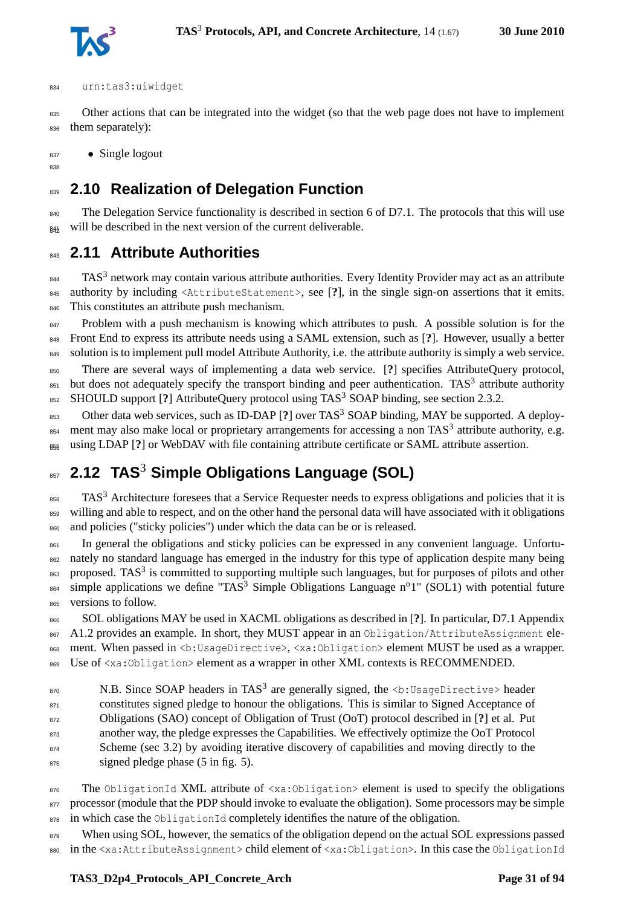

#### <sup>834</sup> urn:tas3:uiwidget

835 Other actions that can be integrated into the widget (so that the web page does not have to implement 836 them separately):

837 • Single logout

<span id="page-30-0"></span>838

<sup>839</sup> **2.10 Realization of Delegation Function**

840 The Delegation Service functionality is described in section 6 of D7.1. The protocols that this will use  $_{843}$  will be described in the next version of the current deliverable.

## <span id="page-30-1"></span><sup>843</sup> **2.11 Attribute Authorities**

 $844$  TAS<sup>3</sup> network may contain various attribute authorities. Every Identity Provider may act as an attribute <sup>845</sup> authority by including <AttributeStatement>, see [**?**], in the single sign-on assertions that it emits. 846 This constitutes an attribute push mechanism.

<sup>847</sup> Problem with a push mechanism is knowing which attributes to push. A possible solution is for the <sup>848</sup> Front End to express its attribute needs using a SAML extension, such as [**?**]. However, usually a better 849 solution is to implement pull model Attribute Authority, i.e. the attribute authority is simply a web service.

<sup>850</sup> There are several ways of implementing a data web service. [**?**] specifies AttributeQuery protocol,  $\epsilon$ <sub>851</sub> but does not adequately specify the transport binding and peer authentication. TAS<sup>3</sup> attribute authority <sup>852</sup> SHOULD support [?] AttributeQuery protocol using TAS<sup>3</sup> SOAP binding, see section [2.3.2.](#page-16-1)

<sup>853</sup> Other data web services, such as ID-DAP [?] over TAS<sup>3</sup> SOAP binding, MAY be supported. A deploy- $_{854}$  ment may also make local or proprietary arrangements for accessing a non TAS<sup>3</sup> attribute authority, e.g. using LDAP [?] or WebDAV with file containing attribute certificate or SAML attribute assertion.

# <span id="page-30-2"></span>**2.12 TAS**<sup>3</sup> <sup>857</sup> **Simple Obligations Language (SOL)**

<sup>858</sup> TAS<sup>3</sup> Architecture foresees that a Service Requester needs to express obligations and policies that it is 859 willing and able to respect, and on the other hand the personal data will have associated with it obligations <sup>860</sup> and policies ("sticky policies") under which the data can be or is released.

861 In general the obligations and sticky policies can be expressed in any convenient language. Unfortu-<sup>862</sup> nately no standard language has emerged in the industry for this type of application despite many being 863 proposed. TAS<sup>3</sup> is committed to supporting multiple such languages, but for purposes of pilots and other  $\epsilon_{864}$  simple applications we define "TAS<sup>3</sup> Simple Obligations Language n<sup>o</sup>1" (SOL1) with potential future <sup>865</sup> versions to follow.

<sup>866</sup> SOL obligations MAY be used in XACML obligations as described in [**?**]. In particular, D7.1 Appendix 867 A1.2 provides an example. In short, they MUST appear in an Obligation/AttributeAssignment ele-868 ment. When passed in <b:UsageDirective>, <xa:Obligation> element MUST be used as a wrapper. 869 Use of <xa:Obligation> element as a wrapper in other XML contexts is RECOMMENDED.

870 N.B. Since SOAP headers in TAS<sup>3</sup> are generally signed, the <b:UsageDirective> header <sup>871</sup> constitutes signed pledge to honour the obligations. This is similar to Signed Acceptance of <sup>872</sup> Obligations (SAO) concept of Obligation of Trust (OoT) protocol described in [**?**] et al. Put <sup>873</sup> another way, the pledge expresses the Capabilities. We effectively optimize the OoT Protocol 874 Scheme (sec 3.2) by avoiding iterative discovery of capabilities and moving directly to the <sup>875</sup> signed pledge phase (5 in fig. 5).

876 The ObligationId XML attribute of  $\langle xa:Obligation \rangle$  element is used to specify the obligations <sup>877</sup> processor (module that the PDP should invoke to evaluate the obligation). Some processors may be simple 878 in which case the ObligationId completely identifies the nature of the obligation.

879 When using SOL, however, the sematics of the obligation depend on the actual SOL expressions passed <sup>880</sup> in the <xa:AttributeAssignment> child element of <xa:Obligation>. In this case the ObligationId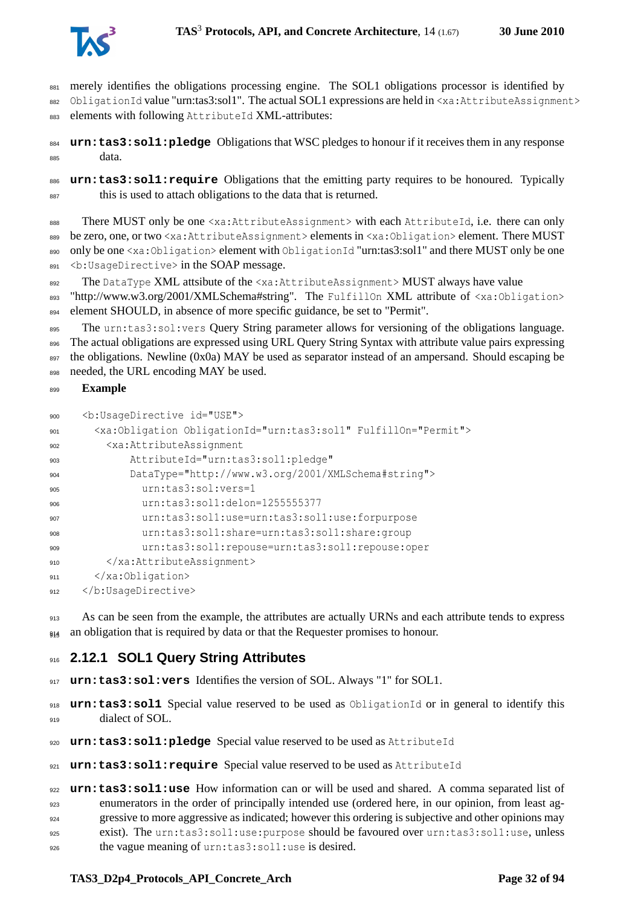

881 merely identifies the obligations processing engine. The SOL1 obligations processor is identified by 882 ObligationId value "urn:tas3:sol1". The actual SOL1 expressions are held in <xa:AttributeAssignment> 883 elements with following AttributeId XML-attributes:

<sup>884</sup> **urn:tas3:sol1:pledge** Obligations that WSC pledges to honour if it receives them in any response <sup>885</sup> data.

<sup>886</sup> **urn:tas3:sol1:require** Obligations that the emitting party requires to be honoured. Typically <sup>887</sup> this is used to attach obligations to the data that is returned.

888 There MUST only be one <xa:AttributeAssignment> with each AttributeId, i.e. there can only 889 be zero, one, or two <xa:AttributeAssignment> elements in <xa:Obligation> element. There MUST 890 only be one <xa:Obligation> element with ObligationId "urn:tas3:sol1" and there MUST only be one 891 <br />b:UsageDirective> in the SOAP message.

892 The DataType XML attsibute of the <xa:AttributeAssignment> MUST always have value 893 "http://www.w3.org/2001/XMLSchema#string". The FulfillOn XML attribute of <xa:Obligation> <sup>894</sup> element SHOULD, in absence of more specific guidance, be set to "Permit".

895 The urn: tas3:sol: vers Query String parameter allows for versioning of the obligations language. The actual obligations are expressed using URL Query String Syntax with attribute value pairs expressing 897 the obligations. Newline (0x0a) MAY be used as separator instead of an ampersand. Should escaping be 898 needed, the URL encoding MAY be used.

#### <sup>899</sup> **Example**

```
900 <b:UsageDirective id="USE">
901 <xa:Obligation ObligationId="urn:tas3:sol1" FulfillOn="Permit">
902 <xa:AttributeAssignment
903 AttributeId="urn:tas3:sol1:pledge"
904 DataType="http://www.w3.org/2001/XMLSchema#string">
             urn:tas3:sol:vers=1
906 urn:tas3:sol1:delon=1255555377
907 urn:tas3:sol1:use=urn:tas3:sol1:use:forpurpose
908 urn:tas3:sol1:share=urn:tas3:sol1:share:group
909 urn:tas3:sol1:repouse=urn:tas3:sol1:repouse:oper
        910 </xa:AttributeAssignment>
911 </xa:Obligation>
    </b:UsageDirective>
```
913 As can be seen from the example, the attributes are actually URNs and each attribute tends to express 914 an obligation that is required by data or that the Requester promises to honour.

#### <span id="page-31-0"></span><sup>916</sup> **2.12.1 SOL1 Query String Attributes**

917 **urn: tas3:sol: vers** Identifies the version of SOL. Always "1" for SOL1.

<sup>918</sup> **urn:tas3:sol1** Special value reserved to be used as ObligationId or in general to identify this <sup>919</sup> dialect of SOL.

<sup>920</sup> **urn:tas3:sol1:pledge** Special value reserved to be used as AttributeId

<sup>921</sup> **urn:tas3:sol1:require** Special value reserved to be used as AttributeId

 **urn:tas3:sol1:use** How information can or will be used and shared. A comma separated list of enumerators in the order of principally intended use (ordered here, in our opinion, from least ag- gressive to more aggressive as indicated; however this ordering is subjective and other opinions may exist). The urn:tas3:sol1:use:purpose should be favoured over urn:tas3:sol1:use, unless 926 the vague meaning of urn: tas3: soll: use is desired.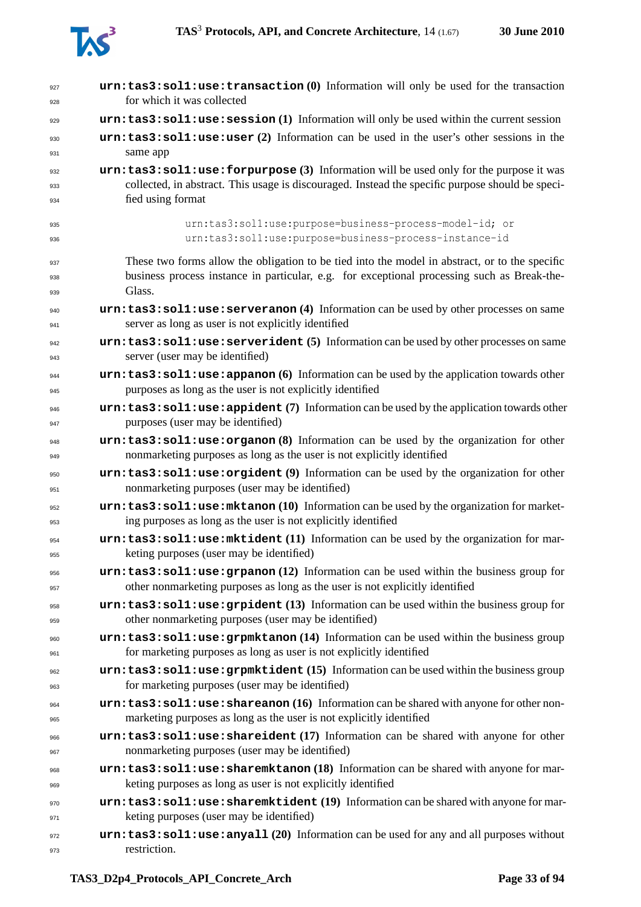

| 927<br>928 | $urn:$ tas3:sol1:use:transaction $(0)$ Information will only be used for the transaction<br>for which it was collected                                          |
|------------|-----------------------------------------------------------------------------------------------------------------------------------------------------------------|
| 929        | urn: tas3: soll: use: session (1) Information will only be used within the current session                                                                      |
| 930        | urn:tas3:sol1:use:user (2) Information can be used in the user's other sessions in the                                                                          |
| 931        | same app                                                                                                                                                        |
| 932        | urn: tas3: soll: use: forpurpose (3) Information will be used only for the purpose it was                                                                       |
| 933        | collected, in abstract. This usage is discouraged. Instead the specific purpose should be speci-                                                                |
| 934        | fied using format                                                                                                                                               |
| 935        | urn:tas3:sol1:use:purpose=business-process-model-id; or                                                                                                         |
| 936        | urn:tas3:sol1:use:purpose=business-process-instance-id                                                                                                          |
| 937        | These two forms allow the obligation to be tied into the model in abstract, or to the specific                                                                  |
| 938        | business process instance in particular, e.g. for exceptional processing such as Break-the-                                                                     |
| 939        | Glass.                                                                                                                                                          |
| 940<br>941 | urn: tas3: soll: use: serveranon (4) Information can be used by other processes on same<br>server as long as user is not explicitly identified                  |
| 942        | urn: tas3: soll: use: serverident (5) Information can be used by other processes on same                                                                        |
| 943        | server (user may be identified)                                                                                                                                 |
| 944        | urn: tas3: sol1: use: appanon (6) Information can be used by the application towards other                                                                      |
| 945        | purposes as long as the user is not explicitly identified                                                                                                       |
| 946        | urn: tas3: soll: use: appident (7) Information can be used by the application towards other                                                                     |
| 947        | purposes (user may be identified)                                                                                                                               |
| 948        | urn: tas3: soll: use: organon (8) Information can be used by the organization for other                                                                         |
| 949        | nonmarketing purposes as long as the user is not explicitly identified                                                                                          |
| 950        | urn: tas3: soll: use: orgident (9) Information can be used by the organization for other                                                                        |
| 951        | nonmarketing purposes (user may be identified)                                                                                                                  |
| 952        | urn:tas3:sol1:use:mktanon(10) Information can be used by the organization for market-                                                                           |
| 953        | ing purposes as long as the user is not explicitly identified                                                                                                   |
| 954        | urn: tas3: soll: use: mktident (11) Information can be used by the organization for mar-                                                                        |
| 955        | keting purposes (user may be identified)                                                                                                                        |
| 956        | $urn:$ tas3:sol1:use:grpanon (12) Information can be used within the business group for                                                                         |
| 957        | other nonmarketing purposes as long as the user is not explicitly identified                                                                                    |
| 958        | urn: tas3: soll: use: grpident (13) Information can be used within the business group for                                                                       |
| 959        | other nonmarketing purposes (user may be identified)                                                                                                            |
| 960        | urn:tas3:sol1:use:grpmktanon (14) Information can be used within the business group                                                                             |
| 961        | for marketing purposes as long as user is not explicitly identified                                                                                             |
| 962        | urn: tas3: soll: use: grpmktident (15) Information can be used within the business group                                                                        |
| 963        | for marketing purposes (user may be identified)                                                                                                                 |
| 964<br>965 | $urn:$ tas3:sol1:use:shareanon (16) Information can be shared with anyone for other non-<br>marketing purposes as long as the user is not explicitly identified |
| 966        | urn:tas3:sol1:use:shareident (17) Information can be shared with anyone for other                                                                               |
| 967        | nonmarketing purposes (user may be identified)                                                                                                                  |
| 968        | urn: tas3: soll: use: sharemktanon (18) Information can be shared with anyone for mar-                                                                          |
| 969        | keting purposes as long as user is not explicitly identified                                                                                                    |
| 970        | urn: tas3: soll: use: sharemktident (19) Information can be shared with anyone for mar-                                                                         |
| 971        | keting purposes (user may be identified)                                                                                                                        |
| 972        | $urn:$ tas3: sol1: use: any all $(20)$ Information can be used for any and all purposes without                                                                 |
| 973        | restriction.                                                                                                                                                    |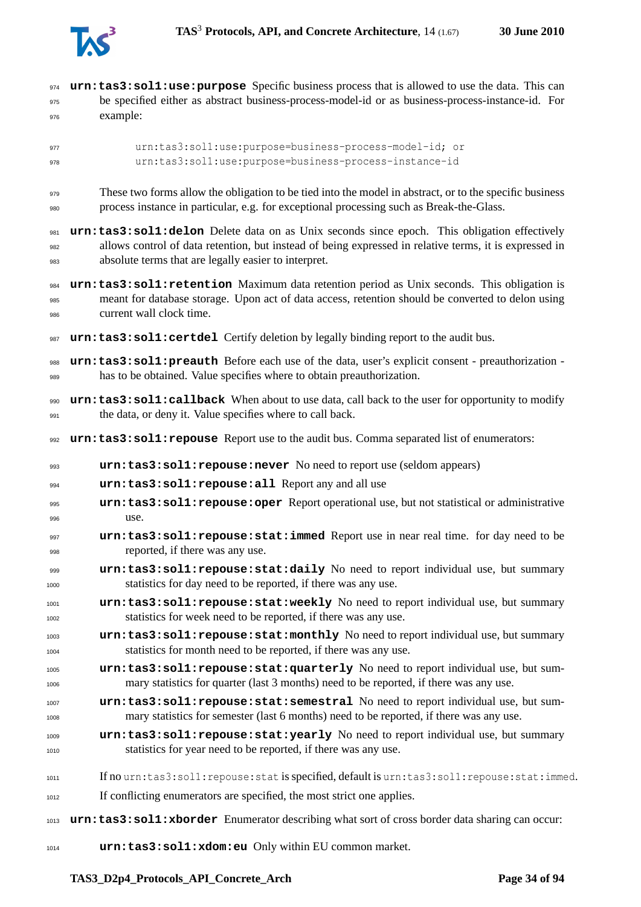

| 974  | urn: tas3: sol1: use: purpose Specific business process that is allowed to use the data. This can       |
|------|---------------------------------------------------------------------------------------------------------|
| 975  | be specified either as abstract business-process-model-id or as business-process-instance-id. For       |
| 976  | example:                                                                                                |
| 977  | urn:tas3:sol1:use:purpose=business-process-model-id; or                                                 |
| 978  | urn:tas3:sol1:use:purpose=business-process-instance-id                                                  |
| 979  | These two forms allow the obligation to be tied into the model in abstract, or to the specific business |
| 980  | process instance in particular, e.g. for exceptional processing such as Break-the-Glass.                |
| 981  | urn: tas3: sol1: delon Delete data on as Unix seconds since epoch. This obligation effectively          |
| 982  | allows control of data retention, but instead of being expressed in relative terms, it is expressed in  |
| 983  | absolute terms that are legally easier to interpret.                                                    |
| 984  | urn: tas3: sol1: retention Maximum data retention period as Unix seconds. This obligation is            |
| 985  | meant for database storage. Upon act of data access, retention should be converted to delon using       |
| 986  | current wall clock time.                                                                                |
| 987  | urn: tas3: sol1: certdel Certify deletion by legally binding report to the audit bus.                   |
| 988  | urn: tas3: sol1: preauth Before each use of the data, user's explicit consent - preauthorization -      |
| 989  | has to be obtained. Value specifies where to obtain preauthorization.                                   |
| 990  | urn: tas3: sol1: callback When about to use data, call back to the user for opportunity to modify       |
| 991  | the data, or deny it. Value specifies where to call back.                                               |
| 992  | urn: tas3: soll: repouse Report use to the audit bus. Comma separated list of enumerators:              |
| 993  | urn: tas3: soll: repouse: never No need to report use (seldom appears)                                  |
| 994  | urn:tas3:sol1:repouse:all Report any and all use                                                        |
| 995  | urn: tas3: sol1: repouse: oper Report operational use, but not statistical or administrative            |
| 996  | use.                                                                                                    |
| 997  | urn: tas3: soll: repouse: stat: immed Report use in near real time. for day need to be                  |
| 998  | reported, if there was any use.                                                                         |
| 999  | urn: tas3: soll: repouse: stat: daily No need to report individual use, but summary                     |
| 1000 | statistics for day need to be reported, if there was any use.                                           |
| 1001 | urn:tas3:sol1:repouse:stat:weekly No need to report individual use, but summary                         |
| 1002 | statistics for week need to be reported, if there was any use.                                          |
| 1003 | urn: tas3: soll: repouse: stat: monthly No need to report individual use, but summary                   |
| 1004 | statistics for month need to be reported, if there was any use.                                         |
| 1005 | urn:tas3:sol1:repouse:stat:quarterly No need to report individual use, but sum-                         |
| 1006 | mary statistics for quarter (last 3 months) need to be reported, if there was any use.                  |
| 1007 | urn:tas3:sol1:repouse:stat:semestral No need to report individual use, but sum-                         |
| 1008 | mary statistics for semester (last 6 months) need to be reported, if there was any use.                 |
| 1009 | urn: tas3: soll: repouse: stat: yearly No need to report individual use, but summary                    |
| 1010 | statistics for year need to be reported, if there was any use.                                          |
| 1011 | If no urn:tas3:soll:repouse:stat is specified, default is urn:tas3:soll:repouse:stat:immed.             |
| 1012 | If conflicting enumerators are specified, the most strict one applies.                                  |
| 1013 | urn: tas3: sol1: xborder Enumerator describing what sort of cross border data sharing can occur:        |
| 1014 | urn:tas3:sol1:xdom:eu Only within EU common market.                                                     |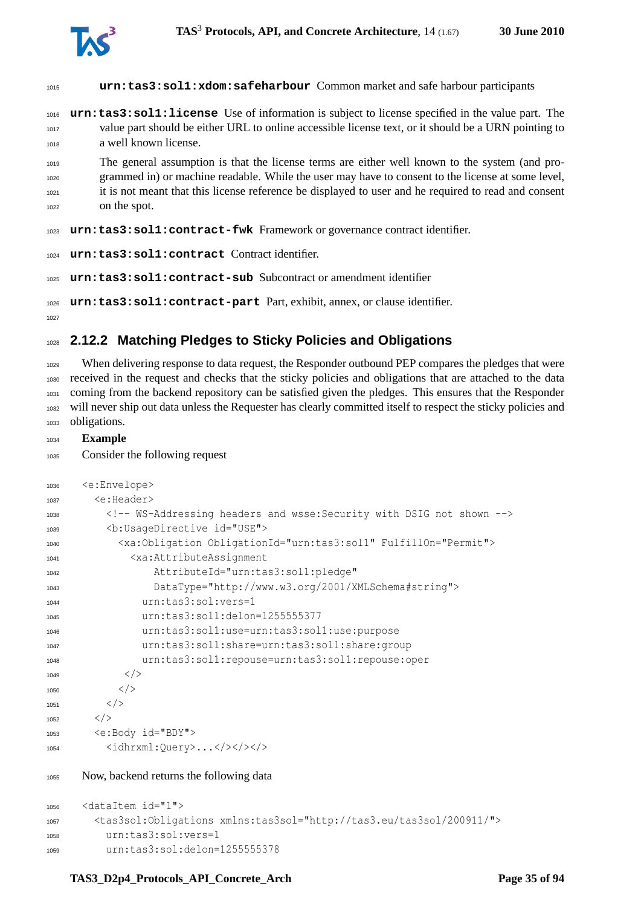

| 1015                         | urn:tas3:sol1:xdom:safeharbour Common market and safe harbour participants                                                                                                                                                                                                                                                  |
|------------------------------|-----------------------------------------------------------------------------------------------------------------------------------------------------------------------------------------------------------------------------------------------------------------------------------------------------------------------------|
| 1016<br>1017<br>1018         | urn: tas3: soll: license Use of information is subject to license specified in the value part. The<br>value part should be either URL to online accessible license text, or it should be a URN pointing to<br>a well known license.                                                                                         |
| 1019<br>1020<br>1021<br>1022 | The general assumption is that the license terms are either well known to the system (and pro-<br>grammed in) or machine readable. While the user may have to consent to the license at some level,<br>it is not meant that this license reference be displayed to user and he required to read and consent<br>on the spot. |
|                              | 1023 urn: tas3: soll: contract-fwk Framework or governance contract identifier.                                                                                                                                                                                                                                             |
|                              | 1024 urn: tas3: soll: contract Contract identifier.                                                                                                                                                                                                                                                                         |
|                              |                                                                                                                                                                                                                                                                                                                             |

**urn:tas3:sol1:contract-sub** Subcontract or amendment identifier

**urn:tas3:sol1:contract-part** Part, exhibit, annex, or clause identifier.

<span id="page-34-0"></span>

### **2.12.2 Matching Pledges to Sticky Policies and Obligations**

 When delivering response to data request, the Responder outbound PEP compares the pledges that were received in the request and checks that the sticky policies and obligations that are attached to the data coming from the backend repository can be satisfied given the pledges. This ensures that the Responder will never ship out data unless the Requester has clearly committed itself to respect the sticky policies and obligations.

#### **Example**

```
1035 Consider the following request
```

```
1036 <e:Envelope>
1037 <e:Header>
1038 <!-- WS-Addressing headers and wsse:Security with DSIG not shown -->
1039 <b:UsageDirective id="USE">
1040 <xa:Obligation ObligationId="urn:tas3:sol1" FulfillOn="Permit">
1041 <xa:AttributeAssignment
1042 AttributeId="urn:tas3:sol1:pledge"
1043 DataType="http://www.w3.org/2001/XMLSchema#string">
1044 urn:tas3:sol:vers=1
1045 urn:tas3:sol1:delon=1255555377
1046 urn:tas3:sol1:use=urn:tas3:sol1:use:purpose
1047 urn:tas3:sol1:share=urn:tas3:sol1:share:group
1048 urn:tas3:sol1:repouse=urn:tas3:sol1:repouse:oper
1049 \langle/>
1050 \langle \rangle1051 < /1052 \langle />
1053 <e:Body id="BDY">
1054 <idhrxml:Query>...</><</></>></></>
```
Now, backend returns the following data

```
1056 <dataItem id="1">
1057 <tas3sol:Obligations xmlns:tas3sol="http://tas3.eu/tas3sol/200911/">
1058 urn:tas3:sol:vers=1
1059 urn:tas3:sol:delon=1255555378
```
#### TAS3 D2p4 Protocols API Concrete Arch Page 35 of [94](#page-93-0)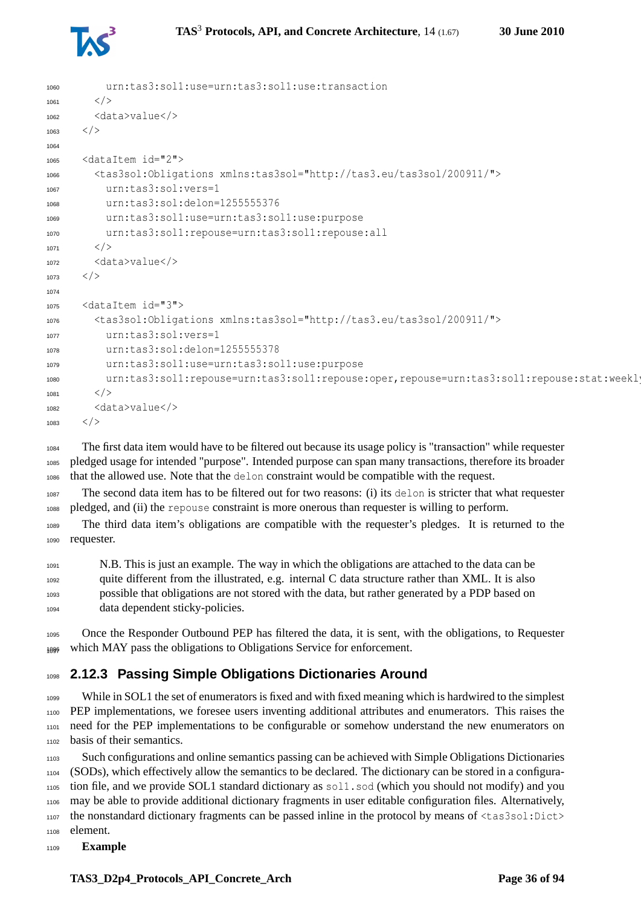

```
1060 urn:tas3:sol1:use=urn:tas3:sol1:use:transaction
1061 \langle />
1062 \times data > va \ln e</>1063 \langle />
1064
1065 <dataItem id="2">
1066 <tas3sol:Obligations xmlns:tas3sol="http://tas3.eu/tas3sol/200911/">
1067 urn:tas3:sol:vers=1
1068 urn:tas3:sol:delon=1255555376
1069 urn:tas3:sol1:use=urn:tas3:sol1:use:purpose
1070 urn:tas3:sol1:repouse=urn:tas3:sol1:repouse:all
1071 < />
1072 <data>value</>
1073 \langle />
1074
1075 <dataItem id="3">
1076 <tas3sol:Obligations xmlns:tas3sol="http://tas3.eu/tas3sol/200911/">
1077 urn:tas3:sol:vers=1
1078 urn:tas3:sol:delon=1255555378
1079 urn:tas3:sol1:use=urn:tas3:sol1:use:purpose
1080 urn:tas3:sol1:repouse=urn:tas3:sol1:repouse:oper,repouse=urn:tas3:sol1:repouse:stat:weekly
1081 \langle />
1082 <data>value</>
1083 </>
```
 The first data item would have to be filtered out because its usage policy is "transaction" while requester pledged usage for intended "purpose". Intended purpose can span many transactions, therefore its broader that the allowed use. Note that the delon constraint would be compatible with the request.

 The second data item has to be filtered out for two reasons: (i) its delon is stricter that what requester pledged, and (ii) the repouse constraint is more onerous than requester is willing to perform.

The third data item's obligations are compatible with the requester's pledges. It is returned to the requester.

 N.B. This is just an example. The way in which the obligations are attached to the data can be quite different from the illustrated, e.g. internal C data structure rather than XML. It is also possible that obligations are not stored with the data, but rather generated by a PDP based on data dependent sticky-policies.

 Once the Responder Outbound PEP has filtered the data, it is sent, with the obligations, to Requester 1096 which MAY pass the obligations to Obligations Service for enforcement.

#### <span id="page-35-0"></span>**2.12.3 Passing Simple Obligations Dictionaries Around**

 While in SOL1 the set of enumerators is fixed and with fixed meaning which is hardwired to the simplest PEP implementations, we foresee users inventing additional attributes and enumerators. This raises the need for the PEP implementations to be configurable or somehow understand the new enumerators on basis of their semantics.

 Such configurations and online semantics passing can be achieved with Simple Obligations Dictionaries (SODs), which effectively allow the semantics to be declared. The dictionary can be stored in a configura- tion file, and we provide SOL1 standard dictionary as sol1.sod (which you should not modify) and you may be able to provide additional dictionary fragments in user editable configuration files. Alternatively, the nonstandard dictionary fragments can be passed inline in the protocol by means of <tas3sol:Dict> element.

**Example**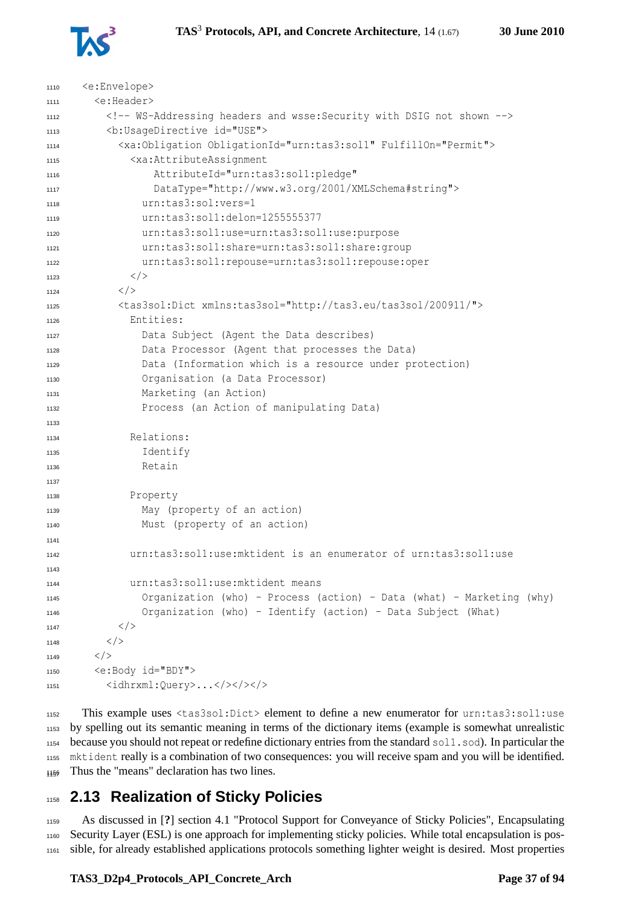

| 1110 | <e:envelope></e:envelope>                                                       |
|------|---------------------------------------------------------------------------------|
| 1111 | <e:header></e:header>                                                           |
| 1112 | WS-Addressing headers and wsse: Security with DSIG not shown                    |
| 1113 | <b:usagedirective id="USE"></b:usagedirective>                                  |
| 1114 | <xa:obligation fulfillon="Permit" obligationid="urn:tas3:sol1"></xa:obligation> |
| 1115 | <xa:attributeassignment< td=""></xa:attributeassignment<>                       |
| 1116 | AttributeId="urn:tas3:sol1:pledge"                                              |
| 1117 | DataType="http://www.w3.org/2001/XMLSchema#string">                             |
| 1118 | urn:tas3:sol:vers=1                                                             |
| 1119 | urn:tas3:sol1:delon=1255555377                                                  |
| 1120 | urn:tas3:sol1:use=urn:tas3:sol1:use:purpose                                     |
| 1121 | urn:tas3:sol1:share=urn:tas3:sol1:share:group                                   |
| 1122 | urn:tas3:sol1:repouse=urn:tas3:sol1:repouse:oper                                |
| 1123 | $\langle$ />                                                                    |
| 1124 | $\langle$ />                                                                    |
| 1125 | <tas3sol:dict xmlns:tas3sol="http://tas3.eu/tas3sol/200911/"></tas3sol:dict>    |
| 1126 | Entities:                                                                       |
| 1127 | Data Subject (Agent the Data describes)                                         |
| 1128 | Data Processor (Agent that processes the Data)                                  |
| 1129 | Data (Information which is a resource under protection)                         |
| 1130 | Organisation (a Data Processor)                                                 |
| 1131 | Marketing (an Action)                                                           |
| 1132 | Process (an Action of manipulating Data)                                        |
| 1133 |                                                                                 |
| 1134 | Relations:                                                                      |
| 1135 | Identify                                                                        |
| 1136 | Retain                                                                          |
| 1137 |                                                                                 |
| 1138 | Property                                                                        |
| 1139 | May (property of an action)                                                     |
| 1140 | Must (property of an action)                                                    |
| 1141 |                                                                                 |
| 1142 | urn:tas3:sol1:use:mktident is an enumerator of urn:tas3:sol1:use                |
| 1143 |                                                                                 |
| 1144 | urn:tas3:sol1:use:mktident means                                                |
| 1145 | Organization (who) - Process (action) - Data (what) - Marketing (why)           |
| 1146 | Organization (who) - Identify (action) - Data Subject (What)                    |
| 1147 | $\langle$ / >                                                                   |
| 1148 | $\langle$ />                                                                    |
| 1149 | $\langle$ / >                                                                   |
| 1150 | <e:body id="BDY"></e:body>                                                      |
| 1151 | <idhrxml:query>&gt;</idhrxml:query>                                             |

 This example uses <tas3sol:Dict> element to define a new enumerator for urn:tas3:sol1:use by spelling out its semantic meaning in terms of the dictionary items (example is somewhat unrealistic because you should not repeat or redefine dictionary entries from the standard sol1.sod). In particular the mktident really is a combination of two consequences: you will receive spam and you will be identified. Thus the "means" declaration has two lines.

## **2.13 Realization of Sticky Policies**

 As discussed in [**?**] section 4.1 "Protocol Support for Conveyance of Sticky Policies", Encapsulating Security Layer (ESL) is one approach for implementing sticky policies. While total encapsulation is pos-sible, for already established applications protocols something lighter weight is desired. Most properties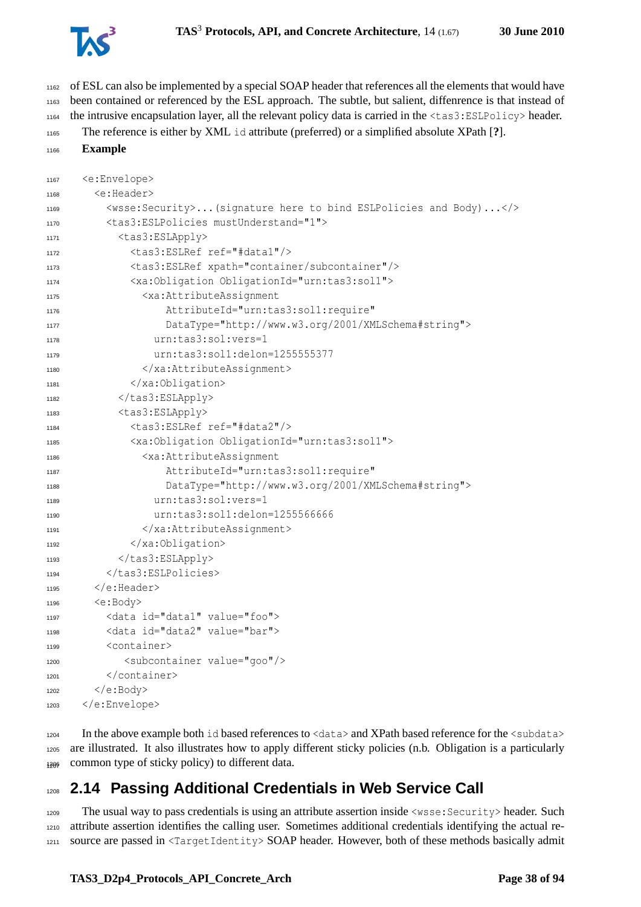

 of ESL can also be implemented by a special SOAP header that references all the elements that would have been contained or referenced by the ESL approach. The subtle, but salient, diffenrence is that instead of the intrusive encapsulation layer, all the relevant policy data is carried in the <tas3:ESLPolicy> header.

```
1165 The reference is either by XML id attribute (preferred) or a simplified absolute XPath [?].
```

```
1166 Example
```

```
1167 <e:Envelope>
1168 <e:Header>
1169 <wsse:Security>...(signature here to bind ESLPolicies and Body)...</>
1170 <tas3:ESLPolicies mustUnderstand="1">
1171 <tas3:ESLApply>
1172 <tas3:ESLRef ref="#data1"/>
1173 <tas3:ESLRef xpath="container/subcontainer"/>
1174 <xa:Obligation ObligationId="urn:tas3:sol1">
1175 <xa:AttributeAssignment
1176 AttributeId="urn:tas3:sol1:require"
1177 DataType="http://www.w3.org/2001/XMLSchema#string">
1178 urn:tas3:sol:vers=1
1179 urn:tas3:sol1:delon=1255555377
1180 </xa:AttributeAssignment>
1181 </xa:Obligation>
1182 </tas3:ESLApply>
1183 <tas3:ESLApply>
1184 <tas3:ESLRef ref="#data2"/>
1185 <xa:Obligation ObligationId="urn:tas3:sol1">
1186 <xa:AttributeAssignment
1187 AttributeId="urn:tas3:sol1:require"
1188 DataType="http://www.w3.org/2001/XMLSchema#string">
1189 urn:tas3:sol:vers=1
1190 urn:tas3:sol1:delon=1255566666
1191 </xa:AttributeAssignment>
1192 </xa:Obligation>
1193 </tas3:ESLApply>
        </tas3:ESLPolicies>
1195 \langle/e:Header>
1196 <e:Body>
1197 <data id="data1" value="foo">
1198 <data id="data2" value="bar">
1199 <container>
1200 <subcontainer value="goo"/>
1201 </container>
1202 \leq {\rm (e:Body>}1203 </e:Envelope>
```
 In the above example both id based references to <data> and XPath based reference for the <subdata> are illustrated. It also illustrates how to apply different sticky policies (n.b. Obligation is a particularly common type of sticky policy) to different data.

## **2.14 Passing Additional Credentials in Web Service Call**

 The usual way to pass credentials is using an attribute assertion inside <wsse:Security> header. Such attribute assertion identifies the calling user. Sometimes additional credentials identifying the actual re-source are passed in <TargetIdentity> SOAP header. However, both of these methods basically admit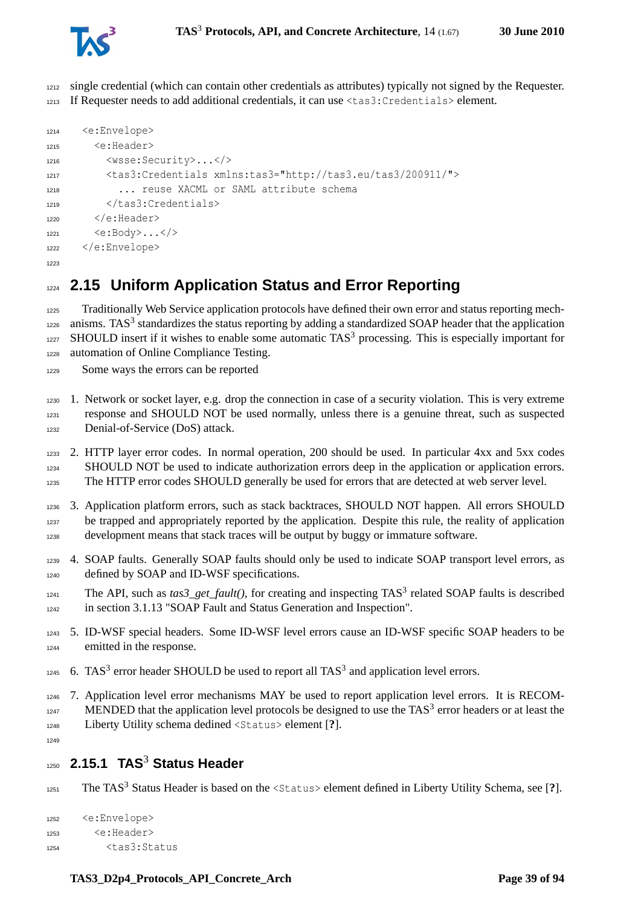

 single credential (which can contain other credentials as attributes) typically not signed by the Requester. If Requester needs to add additional credentials, it can use <tas3:Credentials> element.

```
1214 <e:Envelope>
1215 <e:Header>
1216 <wsse:Security>...</>
1217 <tas3:Credentials xmlns:tas3="http://tas3.eu/tas3/200911/">
1218 ... reuse XACML or SAML attribute schema
1219 \leq/tas3:Credentials>
1220 \leq c: Header>
1221 <e:Body>...</>
1222 </e:Envelope>
1223
```
## **2.15 Uniform Application Status and Error Reporting**

 Traditionally Web Service application protocols have defined their own error and status reporting mech- anisms. TAS<sup>3</sup> standardizes the status reporting by adding a standardized SOAP header that the application SHOULD insert if it wishes to enable some automatic TAS<sup>3</sup> processing. This is especially important for automation of Online Compliance Testing.

Some ways the errors can be reported

 1. Network or socket layer, e.g. drop the connection in case of a security violation. This is very extreme response and SHOULD NOT be used normally, unless there is a genuine threat, such as suspected Denial-of-Service (DoS) attack.

- 2. HTTP layer error codes. In normal operation, 200 should be used. In particular 4xx and 5xx codes SHOULD NOT be used to indicate authorization errors deep in the application or application errors. 1235 The HTTP error codes SHOULD generally be used for errors that are detected at web server level.
- 3. Application platform errors, such as stack backtraces, SHOULD NOT happen. All errors SHOULD be trapped and appropriately reported by the application. Despite this rule, the reality of application development means that stack traces will be output by buggy or immature software.
- 4. SOAP faults. Generally SOAP faults should only be used to indicate SOAP transport level errors, as 1240 defined by SOAP and ID-WSF specifications.
- The API, such as  $\text{tas3\_get\_fault}$ ), for creating and inspecting TAS<sup>3</sup> related SOAP faults is described in section 3.1.13 "SOAP Fault and Status Generation and Inspection".
- 5. ID-WSF special headers. Some ID-WSF level errors cause an ID-WSF specific SOAP headers to be emitted in the response.
- 6. TAS<sup>3</sup> error header SHOULD be used to report all TAS<sup>3</sup> and application level errors.
- 7. Application level error mechanisms MAY be used to report application level errors. It is RECOM- $MENDED$  that the application level protocols be designed to use the  $TAS<sup>3</sup>$  error headers or at least the Liberty Utility schema dedined <Status> element [**?**].

## **2.15.1 TAS**<sup>3</sup> **Status Header**

1251 The TAS<sup>3</sup> Status Header is based on the <Status> element defined in Liberty Utility Schema, see [?].

```
1252 <e:Envelope>
1253 <e:Header>
1254 <tas3:Status
```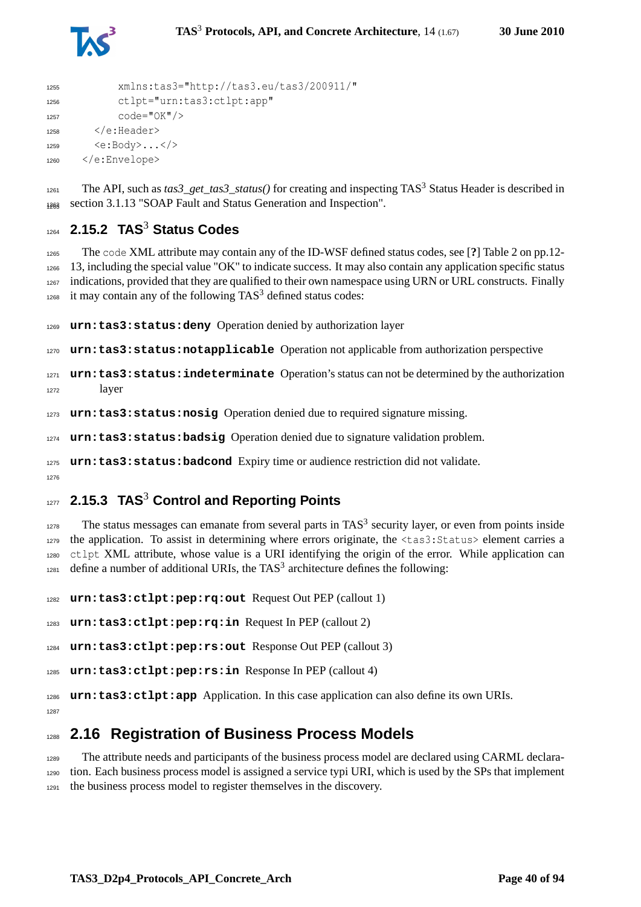

```
1255 xmlns:tas3="http://tas3.eu/tas3/200911/"
1256 ctlpt="urn:tas3:ctlpt:app"
1257 code="0K"/>
1258 \langle/e:Header>
1259 \langle e:Body \rangle \dots \langle \rangle1260 </e:Envelope>
```
The API, such as  $\text{tas3\_get\_tas3\_status}$  () for creating and inspecting TAS<sup>3</sup> Status Header is described in 1263 section 3.1.13 "SOAP Fault and Status Generation and Inspection".

## **2.15.2 TAS**<sup>3</sup> **Status Codes**

 The code XML attribute may contain any of the ID-WSF defined status codes, see [**?**] Table 2 on pp.12- 13, including the special value "OK" to indicate success. It may also contain any application specific status indications, provided that they are qualified to their own namespace using URN or URL constructs. Finally it may contain any of the following TAS<sup>3</sup> defined status codes:

**urn:tas3:status:deny** Operation denied by authorization layer

**urn:tas3:status:notapplicable** Operation not applicable from authorization perspective

```
1271 urn:tas3:status:indeterminate Operation's status can not be determined by the authorization
1272 layer
```
**urn:tas3:status:nosig** Operation denied due to required signature missing.

**urn:tas3:status:badsig** Operation denied due to signature validation problem.

**urn:tas3:status:badcond** Expiry time or audience restriction did not validate.

## **2.15.3 TAS**<sup>3</sup> **Control and Reporting Points**

 The status messages can emanate from several parts in TAS<sup>3</sup> security layer, or even from points inside the application. To assist in determining where errors originate, the <tas3:Status> element carries a ctlpt XML attribute, whose value is a URI identifying the origin of the error. While application can define a number of additional URIs, the TAS<sup>3</sup> architecture defines the following:

**urn:tas3:ctlpt:pep:rq:out** Request Out PEP (callout 1)

**urn:tas3:ctlpt:pep:rq:in** Request In PEP (callout 2)

**urn:tas3:ctlpt:pep:rs:out** Response Out PEP (callout 3)

**urn:tas3:ctlpt:pep:rs:in** Response In PEP (callout 4)

 **urn:tas3:ctlpt:app** Application. In this case application can also define its own URIs. 

## **2.16 Registration of Business Process Models**

 The attribute needs and participants of the business process model are declared using CARML declara- tion. Each business process model is assigned a service typi URI, which is used by the SPs that implement the business process model to register themselves in the discovery.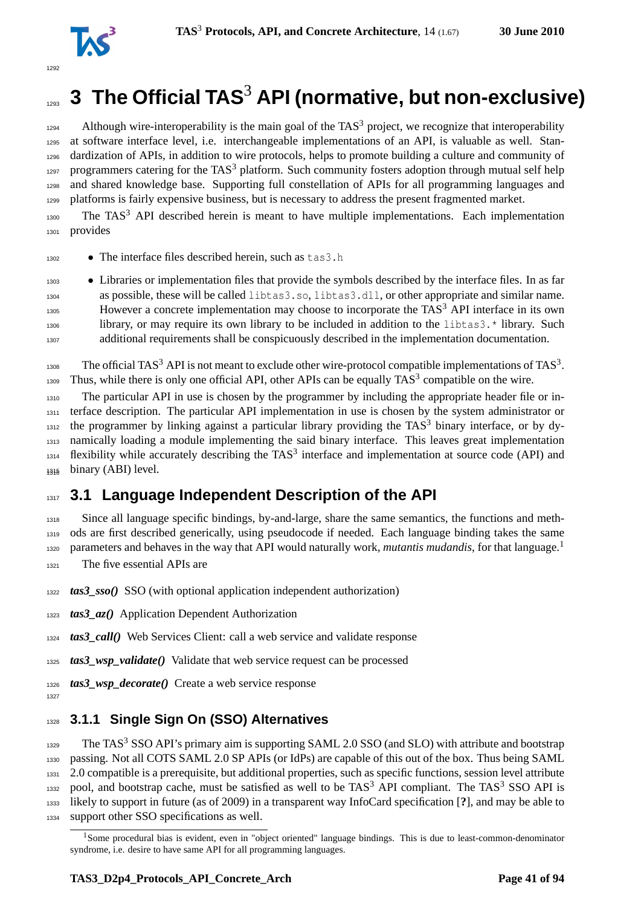

# **3 The Official TAS<sup>3</sup> API (normative, but non-exclusive)**

 Although wire-interoperability is the main goal of the TAS<sup>3</sup> project, we recognize that interoperability at software interface level, i.e. interchangeable implementations of an API, is valuable as well. Stan- dardization of APIs, in addition to wire protocols, helps to promote building a culture and community of 1297 programmers catering for the TAS<sup>3</sup> platform. Such community fosters adoption through mutual self help and shared knowledge base. Supporting full constellation of APIs for all programming languages and platforms is fairly expensive business, but is necessary to address the present fragmented market.

 The TAS<sup>3</sup> API described herein is meant to have multiple implementations. Each implementation provides

• The interface files described herein, such as tas3.h

 • Libraries or implementation files that provide the symbols described by the interface files. In as far as possible, these will be called libtas3.so, libtas3.dll, or other appropriate and similar name.  $_{1305}$  However a concrete implementation may choose to incorporate the TAS<sup>3</sup> API interface in its own library, or may require its own library to be included in addition to the libtas3.\* library. Such additional requirements shall be conspicuously described in the implementation documentation.

1308 The official TAS<sup>3</sup> API is not meant to exclude other wire-protocol compatible implementations of TAS<sup>3</sup>. Thus, while there is only one official API, other APIs can be equally  $TAS<sup>3</sup>$  compatible on the wire.

 The particular API in use is chosen by the programmer by including the appropriate header file or in- terface description. The particular API implementation in use is chosen by the system administrator or the programmer by linking against a particular library providing the TAS<sup>3</sup> binary interface, or by dy- namically loading a module implementing the said binary interface. This leaves great implementation flexibility while accurately describing the TAS<sup>3</sup> interface and implementation at source code (API) and binary (ABI) level.

## **3.1 Language Independent Description of the API**

 Since all language specific bindings, by-and-large, share the same semantics, the functions and meth- ods are first described generically, using pseudocode if needed. Each language binding takes the same parameters and behaves in the way that API would naturally work, *mutantis mudandis*, for that language.[1](#page-40-0) The five essential APIs are

*tas3\_sso()* SSO (with optional application independent authorization)

*tas3\_az()* Application Dependent Authorization

*tas3\_call()* Web Services Client: call a web service and validate response

*tas3\_wsp\_validate()* Validate that web service request can be processed

*tas3\_wsp\_decorate()* Create a web service response

## **3.1.1 Single Sign On (SSO) Alternatives**

 The TAS<sup>3</sup> SSO API's primary aim is supporting SAML 2.0 SSO (and SLO) with attribute and bootstrap passing. Not all COTS SAML 2.0 SP APIs (or IdPs) are capable of this out of the box. Thus being SAML 2.0 compatible is a prerequisite, but additional properties, such as specific functions, session level attribute 1332 pool, and bootstrap cache, must be satisfied as well to be  $TAS<sup>3</sup>$  API compliant. The TAS<sup>3</sup> SSO API is likely to support in future (as of 2009) in a transparent way InfoCard specification [**?**], and may be able to support other SSO specifications as well.

<span id="page-40-0"></span><sup>&</sup>lt;sup>1</sup>Some procedural bias is evident, even in "object oriented" language bindings. This is due to least-common-denominator syndrome, i.e. desire to have same API for all programming languages.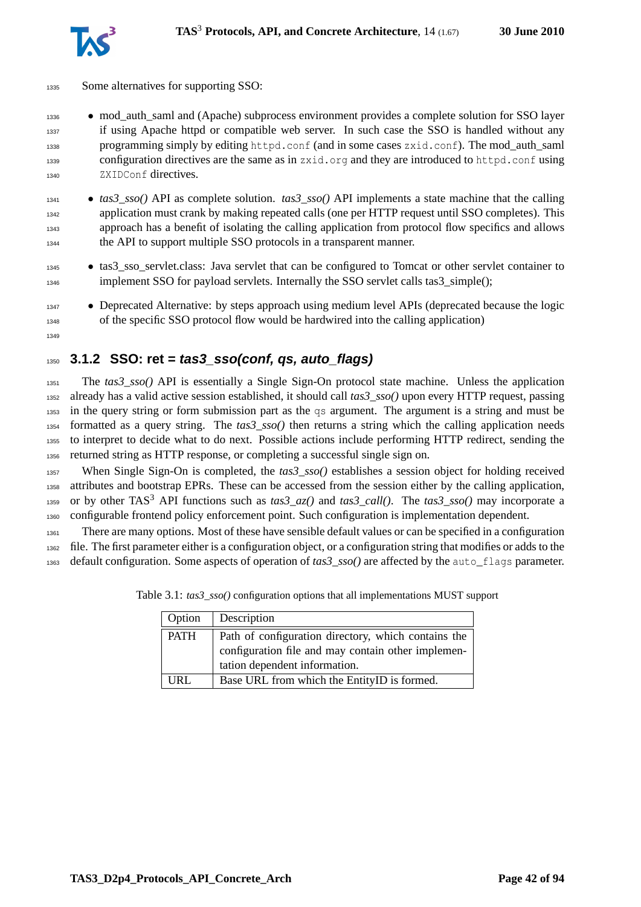

- Some alternatives for supporting SSO:
- mod\_auth\_saml and (Apache) subprocess environment provides a complete solution for SSO layer if using Apache httpd or compatible web server. In such case the SSO is handled without any programming simply by editing httpd.conf (and in some cases zxid.conf). The mod\_auth\_saml configuration directives are the same as in zxid.org and they are introduced to httpd.conf using ZXIDConf directives.
- *tas3\_sso()* API as complete solution. *tas3\_sso()* API implements a state machine that the calling application must crank by making repeated calls (one per HTTP request until SSO completes). This approach has a benefit of isolating the calling application from protocol flow specifics and allows the API to support multiple SSO protocols in a transparent manner.
- <sup>1345</sup> tas3\_sso\_servlet.class: Java servlet that can be configured to Tomcat or other servlet container to 1346 implement SSO for payload servlets. Internally the SSO servlet calls tas3\_simple();
- **Deprecated Alternative: by steps approach using medium level APIs (deprecated because the logic** of the specific SSO protocol flow would be hardwired into the calling application)

# **3.1.2 SSO: ret = tas3\_sso(conf, qs, auto\_flags)**

 The *tas3\_sso()* API is essentially a Single Sign-On protocol state machine. Unless the application already has a valid active session established, it should call *tas3\_sso()* upon every HTTP request, passing in the query string or form submission part as the qs argument. The argument is a string and must be formatted as a query string. The *tas3\_sso()* then returns a string which the calling application needs to interpret to decide what to do next. Possible actions include performing HTTP redirect, sending the returned string as HTTP response, or completing a successful single sign on.

 When Single Sign-On is completed, the *tas3\_sso()* establishes a session object for holding received attributes and bootstrap EPRs. These can be accessed from the session either by the calling application, <sup>1359</sup> or by other TAS<sup>3</sup> API functions such as  $\text{tas3\_az}()$  and  $\text{ tas3\_call}()$ . The  $\text{tas3\_ss}o()$  may incorporate a configurable frontend policy enforcement point. Such configuration is implementation dependent.

 There are many options. Most of these have sensible default values or can be specified in a configuration file. The first parameter either is a configuration object, or a configuration string that modifies or adds to the default configuration. Some aspects of operation of *tas3\_sso()* are affected by the auto\_flags parameter.

| Option      | Description                                                                                                                                |  |
|-------------|--------------------------------------------------------------------------------------------------------------------------------------------|--|
| <b>PATH</b> | Path of configuration directory, which contains the<br>configuration file and may contain other implemen-<br>tation dependent information. |  |
| URL         | Base URL from which the EntityID is formed.                                                                                                |  |

Table 3.1: *tas3\_sso()* configuration options that all implementations MUST support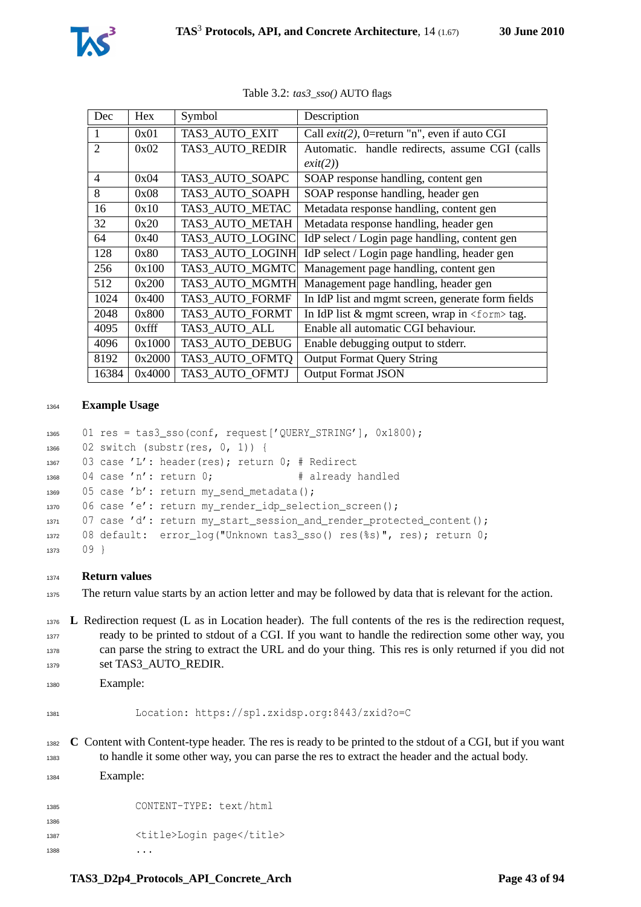

| Dec                      | <b>Hex</b> | Symbol           | Description                                            |  |  |
|--------------------------|------------|------------------|--------------------------------------------------------|--|--|
| $\mathbf{1}$             | 0x01       | TAS3 AUTO EXIT   | Call $exit(2)$ , 0=return "n", even if auto CGI        |  |  |
| $\mathfrak{D}$           | 0x02       | TAS3 AUTO REDIR  | Automatic. handle redirects, assume CGI (calls         |  |  |
|                          |            |                  | exit(2))                                               |  |  |
| $\overline{\mathcal{A}}$ | 0x04       | TAS3 AUTO SOAPC  | SOAP response handling, content gen                    |  |  |
| 8                        | 0x08       | TAS3 AUTO SOAPH  | SOAP response handling, header gen                     |  |  |
| 16                       | 0x10       | TAS3 AUTO METAC  | Metadata response handling, content gen                |  |  |
| 32                       | 0x20       | TAS3 AUTO METAH  | Metadata response handling, header gen                 |  |  |
| 64                       | 0x40       | TAS3 AUTO LOGINC | IdP select / Login page handling, content gen          |  |  |
| 128                      | 0x80       | TAS3 AUTO LOGINH | IdP select / Login page handling, header gen           |  |  |
| 256                      | 0x100      | TAS3 AUTO MGMTC  | Management page handling, content gen                  |  |  |
| 512                      | 0x200      | TAS3 AUTO MGMTH  | Management page handling, header gen                   |  |  |
| 1024                     | 0x400      | TAS3 AUTO FORMF  | In IdP list and mgmt screen, generate form fields      |  |  |
| 2048                     | 0x800      | TAS3 AUTO FORMT  | In IdP list $&$ mgmt screen, wrap in $<$ form $>$ tag. |  |  |
| 4095                     | $0x$ fff   | TAS3 AUTO ALL    | Enable all automatic CGI behaviour.                    |  |  |
| 4096                     | 0x1000     | TAS3 AUTO DEBUG  | Enable debugging output to stderr.                     |  |  |
| 8192                     | 0x2000     | TAS3 AUTO OFMTO  | <b>Output Format Query String</b>                      |  |  |
| 16384                    | 0x4000     | TAS3 AUTO OFMTJ  | <b>Output Format JSON</b>                              |  |  |

Table 3.2: *tas3\_sso()* AUTO flags

#### **Example Usage**

```
1365 01 res = tas3_sso(conf, request['QUERY_STRING'], 0x1800);
1366 02 switch (substr(res, 0, 1)) {
1367 03 case 'L': header(res); return 0; # Redirect
1368 04 case 'n': return 0; # already handled
1369 05 case 'b': return my send metadata();
1370 06 case 'e': return my_render_idp_selection_screen();
1371 07 case 'd': return my_start_session_and_render_protected_content();
1372 08 default: error_log("Unknown tas3_sso() res(%s)", res); return 0;
1373 09 }
```
#### **Return values**

The return value starts by an action letter and may be followed by data that is relevant for the action.

 **L** Redirection request (L as in Location header). The full contents of the res is the redirection request, ready to be printed to stdout of a CGI. If you want to handle the redirection some other way, you can parse the string to extract the URL and do your thing. This res is only returned if you did not 1379 set TAS3\_AUTO\_REDIR.

```
1380 Example:
```

```
1381 Location: https://sp1.zxidsp.org:8443/zxid?o=C
```
 **C** Content with Content-type header. The res is ready to be printed to the stdout of a CGI, but if you want to handle it some other way, you can parse the res to extract the header and the actual body. Example:

 CONTENT-TYPE: text/html 1387 <title>Login page</title> ...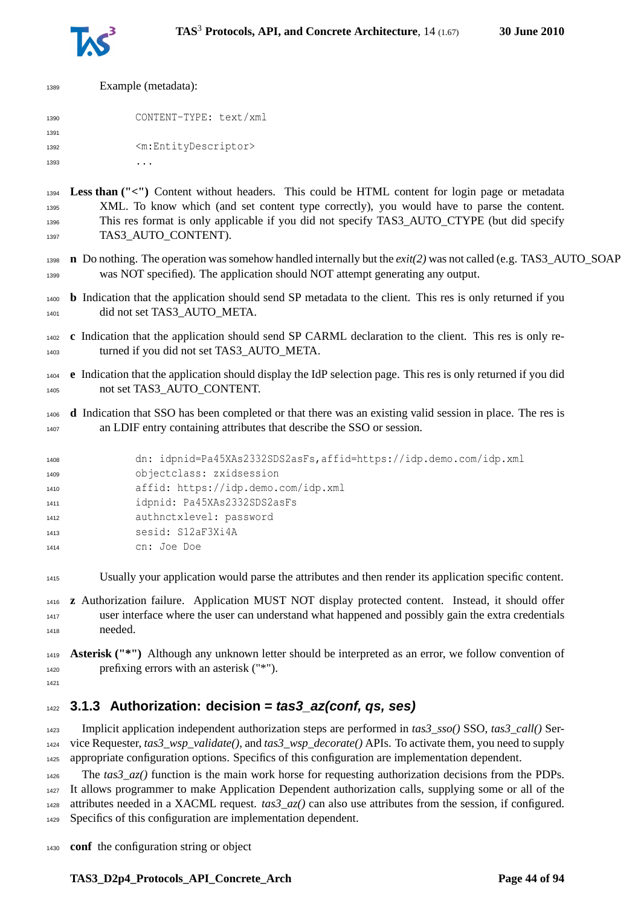

| 1389 | Example (metadata):                       |
|------|-------------------------------------------|
| 1390 | CONTENT-TYPE: text/xml                    |
| 1391 |                                           |
| 1392 | <m:entitydescriptor></m:entitydescriptor> |
| 1393 |                                           |
|      |                                           |

 **Less than ("<")** Content without headers. This could be HTML content for login page or metadata XML. To know which (and set content type correctly), you would have to parse the content. This res format is only applicable if you did not specify TAS3\_AUTO\_CTYPE (but did specify 1397 TAS3 AUTO CONTENT).

- **n** Do nothing. The operation was somehow handled internally but the *exit(2)* was not called (e.g. TAS3\_AUTO\_SOAP was NOT specified). The application should NOT attempt generating any output.
- **b** Indication that the application should send SP metadata to the client. This res is only returned if you 1401 did not set TAS3 AUTO META.
- **c** Indication that the application should send SP CARML declaration to the client. This res is only re-1403 turned if you did not set TAS3 AUTO META.
- **e** Indication that the application should display the IdP selection page. This res is only returned if you did not set TAS3\_AUTO\_CONTENT.
- **d** Indication that SSO has been completed or that there was an existing valid session in place. The res is an LDIF entry containing attributes that describe the SSO or session.

```
1408 dn: idpnid=Pa45XAs2332SDS2asFs,affid=https://idp.demo.com/idp.xml
1409 objectclass: zxidsession
1410 affid: https://idp.demo.com/idp.xml
1411 idpnid: Pa45XAs2332SDS2asFs
1412 authnctxlevel: password
1413 sesid: S12aF3Xi4A
1414 cn: Joe Doe
```
Usually your application would parse the attributes and then render its application specific content.

 **z** Authorization failure. Application MUST NOT display protected content. Instead, it should offer user interface where the user can understand what happened and possibly gain the extra credentials needed.

 **Asterisk ("\*")** Although any unknown letter should be interpreted as an error, we follow convention of prefixing errors with an asterisk ("\*").

## **3.1.3 Authorization: decision = tas3\_az(conf, qs, ses)**

 Implicit application independent authorization steps are performed in *tas3\_sso()* SSO, *tas3\_call()* Ser- vice Requester, *tas3\_wsp\_validate()*, and *tas3\_wsp\_decorate()* APIs. To activate them, you need to supply appropriate configuration options. Specifics of this configuration are implementation dependent.

 The *tas3\_az()* function is the main work horse for requesting authorization decisions from the PDPs. It allows programmer to make Application Dependent authorization calls, supplying some or all of the attributes needed in a XACML request. *tas3\_az()* can also use attributes from the session, if configured. Specifics of this configuration are implementation dependent.

**conf** the configuration string or object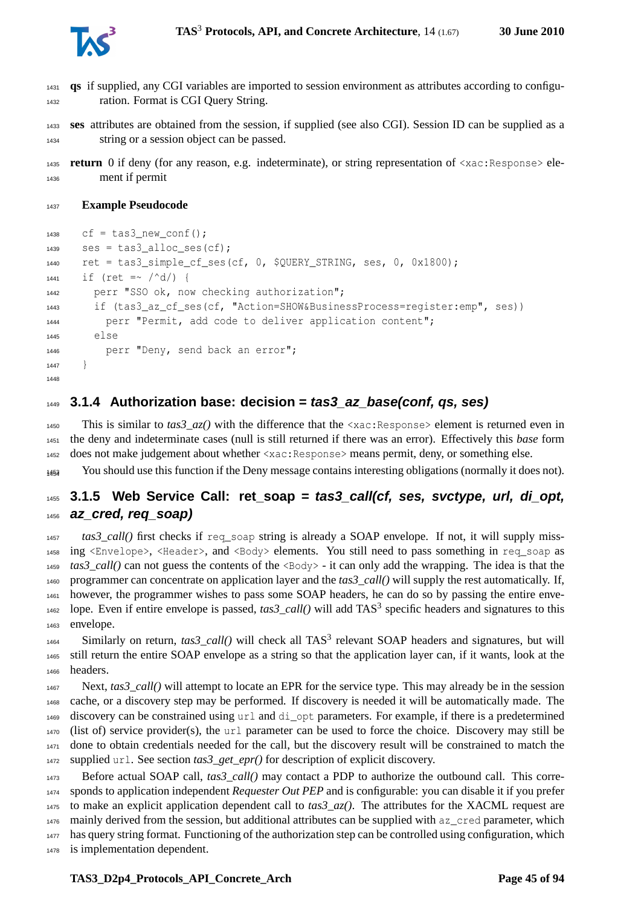

- **qs** if supplied, any CGI variables are imported to session environment as attributes according to configu-ration. Format is CGI Query String.
- **ses** attributes are obtained from the session, if supplied (see also CGI). Session ID can be supplied as a string or a session object can be passed.
- **return** 0 if deny (for any reason, e.g. indeterminate), or string representation of <xac:Response> ele-ment if permit

#### **Example Pseudocode**

```
1438 cf = tas3 new conf();
1439 ses = tas3 alloc ses(cf);
1440 ret = tas3 simple cf ses(cf, 0, $QUERY STRING, ses, 0, 0x1800);
1441 if (ret =~ /\text{d}/) {
1442 perr "SSO ok, now checking authorization";
       if (tas3_az_cf_ses(cf, "Action=SHOW&BusinessProcess=register:emp", ses))
1444 perr "Permit, add code to deliver application content";
1445 else
1446 perr "Deny, send back an error";
1447 }
1448
```
### **3.1.4 Authorization base: decision = tas3\_az\_base(conf, qs, ses)**

1450 This is similar to  $\text{tas3}_a$ z() with the difference that the  $\langle x \rangle$ ac:Response> element is returned even in the deny and indeterminate cases (null is still returned if there was an error). Effectively this *base* form does not make judgement about whether <xac:Response> means permit, deny, or something else.

You should use this function if the Deny message contains interesting obligations (normally it does not). <sup>1454</sup>

## **3.1.5 Web Service Call: ret\_soap = tas3\_call(cf, ses, svctype, url, di\_opt, az\_cred, req\_soap)**

tas3\_call() first checks if req\_soap string is already a SOAP envelope. If not, it will supply miss- ing <Envelope>, <Header>, and <Body> elements. You still need to pass something in req\_soap as *tas3\_call()* can not guess the contents of the <Body> - it can only add the wrapping. The idea is that the programmer can concentrate on application layer and the *tas3\_call()* will supply the rest automatically. If, however, the programmer wishes to pass some SOAP headers, he can do so by passing the entire enve-1462 lope. Even if entire envelope is passed,  $\text{tas3\_call}()$  will add TAS<sup>3</sup> specific headers and signatures to this envelope.

 Similarly on return,  $\text{tas3\_call}()$  will check all TAS<sup>3</sup> relevant SOAP headers and signatures, but will still return the entire SOAP envelope as a string so that the application layer can, if it wants, look at the headers.

 Next, *tas3\_call()* will attempt to locate an EPR for the service type. This may already be in the session cache, or a discovery step may be performed. If discovery is needed it will be automatically made. The discovery can be constrained using url and di\_opt parameters. For example, if there is a predetermined (list of) service provider(s), the url parameter can be used to force the choice. Discovery may still be done to obtain credentials needed for the call, but the discovery result will be constrained to match the supplied url. See section *tas3\_get\_epr()* for description of explicit discovery.

 Before actual SOAP call, *tas3\_call()* may contact a PDP to authorize the outbound call. This corre- sponds to application independent *Requester Out PEP* and is configurable: you can disable it if you prefer to make an explicit application dependent call to *tas3\_az()*. The attributes for the XACML request are 1476 mainly derived from the session, but additional attributes can be supplied with az\_cred parameter, which has query string format. Functioning of the authorization step can be controlled using configuration, which is implementation dependent.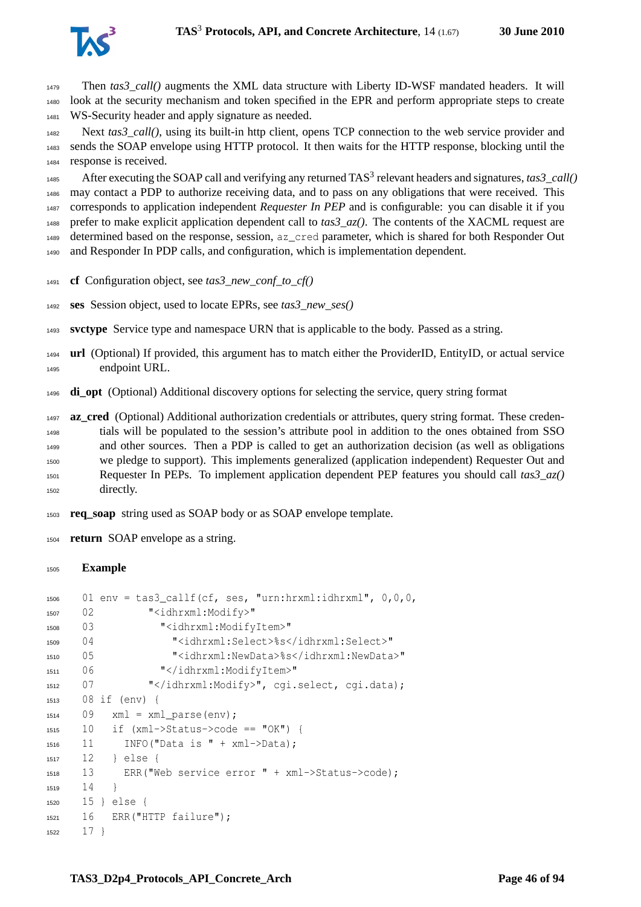

 Then *tas3\_call()* augments the XML data structure with Liberty ID-WSF mandated headers. It will look at the security mechanism and token specified in the EPR and perform appropriate steps to create WS-Security header and apply signature as needed.

 Next *tas3\_call()*, using its built-in http client, opens TCP connection to the web service provider and sends the SOAP envelope using HTTP protocol. It then waits for the HTTP response, blocking until the response is received.

1485 After executing the SOAP call and verifying any returned TAS<sup>3</sup> relevant headers and signatures, *tas3\_call()*  may contact a PDP to authorize receiving data, and to pass on any obligations that were received. This corresponds to application independent *Requester In PEP* and is configurable: you can disable it if you 1488 prefer to make explicit application dependent call to  $\text{tas3 } az()$ . The contents of the XACML request are determined based on the response, session, az\_cred parameter, which is shared for both Responder Out and Responder In PDP calls, and configuration, which is implementation dependent.

- **cf** Configuration object, see *tas3\_new\_conf\_to\_cf()*
- **ses** Session object, used to locate EPRs, see *tas3\_new\_ses()*

**svctype** Service type and namespace URN that is applicable to the body. Passed as a string.

 **url** (Optional) If provided, this argument has to match either the ProviderID, EntityID, or actual service endpoint URL.

**di\_opt** (Optional) Additional discovery options for selecting the service, query string format

**az\_cred** (Optional) Additional authorization credentials or attributes, query string format. These creden- tials will be populated to the session's attribute pool in addition to the ones obtained from SSO and other sources. Then a PDP is called to get an authorization decision (as well as obligations we pledge to support). This implements generalized (application independent) Requester Out and Requester In PEPs. To implement application dependent PEP features you should call *tas3\_az()* directly.

**req\_soap** string used as SOAP body or as SOAP envelope template.

**return** SOAP envelope as a string.

#### **Example**

```
1506 01 env = tas3_callf(cf, ses, "urn:hrxml:idhrxml", 0,0,0,
1507 02 "<idhrxml:Modify>"
1508 03 "<idhrxml:ModifyItem>"
1509 04 "<idhrxml:Select>%s</idhrxml:Select>"
1510 05 "<idhrxml:NewData>%s</idhrxml:NewData>"
1511 06 "</idhrxml:ModifyItem>"
1512 07 "</idhrxml:Modify>", cgi.select, cgi.data);
1513 08 if (env) {
1514 09 xml = xml\_parse(env);
1515 10 if (xml->Status->code == "OK") {
1516 11 INFO("Data is " + xml->Data);
1517 12 } else {
1518 13 ERR("Web service error " + xml->Status->code);
1519 14 }
1520 15 } else {
1521 16 ERR("HTTP failure");
1522 17 }
```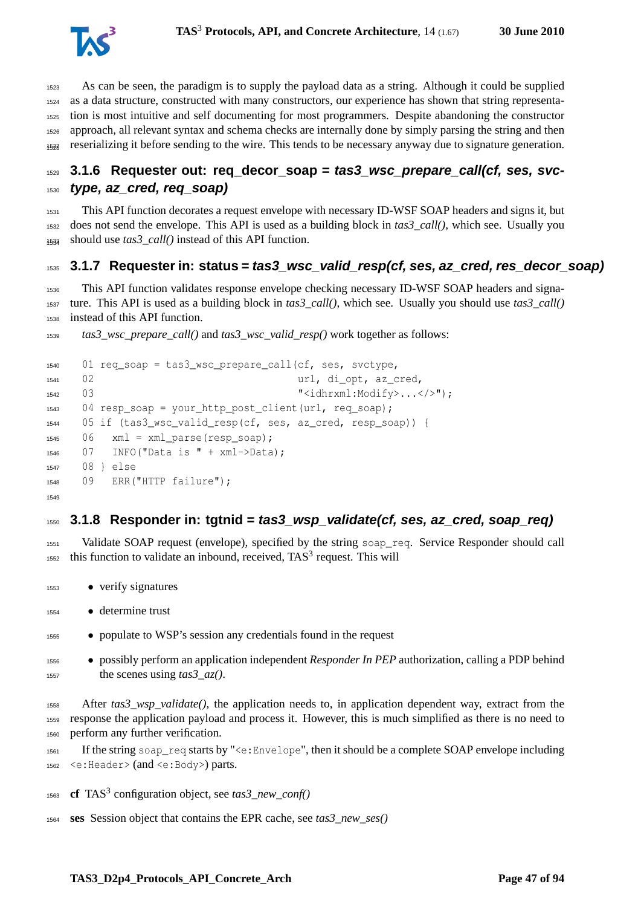

 As can be seen, the paradigm is to supply the payload data as a string. Although it could be supplied as a data structure, constructed with many constructors, our experience has shown that string representa- tion is most intuitive and self documenting for most programmers. Despite abandoning the constructor approach, all relevant syntax and schema checks are internally done by simply parsing the string and then reserializing it before sending to the wire. This tends to be necessary anyway due to signature generation. <sup>1528</sup>

## **3.1.6 Requester out: req\_decor\_soap = tas3\_wsc\_prepare\_call(cf, ses, svc-type, az\_cred, req\_soap)**

 This API function decorates a request envelope with necessary ID-WSF SOAP headers and signs it, but does not send the envelope. This API is used as a building block in *tas3\_call()*, which see. Usually you  $_{1534}$  should use  $tas3$ <sub>call</sub>() instead of this API function.

#### **3.1.7 Requester in: status = tas3\_wsc\_valid\_resp(cf, ses, az\_cred, res\_decor\_soap)**

 This API function validates response envelope checking necessary ID-WSF SOAP headers and signa- ture. This API is used as a building block in *tas3\_call()*, which see. Usually you should use *tas3\_call()* instead of this API function.

*tas3\_wsc\_prepare\_call()* and *tas3\_wsc\_valid\_resp()* work together as follows:

```
1540 01 req_soap = tas3_wsc_prepare_call(cf, ses, svctype,
      02 url, di_opt, az_cred,
1542 03 State of the Modify Section 1542 03 State of the Modify Section 1542 03 State of the Modify Section 1
1543 04 resp_soap = your_http_post_client(url, req_soap);
1544 05 if (tas3_wsc_valid_resp(cf, ses, az_cred, resp_soap)) {
1545 06 xml = xml_parse(resp_soap);
      07 INFO("Data is " + xml->Data);
1547 08 } else
1548 09 ERR("HTTP failure");
1549
```
#### **3.1.8 Responder in: tgtnid = tas3\_wsp\_validate(cf, ses, az\_cred, soap\_req)**

 Validate SOAP request (envelope), specified by the string soap\_req. Service Responder should call this function to validate an inbound, received, TAS<sup>3</sup> request. This will

- verify signatures
- determine trust
- populate to WSP's session any credentials found in the request
- possibly perform an application independent *Responder In PEP* authorization, calling a PDP behind 1557 the scenes using  $\text{tas3 } az()$ .

 After *tas3\_wsp\_validate()*, the application needs to, in application dependent way, extract from the response the application payload and process it. However, this is much simplified as there is no need to perform any further verification.

- If the string soap\_req starts by "<e:Envelope", then it should be a complete SOAP envelope including <e:Header> (and <e:Body>) parts.
- **cf** TAS<sup>3</sup> configuration object, see *tas3\_new\_conf()*
- **ses** Session object that contains the EPR cache, see *tas3\_new\_ses()*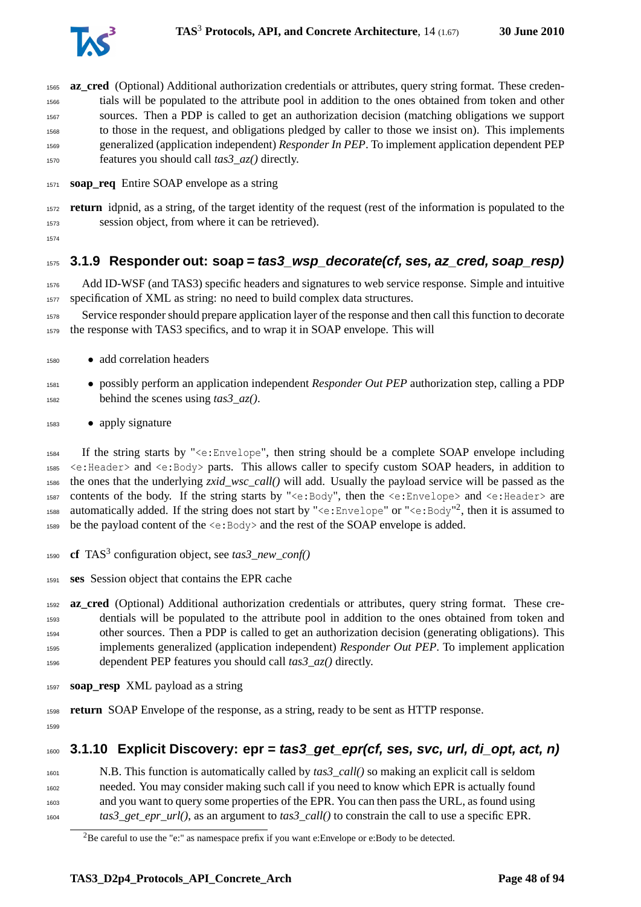

 **az\_cred** (Optional) Additional authorization credentials or attributes, query string format. These creden- tials will be populated to the attribute pool in addition to the ones obtained from token and other sources. Then a PDP is called to get an authorization decision (matching obligations we support to those in the request, and obligations pledged by caller to those we insist on). This implements generalized (application independent) *Responder In PEP*. To implement application dependent PEP features you should call *tas3\_az()* directly. **soap\_req** Entire SOAP envelope as a string

 **return** idpnid, as a string, of the target identity of the request (rest of the information is populated to the session object, from where it can be retrieved).

## **3.1.9 Responder out: soap = tas3\_wsp\_decorate(cf, ses, az\_cred, soap\_resp)**

 Add ID-WSF (and TAS3) specific headers and signatures to web service response. Simple and intuitive specification of XML as string: no need to build complex data structures.

 Service responder should prepare application layer of the response and then call this function to decorate the response with TAS3 specifics, and to wrap it in SOAP envelope. This will

- add correlation headers
- possibly perform an application independent *Responder Out PEP* authorization step, calling a PDP behind the scenes using *tas3\_az()*.
- apply signature

 If the string starts by "<e:Envelope", then string should be a complete SOAP envelope including <e:Header> and <e:Body> parts. This allows caller to specify custom SOAP headers, in addition to the ones that the underlying *zxid\_wsc\_call()* will add. Usually the payload service will be passed as the contents of the body. If the string starts by "<e:Body", then the <e:Envelope> and <e:Header> are 1588 automatically added. If the string does not start by "<e:Envelope" or "<e:Body"<sup>[2](#page-47-0)</sup>, then it is assumed to 1589 be the payload content of the  $\leq e:$  Body> and the rest of the SOAP envelope is added.

- 1590 **cf** TAS<sup>3</sup> configuration object, see *tas3\_new\_conf()*
- **ses** Session object that contains the EPR cache

 **az\_cred** (Optional) Additional authorization credentials or attributes, query string format. These cre- dentials will be populated to the attribute pool in addition to the ones obtained from token and other sources. Then a PDP is called to get an authorization decision (generating obligations). This implements generalized (application independent) *Responder Out PEP*. To implement application dependent PEP features you should call *tas3\_az()* directly.

**soap\_resp** XML payload as a string

 **return** SOAP Envelope of the response, as a string, ready to be sent as HTTP response. 

## **3.1.10 Explicit Discovery: epr = tas3\_get\_epr(cf, ses, svc, url, di\_opt, act, n)**

 N.B. This function is automatically called by *tas3\_call()* so making an explicit call is seldom needed. You may consider making such call if you need to know which EPR is actually found and you want to query some properties of the EPR. You can then pass the URL, as found using *tas3\_get\_epr\_url()*, as an argument to *tas3\_call()* to constrain the call to use a specific EPR.

<span id="page-47-0"></span><sup>&</sup>lt;sup>2</sup>Be careful to use the "e:" as namespace prefix if you want e:Envelope or e:Body to be detected.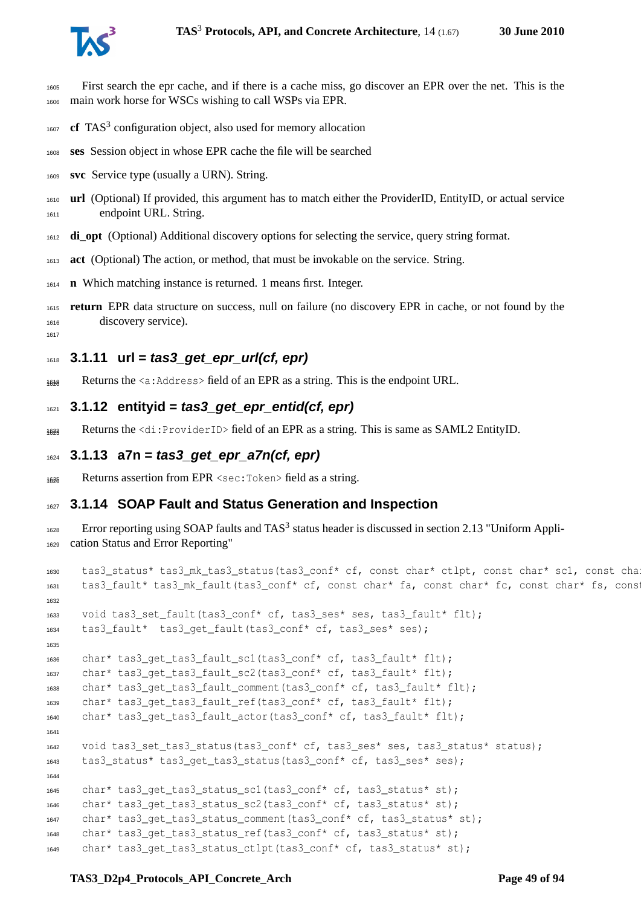

- First search the epr cache, and if there is a cache miss, go discover an EPR over the net. This is the main work horse for WSCs wishing to call WSPs via EPR.
- 1607 **cf** TAS<sup>3</sup> configuration object, also used for memory allocation
- **ses** Session object in whose EPR cache the file will be searched
- **svc** Service type (usually a URN). String.
- **url** (Optional) If provided, this argument has to match either the ProviderID, EntityID, or actual service endpoint URL. String.
- **di\_opt** (Optional) Additional discovery options for selecting the service, query string format.
- **act** (Optional) The action, or method, that must be invokable on the service. String.
- **n** Which matching instance is returned. 1 means first. Integer.
- **return** EPR data structure on success, null on failure (no discovery EPR in cache, or not found by the discovery service).

### **3.1.11 url = tas3\_get\_epr\_url(cf, epr)**

- 1639 Returns the  $\leq a$ : Address field of an EPR as a string. This is the endpoint URL.
- **3.1.12 entityid = tas3\_get\_epr\_entid(cf, epr)**
- 1633 Returns the  $\langle di:ProviderID \rangle$  field of an EPR as a string. This is same as SAML2 EntityID.

```
1624 3.1.13 a7n = tas3_get_epr_a7n(cf, epr)
```
Returns assertion from EPR <sec: Token> field as a string.

### **3.1.14 SOAP Fault and Status Generation and Inspection**

1628 Error reporting using SOAP faults and TAS<sup>3</sup> status header is discussed in section 2.13 "Uniform Appli-cation Status and Error Reporting"

```
1630 tas3_status* tas3_mk_tas3_status(tas3_conf* cf, const char* ctlpt, const char* sc1, const cha
1631 tas3_fault* tas3_mk_fault(tas3_conf* cf, const char* fa, const char* fc, const char* fs, const
1632
1633 void tas3_set_fault(tas3_conf* cf, tas3_ses* ses, tas3_fault* flt);
1634 tas3_fault* tas3_get_fault(tas3_conf* cf, tas3_ses* ses);
1635
1636 char* tas3_get_tas3_fault_sc1(tas3_conf* cf, tas3_fault* flt);
1637 char* tas3 get tas3 fault sc2(tas3 conf* cf, tas3 fault* flt);
1638 char* tas3_get_tas3_fault_comment(tas3_conf* cf, tas3_fault* flt);
1639 char* tas3 get tas3 fault ref(tas3 conf* cf, tas3 fault* flt);
1640 char* tas3 get tas3 fault actor(tas3 conf* cf, tas3 fault* flt);
1641
1642 void tas3_set_tas3_status(tas3_conf* cf, tas3_ses* ses, tas3_status* status);
1643 tas3_status* tas3_get_tas3_status(tas3_conf* cf, tas3_ses* ses);
1644
1645 char* tas3_get_tas3_status_sc1(tas3_conf* cf, tas3_status* st);
1646 char* tas3_get_tas3_status_sc2(tas3_conf* cf, tas3_status* st);
1647 char* tas3_get_tas3_status_comment(tas3_conf* cf, tas3_status* st);
1648 char* tas3_get_tas3_status_ref(tas3_conf* cf, tas3_status* st);
1649 char* tas3_get_tas3_status_ctlpt(tas3_conf* cf, tas3_status* st);
```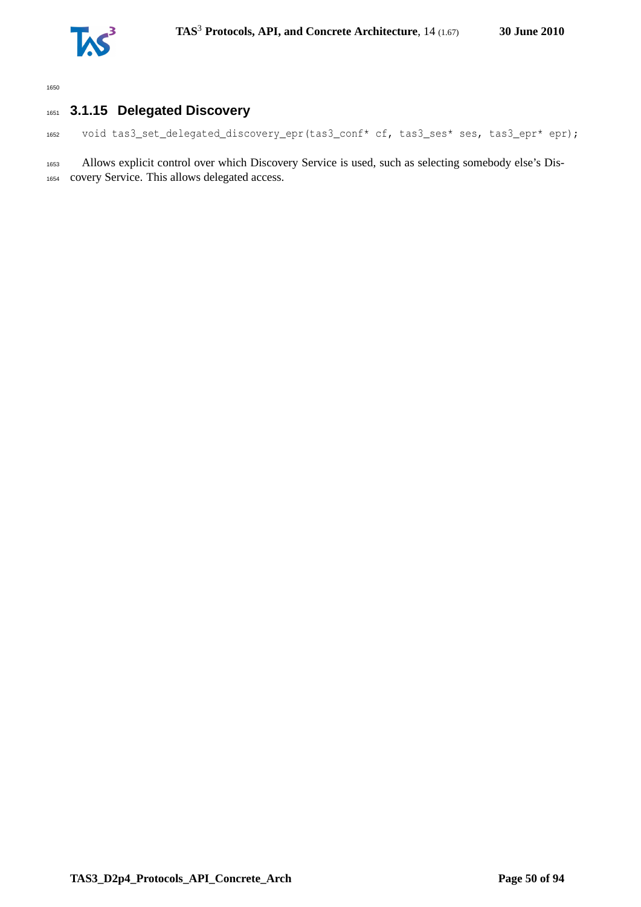

## **3.1.15 Delegated Discovery**

void tas3\_set\_delegated\_discovery\_epr(tas3\_conf\* cf, tas3\_ses\* ses, tas3\_epr\* epr);

 Allows explicit control over which Discovery Service is used, such as selecting somebody else's Dis-covery Service. This allows delegated access.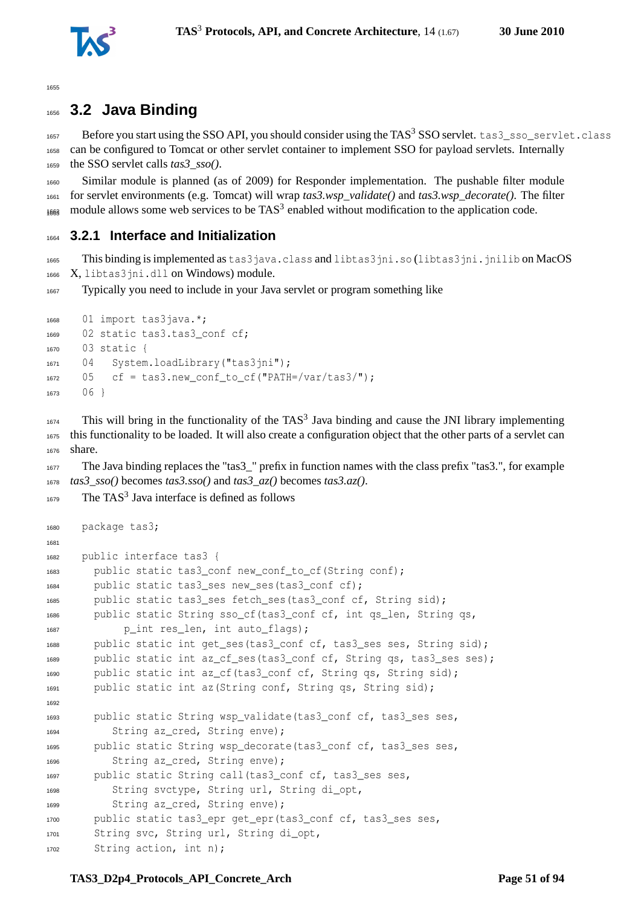

## **3.2 Java Binding**

1657 Before you start using the SSO API, you should consider using the TAS<sup>3</sup> SSO servlet. tas3\_sso\_servlet.class can be configured to Tomcat or other servlet container to implement SSO for payload servlets. Internally the SSO servlet calls *tas3\_sso()*.

 Similar module is planned (as of 2009) for Responder implementation. The pushable filter module for servlet environments (e.g. Tomcat) will wrap *tas3.wsp\_validate()* and *tas3.wsp\_decorate()*. The filter  $_{1668}$  module allows some web services to be TAS<sup>3</sup> enabled without modification to the application code.

## **3.2.1 Interface and Initialization**

1665 This binding is implemented as tas 3 java.class and libtas 3 jni.so (libtas 3 jni.jnilib on MacOS X, libtas3jni.dll on Windows) module.

Typically you need to include in your Java servlet or program something like

```
1668 01 import tas3java.*;
1669 02 static tas3.tas3_conf cf;
1670 03 static {
1671 04 System.loadLibrary("tas3jni");
1672 05 cf = tas3.new conf to cf("PATH=/var/tas3/");
1673 06 }
```
 This will bring in the functionality of the TAS<sup>3</sup> Java binding and cause the JNI library implementing this functionality to be loaded. It will also create a configuration object that the other parts of a servlet can share.

 The Java binding replaces the "tas3\_" prefix in function names with the class prefix "tas3.", for example *tas3\_sso()* becomes *tas3.sso()* and *tas3\_az()* becomes *tas3.az()*.

```
1679 The TAS<sup>3</sup> Java interface is defined as follows
```

```
1680 package tas3;
1681
1682 public interface tas3 {
1683 public static tas3_conf new_conf_to_cf(String conf);
1684 public static tas3 ses new ses(tas3 conf cf);
1685 public static tas3_ses fetch_ses(tas3_conf cf, String sid);
1686 public static String sso_cf(tas3_conf cf, int qs_len, String qs,
1687 p_int res_len, int auto_flags);
1688 public static int get ses(tas3 conf cf, tas3 ses ses, String sid);
1689 public static int az_cf_ses(tas3_conf cf, String qs, tas3_ses ses);
1690 public static int az cf(tas3 conf cf, String qs, String sid);
1691 public static int az(String conf, String qs, String sid);
1692
1693 public static String wsp_validate(tas3_conf cf, tas3_ses ses,
1694 String az_cred, String enve);
1695 public static String wsp_decorate(tas3_conf cf, tas3_ses ses,
1696 String az_cred, String enve);
1697 public static String call(tas3_conf cf, tas3_ses ses,
1698 String svctype, String url, String di_opt,
1699 String az_cred, String enve);
1700 public static tas3_epr get_epr(tas3_conf cf, tas3_ses ses,
1701 String svc, String url, String di_opt,
1702 String action, int n);
```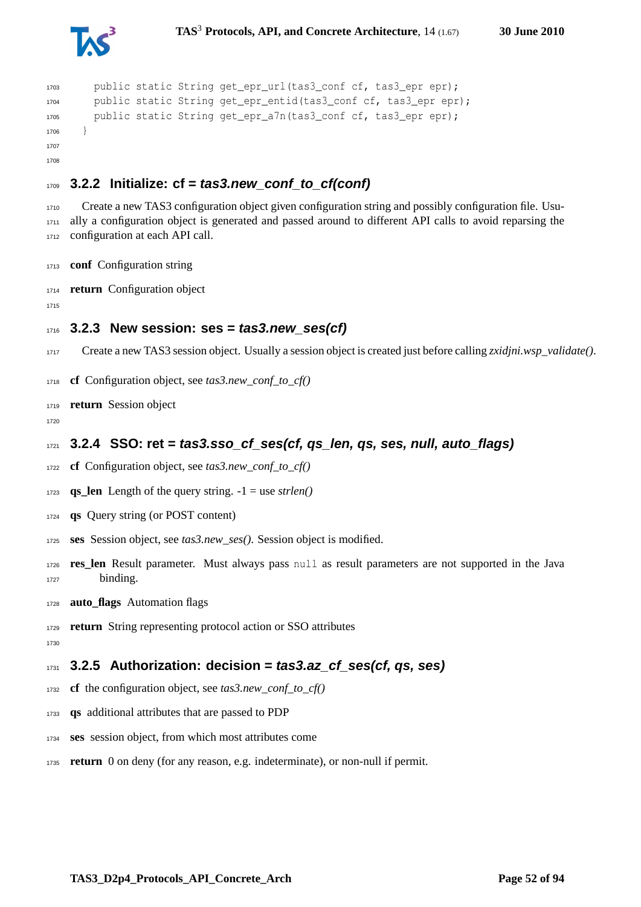



```
1703 public static String get_epr_url(tas3_conf cf, tas3_epr epr);
1704 public static String get_epr_entid(tas3_conf cf, tas3_epr epr);
1705 public static String get_epr_a7n(tas3 conf cf, tas3 epr epr);
1706 }
1707
1708
```
## **3.2.2 Initialize: cf = tas3.new\_conf\_to\_cf(conf)**

1710 Create a new TAS3 configuration object given configuration string and possibly configuration file. Usu- ally a configuration object is generated and passed around to different API calls to avoid reparsing the configuration at each API call.

**conf** Configuration string

**return** Configuration object

### **3.2.3 New session: ses = tas3.new\_ses(cf)**

- Create a new TAS3 session object. Usually a session object is created just before calling *zxidjni.wsp\_validate()*.
- **cf** Configuration object, see *tas3.new\_conf\_to\_cf()*

**return** Session object

## **3.2.4 SSO: ret = tas3.sso\_cf\_ses(cf, qs\_len, qs, ses, null, auto\_flags)**

**cf** Configuration object, see *tas3.new\_conf\_to\_cf()*

1723 **qs** len Length of the query string.  $-1 =$  use *strlen()* 

- **qs** Query string (or POST content)
- **ses** Session object, see *tas3.new\_ses()*. Session object is modified.
- **res\_len** Result parameter. Must always pass null as result parameters are not supported in the Java binding.
- **auto\_flags** Automation flags
- **return** String representing protocol action or SSO attributes
- 

**3.2.5 Authorization: decision = tas3.az\_cf\_ses(cf, qs, ses)**

- **cf** the configuration object, see *tas3.new\_conf\_to\_cf()*
- **qs** additional attributes that are passed to PDP
- **ses** session object, from which most attributes come
- **return** 0 on deny (for any reason, e.g. indeterminate), or non-null if permit.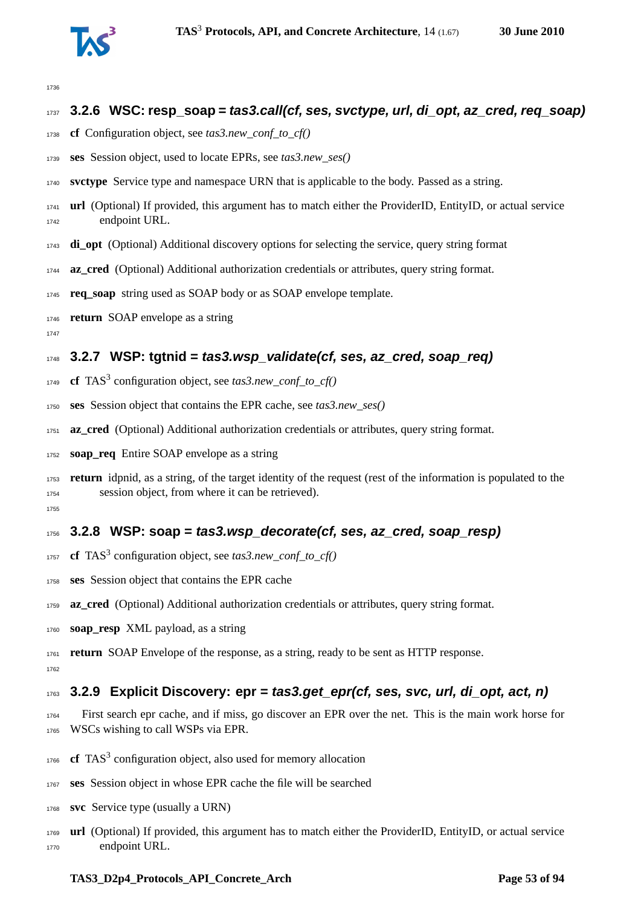

## **3.2.6 WSC: resp\_soap = tas3.call(cf, ses, svctype, url, di\_opt, az\_cred, req\_soap)**

- **cf** Configuration object, see *tas3.new\_conf\_to\_cf()*
- **ses** Session object, used to locate EPRs, see *tas3.new\_ses()*
- **svctype** Service type and namespace URN that is applicable to the body. Passed as a string.
- **url** (Optional) If provided, this argument has to match either the ProviderID, EntityID, or actual service endpoint URL.
- **di\_opt** (Optional) Additional discovery options for selecting the service, query string format
- **az\_cred** (Optional) Additional authorization credentials or attributes, query string format.
- **req\_soap** string used as SOAP body or as SOAP envelope template.
- **return** SOAP envelope as a string
- 

## **3.2.7 WSP: tgtnid = tas3.wsp\_validate(cf, ses, az\_cred, soap\_req)**

- 1749 **cf** TAS<sup>3</sup> configuration object, see *tas3.new\_conf\_to\_cf()*
- **ses** Session object that contains the EPR cache, see *tas3.new\_ses()*
- **az\_cred** (Optional) Additional authorization credentials or attributes, query string format.
- **soap\_req** Entire SOAP envelope as a string
- **return** idpnid, as a string, of the target identity of the request (rest of the information is populated to the session object, from where it can be retrieved).

## **3.2.8 WSP: soap = tas3.wsp\_decorate(cf, ses, az\_cred, soap\_resp)**

- **cf** TAS<sup>3</sup> configuration object, see *tas3.new\_conf\_to\_cf()*
- **ses** Session object that contains the EPR cache
- **az\_cred** (Optional) Additional authorization credentials or attributes, query string format.
- **soap\_resp** XML payload, as a string
- **return** SOAP Envelope of the response, as a string, ready to be sent as HTTP response.

## **3.2.9 Explicit Discovery: epr = tas3.get\_epr(cf, ses, svc, url, di\_opt, act, n)**

- First search epr cache, and if miss, go discover an EPR over the net. This is the main work horse for WSCs wishing to call WSPs via EPR.
- **cf** TAS<sup>3</sup> configuration object, also used for memory allocation
- **ses** Session object in whose EPR cache the file will be searched
- **svc** Service type (usually a URN)
- **url** (Optional) If provided, this argument has to match either the ProviderID, EntityID, or actual service endpoint URL.

#### **TAS3** D2p4 Protocols API Concrete Arch Page 53 of [94](#page-93-0)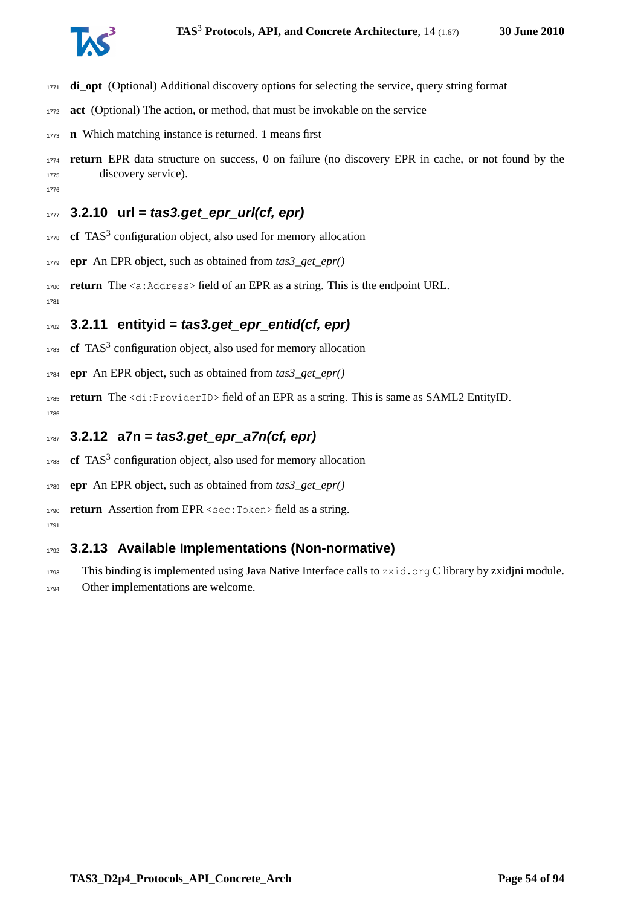

- **di\_opt** (Optional) Additional discovery options for selecting the service, query string format
- **act** (Optional) The action, or method, that must be invokable on the service
- **n** Which matching instance is returned. 1 means first
- **return** EPR data structure on success, 0 on failure (no discovery EPR in cache, or not found by the discovery service).
- **3.2.10 url = tas3.get\_epr\_url(cf, epr)**
- **cf** TAS<sup>3</sup> configuration object, also used for memory allocation
- **epr** An EPR object, such as obtained from *tas3\_get\_epr()*
- **return** The <a:Address> field of an EPR as a string. This is the endpoint URL.

## **3.2.11 entityid = tas3.get\_epr\_entid(cf, epr)**

- 1783 **cf** TAS<sup>3</sup> configuration object, also used for memory allocation
- **epr** An EPR object, such as obtained from *tas3\_get\_epr()*
- **return** The <di:ProviderID> field of an EPR as a string. This is same as SAML2 EntityID.
- **3.2.12 a7n = tas3.get\_epr\_a7n(cf, epr)**
- **cf** TAS<sup>3</sup> configuration object, also used for memory allocation
- **epr** An EPR object, such as obtained from *tas3\_get\_epr()*
- **return** Assertion from EPR <sec:Token> field as a string.
- $170'$

## **3.2.13 Available Implementations (Non-normative)**

- This binding is implemented using Java Native Interface calls to zxid.org C library by zxidjni module.
- Other implementations are welcome.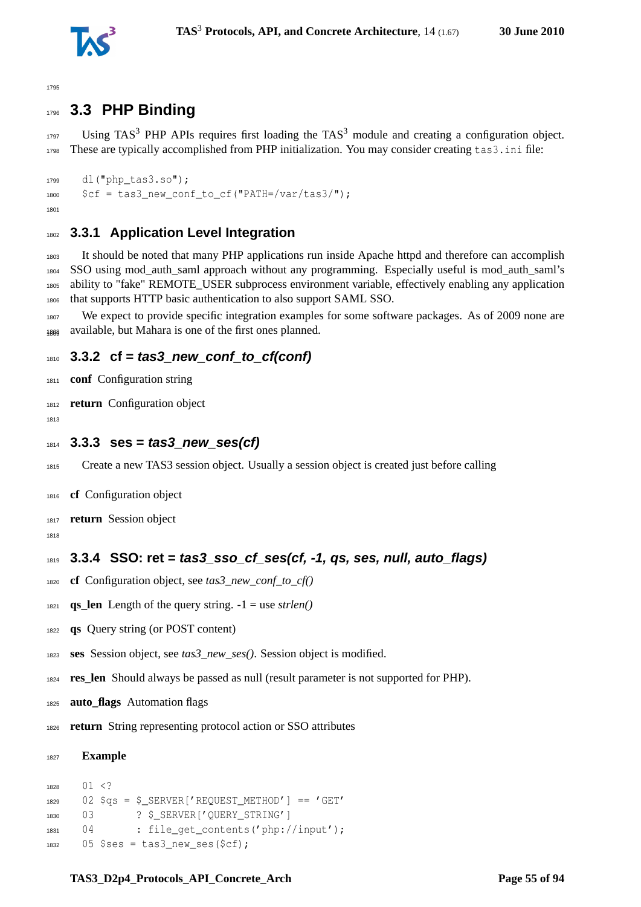

## **3.3 PHP Binding**

 Using TAS<sup>3</sup> PHP APIs requires first loading the TAS<sup>3</sup> module and creating a configuration object. These are typically accomplished from PHP initialization. You may consider creating tas3.ini file:

```
1799 dl("php_tas3.so");
1800 $cf = tas3 new conf to cf("PATH='/var/tas3/");1801
```
## **3.3.1 Application Level Integration**

 It should be noted that many PHP applications run inside Apache httpd and therefore can accomplish SSO using mod\_auth\_saml approach without any programming. Especially useful is mod\_auth\_saml's ability to "fake" REMOTE\_USER subprocess environment variable, effectively enabling any application that supports HTTP basic authentication to also support SAML SSO.

 We expect to provide specific integration examples for some software packages. As of 2009 none are 1808 available, but Mahara is one of the first ones planned.

### **3.3.2 cf = tas3\_new\_conf\_to\_cf(conf)**

- **conf** Configuration string
- **return** Configuration object
- 
- **3.3.3 ses = tas3\_new\_ses(cf)**
- Create a new TAS3 session object. Usually a session object is created just before calling
- **cf** Configuration object
- **return** Session object
- 

## **3.3.4 SSO: ret = tas3\_sso\_cf\_ses(cf, -1, qs, ses, null, auto\_flags)**

- **cf** Configuration object, see *tas3\_new\_conf\_to\_cf()*
- 1821 **qs\_len** Length of the query string.  $-1 =$  use *strlen()*
- **qs** Query string (or POST content)
- **ses** Session object, see *tas3\_new\_ses()*. Session object is modified.
- **res\_len** Should always be passed as null (result parameter is not supported for PHP).
- **auto\_flags** Automation flags
- **return** String representing protocol action or SSO attributes

```
1827 Example
```

```
1828 01 < ?1829 02 $as = $ SERVER['REQUEST_METHOD'] == 'GET'
1830 03 ? $ SERVER['QUERY_STRING']
1831 04 : file_get_contents('php://input');
1832 05 $ses = tas3_new_ses($cf);
```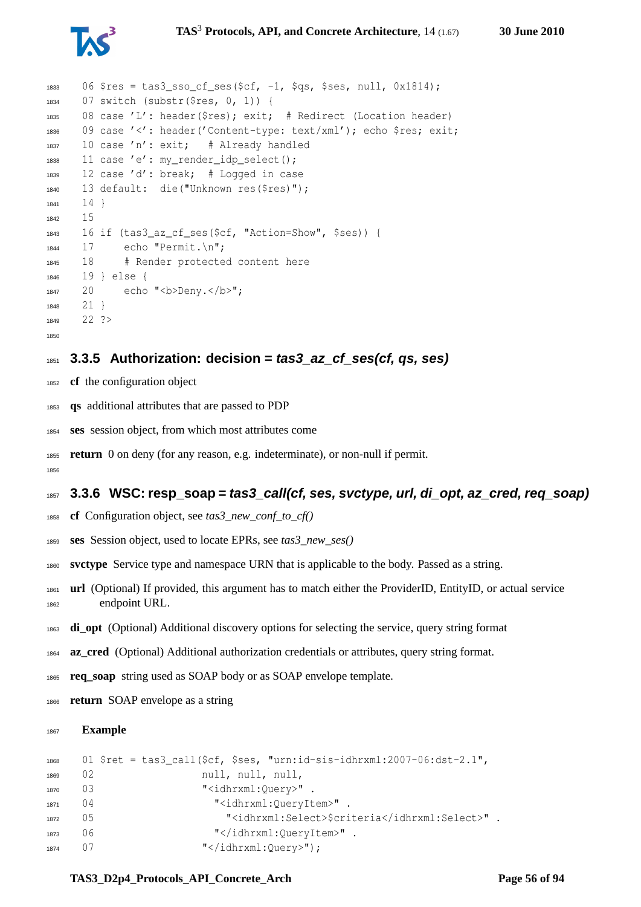

```
1833 06 $res = tas3 sso of ses($cf, -1, $qs, $ses, null, 0x1814);
1834 07 switch (substr($res, 0, 1)) {
1835 08 case 'L': header($res); exit; # Redirect (Location header)
1836 09 case '<': header('Content-type: text/xml'); echo $res; exit;
1837 10 case 'n': exit; # Already handled
1838 11 case 'e': my_render_idp_select();
1839 12 case 'd': break; # Logged in case
1840 13 default: die("Unknown res($res)");
1841 141842 15
1843 16 if (tas3 az cf ses($cf, "Action=Show", $ses)) {
1844 17 echo "Permit.\n";
1845 18 # Render protected content here
1846 19 } else {
1847 20 echo "<br/>b>Deny.</b>";
1848 21 }
1849 22 ?>
1850
```
### **3.3.5 Authorization: decision = tas3\_az\_cf\_ses(cf, qs, ses)**

- **cf** the configuration object
- **qs** additional attributes that are passed to PDP
- **ses** session object, from which most attributes come
- **return** 0 on deny (for any reason, e.g. indeterminate), or non-null if permit.

### **3.3.6 WSC: resp\_soap = tas3\_call(cf, ses, svctype, url, di\_opt, az\_cred, req\_soap)**

- **cf** Configuration object, see *tas3\_new\_conf\_to\_cf()*
- **ses** Session object, used to locate EPRs, see *tas3\_new\_ses()*
- **svctype** Service type and namespace URN that is applicable to the body. Passed as a string.
- **url** (Optional) If provided, this argument has to match either the ProviderID, EntityID, or actual service endpoint URL.
- **di\_opt** (Optional) Additional discovery options for selecting the service, query string format
- **az\_cred** (Optional) Additional authorization credentials or attributes, query string format.
- **req\_soap** string used as SOAP body or as SOAP envelope template.
- **return** SOAP envelope as a string

#### **Example**

```
1868 01 $ret = tas3_call($cf, $ses, "urn:id-sis-idhrxml:2007-06:dst-2.1",
1869 02 null, null, null, null,
1870 03 "<idhrxml:Ouery>".
1871 04 "<idhrxml:QueryItem>".
1872 05 "<idhrxml:Select>$criteria</idhrxml:Select>".
1873 06 "</idhrxml:QueryItem>".
1874 07 "</idhrxml:Query>");
```
#### **TAS3** D2p4 Protocols API Concrete Arch Page 56 of [94](#page-93-0)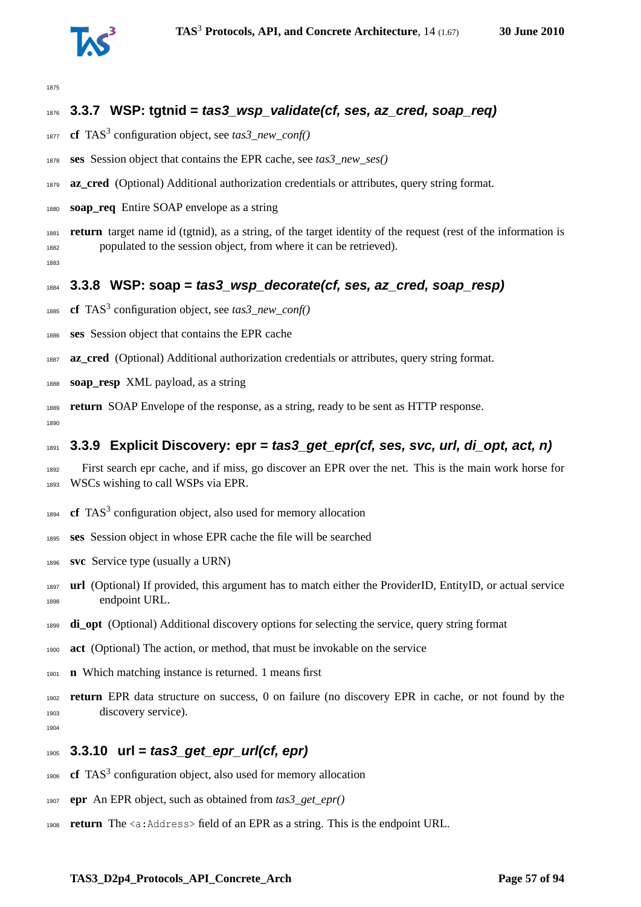

## **3.3.7 WSP: tgtnid = tas3\_wsp\_validate(cf, ses, az\_cred, soap\_req)**

- 1877 **cf** TAS<sup>3</sup> configuration object, see *tas3\_new\_conf()*
- **ses** Session object that contains the EPR cache, see *tas3\_new\_ses()*
- **az cred** (Optional) Additional authorization credentials or attributes, query string format.
- **soap\_req** Entire SOAP envelope as a string
- **return** target name id (tgtnid), as a string, of the target identity of the request (rest of the information is populated to the session object, from where it can be retrieved).

## **3.3.8 WSP: soap = tas3\_wsp\_decorate(cf, ses, az\_cred, soap\_resp)**

- **cf** TAS<sup>3</sup> configuration object, see *tas3\_new\_conf()*
- **ses** Session object that contains the EPR cache
- **az\_cred** (Optional) Additional authorization credentials or attributes, query string format.
- **soap\_resp** XML payload, as a string
- **return** SOAP Envelope of the response, as a string, ready to be sent as HTTP response.

### **3.3.9 Explicit Discovery: epr = tas3\_get\_epr(cf, ses, svc, url, di\_opt, act, n)**

- First search epr cache, and if miss, go discover an EPR over the net. This is the main work horse for WSCs wishing to call WSPs via EPR.
- **cf** TAS<sup>3</sup> configuration object, also used for memory allocation
- **ses** Session object in whose EPR cache the file will be searched
- **svc** Service type (usually a URN)
- **url** (Optional) If provided, this argument has to match either the ProviderID, EntityID, or actual service endpoint URL.
- **di\_opt** (Optional) Additional discovery options for selecting the service, query string format
- **act** (Optional) The action, or method, that must be invokable on the service
- **n** Which matching instance is returned. 1 means first
- **return** EPR data structure on success, 0 on failure (no discovery EPR in cache, or not found by the discovery service).
- 

## **3.3.10 url = tas3\_get\_epr\_url(cf, epr)**

- 1906 **cf** TAS<sup>3</sup> configuration object, also used for memory allocation
- **epr** An EPR object, such as obtained from *tas3\_get\_epr()*
- **return** The <a:Address> field of an EPR as a string. This is the endpoint URL.

#### **TAS3** D2p4 Protocols API Concrete Arch Page 57 of [94](#page-93-0)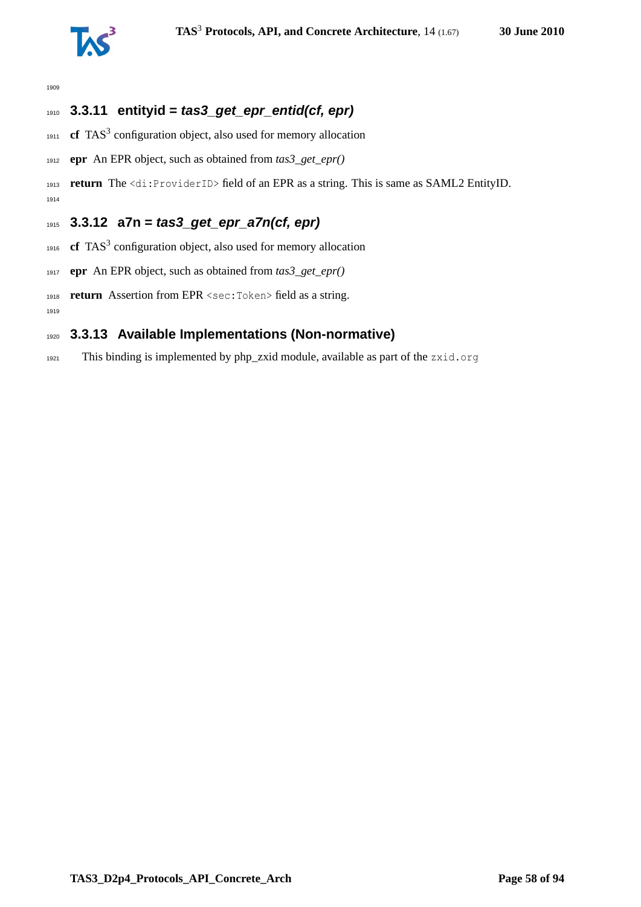

## **3.3.11 entityid = tas3\_get\_epr\_entid(cf, epr)**

- **cf** TAS<sup>3</sup> configuration object, also used for memory allocation
- **epr** An EPR object, such as obtained from *tas3\_get\_epr()*

 **return** The <di:ProviderID> field of an EPR as a string. This is same as SAML2 EntityID. 

## **3.3.12 a7n = tas3\_get\_epr\_a7n(cf, epr)**

- 1916  $\text{cf } TAS^3$  configuration object, also used for memory allocation
- **epr** An EPR object, such as obtained from *tas3\_get\_epr()*
- **return** Assertion from EPR <sec:Token> field as a string.

## **3.3.13 Available Implementations (Non-normative)**

This binding is implemented by php\_zxid module, available as part of the zxid.org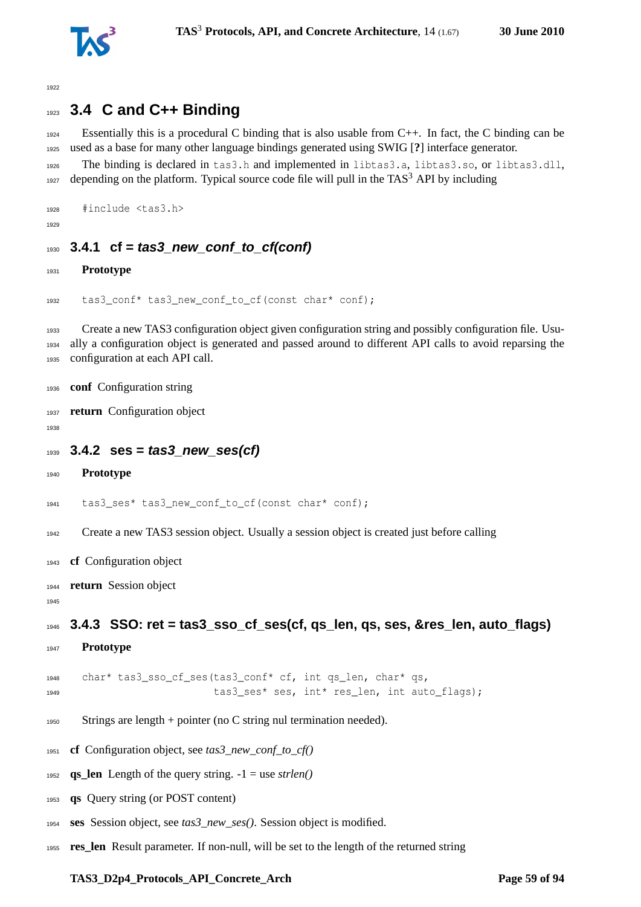

## **3.4 C and C++ Binding**

 Essentially this is a procedural C binding that is also usable from C++. In fact, the C binding can be used as a base for many other language bindings generated using SWIG [**?**] interface generator.

The binding is declared in tas3.h and implemented in libtas3.a, libtas3.so, or libtas3.dll,

depending on the platform. Typical source code file will pull in the TAS<sup>3</sup> API by including

```
1928 #include <tas3.h>
```
## **3.4.1 cf = tas3\_new\_conf\_to\_cf(conf)**

**Prototype**

```
1932 tas3 conf* tas3 new conf to cf(const char* conf);
```
 Create a new TAS3 configuration object given configuration string and possibly configuration file. Usu- ally a configuration object is generated and passed around to different API calls to avoid reparsing the configuration at each API call.

```
1936 conf Configuration string
```
**return** Configuration object

```
1939 3.4.2 ses = tas3_new_ses(cf)
```

```
1940 Prototype
```

```
1941 tas3_ses* tas3_new_conf_to_cf(const char* conf);
```
Create a new TAS3 session object. Usually a session object is created just before calling

- **cf** Configuration object
- **return** Session object

```
1946 3.4.3 SSO: ret = tas3_sso_cf_ses(cf, qs_len, qs, ses, &res_len, auto_flags)
```
**Prototype**

1948 char\* tas3 sso cf ses(tas3 conf\* cf, int qs len, char\* qs, 1949 tas3 ses\* ses,  $int*$  res len, int auto flags);

- Strings are length + pointer (no C string nul termination needed).
- **cf** Configuration object, see *tas3\_new\_conf\_to\_cf()*
- 1952 **qs\_len** Length of the query string.  $-1 =$  use *strlen()*
- **qs** Query string (or POST content)
- **ses** Session object, see *tas3\_new\_ses()*. Session object is modified.
- **res\_len** Result parameter. If non-null, will be set to the length of the returned string

#### **TAS3** D2p4 Protocols API Concrete Arch Page 59 of [94](#page-93-0)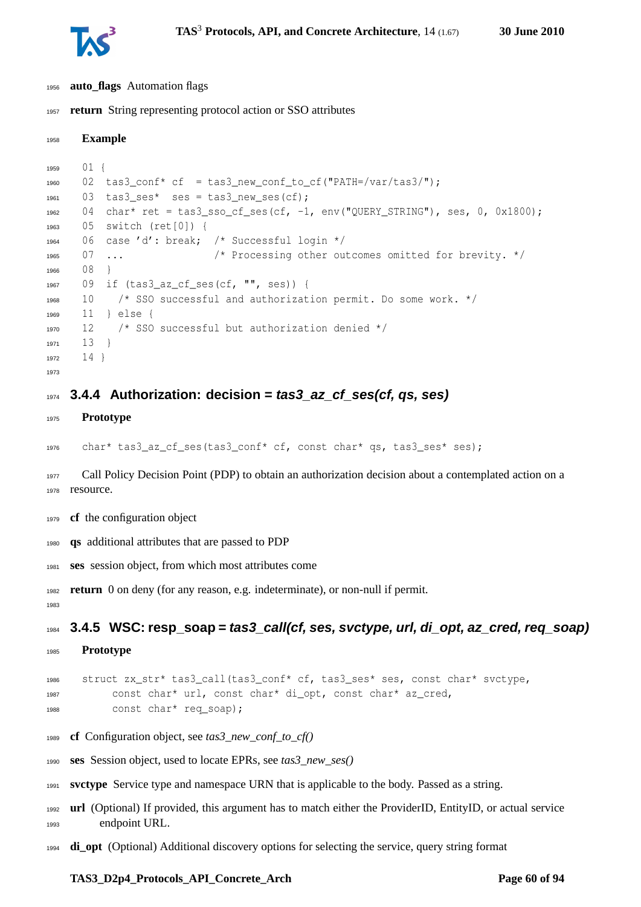

- **auto\_flags** Automation flags
- **return** String representing protocol action or SSO attributes

```
1958 Example
1959 01 {
1960 02 tas3_conf* cf = tas3_new_conf_to_cf("PATH=/var/tas3/");
1961 03 tas3 ses* ses = tas3 new ses(cf);
1962 04 char* ret = tas3_sso_cf_ses(cf, -1, env("QUERY_STRING"), ses, 0, 0x1800);
1963 05 switch (ret[0]) {
1964 06 case 'd': break; /* Successful login */
1965 07 ... /* Processing other outcomes omitted for brevity. */
1966 08 }
1967 09 if (tas3_az_cf_ses(cf, "", ses)) {
1968 10 /* SSO successful and authorization permit. Do some work. */
1969 11 } else {
1970 12 /* SSO successful but authorization denied */1971 13 }
1972 14 }
1973
1974 3.4.4 Authorization: decision = tas3_az_cf_ses(cf, qs, ses)
```
#### **Prototype**

char\* tas3\_az\_cf\_ses(tas3\_conf\* cf, const char\* qs, tas3\_ses\* ses);

 Call Policy Decision Point (PDP) to obtain an authorization decision about a contemplated action on a resource.

- **cf** the configuration object
- **qs** additional attributes that are passed to PDP
- **ses** session object, from which most attributes come

**return** 0 on deny (for any reason, e.g. indeterminate), or non-null if permit.

**3.4.5 WSC: resp\_soap = tas3\_call(cf, ses, svctype, url, di\_opt, az\_cred, req\_soap)**

**Prototype**

```
1986 struct zx_str* tas3_call(tas3_conf* cf, tas3_ses* ses, const char* svctype,
1987 const char* url, const char* di_opt, const char* az_cred,
1988 const char* req_soap);
```
- **cf** Configuration object, see *tas3\_new\_conf\_to\_cf()*
- **ses** Session object, used to locate EPRs, see *tas3\_new\_ses()*
- **svctype** Service type and namespace URN that is applicable to the body. Passed as a string.
- **url** (Optional) If provided, this argument has to match either the ProviderID, EntityID, or actual service endpoint URL.
- **di\_opt** (Optional) Additional discovery options for selecting the service, query string format

#### TAS3 D2p4 Protocols API Concrete Arch **Page 60 of [94](#page-93-0)**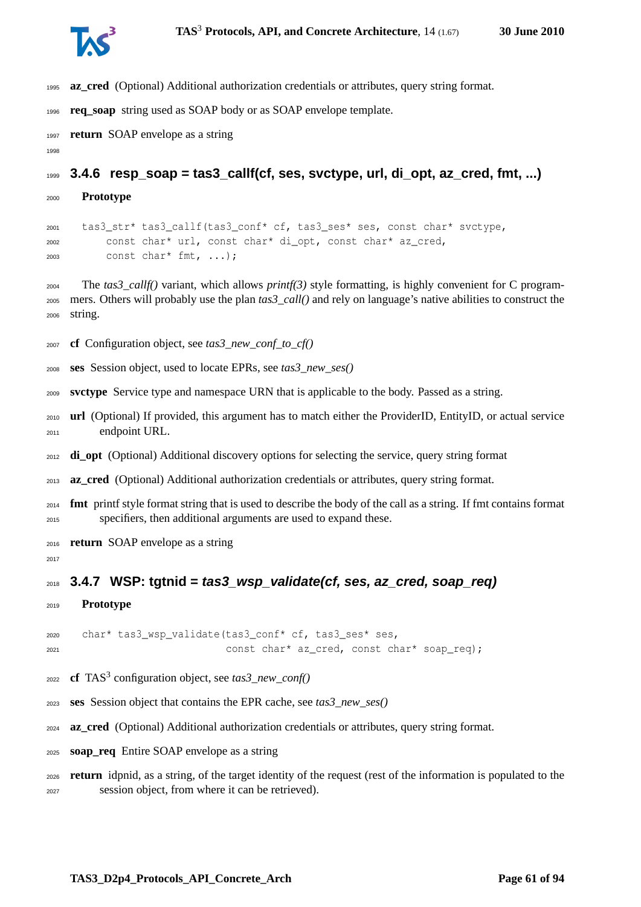

- **az\_cred** (Optional) Additional authorization credentials or attributes, query string format.
- **req\_soap** string used as SOAP body or as SOAP envelope template.
- **return** SOAP envelope as a string
- 

**3.4.6 resp\_soap = tas3\_callf(cf, ses, svctype, url, di\_opt, az\_cred, fmt, ...)**

**Prototype**

 tas3\_str\* tas3\_callf(tas3\_conf\* cf, tas3\_ses\* ses, const char\* svctype, const char\* url, const char\* di\_opt, const char\* az\_cred, const char\* fmt, ...);

 The *tas3\_callf()* variant, which allows *printf(3)* style formatting, is highly convenient for C program- mers. Others will probably use the plan *tas3\_call()* and rely on language's native abilities to construct the string.

**cf** Configuration object, see *tas3\_new\_conf\_to\_cf()*

- **ses** Session object, used to locate EPRs, see *tas3\_new\_ses()*
- **svctype** Service type and namespace URN that is applicable to the body. Passed as a string.
- **url** (Optional) If provided, this argument has to match either the ProviderID, EntityID, or actual service endpoint URL.

**di\_opt** (Optional) Additional discovery options for selecting the service, query string format

- **az\_cred** (Optional) Additional authorization credentials or attributes, query string format.
- **fmt** printf style format string that is used to describe the body of the call as a string. If fmt contains format specifiers, then additional arguments are used to expand these.
- **return** SOAP envelope as a string
- 

### **3.4.7 WSP: tgtnid = tas3\_wsp\_validate(cf, ses, az\_cred, soap\_req)**

**Prototype**

 char\* tas3 wsp validate(tas3 conf\* cf, tas3 ses\* ses, const char\* az\_cred, const char\* soap\_req);

- 2022 **cf** TAS<sup>3</sup> configuration object, see *tas3\_new\_conf*()
- **ses** Session object that contains the EPR cache, see *tas3\_new\_ses()*
- **az\_cred** (Optional) Additional authorization credentials or attributes, query string format.
- **soap\_req** Entire SOAP envelope as a string
- **return** idpnid, as a string, of the target identity of the request (rest of the information is populated to the session object, from where it can be retrieved).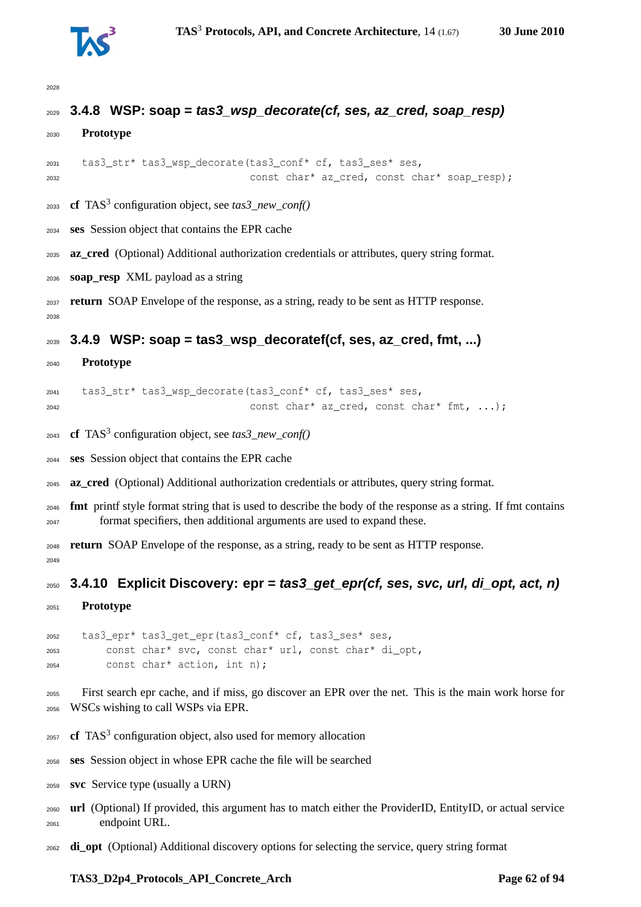

## **3.4.8 WSP: soap = tas3\_wsp\_decorate(cf, ses, az\_cred, soap\_resp)**

```
2030 Prototype
```

```
2031 tas3_str* tas3_wsp_decorate(tas3_conf* cf, tas3_ses* ses,
2032 const char* az_cred, const char* soap_resp);
```
- **cf** TAS<sup>3</sup> configuration object, see *tas3\_new\_conf()*
- **ses** Session object that contains the EPR cache
- **az\_cred** (Optional) Additional authorization credentials or attributes, query string format.
- **soap\_resp** XML payload as a string
- **return** SOAP Envelope of the response, as a string, ready to be sent as HTTP response.

### **3.4.9 WSP: soap = tas3\_wsp\_decoratef(cf, ses, az\_cred, fmt, ...)**

**Prototype**

```
2041 tas3_str* tas3_wsp_decorate(tas3_conf* cf, tas3_ses* ses,
2042 const char* az_cred, const char* fmt, ...);
```
- **cf** TAS<sup>3</sup> configuration object, see *tas3\_new\_conf()*
- **ses** Session object that contains the EPR cache
- **az\_cred** (Optional) Additional authorization credentials or attributes, query string format.
- **fmt** printf style format string that is used to describe the body of the response as a string. If fmt contains format specifiers, then additional arguments are used to expand these.
- **return** SOAP Envelope of the response, as a string, ready to be sent as HTTP response.

**3.4.10 Explicit Discovery: epr = tas3\_get\_epr(cf, ses, svc, url, di\_opt, act, n)**

**Prototype**

 tas3\_epr\* tas3\_get\_epr(tas3\_conf\* cf, tas3\_ses\* ses, const char\* svc, const char\* url, const char\* di\_opt, const char\* action, int n);

 First search epr cache, and if miss, go discover an EPR over the net. This is the main work horse for WSCs wishing to call WSPs via EPR.

- **cf** TAS<sup>3</sup> configuration object, also used for memory allocation
- **ses** Session object in whose EPR cache the file will be searched
- **svc** Service type (usually a URN)
- **url** (Optional) If provided, this argument has to match either the ProviderID, EntityID, or actual service endpoint URL.
- **di\_opt** (Optional) Additional discovery options for selecting the service, query string format

#### **TAS3** D2p4 Protocols API Concrete Arch Page 62 of [94](#page-93-0)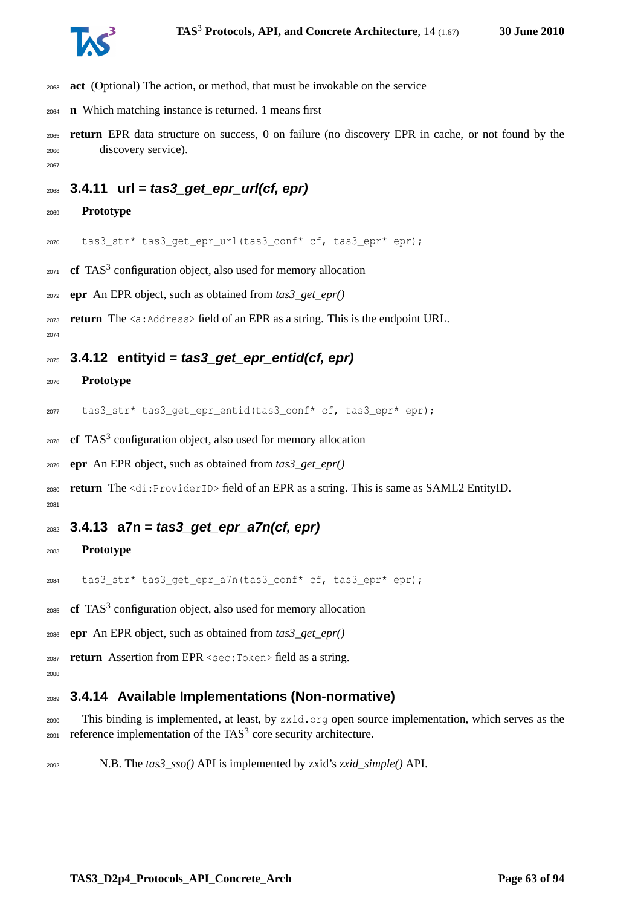

- **act** (Optional) The action, or method, that must be invokable on the service
- **n** Which matching instance is returned. 1 means first
- **return** EPR data structure on success, 0 on failure (no discovery EPR in cache, or not found by the discovery service).
- 

## **3.4.11 url = tas3\_get\_epr\_url(cf, epr)**

**Prototype**

tas3\_str\* tas3\_get\_epr\_url(tas3\_conf\* cf, tas3\_epr\* epr);

- **cf** TAS<sup>3</sup> configuration object, also used for memory allocation
- **epr** An EPR object, such as obtained from *tas3\_get\_epr()*

**return** The <a:Address> field of an EPR as a string. This is the endpoint URL.

### **3.4.12 entityid = tas3\_get\_epr\_entid(cf, epr)**

#### **Prototype**

2077 tas3 str\* tas3 get epr entid(tas3 conf\* cf, tas3 epr\* epr);

**cf** TAS<sup>3</sup> configuration object, also used for memory allocation

**epr** An EPR object, such as obtained from *tas3\_get\_epr()*

 **return** The <di:ProviderID> field of an EPR as a string. This is same as SAML2 EntityID. 

### **3.4.13 a7n = tas3\_get\_epr\_a7n(cf, epr)**

#### **Prototype**

tas3\_str\* tas3\_get\_epr\_a7n(tas3\_conf\* cf, tas3\_epr\* epr);

- **cf** TAS<sup>3</sup> configuration object, also used for memory allocation
- **epr** An EPR object, such as obtained from *tas3\_get\_epr()*
- **return** Assertion from EPR <sec:Token> field as a string.
- 

### **3.4.14 Available Implementations (Non-normative)**

- This binding is implemented, at least, by zxid.org open source implementation, which serves as the reference implementation of the TAS<sup>3</sup> core security architecture.
- N.B. The *tas3\_sso()* API is implemented by zxid's *zxid\_simple()* API.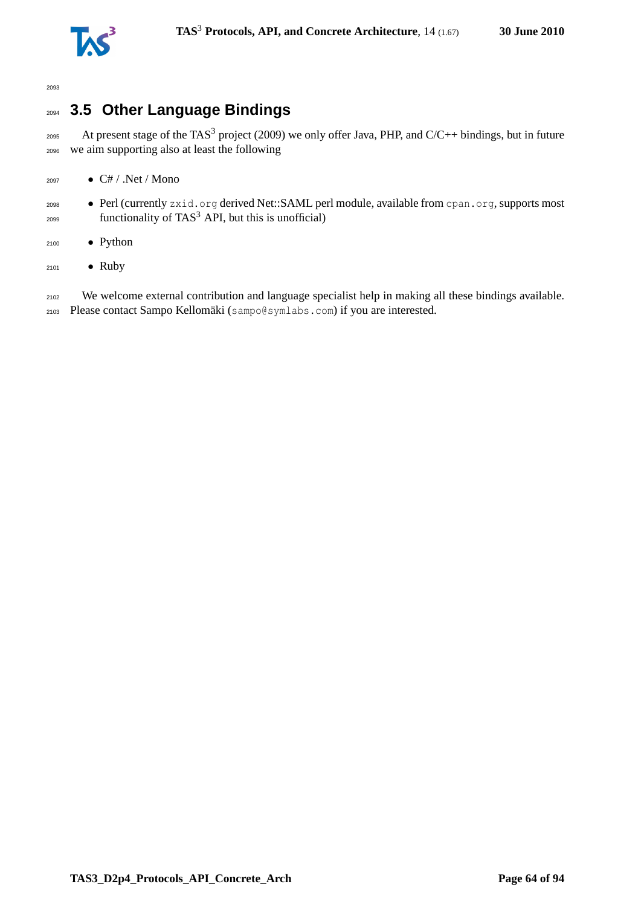

## <sup>2094</sup> **3.5 Other Language Bindings**

2095 At present stage of the TAS<sup>3</sup> project (2009) we only offer Java, PHP, and C/C++ bindings, but in future <sup>2096</sup> we aim supporting also at least the following

- $_{2097}$  C# / .Net / Mono
- <sup>2098</sup> Perl (currently zxid.org derived Net::SAML perl module, available from cpan.org, supports most  $_{2099}$  functionality of TAS<sup>3</sup> API, but this is unofficial)
- <sup>2100</sup> Python
- <sup>2101</sup> Ruby

<sup>2102</sup> We welcome external contribution and language specialist help in making all these bindings available. <sup>2103</sup> Please contact Sampo Kellomäki (sampo@symlabs.com) if you are interested.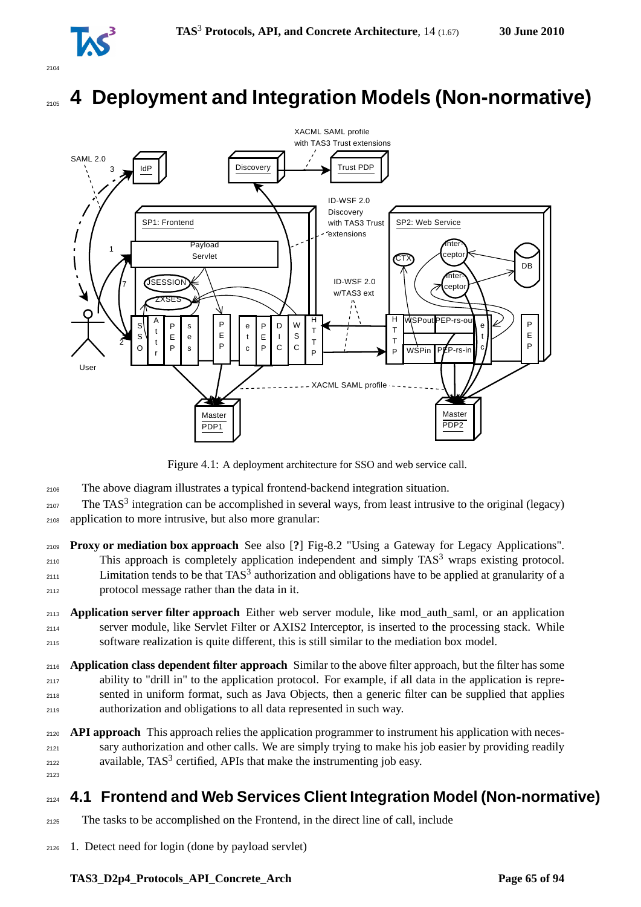

# **4 Deployment and Integration Models (Non-normative)**



Figure 4.1: A deployment architecture for SSO and web service call.

- <sup>2106</sup> The above diagram illustrates a typical frontend-backend integration situation.
- $_{2107}$  The TAS<sup>3</sup> integration can be accomplished in several ways, from least intrusive to the original (legacy) <sup>2108</sup> application to more intrusive, but also more granular:
- <sup>2109</sup> **Proxy or mediation box approach** See also [**?**] Fig-8.2 "Using a Gateway for Legacy Applications".  $_{2110}$  This approach is completely application independent and simply TAS<sup>3</sup> wraps existing protocol.  $2111$  Limitation tends to be that TAS<sup>3</sup> authorization and obligations have to be applied at granularity of a <sup>2112</sup> protocol message rather than the data in it.
- <sup>2113</sup> **Application server filter approach** Either web server module, like mod\_auth\_saml, or an application <sup>2114</sup> server module, like Servlet Filter or AXIS2 Interceptor, is inserted to the processing stack. While <sup>2115</sup> software realization is quite different, this is still similar to the mediation box model.
- <sup>2116</sup> **Application class dependent filter approach** Similar to the above filter approach, but the filter has some <sup>2117</sup> ability to "drill in" to the application protocol. For example, if all data in the application is repre-<sup>2118</sup> sented in uniform format, such as Java Objects, then a generic filter can be supplied that applies <sup>2119</sup> authorization and obligations to all data represented in such way.
- <sup>2120</sup> **API approach** This approach relies the application programmer to instrument his application with neces-<sup>2121</sup> sary authorization and other calls. We are simply trying to make his job easier by providing readily available,  $TAS<sup>3</sup>$  certified, APIs that make the instrumenting job easy. 2123

## <sup>2124</sup> **4.1 Frontend and Web Services Client Integration Model (Non-normative)**

- <sup>2125</sup> The tasks to be accomplished on the Frontend, in the direct line of call, include
- <sup>2126</sup> 1. Detect need for login (done by payload servlet)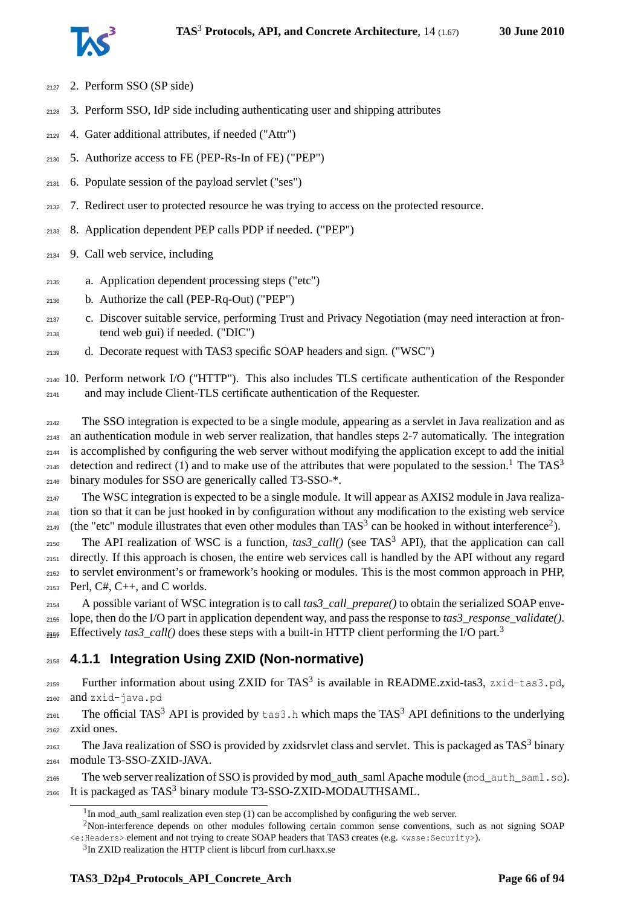

- 2. Perform SSO (SP side)
- 3. Perform SSO, IdP side including authenticating user and shipping attributes
- 4. Gater additional attributes, if needed ("Attr")
- 5. Authorize access to FE (PEP-Rs-In of FE) ("PEP")
- 6. Populate session of the payload servlet ("ses")
- 7. Redirect user to protected resource he was trying to access on the protected resource.
- 8. Application dependent PEP calls PDP if needed. ("PEP")
- 9. Call web service, including
- a. Application dependent processing steps ("etc")
- b. Authorize the call (PEP-Rq-Out) ("PEP")
- c. Discover suitable service, performing Trust and Privacy Negotiation (may need interaction at fron-tend web gui) if needed. ("DIC")
- d. Decorate request with TAS3 specific SOAP headers and sign. ("WSC")

 10. Perform network I/O ("HTTP"). This also includes TLS certificate authentication of the Responder and may include Client-TLS certificate authentication of the Requester.

 The SSO integration is expected to be a single module, appearing as a servlet in Java realization and as an authentication module in web server realization, that handles steps 2-7 automatically. The integration is accomplished by configuring the web server without modifying the application except to add the initial detection and redirect ([1](#page-65-0)) and to make use of the attributes that were populated to the session.<sup>1</sup> The TAS<sup>3</sup> binary modules for SSO are generically called T3-SSO-\*.

 The WSC integration is expected to be a single module. It will appear as AXIS2 module in Java realiza- tion so that it can be just hooked in by configuration without any modification to the existing web service 149 (the "etc" module illustrates that even other modules than TAS<sup>3</sup> can be hooked in without interference<sup>2</sup>).

 $_{2150}$  The API realization of WSC is a function,  $\text{tas3\_call}()$  (see TAS<sup>3</sup> API), that the application can call directly. If this approach is chosen, the entire web services call is handled by the API without any regard to servlet environment's or framework's hooking or modules. This is the most common approach in PHP,  $_{2153}$  Perl, C#, C++, and C worlds.

 A possible variant of WSC integration is to call *tas3\_call\_prepare()* to obtain the serialized SOAP enve- lope, then do the I/O part in application dependent way, and pass the response to *tas3\_response\_validate()*. Effectively *tas[3](#page-65-2)\_call()* does these steps with a built-in HTTP client performing the I/O part.<sup>3</sup> 

## **4.1.1 Integration Using ZXID (Non-normative)**

2159 Further information about using ZXID for TAS<sup>3</sup> is available in README.zxid-tas3, zxid-tas3.pd, and zxid-java.pd

2161 The official TAS<sup>3</sup> API is provided by tas3.h which maps the TAS<sup>3</sup> API definitions to the underlying zxid ones.

2163 The Java realization of SSO is provided by zxidsrvlet class and servlet. This is packaged as TAS<sup>3</sup> binary module T3-SSO-ZXID-JAVA.

 The web server realization of SSO is provided by mod\_auth\_saml Apache module (mod\_auth\_saml.so).  $_{2166}$  It is packaged as TAS<sup>3</sup> binary module T3-SSO-ZXID-MODAUTHSAML.

<span id="page-65-1"></span><span id="page-65-0"></span>In mod\_auth\_saml realization even step (1) can be accomplished by configuring the web server.

Non-interference depends on other modules following certain common sense conventions, such as not signing SOAP <e:Headers> element and not trying to create SOAP headers that TAS3 creates (e.g. <wsse:Security>).

<span id="page-65-2"></span><sup>&</sup>lt;sup>3</sup>In ZXID realization the HTTP client is libcurl from curl.haxx.se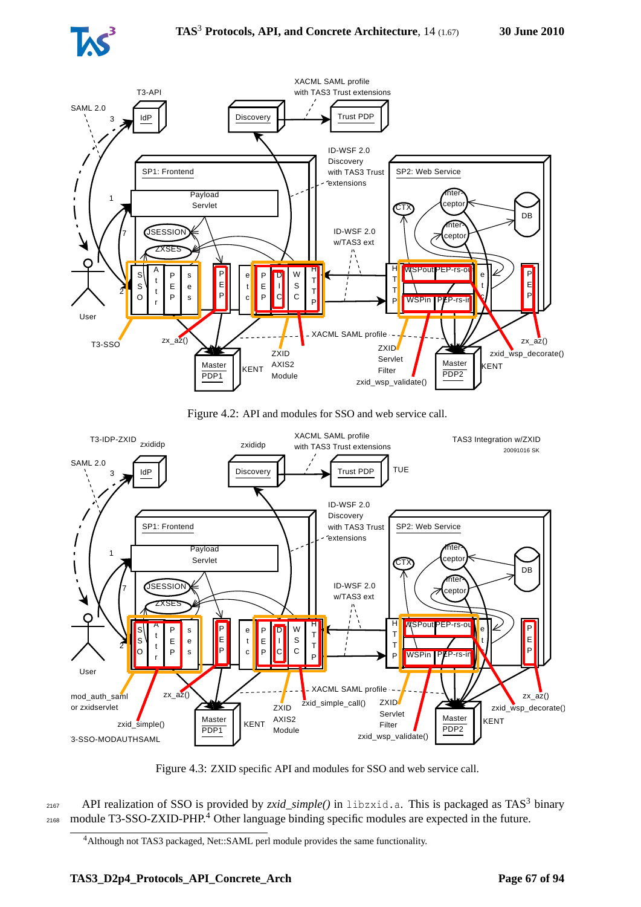



Figure 4.2: API and modules for SSO and web service call.



Figure 4.3: ZXID specific API and modules for SSO and web service call.

 $_{2167}$  API realization of SSO is provided by *zxid\_simple()* in libzxid.a. This is packaged as TAS<sup>3</sup> binary  $_{2168}$  module T3-SSO-ZXID-PHP.<sup>[4](#page-66-0)</sup> Other language binding specific modules are expected in the future.

<span id="page-66-0"></span><sup>4</sup>Although not TAS3 packaged, Net::SAML perl module provides the same functionality.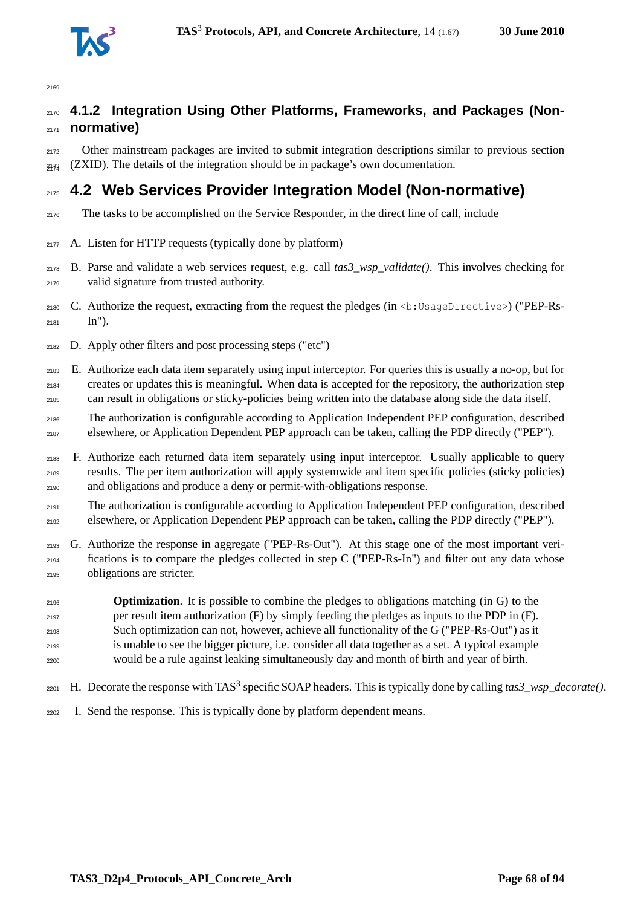

## **4.1.2 Integration Using Other Platforms, Frameworks, and Packages (Non-normative)**

 Other mainstream packages are invited to submit integration descriptions similar to previous section  $_{2173}$  (ZXID). The details of the integration should be in package's own documentation.

## **4.2 Web Services Provider Integration Model (Non-normative)**

- The tasks to be accomplished on the Service Responder, in the direct line of call, include
- $_{2177}$  A. Listen for HTTP requests (typically done by platform)
- B. Parse and validate a web services request, e.g. call *tas3\_wsp\_validate()*. This involves checking for valid signature from trusted authority.
- C. Authorize the request, extracting from the request the pledges (in <b:UsageDirective>) ("PEP-Rs-In").
- D. Apply other filters and post processing steps ("etc")
- E. Authorize each data item separately using input interceptor. For queries this is usually a no-op, but for creates or updates this is meaningful. When data is accepted for the repository, the authorization step can result in obligations or sticky-policies being written into the database along side the data itself.
- The authorization is configurable according to Application Independent PEP configuration, described elsewhere, or Application Dependent PEP approach can be taken, calling the PDP directly ("PEP").
- F. Authorize each returned data item separately using input interceptor. Usually applicable to query results. The per item authorization will apply systemwide and item specific policies (sticky policies) and obligations and produce a deny or permit-with-obligations response.
- The authorization is configurable according to Application Independent PEP configuration, described elsewhere, or Application Dependent PEP approach can be taken, calling the PDP directly ("PEP").
- G. Authorize the response in aggregate ("PEP-Rs-Out"). At this stage one of the most important veri- fications is to compare the pledges collected in step C ("PEP-Rs-In") and filter out any data whose obligations are stricter.
- **Optimization**. It is possible to combine the pledges to obligations matching (in G) to the per result item authorization (F) by simply feeding the pledges as inputs to the PDP in (F). Such optimization can not, however, achieve all functionality of the G ("PEP-Rs-Out") as it is unable to see the bigger picture, i.e. consider all data together as a set. A typical example would be a rule against leaking simultaneously day and month of birth and year of birth.
- 2201 H. Decorate the response with TAS<sup>3</sup> specific SOAP headers. This is typically done by calling  $\textit{tas3\_wsp\_decoder}($ ).
- I. Send the response. This is typically done by platform dependent means.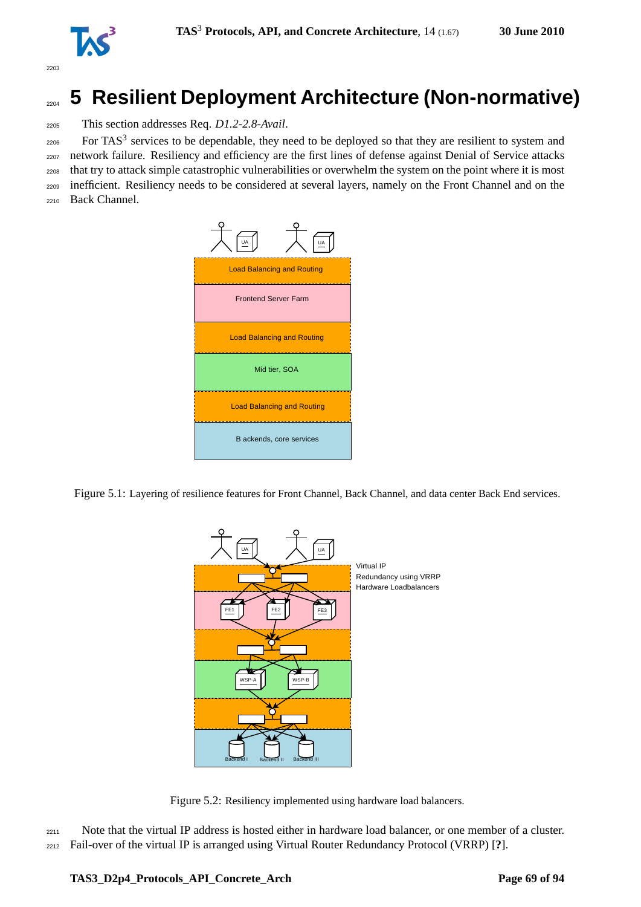

# <sup>2204</sup> **5 Resilient Deployment Architecture (Non-normative)**

<sup>2205</sup> This section addresses Req. *D1.2-2.8-Avail*.

 $_{2206}$  For TAS<sup>3</sup> services to be dependable, they need to be deployed so that they are resilient to system and network failure. Resiliency and efficiency are the first lines of defense against Denial of Service attacks that try to attack simple catastrophic vulnerabilities or overwhelm the system on the point where it is most inefficient. Resiliency needs to be considered at several layers, namely on the Front Channel and on the Back Channel.



Figure 5.1: Layering of resilience features for Front Channel, Back Channel, and data center Back End services.



Figure 5.2: Resiliency implemented using hardware load balancers.

<sup>2211</sup> Note that the virtual IP address is hosted either in hardware load balancer, or one member of a cluster. <sup>2212</sup> Fail-over of the virtual IP is arranged using Virtual Router Redundancy Protocol (VRRP) [**?**].

#### **TAS3\_D2p4\_Protocols\_API\_Concrete\_Arch Page 69 of [94](#page-93-0)**

2203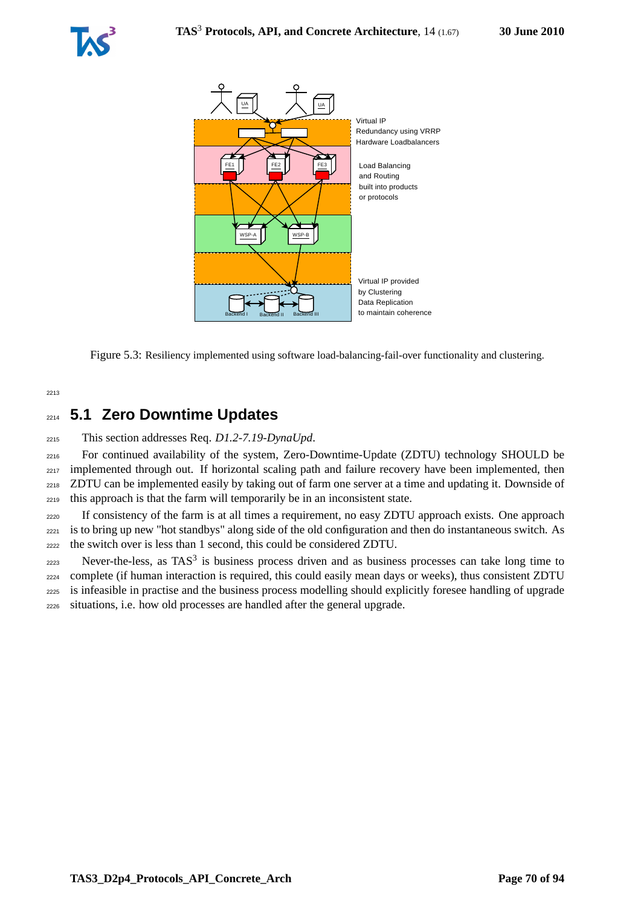



Figure 5.3: Resiliency implemented using software load-balancing-fail-over functionality and clustering.

2213

## <sup>2214</sup> **5.1 Zero Downtime Updates**

<sup>2215</sup> This section addresses Req. *D1.2-7.19-DynaUpd*.

 For continued availability of the system, Zero-Downtime-Update (ZDTU) technology SHOULD be <sub>2217</sub> implemented through out. If horizontal scaling path and failure recovery have been implemented, then ZDTU can be implemented easily by taking out of farm one server at a time and updating it. Downside of this approach is that the farm will temporarily be in an inconsistent state.

<sup>2220</sup> If consistency of the farm is at all times a requirement, no easy ZDTU approach exists. One approach <sup>2221</sup> is to bring up new "hot standbys" along side of the old configuration and then do instantaneous switch. As <sup>2222</sup> the switch over is less than 1 second, this could be considered ZDTU.

 Never-the-less, as TAS<sup>3</sup> is business process driven and as business processes can take long time to complete (if human interaction is required, this could easily mean days or weeks), thus consistent ZDTU is infeasible in practise and the business process modelling should explicitly foresee handling of upgrade situations, i.e. how old processes are handled after the general upgrade.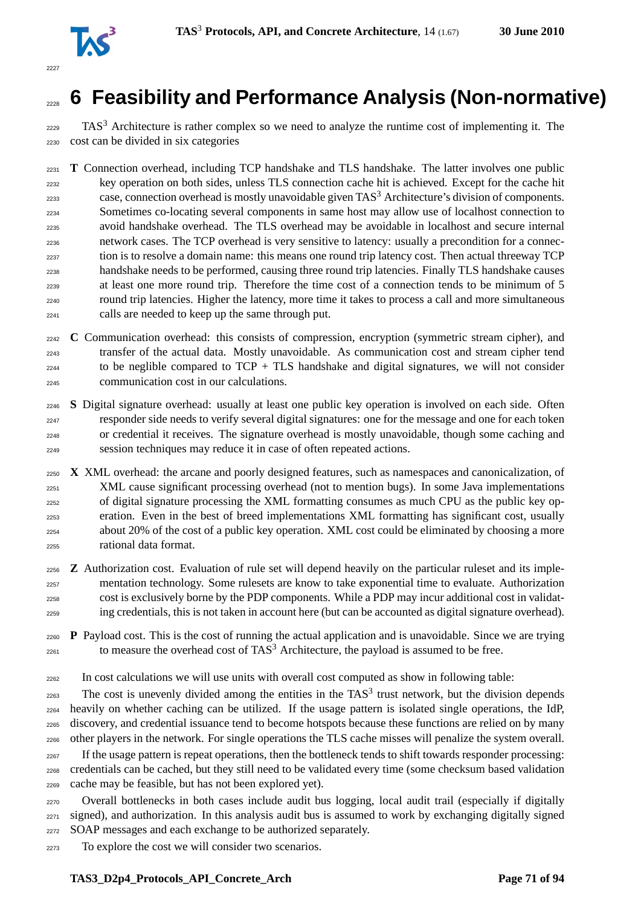

# **6 Feasibility and Performance Analysis (Non-normative)**

 TAS<sup>3</sup> Architecture is rather complex so we need to analyze the runtime cost of implementing it. The cost can be divided in six categories

 **T** Connection overhead, including TCP handshake and TLS handshake. The latter involves one public key operation on both sides, unless TLS connection cache hit is achieved. Except for the cache hit case, connection overhead is mostly unavoidable given TAS<sup>3</sup> Architecture's division of components. Sometimes co-locating several components in same host may allow use of localhost connection to avoid handshake overhead. The TLS overhead may be avoidable in localhost and secure internal network cases. The TCP overhead is very sensitive to latency: usually a precondition for a connec- tion is to resolve a domain name: this means one round trip latency cost. Then actual threeway TCP handshake needs to be performed, causing three round trip latencies. Finally TLS handshake causes at least one more round trip. Therefore the time cost of a connection tends to be minimum of 5 round trip latencies. Higher the latency, more time it takes to process a call and more simultaneous calls are needed to keep up the same through put.

 **C** Communication overhead: this consists of compression, encryption (symmetric stream cipher), and transfer of the actual data. Mostly unavoidable. As communication cost and stream cipher tend to be neglible compared to  $TCP + TLS$  handshake and digital signatures, we will not consider communication cost in our calculations.

 **S** Digital signature overhead: usually at least one public key operation is involved on each side. Often responder side needs to verify several digital signatures: one for the message and one for each token or credential it receives. The signature overhead is mostly unavoidable, though some caching and session techniques may reduce it in case of often repeated actions.

 **X** XML overhead: the arcane and poorly designed features, such as namespaces and canonicalization, of XML cause significant processing overhead (not to mention bugs). In some Java implementations of digital signature processing the XML formatting consumes as much CPU as the public key op- eration. Even in the best of breed implementations XML formatting has significant cost, usually about 20% of the cost of a public key operation. XML cost could be eliminated by choosing a more rational data format.

 **Z** Authorization cost. Evaluation of rule set will depend heavily on the particular ruleset and its imple- mentation technology. Some rulesets are know to take exponential time to evaluate. Authorization cost is exclusively borne by the PDP components. While a PDP may incur additional cost in validat-ing credentials, this is not taken in account here (but can be accounted as digital signature overhead).

 **P** Payload cost. This is the cost of running the actual application and is unavoidable. Since we are trying  $_{2261}$  to measure the overhead cost of TAS<sup>3</sup> Architecture, the payload is assumed to be free.

In cost calculations we will use units with overall cost computed as show in following table:

 The cost is unevenly divided among the entities in the TAS<sup>3</sup> trust network, but the division depends heavily on whether caching can be utilized. If the usage pattern is isolated single operations, the IdP, discovery, and credential issuance tend to become hotspots because these functions are relied on by many other players in the network. For single operations the TLS cache misses will penalize the system overall. <sub>2267</sub> If the usage pattern is repeat operations, then the bottleneck tends to shift towards responder processing: credentials can be cached, but they still need to be validated every time (some checksum based validation cache may be feasible, but has not been explored yet).

 Overall bottlenecks in both cases include audit bus logging, local audit trail (especially if digitally signed), and authorization. In this analysis audit bus is assumed to work by exchanging digitally signed SOAP messages and each exchange to be authorized separately.

To explore the cost we will consider two scenarios.

#### **TAS3** D2p4 Protocols API Concrete Arch Page 71 of [94](#page-93-0)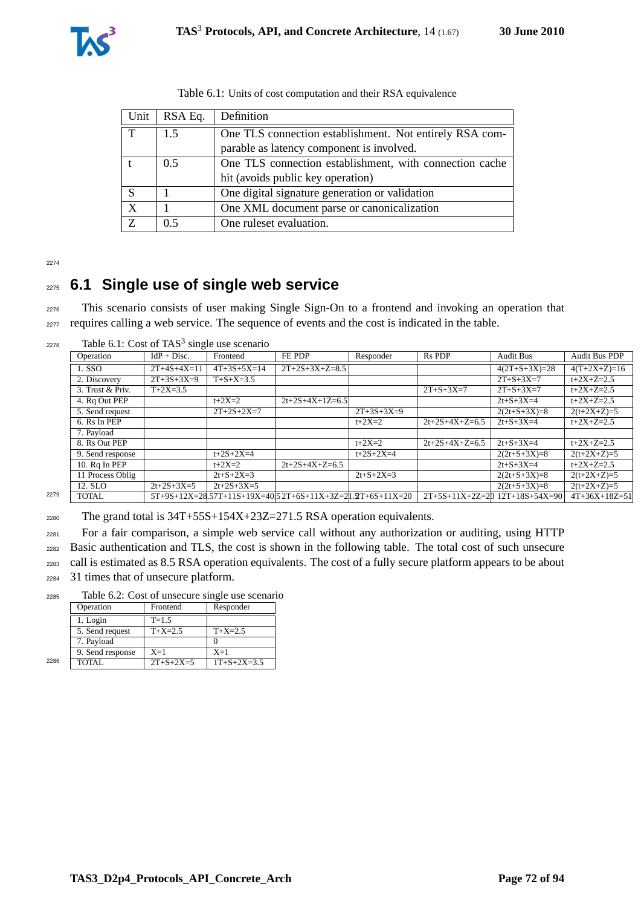| Unit        | RSA Eq.       | Definition                                              |  |
|-------------|---------------|---------------------------------------------------------|--|
| $\mathbf T$ | 1.5           | One TLS connection establishment. Not entirely RSA com- |  |
|             |               | parable as latency component is involved.               |  |
|             | $0.5^{\circ}$ | One TLS connection establishment, with connection cache |  |
|             |               | hit (avoids public key operation)                       |  |
| S           |               | One digital signature generation or validation          |  |
| X           |               | One XML document parse or canonicalization              |  |
| Z           | 0.5           | One ruleset evaluation.                                 |  |

Table 6.1: Units of cost computation and their RSA equivalence

2274

## <sup>2275</sup> **6.1 Single use of single web service**

<sup>2276</sup> This scenario consists of user making Single Sign-On to a frontend and invoking an operation that <sup>2277</sup> requires calling a web service. The sequence of events and the cost is indicated in the table.

 $2278$  Table 6.1: Cost of TAS<sup>3</sup> single use scenario

| -- - - |                  | racio 6.11. Cost of 1115 single ase securities |                   |                                                             |              |                   |                                  |                 |
|--------|------------------|------------------------------------------------|-------------------|-------------------------------------------------------------|--------------|-------------------|----------------------------------|-----------------|
|        | Operation        | $IdP + Disc.$                                  | Frontend          | FE PDP                                                      | Responder    | Rs PDP            | <b>Audit Bus</b>                 | Audit Bus PDP   |
|        | 1. SSO           | $2T+4S+4X=11$                                  | $4T+3S+5X=14$     | $2T+2S+3X+Z=8.5$                                            |              |                   | $4(2T+S+3X)=28$                  | $4(T+2X+Z)=16$  |
|        | 2. Discovery     | $2T+3S+3X=9$                                   | $T + S + X = 3.5$ |                                                             |              |                   | $2T + S + 3X = 7$                | $t+2X+Z=2.5$    |
|        | 3. Trust & Priv. | $T+2X=3.5$                                     |                   |                                                             |              | $2T + S + 3X = 7$ | $2T + S + 3X = 7$                | $t+2X+Z=2.5$    |
|        | 4. Rq Out PEP    |                                                | $t + 2X = 2$      | $2t+2S+4X+1Z=6.5$                                           |              |                   | $2t + S + 3X = 4$                | $t+2X+Z=2.5$    |
|        | 5. Send request  |                                                | $2T+2S+2X=7$      |                                                             | $2T+3S+3X=9$ |                   | $2(2t+S+3X)=8$                   | $2(t+2X+Z)=5$   |
|        | 6. Rs In PEP     |                                                |                   |                                                             | $t + 2X = 2$ | $2t+2S+4X+Z=6.5$  | $2t+S+3X=4$                      | $t+2X+Z=2.5$    |
|        | 7. Payload       |                                                |                   |                                                             |              |                   |                                  |                 |
|        | 8. Rs Out PEP    |                                                |                   |                                                             | $t + 2X = 2$ | $2t+2S+4X+Z=6.5$  | $2t + S + 3X = 4$                | $t+2X+Z=2.5$    |
|        | 9. Send response |                                                | $t+2S+2X=4$       |                                                             | $t+2S+2X=4$  |                   | $2(2t+S+3X)=8$                   | $2(t+2X+Z)=5$   |
|        | 10. $Rq$ In PEP  |                                                | $t + 2X = 2$      | $2t+2S+4X+Z=6.5$                                            |              |                   | $2t + S + 3X = 4$                | $t+2X+Z=2.5$    |
|        | 11 Process Oblig |                                                | $2t + S + 2X = 3$ |                                                             | $2t+S+2X=3$  |                   | $2(2t+S+3X)=8$                   | $2(t+2X+Z)=5$   |
|        | 12. SLO          | $2t+2S+3X=5$                                   | $2t+2S+3X=5$      |                                                             |              |                   | $2(2t+S+3X)=8$                   | $2(t+2X+Z)=5$   |
| 2279   | <b>TOTAL</b>     |                                                |                   | $5T+9S+12X=28.57T+11S+19X=40.52T+6S+11X+3Z=21.2T+6S+11X=20$ |              |                   | $2T+5S+11X+2Z=20$ 12T+18S+54X=90 | $4T+36X+18Z=51$ |

<sup>2280</sup> The grand total is 34T+55S+154X+23Z=271.5 RSA operation equivalents.

<sup>2281</sup> For a fair comparison, a simple web service call without any authorization or auditing, using HTTP

<sup>2282</sup> Basic authentication and TLS, the cost is shown in the following table. The total cost of such unsecure

<sup>2283</sup> call is estimated as 8.5 RSA operation equivalents. The cost of a fully secure platform appears to be about

<sup>2284</sup> 31 times that of unsecure platform.

<sup>2285</sup> Table 6.2: Cost of unsecure single use scenario

|      | Operation        | Frontend          | Responder           |
|------|------------------|-------------------|---------------------|
|      | 1. Login         | $T = 1.5$         |                     |
|      | 5. Send request  | $T+X=2.5$         | $T+X=2.5$           |
|      | 7. Payload       |                   |                     |
|      | 9. Send response | $X=1$             | $X=1$               |
| 2286 | <b>TOTAL</b>     | $2T + S + 2X = 5$ | $1T + S + 2X = 3.5$ |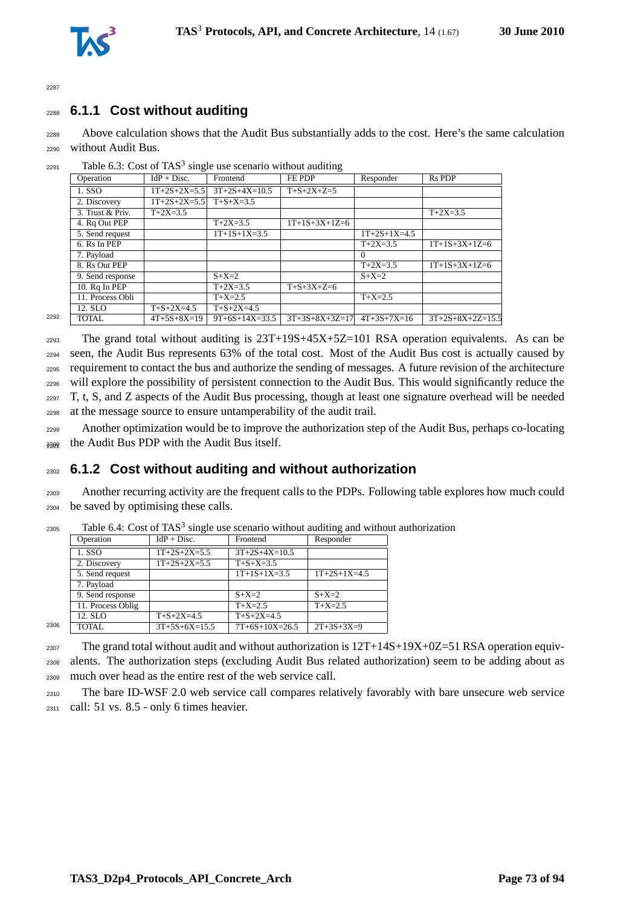



## <sup>2288</sup> **6.1.1 Cost without auditing**

<sup>2289</sup> Above calculation shows that the Audit Bus substantially adds to the cost. Here's the same calculation <sup>2290</sup> without Audit Bus.

| Operation        | $IdP + Disc.$      | Frontend           |                      |                |                    |
|------------------|--------------------|--------------------|----------------------|----------------|--------------------|
|                  |                    |                    | FE PDP               | Responder      | <b>Rs PDP</b>      |
| 1. SSO           | $1T+2S+2X=5.5$     | $3T+2S+4X=10.5$    | $T + S + 2X + Z = 5$ |                |                    |
| 2. Discovery     | $1T+2S+2X=5.5$     | $T + S + X = 3.5$  |                      |                |                    |
| 3. Trust & Priv. | $T+2X=3.5$         |                    |                      |                | $T+2X=3.5$         |
| 4. Rq Out PEP    |                    | $T+2X=3.5$         | $1T+1S+3X+1Z=6$      |                |                    |
| 5. Send request  |                    | $1T+1S+1X=3.5$     |                      | $1T+2S+1X=4.5$ |                    |
| 6. Rs In PEP     |                    |                    |                      | $T+2X=3.5$     | $1T+1S+3X+1Z=6$    |
| 7. Payload       |                    |                    |                      | $\Omega$       |                    |
| 8. Rs Out PEP    |                    |                    |                      | $T+2X=3.5$     | $1T+1S+3X+1Z=6$    |
| 9. Send response |                    | $S+X=2$            |                      | $S+X=2$        |                    |
| $10.$ Rq In PEP  |                    | $T+2X=3.5$         | $T+S+3X+Z=6$         |                |                    |
| 11. Process Obli |                    | $T+X=2.5$          |                      | $T+X=2.5$      |                    |
| 12. SLO          | $T + S + 2X = 4.5$ | $T + S + 2X = 4.5$ |                      |                |                    |
| TOTAL.           | $4T+5S+8X=19$      | $9T+6S+14X=33.5$   | $3T+3S+8X+3Z=17$     | $4T+3S+7X=16$  | $3T+2S+8X+2Z=15.5$ |
|                  |                    |                    |                      |                |                    |

 $_{2291}$  Table 6.3: Cost of TAS<sup>3</sup> single use scenario without auditing

 The grand total without auditing is  $23T+19S+45X+5Z=101$  RSA operation equivalents. As can be seen, the Audit Bus represents 63% of the total cost. Most of the Audit Bus cost is actually caused by requirement to contact the bus and authorize the sending of messages. A future revision of the architecture will explore the possibility of persistent connection to the Audit Bus. This would significantly reduce the T, t, S, and Z aspects of the Audit Bus processing, though at least one signature overhead will be needed at the message source to ensure untamperability of the audit trail.

2299 Another optimization would be to improve the authorization step of the Audit Bus, perhaps co-locating <sup>2300</sup> the Audit Bus PDP with the Audit Bus itself. <sup>2301</sup>

### <sup>2302</sup> **6.1.2 Cost without auditing and without authorization**

<sup>2303</sup> Another recurring activity are the frequent calls to the PDPs. Following table explores how much could <sup>2304</sup> be saved by optimising these calls.

|      | Operation         | $IdP + Disc.$      | Frontend                   | Responder      |
|------|-------------------|--------------------|----------------------------|----------------|
|      | 1. SSO            | $1T+2S+2X=5.5$     | $\overline{3T+2S+4X}=10.5$ |                |
|      | 2. Discovery      | $1T+2S+2X=5.5$     | $T + S + X = 3.5$          |                |
|      | 5. Send request   |                    | $1T+1S+1X=3.5$             | $1T+2S+1X=4.5$ |
|      | 7. Payload        |                    |                            |                |
|      | 9. Send response  |                    | $S+X=2$                    | $S+X=2$        |
|      | 11. Process Oblig |                    | $T+X=2.5$                  | $T+X=2.5$      |
|      | 12. SLO           | $T + S + 2X = 4.5$ | $T + S + 2X = 4.5$         |                |
| 2306 | <b>TOTAL</b>      | $3T+5S+6X=15.5$    | $7T+6S+10X=26.5$           | $2T+3S+3X=9$   |
|      |                   |                    |                            |                |

 $_{2305}$  Table 6.4: Cost of TAS<sup>3</sup> single use scenario without auditing and without authorization

 $_{2307}$  The grand total without audit and without authorization is  $12T+14S+19X+0Z=51$  RSA operation equiv-<sup>2308</sup> alents. The authorization steps (excluding Audit Bus related authorization) seem to be adding about as <sup>2309</sup> much over head as the entire rest of the web service call.

<sup>2310</sup> The bare ID-WSF 2.0 web service call compares relatively favorably with bare unsecure web service

 $2311$  call: 51 vs.  $8.5$  - only 6 times heavier.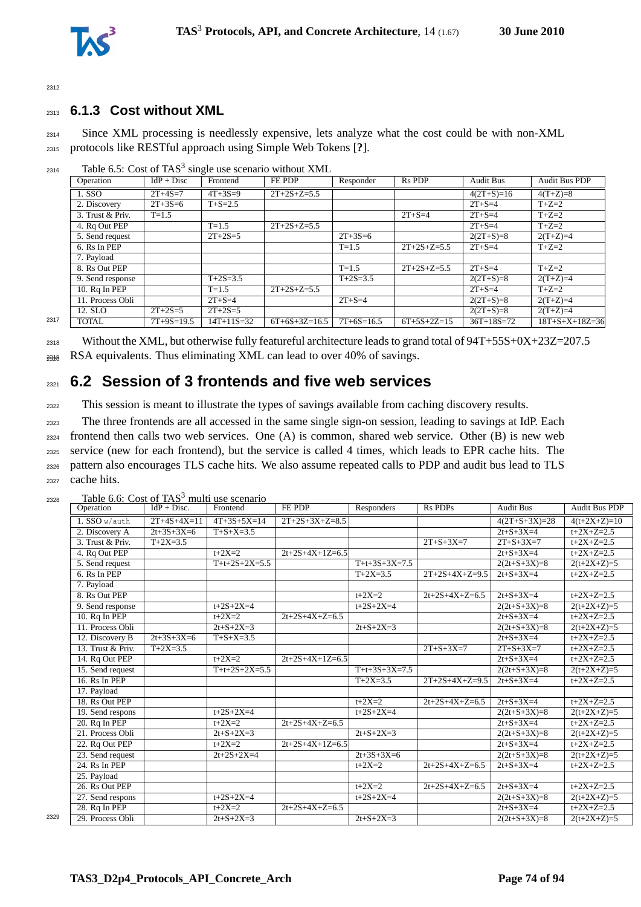

#### <sup>2313</sup> **6.1.3 Cost without XML**

<sup>2314</sup> Since XML processing is needlessly expensive, lets analyze what the cost could be with non-XML <sup>2315</sup> protocols like RESTful approach using Simple Web Tokens [**?**].

|      | Operation        | $IdP + Disc$  | Frontend      | FE PDP          | Responder     | R <sub>s</sub> P <sub>DP</sub> | <b>Audit Bus</b> | <b>Audit Bus PDP</b>     |
|------|------------------|---------------|---------------|-----------------|---------------|--------------------------------|------------------|--------------------------|
|      | 1. SSO           | $2T+4S=7$     | $4T + 3S = 9$ | $2T+2S+Z=5.5$   |               |                                | $4(2T+S)=16$     | $4(T+Z)=8$               |
|      | 2. Discovery     | $2T + 3S = 6$ | $T + S = 2.5$ |                 |               |                                | $2T + S = 4$     | $T+Z=2$                  |
|      | 3. Trust & Priv. | $T = 1.5$     |               |                 |               | $2T + S = 4$                   | $2T + S = 4$     | $T+Z=2$                  |
|      | 4. Rq Out PEP    |               | $T = 1.5$     | $2T+2S+Z=5.5$   |               |                                | $2T + S = 4$     | $T+Z=2$                  |
|      | 5. Send request  |               | $2T+2S=5$     |                 | $2T + 3S = 6$ |                                | $2(2T+S)=8$      | $2(T+Z)=4$               |
|      | 6. Rs In PEP     |               |               |                 | $T = 1.5$     | $2T+2S+Z=5.5$                  | $2T + S = 4$     | $T+Z=2$                  |
|      | 7. Payload       |               |               |                 |               |                                |                  |                          |
|      | 8. Rs Out PEP    |               |               |                 | $T = 1.5$     | $2T+2S+Z=5.5$                  | $2T + S = 4$     | $T+Z=2$                  |
|      | 9. Send response |               | $T+2S=3.5$    |                 | $T+2S=3.5$    |                                | $2(2T+S)=8$      | $2(T+Z)=4$               |
|      | 10. Rq In PEP    |               | $T = 1.5$     | $2T+2S+Z=5.5$   |               |                                | $2T + S = 4$     | $T+Z=2$                  |
|      | 11. Process Obli |               | $2T + S = 4$  |                 | $2T + S = 4$  |                                | $2(2T+S)=8$      | $2(T+Z)=4$               |
|      | 12. SLO          | $2T + 2S = 5$ | $2T+2S=5$     |                 |               |                                | $2(2T+S)=8$      | $2(T+Z)=4$               |
| 2317 | <b>TOTAL</b>     | $7T+9S=19.5$  | $14T+11S=32$  | $6T+6S+3Z=16.5$ | $7T+6S=16.5$  | $6T+5S+2Z=15$                  | $36T+18S=72$     | $18T + S + X + 18Z = 36$ |

 $_{2316}$  Table 6.5: Cost of TAS<sup>3</sup> single use scenario without XML

<sup>2318</sup> Without the XML, but otherwise fully featureful architecture leads to grand total of 94T+55S+0X+23Z=207.5  $_{2338}$  RSA equivalents. Thus eliminating XML can lead to over 40% of savings.

## <sup>2321</sup> **6.2 Session of 3 frontends and five web services**

<sup>2322</sup> This session is meant to illustrate the types of savings available from caching discovery results.

 The three frontends are all accessed in the same single sign-on session, leading to savings at IdP. Each frontend then calls two web services. One (A) is common, shared web service. Other (B) is new web service (new for each frontend), but the service is called 4 times, which leads to EPR cache hits. The pattern also encourages TLS cache hits. We also assume repeated calls to PDP and audit bus lead to TLS cache hits.

| Operation        | $IdP + Disc.$                                                                                                                                        | Frontend          | FE PDP                                                       | Responders        | <b>Rs PDPs</b>    | <b>Audit Bus</b>  | <b>Audit Bus PDP</b> |
|------------------|------------------------------------------------------------------------------------------------------------------------------------------------------|-------------------|--------------------------------------------------------------|-------------------|-------------------|-------------------|----------------------|
| 1. SSO w/auth    | $2T+4S+4X=11$                                                                                                                                        | $4T+3S+5X=14$     | $2T+2S+3X+Z=8.5$                                             |                   |                   | $4(2T+S+3X)=28$   | $4(t+2X+Z)=10$       |
| 2. Discovery A   | $2t+3S+3X=6$                                                                                                                                         | $T + S + X = 3.5$ |                                                              |                   |                   | $2t + S + 3X = 4$ | $t+2X+Z=2.5$         |
| 3. Trust & Priv. | $T+2X=3.5$                                                                                                                                           |                   |                                                              |                   | $2T + S + 3X = 7$ | $2T + S + 3X = 7$ | $t+2X+Z=2.5$         |
| 4. Rq Out PEP    |                                                                                                                                                      | $t + 2X = 2$      | $2t+2S+4X+1Z=6.5$                                            |                   |                   | $2t + S + 3X = 4$ | $t+2X+Z=2.5$         |
| 5. Send request  |                                                                                                                                                      | $T+t+2S+2X=5.5$   |                                                              | $T+t+3S+3X=7.5$   |                   | $2(2t+S+3X)=8$    | $2(t+2X+Z)=5$        |
| 6. Rs In PEP     |                                                                                                                                                      |                   |                                                              | $T+2X=3.5$        | $2T+2S+4X+Z=9.5$  | $2t + S + 3X = 4$ | $t+2X+Z=2.5$         |
| 7. Payload       |                                                                                                                                                      |                   |                                                              |                   |                   |                   |                      |
| 8. Rs Out PEP    |                                                                                                                                                      |                   |                                                              | $t + 2X = 2$      | $2t+2S+4X+Z=6.5$  | $2t + S + 3X = 4$ | $t+2X+Z=2.5$         |
| 9. Send response |                                                                                                                                                      | $t+2S+2X=4$       |                                                              | $t+2S+2X=4$       |                   | $2(2t+S+3X)=8$    | $2(t+2X+Z)=5$        |
|                  |                                                                                                                                                      | $t+2X=2$          | $2t+2S+4X+Z=6.5$                                             |                   |                   | $2t + S + 3X = 4$ | $t+2X+Z=2.5$         |
| 11. Process Obli |                                                                                                                                                      | $2t + S + 2X = 3$ |                                                              | $2t + S + 2X = 3$ |                   | $2(2t+S+3X)=8$    | $2(t+2X+Z)=5$        |
|                  | $2t+3S+3X=6$                                                                                                                                         | $T + S + X = 3.5$ |                                                              |                   |                   | $2t + S + 3X = 4$ | $t+2X+Z=2.5$         |
|                  | $T+2X=3.5$                                                                                                                                           |                   |                                                              |                   | $2T + S + 3X = 7$ | $2T + S + 3X = 7$ | $t+2X+Z=2.5$         |
| 14. Rq Out PEP   |                                                                                                                                                      | $t + 2X = 2$      | $2t+2S+4X+1Z=6.5$                                            |                   |                   | $2t + S + 3X = 4$ | $t+2X+Z=2.5$         |
| 15. Send request |                                                                                                                                                      | $T+t+2S+2X=5.5$   |                                                              | $T+t+3S+3X=7.5$   |                   | $2(2t+S+3X)=8$    | $2(t+2X+Z)=5$        |
|                  |                                                                                                                                                      |                   |                                                              | $T+2X=3.5$        | $2T+2S+4X+Z=9.5$  | $2t + S + 3X = 4$ | $t+2X+Z=2.5$         |
| 17. Payload      |                                                                                                                                                      |                   |                                                              |                   |                   |                   |                      |
| 18. Rs Out PEP   |                                                                                                                                                      |                   |                                                              | $t + 2X = 2$      | $2t+2S+4X+Z=6.5$  | $2t + S + 3X = 4$ | $t+2X+Z=2.5$         |
| 19. Send respons |                                                                                                                                                      |                   |                                                              | $t+2S+2X=4$       |                   | $2(2t+S+3X)=8$    | $2(t+2X+Z)=5$        |
| 20. Rq In PEP    |                                                                                                                                                      | $t+2X=2$          | $2t+2S+4X+Z=6.5$                                             |                   |                   | $2t + S + 3X = 4$ | $t+2X+Z=2.5$         |
|                  |                                                                                                                                                      | $2t + S + 2X = 3$ |                                                              | $2t + S + 2X = 3$ |                   | $2(2t+S+3X)=8$    | $2(t+2X+Z)=5$        |
| 22. Rq Out PEP   |                                                                                                                                                      | $t + 2X = 2$      | $2t+2S+4X+1Z=6.5$                                            |                   |                   | $2t + S + 3X = 4$ | $t+2X+Z=2.5$         |
|                  |                                                                                                                                                      | $2t+2S+2X=4$      |                                                              | $2t+3S+3X=6$      |                   | $2(2t+S+3X)=8$    | $2(t+2X+Z)=5$        |
| 24. Rs In PEP    |                                                                                                                                                      |                   |                                                              | $t + 2X = 2$      | $2t+2S+4X+Z=6.5$  | $2t + S + 3X = 4$ | $t+2X+Z=2.5$         |
| 25. Payload      |                                                                                                                                                      |                   |                                                              |                   |                   |                   |                      |
|                  |                                                                                                                                                      |                   |                                                              |                   |                   |                   | $t+2X+Z=2.5$         |
| 27. Send respons |                                                                                                                                                      | $t+2S+2X=4$       |                                                              | $t+2S+2X=4$       |                   | $2(2t+S+3X)=8$    | $2(t+2X+Z)=5$        |
| 28. Rq In PEP    |                                                                                                                                                      | $t + 2X = 2$      | $2t+2S+4X+Z=6.5$                                             |                   |                   | $2t + S + 3X = 4$ | $t+2X+Z=2.5$         |
|                  |                                                                                                                                                      | $2t + S + 2X = 3$ |                                                              | $2t + S + 2X = 3$ |                   | $2(2t+S+3X)=8$    | $2(t+2X+Z)=5$        |
|                  | 10. Rq In PEP<br>12. Discovery B<br>13. Trust & Priv.<br>16. Rs In PEP<br>21. Process Obli<br>23. Send request<br>26. Rs Out PEP<br>29. Process Obli |                   | raore 0.0. Cost of 11 to Thanh ase securities<br>$t+2S+2X=4$ |                   | $t+2X=2$          | $2t+2S+4X+Z=6.5$  | $2t + S + 3X = 4$    |

 $2328$  Table 6.6: Cost of TAS<sup>3</sup> multi use scenario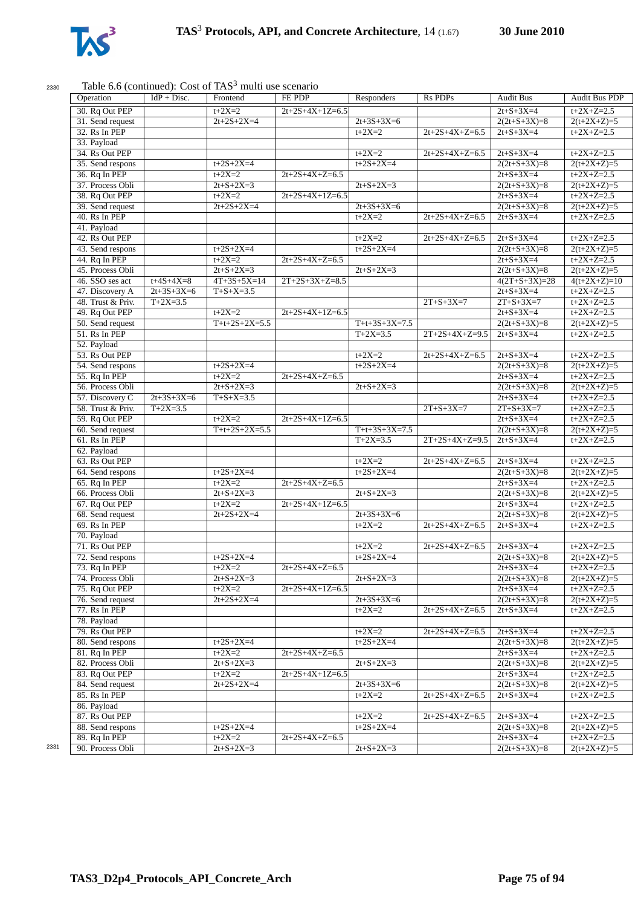

#### $2330$  Table 6.6 (continued): Cost of TAS<sup>3</sup> multi

| Operation                         | $IdP + Disc.$     | Frontend                | FE PDP            | Responders        | <b>Rs PDPs</b>    | <b>Audit Bus</b>                    | <b>Audit Bus PDP</b>          |
|-----------------------------------|-------------------|-------------------------|-------------------|-------------------|-------------------|-------------------------------------|-------------------------------|
| 30. Rq Out PEP                    |                   | $t + 2X = 2$            | $2t+2S+4X+1Z=6.5$ |                   |                   | $2t + S + 3X = 4$                   | $t+2X+Z=2.5$                  |
| 31. Send request                  |                   | $2t+2S+2X=4$            |                   | $2t+3S+3X=6$      |                   | $2(2t+S+3X)=8$                      | $2(t+2X+Z)=5$                 |
| 32. Rs In PEP                     |                   |                         |                   | $t + 2X = 2$      | $2t+2S+4X+Z=6.5$  | $2t + S + 3X = 4$                   | $t+2X+Z=2.5$                  |
| 33. Payload                       |                   |                         |                   |                   |                   |                                     |                               |
| 34. Rs Out PEP                    |                   |                         |                   | $t + 2X = 2$      | $2t+2S+4X+Z=6.5$  | $2t + S + 3X = 4$                   | $t+2X+Z=2.5$                  |
| 35. Send respons                  |                   | $t+2S+2X=4$             |                   | $t+2S+2X=4$       |                   | $2(2t+S+3X)=8$                      | $2(t+2X+Z)=5$                 |
| 36. Rq In PEP                     |                   | $t+2X=2$                | $2t+2S+4X+Z=6.5$  |                   |                   | $2t + S + 3X = 4$                   | $t+2X+Z=2.5$                  |
| 37. Process Obli                  |                   | $2t + S + 2X = 3$       |                   | $2t + S + 2X = 3$ |                   | $2(2t+S+3X)=8$                      | $2(t+2X+Z)=5$                 |
| 38. Rq Out PEP                    |                   | $t+2X=2$                | $2t+2S+4X+1Z=6.5$ |                   |                   | $2t + S + 3X = 4$                   | $t+2X+Z=2.5$                  |
| 39. Send request                  |                   | $2t+2S+2X=4$            |                   | $2t+3S+3X=6$      |                   | $2(2t+S+3X)=8$                      | $2(t+2X+Z)=5$                 |
| 40. Rs In PEP                     |                   |                         |                   | $t + 2X = 2$      | $2t+2S+4X+Z=6.5$  | $2t + S + 3X = 4$                   | $t+2X+Z=2.5$                  |
| 41. Payload                       |                   |                         |                   |                   |                   |                                     |                               |
| 42. Rs Out PEP                    |                   |                         |                   | $t+2X=2$          | $2t+2S+4X+Z=6.5$  | $2t + S + 3X = 4$                   | $t+2X+Z=2.5$                  |
| 43. Send respons                  |                   | $t+2S+2X=4$             |                   | $t+2S+2X=4$       |                   | $2(2t+S+3X)=8$                      | $2(t+2X+Z)=5$                 |
| 44. Rq In PEP                     |                   | $t+2X=2$                | $2t+2S+4X+Z=6.5$  |                   |                   | $2t + S + 3X = 4$                   | $t+2X+Z=2.5$                  |
| 45. Process Obli                  |                   | $2t + S + 2X = 3$       |                   | $2t + S + 2X = 3$ |                   |                                     |                               |
|                                   |                   |                         |                   |                   |                   | $2(2t+S+3X)=8$                      | $2(t+2X+Z)=5$                 |
| 46. SSO ses act                   | $t + 4S + 4X = 8$ | $4T+3S+5X=14$           | $2T+2S+3X+Z=8.5$  |                   |                   | $4(2T+S+3X)=28$                     | $4(t+2X+Z)=10$                |
| 47. Discovery A                   | $2t+3S+3X=6$      | $T + S + X = 3.5$       |                   |                   |                   | $2t + S + 3X = 4$                   | $t+2X+Z=2.5$                  |
| 48. Trust & Priv.                 | $T+2X=3.5$        |                         |                   |                   | $2T + S + 3X = 7$ | $2T + S + 3X = 7$                   | $t+2X+Z=2.5$                  |
| 49. Rq Out PEP                    |                   | $t + 2X = 2$            | $2t+2S+4X+1Z=6.5$ |                   |                   | $2t + S + 3X = 4$                   | $t+2X+Z=2.5$                  |
| 50. Send request                  |                   | $T+t+2S+2X=5.5$         |                   | $T+t+3S+3X=7.5$   |                   | $2(2t+S+3X)=8$                      | $2(t+2X+Z)=5$                 |
| 51. Rs In PEP                     |                   |                         |                   | $T+2X=3.5$        | $2T+2S+4X+Z=9.5$  | $2t+S+3X=4$                         | $t+2X+Z=2.5$                  |
| 52. Payload                       |                   |                         |                   |                   |                   |                                     |                               |
| 53. Rs Out PEP                    |                   |                         |                   | $t + 2X = 2$      | $2t+2S+4X+Z=6.5$  | $2t + S + 3X = 4$                   | $t+2X+Z=2.5$                  |
| 54. Send respons                  |                   | $t+2S+2X=4$             |                   | $t+2S+2X=4$       |                   | $2(2t+S+3X)=8$                      | $2(t+2X+Z)=5$                 |
| 55. Rq In PEP                     |                   | $t+2X=2$                | $2t+2S+4X+Z=6.5$  |                   |                   | $2t + S + 3X = 4$                   | $t+2X+Z=2.5$                  |
| 56. Process Obli                  |                   | $2t + S + 2X = 3$       |                   | $2t + S + 2X = 3$ |                   | $2(2t+S+3X)=8$                      | $2(t+2X+Z)=5$                 |
| 57. Discovery C                   | $2t+3S+3X=6$      | $T + S + X = 3.5$       |                   |                   |                   | $2t + S + 3X = 4$                   | $t+2X+Z=2.5$                  |
| 58. Trust & Priv.                 | $T+2X=3.5$        |                         |                   |                   | $2T + S + 3X = 7$ | $2T + S + 3X = 7$                   | $t+2X+Z=2.5$                  |
| 59. Rq Out PEP                    |                   | $t + 2X = 2$            | $2t+2S+4X+1Z=6.5$ |                   |                   | $2t + S + 3X = 4$                   | $t+2X+Z=2.5$                  |
| 60. Send request                  |                   | $T+t+2S+2X=5.5$         |                   | $T+t+3S+3X=7.5$   |                   | $2(2t+S+3X)=8$                      | $2(t+2X+Z)=5$                 |
| 61. Rs In PEP                     |                   |                         |                   | $T+2X=3.5$        | $2T+2S+4X+Z=9.5$  | $2t + S + 3X = 4$                   | $t+2X+Z=2.5$                  |
|                                   |                   |                         |                   |                   |                   |                                     |                               |
| 62. Payload                       |                   |                         |                   |                   |                   |                                     |                               |
| 63. Rs Out PEP                    |                   |                         |                   | $t+2X=2$          | $2t+2S+4X+Z=6.5$  | $2t + S + 3X = 4$                   | $t+2X+Z=2.5$                  |
| 64. Send respons                  |                   | $t+2S+2X=4$             |                   | $t+2S+2X=4$       |                   | $2(2t+S+3X)=8$                      | $2(t+2X+Z)=5$                 |
| 65. Rq In PEP                     |                   | $t+2X=2$                | $2t+2S+4X+Z=6.5$  |                   |                   | $2t + S + 3X = 4$                   | $t+2X+Z=2.5$                  |
| 66. Process Obli                  |                   | $2t + S + 2X = 3$       |                   | $2t + S + 2X = 3$ |                   | $2(2t+S+3X)=8$                      | $2(t+2X+Z)=5$                 |
| 67. Rq Out PEP                    |                   | $t+2X=2$                | $2t+2S+4X+1Z=6.5$ |                   |                   | $2t + S + 3X = 4$                   | $t+2X+Z=2.5$                  |
| 68. Send request                  |                   | $2t+2S+2X=4$            |                   | $2t+3S+3X=6$      |                   | $2(2t+S+3X)=8$                      | $2(t+2X+Z)=5$                 |
| 69. Rs In PEP                     |                   |                         |                   | $t+2X=2$          | $2t+2S+4X+Z=6.5$  | $2t + S + 3X = 4$                   | $t+2X+Z=2.5$                  |
| 70. Payload                       |                   |                         |                   |                   |                   |                                     |                               |
| 71. Rs Out PEP                    |                   |                         |                   | $t+2X=2$          | $2t+2S+4X+Z=6.5$  | $2t + S + 3X = 4$                   | $t+2X+Z=2.5$                  |
| 72. Send respons                  |                   | $t+2S+2X=4$             |                   | $t+2S+2X=4$       |                   | $2(2t+S+3X)=8$                      | $2(t+2X+Z)=5$                 |
| 73. Rq In PEP                     |                   | $t+2X=2$                | $2t+2S+4X+Z=6.5$  |                   |                   | $2t + S + 3X = 4$                   | $t+2X+Z=2.5$                  |
| 74. Process Obli                  |                   | $2t + S + 2X = 3$       |                   | $2t + S + 2X = 3$ |                   | $2(2t+S+3X)=8$                      | $2(t+2X+Z)=5$                 |
| 75. Rq Out PEP                    |                   | $t + 2X = 2$            | $2t+2S+4X+1Z=6.5$ |                   |                   | $2t + S + 3X = 4$                   | $t+2X+Z=2.5$                  |
| 76. Send request                  |                   | $2t+2S+2X=4$            |                   | $2t+3S+3X=6$      |                   | $2(2t+S+3X)=8$                      | $2(t+2X+Z)=5$                 |
| 77. Rs In PEP                     |                   |                         |                   | $t+2X=2$          | $2t+2S+4X+Z=6.5$  | $2t + S + 3X = 4$                   | $t+2X+Z=2.5$                  |
|                                   |                   |                         |                   |                   |                   |                                     |                               |
| 78. Payload                       |                   |                         |                   |                   |                   |                                     |                               |
| 79. Rs Out PEP                    |                   |                         |                   | $t + 2X = 2$      | $2t+2S+4X+Z=6.5$  | $2t + S + 3X = 4$                   | $t+2X+Z=2.5$                  |
| 80. Send respons                  |                   | $t+2S+2X=4$             |                   | $t+2S+2X=4$       |                   | $2(2t+S+3X)=8$                      | $2(t+2X+Z)=5$                 |
| 81. Rq In PEP                     |                   | $t + 2X = 2$            | $2t+2S+4X+Z=6.5$  |                   |                   | $2t + S + 3X = 4$                   | $t+2X+Z=2.5$                  |
| 82. Process Obli                  |                   | $2t + S + 2X = 3$       |                   | $2t + S + 2X = 3$ |                   | $2(2t+S+3X)=8$                      | $2(t+2X+Z)=5$                 |
| 83. Rq Out PEP                    |                   | $t + 2X = 2$            | $2t+2S+4X+1Z=6.5$ |                   |                   | $2t + S + 3X = 4$                   | $t+2X+Z=2.5$                  |
| 84. Send request                  |                   | $2t+2S+2X=4$            |                   | $2t+3S+3X=6$      |                   | $2(2t+S+3X)=8$                      | $2(t+2X+Z)=5$                 |
| 85. Rs In PEP                     |                   |                         |                   | $t + 2X = 2$      | $2t+2S+4X+Z=6.5$  | $2t + S + 3X = 4$                   | $t+2X+Z=2.5$                  |
|                                   |                   |                         |                   |                   |                   |                                     |                               |
|                                   |                   |                         |                   |                   |                   | $2t + S + 3X = 4$                   | $t+2X+Z=2.5$                  |
| 86. Payload<br>87. Rs Out PEP     |                   |                         |                   | $t + 2X = 2$      | $2t+2S+4X+Z=6.5$  |                                     |                               |
|                                   |                   |                         |                   |                   |                   |                                     |                               |
| 88. Send respons<br>89. Rq In PEP |                   | $t+2S+2X=4$<br>$t+2X=2$ | $2t+2S+4X+Z=6.5$  | $t+2S+2X=4$       |                   | $2(2t+S+3X)=8$<br>$2t + S + 3X = 4$ | $2(t+2X+Z)=5$<br>$t+2X+Z=2.5$ |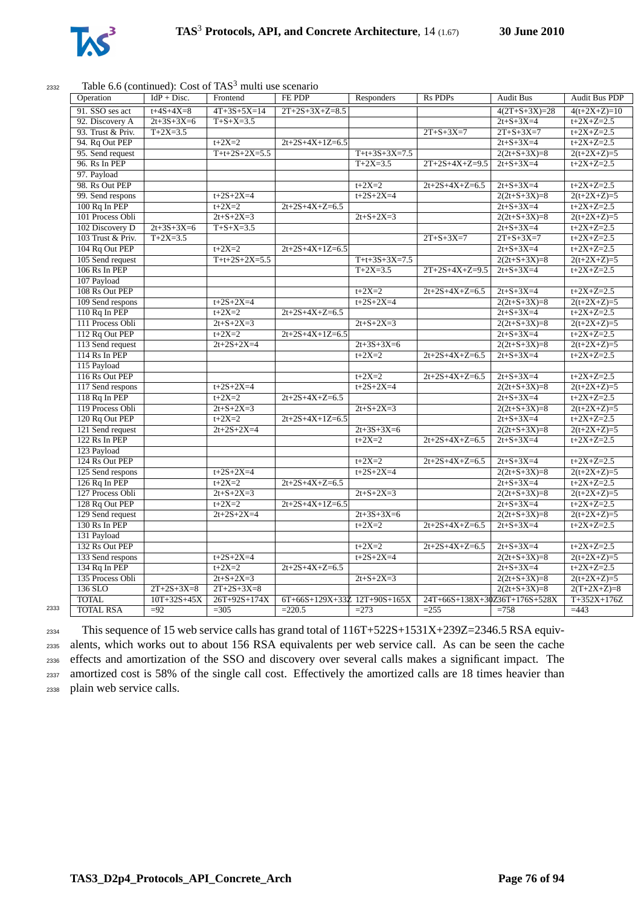

#### $2332$  Table 6.6 (continued): Cost of TAS<sup>3</sup> multi use scenario

| Operation         | $IdP + Disc.$     | Frontend          | FE PDP                       | Responders        | <b>Rs PDPs</b>                | <b>Audit Bus</b>  | <b>Audit Bus PDP</b> |
|-------------------|-------------------|-------------------|------------------------------|-------------------|-------------------------------|-------------------|----------------------|
| 91. SSO ses act   | $t + 4S + 4X = 8$ | $4T+3S+5X=14$     | $2T+2S+3X+Z=8.5$             |                   |                               | $4(2T+S+3X)=28$   | $4(t+2X+Z)=10$       |
| 92. Discovery A   | $2t+3S+3X=6$      | $T + S + X = 3.5$ |                              |                   |                               | $2t + S + 3X = 4$ | $t+2X+Z=2.5$         |
| 93. Trust & Priv. | $T+2X=3.5$        |                   |                              |                   | $2T + S + 3X = 7$             | $2T + S + 3X = 7$ | $t+2X+Z=2.5$         |
| 94. Rq Out PEP    |                   | $t+2X=2$          | $2t+2S+4X+1Z=6.5$            |                   |                               | $2t + S + 3X = 4$ | $t+2X+Z=2.5$         |
| 95. Send request  |                   | $T+t+2S+2X=5.5$   |                              | $T+t+3S+3X=7.5$   |                               | $2(2t+S+3X)=8$    | $2(t+2X+Z)=5$        |
| 96. Rs In PEP     |                   |                   |                              | $T+2X=3.5$        | $2T+2S+4X+Z=9.5$              | $2t + S + 3X = 4$ | $t+2X+Z=2.5$         |
| 97. Payload       |                   |                   |                              |                   |                               |                   |                      |
| 98. Rs Out PEP    |                   |                   |                              | $t+2X=2$          | $2t+2S+4X+Z=6.5$              | $2t + S + 3X = 4$ | $t+2X+Z=2.5$         |
| 99. Send respons  |                   | $t+2S+2X=4$       |                              | $t+2S+2X=4$       |                               | $2(2t+S+3X)=8$    | $2(t+2X+Z)=5$        |
| 100 Rq In PEP     |                   | $t+2X=2$          | $2t+2S+4X+Z=6.5$             |                   |                               | $2t + S + 3X = 4$ | $t+2X+Z=2.5$         |
| 101 Process Obli  |                   | $2t + S + 2X = 3$ |                              | $2t + S + 2X = 3$ |                               | $2(2t+S+3X)=8$    | $2(t+2X+Z)=5$        |
| 102 Discovery D   | $2t+3S+3X=6$      | $T + S + X = 3.5$ |                              |                   |                               | $2t + S + 3X = 4$ | $t+2X+Z=2.5$         |
| 103 Trust & Priv. | $T+2X=3.5$        |                   |                              |                   | $2T + S + 3X = 7$             | $2T + S + 3X = 7$ | $t+2X+Z=2.5$         |
| 104 Rq Out PEP    |                   | $t+2X=2$          | $2t+2S+4X+1Z=6.5$            |                   |                               | $2t + S + 3X = 4$ | $t+2X+Z=2.5$         |
| 105 Send request  |                   | $T+t+2S+2X=5.5$   |                              | $T+t+3S+3X=7.5$   |                               | $2(2t+S+3X)=8$    | $2(t+2X+Z)=5$        |
| $106$ Rs In PEP   |                   |                   |                              | $T+2X=3.5$        | $2T+2S+4X+Z=9.5$              | $2t + S + 3X = 4$ | $t+2X+Z=2.5$         |
| 107 Payload       |                   |                   |                              |                   |                               |                   |                      |
| 108 Rs Out PEP    |                   |                   |                              | $t+2X=2$          | $2t+2S+4X+Z=6.5$              | $2t + S + 3X = 4$ | $t+2X+Z=2.5$         |
| 109 Send respons  |                   | $t+2S+2X=4$       |                              | $t+2S+2X=4$       |                               | $2(2t+S+3X)=8$    | $2(t+2X+Z)=5$        |
| $110$ Rq In PEP   |                   | $t+2X=2$          | $2t+2S+4X+Z=6.5$             |                   |                               | $2t + S + 3X = 4$ | $t+2X+Z=2.5$         |
| 111 Process Obli  |                   | $2t + S + 2X = 3$ |                              | $2t + S + 2X = 3$ |                               | $2(2t+S+3X)=8$    | $2(t+2X+Z)=5$        |
| 112 Rq Out PEP    |                   | $t+2X=2$          | $2t+2S+4X+1Z=6.5$            |                   |                               | $2t + S + 3X = 4$ | $t+2X+Z=2.5$         |
| 113 Send request  |                   | $2t+2S+2X=4$      |                              | $2t+3S+3X=6$      |                               | $2(2t+S+3X)=8$    | $2(t+2X+Z)=5$        |
| 114 Rs In PEP     |                   |                   |                              | $t + 2X = 2$      | $2t+2S+4X+Z=6.5$              | $2t + S + 3X = 4$ | $t+2X+Z=2.5$         |
| 115 Payload       |                   |                   |                              |                   |                               |                   |                      |
| 116 Rs Out PEP    |                   |                   |                              | $t+2X=2$          | $2t+2S+4X+Z=6.5$              | $2t + S + 3X = 4$ | $t+2X+Z=2.5$         |
| 117 Send respons  |                   | $t+2S+2X=4$       |                              | $t+2S+2X=4$       |                               | $2(2t+S+3X)=8$    | $2(t+2X+Z)=5$        |
| $118$ Rq In PEP   |                   | $t+2X=2$          | $2t+2S+4X+Z=6.5$             |                   |                               | $2t + S + 3X = 4$ | $t+2X+Z=2.5$         |
| 119 Process Obli  |                   | $2t + S + 2X = 3$ |                              | $2t + S + 2X = 3$ |                               | $2(2t+S+3X)=8$    | $2(t+2X+Z)=5$        |
| 120 Rq Out PEP    |                   | $t + 2X = 2$      | $2t+2S+4X+1Z=6.5$            |                   |                               | $2t + S + 3X = 4$ | $t+2X+Z=2.5$         |
| 121 Send request  |                   | $2t+2S+2X=4$      |                              | $2t+3S+3X=6$      |                               | $2(2t+S+3X)=8$    | $2(t+2X+Z)=5$        |
| $122$ Rs In PEP   |                   |                   |                              | $t+2X=2$          | $2t+2S+4X+Z=6.5$              | $2t + S + 3X = 4$ | $t+2X+Z=2.5$         |
| 123 Payload       |                   |                   |                              |                   |                               |                   |                      |
| 124 Rs Out PEP    |                   |                   |                              | $t+2X=2$          | $2t+2S+4X+Z=6.5$              | $2t + S + 3X = 4$ | $t+2X+Z=2.5$         |
| 125 Send respons  |                   | $t+2S+2X=4$       |                              | $t+2S+2X=4$       |                               | $2(2t+S+3X)=8$    | $2(t+2X+Z)=5$        |
| $126$ Rq In PEP   |                   | $t + 2X = 2$      | $2t+2S+4X+Z=6.5$             |                   |                               | $2t + S + 3X = 4$ | $t+2X+Z=2.5$         |
| 127 Process Obli  |                   | $2t + S + 2X = 3$ |                              | $2t + S + 2X = 3$ |                               | $2(2t+S+3X)=8$    | $2(t+2X+Z)=5$        |
| 128 Rq Out PEP    |                   | $t+2X=2$          | $2t+2S+4X+1Z=6.5$            |                   |                               | $2t + S + 3X = 4$ | $t+2X+Z=2.5$         |
| 129 Send request  |                   | $2t+2S+2X=4$      |                              | $2t+3S+3X=6$      |                               | $2(2t+S+3X)=8$    | $2(t+2X+Z)=5$        |
| 130 Rs In PEP     |                   |                   |                              | $t + 2X = 2$      | $2t+2S+4X+Z=6.5$              | $2t + S + 3X = 4$ | $t+2X+Z=2.5$         |
| 131 Payload       |                   |                   |                              |                   |                               |                   |                      |
| 132 Rs Out PEP    |                   |                   |                              | $t+2X=2$          | $2t+2S+4X+Z=6.5$              | $2t + S + 3X = 4$ | $t+2X+Z=2.5$         |
| 133 Send respons  |                   | $t+2S+2X=4$       |                              | $t+2S+2X=4$       |                               | $2(2t+S+3X)=8$    | $2(t+2X+Z)=5$        |
| 134 Rq In PEP     |                   | $t+2X=2$          | $2t+2S+4X+Z=6.5$             |                   |                               | $2t + S + 3X = 4$ | $t+2X+Z=2.5$         |
| 135 Process Obli  |                   | $2t + S + 2X = 3$ |                              | $2t + S + 2X = 3$ |                               | $2(2t+S+3X)=8$    | $2(t+2X+Z)=5$        |
| 136 SLO           | $2T+2S+3X=8$      | $2T+2S+3X=8$      |                              |                   |                               | $2(2t+S+3X)=8$    | $2(T+2X+Z)=8$        |
| <b>TOTAL</b>      | $10T + 32S + 45X$ | 26T+92S+174X      | 6T+66S+129X+33Z 12T+90S+165X |                   | 24T+66S+138X+30Z36T+176S+528X |                   | $T+352X+176Z$        |
| <b>TOTAL RSA</b>  | $\overline{-92}$  | $\sqrt{305}$      | $=220.5$                     | $=273$            | $=255$                        | $= 758$           | $=443$               |
|                   |                   |                   |                              |                   |                               |                   |                      |

 This sequence of 15 web service calls has grand total of 116T+522S+1531X+239Z=2346.5 RSA equiv- alents, which works out to about 156 RSA equivalents per web service call. As can be seen the cache effects and amortization of the SSO and discovery over several calls makes a significant impact. The amortized cost is 58% of the single call cost. Effectively the amortized calls are 18 times heavier than plain web service calls.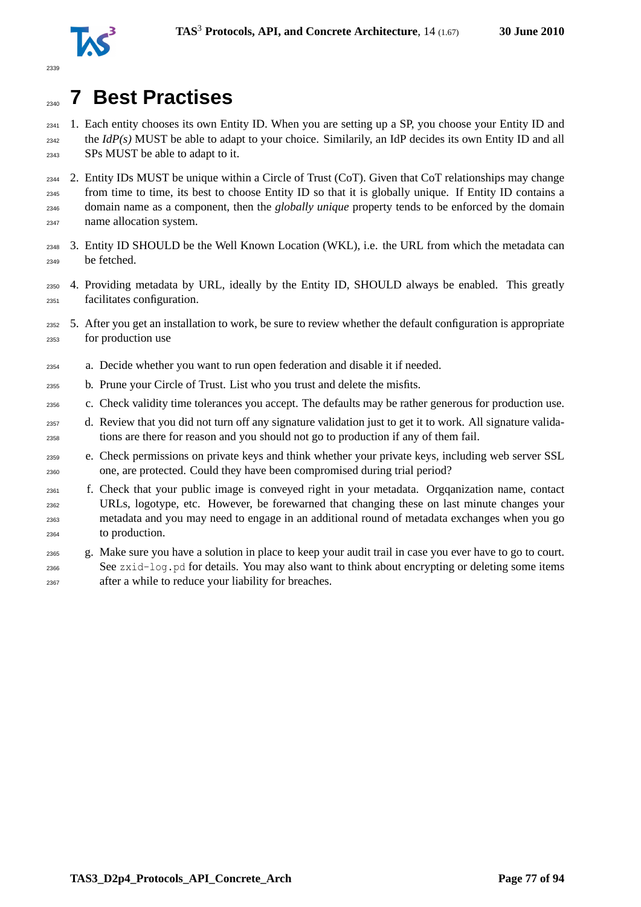

# **7 Best Practises**

 1. Each entity chooses its own Entity ID. When you are setting up a SP, you choose your Entity ID and the *IdP(s)* MUST be able to adapt to your choice. Similarily, an IdP decides its own Entity ID and all SPs MUST be able to adapt to it.

 2. Entity IDs MUST be unique within a Circle of Trust (CoT). Given that CoT relationships may change from time to time, its best to choose Entity ID so that it is globally unique. If Entity ID contains a domain name as a component, then the *globally unique* property tends to be enforced by the domain name allocation system.

- 3. Entity ID SHOULD be the Well Known Location (WKL), i.e. the URL from which the metadata can be fetched.
- 4. Providing metadata by URL, ideally by the Entity ID, SHOULD always be enabled. This greatly facilitates configuration.
- 5. After you get an installation to work, be sure to review whether the default configuration is appropriate for production use
- a. Decide whether you want to run open federation and disable it if needed.
- b. Prune your Circle of Trust. List who you trust and delete the misfits.
- c. Check validity time tolerances you accept. The defaults may be rather generous for production use.
- d. Review that you did not turn off any signature validation just to get it to work. All signature valida-tions are there for reason and you should not go to production if any of them fail.
- e. Check permissions on private keys and think whether your private keys, including web server SSL one, are protected. Could they have been compromised during trial period?
- f. Check that your public image is conveyed right in your metadata. Orgqanization name, contact URLs, logotype, etc. However, be forewarned that changing these on last minute changes your metadata and you may need to engage in an additional round of metadata exchanges when you go to production.
- g. Make sure you have a solution in place to keep your audit trail in case you ever have to go to court. See zxid-log.pd for details. You may also want to think about encrypting or deleting some items after a while to reduce your liability for breaches.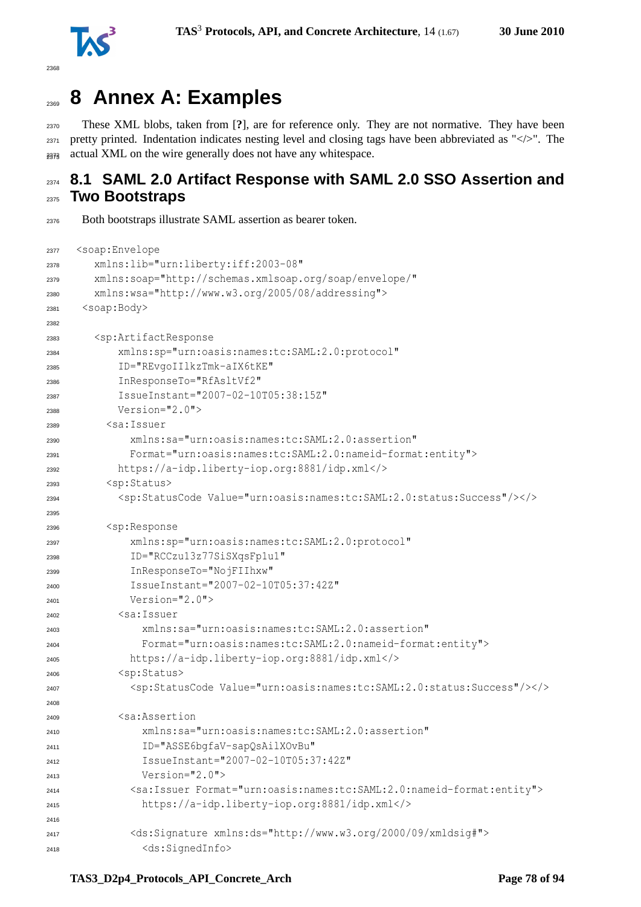

```
2368
```
# **8 Annex A: Examples**

 These XML blobs, taken from [**?**], are for reference only. They are not normative. They have been  $_{2371}$  pretty printed. Indentation indicates nesting level and closing tags have been abbreviated as " $\langle\cdot\rangle$ ". The  $_{2373}$  actual XML on the wire generally does not have any whitespace.

# **8.1 SAML 2.0 Artifact Response with SAML 2.0 SSO Assertion and Two Bootstraps**

Both bootstraps illustrate SAML assertion as bearer token.

```
2377 <soap:Envelope
2378 xmlns:lib="urn:liberty:iff:2003-08"
2379 xmlns:soap="http://schemas.xmlsoap.org/soap/envelope/"
2380 xmlns:wsa="http://www.w3.org/2005/08/addressing">
2381 <soap:Body>
2382
2383 <sp:ArtifactResponse
2384 xmlns:sp="urn:oasis:names:tc:SAML:2.0:protocol"
2385 ID="REvgoIIlkzTmk-aIX6tKE"
2386 InResponseTo="RfAsltVf2"
2387 IssueInstant="2007-02-10T05:38:15Z"
2388 Version="2.0">
2389 <sa:Issuer
2390 xmlns:sa="urn:oasis:names:tc:SAML:2.0:assertion"
2391 Format="urn:oasis:names:tc:SAML:2.0:nameid-format:entity">
2392 https://a-idp.liberty-iop.org:8881/idp.xml</>
2393 <sp:Status>
2394 <sp:StatusCode Value="urn:oasis:names:tc:SAML:2.0:status:Success"/></>
2395
2396 <sp:Response
2397 xmlns:sp="urn:oasis:names:tc:SAML:2.0:protocol"
2398 ID="RCCzu13z77SiSXqsFp1u1"
2399 InResponseTo="NojFIIhxw"
            2400 IssueInstant="2007-02-10T05:37:42Z"
2401 Version="2.0">
2402 <sa:Issuer
2403 xmlns:sa="urn:oasis:names:tc:SAML:2.0:assertion"
2404 Format="urn:oasis:names:tc:SAML:2.0:nameid-format:entity">
2405 https://a-idp.liberty-iop.org:8881/idp.xml</>
2406 <sp:Status>
2407 <sp:StatusCode Value="urn:oasis:names:tc:SAML:2.0:status:Success"/></>
2408
2409 <sa:Assertion
2410 xmlns:sa="urn:oasis:names:tc:SAML:2.0:assertion"
2411 ID="ASSE6bgfaV-sapQsAilXOvBu"
2412 IssueInstant="2007-02-10T05:37:42Z"
Version = "2.0"2414 <sa:Issuer Format="urn:oasis:names:tc:SAML:2.0:nameid-format:entity">
2415 https://a-idp.liberty-iop.org:8881/idp.xml</>
2416
2417 <ds:Signature xmlns:ds="http://www.w3.org/2000/09/xmldsig#">
2418 <ds:SignedInfo>
```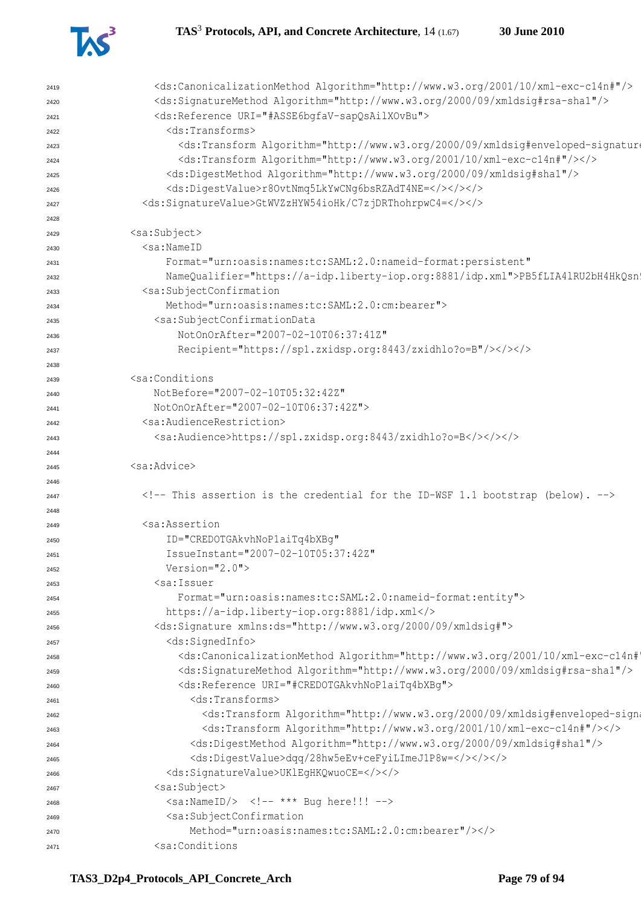

| 2419 | <ds:canonicalizationmethod algorithm="http://www.w3.org/2001/10/xml-exc-c14n#"></ds:canonicalizationmethod>                                                                                                                                                                                                                                  |
|------|----------------------------------------------------------------------------------------------------------------------------------------------------------------------------------------------------------------------------------------------------------------------------------------------------------------------------------------------|
| 2420 | <ds:signaturemethod algorithm="http://www.w3.org/2000/09/xmldsig#rsa-shal"></ds:signaturemethod>                                                                                                                                                                                                                                             |
| 2421 | <ds:reference uri="#ASSE6bgfaV-sapQsAilXOvBu"></ds:reference>                                                                                                                                                                                                                                                                                |
| 2422 | <ds:transforms></ds:transforms>                                                                                                                                                                                                                                                                                                              |
| 2423 | <ds:transform 10="" 2001="" algorithm="http://www.w3.org/2000/09/xmldsig#enveloped-signature&lt;/td&gt;&lt;/tr&gt;&lt;tr&gt;&lt;td&gt;2424&lt;/td&gt;&lt;td&gt;&lt;ds:Transform Algorithm=" http:="" www.w3.org="" xml-exc-c14n#"=""></ds:transform>                                                                                         |
| 2425 | <ds:digestmethod algorithm="http://www.w3.org/2000/09/xmldsig#sha1"></ds:digestmethod>                                                                                                                                                                                                                                                       |
| 2426 | <ds:digestvalue>r8OvtNmq5LkYwCNq6bsRZAdT4NE=</ds:digestvalue>                                                                                                                                                                                                                                                                                |
| 2427 | <ds:signaturevalue>GtWVZzHYW54ioHk/C7zjDRThohrpwC4=</ds:signaturevalue>                                                                                                                                                                                                                                                                      |
| 2428 |                                                                                                                                                                                                                                                                                                                                              |
| 2429 | <sa:subject></sa:subject>                                                                                                                                                                                                                                                                                                                    |
| 2430 | <sa:nameid< td=""></sa:nameid<>                                                                                                                                                                                                                                                                                                              |
| 2431 | Format="urn:oasis:names:tc:SAML:2.0:nameid-format:persistent"                                                                                                                                                                                                                                                                                |
|      | NameQualifier="https://a-idp.liberty-iop.org:8881/idp.xml">PB5fLIA41RU2bH4HkQsn'                                                                                                                                                                                                                                                             |
| 2432 | <sa:subjectconfirmation< td=""></sa:subjectconfirmation<>                                                                                                                                                                                                                                                                                    |
| 2433 | Method="urn:oasis:names:tc:SAML:2.0:cm:bearer">                                                                                                                                                                                                                                                                                              |
| 2434 |                                                                                                                                                                                                                                                                                                                                              |
| 2435 | <sa:subjectconfirmationdata< td=""></sa:subjectconfirmationdata<>                                                                                                                                                                                                                                                                            |
| 2436 | NotOnOrAfter="2007-02-10T06:37:41Z"                                                                                                                                                                                                                                                                                                          |
| 2437 | Recipient="https://sp1.zxidsp.org:8443/zxidhlo?o=B"/>                                                                                                                                                                                                                                                                                        |
| 2438 |                                                                                                                                                                                                                                                                                                                                              |
| 2439 | <sa:conditions< td=""></sa:conditions<>                                                                                                                                                                                                                                                                                                      |
| 2440 | NotBefore="2007-02-10T05:32:42Z"                                                                                                                                                                                                                                                                                                             |
| 2441 | NotOnOrAfter="2007-02-10T06:37:42Z">                                                                                                                                                                                                                                                                                                         |
| 2442 | <sa:audiencerestriction></sa:audiencerestriction>                                                                                                                                                                                                                                                                                            |
| 2443 | <sa:audience>https://sp1.zxidsp.org:8443/zxidhlo?o=B</sa:audience>                                                                                                                                                                                                                                                                           |
| 2444 |                                                                                                                                                                                                                                                                                                                                              |
| 2445 | <sa:advice></sa:advice>                                                                                                                                                                                                                                                                                                                      |
| 2446 |                                                                                                                                                                                                                                                                                                                                              |
| 2447 | This assertion is the credential for the ID-WSF 1.1 bootstrap (below).                                                                                                                                                                                                                                                                       |
| 2448 |                                                                                                                                                                                                                                                                                                                                              |
| 2449 | <sa:assertion< td=""></sa:assertion<>                                                                                                                                                                                                                                                                                                        |
| 2450 | ID="CREDOTGAkvhNoPlaiTq4bXBq"                                                                                                                                                                                                                                                                                                                |
| 2451 | IssueInstant="2007-02-10T05:37:42Z"                                                                                                                                                                                                                                                                                                          |
| 2452 | Version= $"2.0"$                                                                                                                                                                                                                                                                                                                             |
| 2453 | <sa:issuer< td=""></sa:issuer<>                                                                                                                                                                                                                                                                                                              |
| 2454 | Format="urn:oasis:names:tc:SAML:2.0:nameid-format:entity">                                                                                                                                                                                                                                                                                   |
| 2455 | https://a-idp.liberty-iop.org:8881/idp.xml                                                                                                                                                                                                                                                                                                   |
|      | <ds:signature xmlns:ds="http://www.w3.org/2000/09/xmldsig#"></ds:signature>                                                                                                                                                                                                                                                                  |
| 2456 | <ds:signedinfo></ds:signedinfo>                                                                                                                                                                                                                                                                                                              |
| 2457 | <ds:canonicalizationmethod 09="" 2000="" algorithm="http://www.w3.org/2001/10/xml-exc-c14n#&lt;/td&gt;&lt;/tr&gt;&lt;tr&gt;&lt;td&gt;2458&lt;/td&gt;&lt;td&gt;&lt;/td&gt;&lt;/tr&gt;&lt;tr&gt;&lt;td&gt;2459&lt;/td&gt;&lt;td&gt;&lt;ds:SignatureMethod Algorithm=" http:="" www.w3.org="" xmldsig#rsa-shal"=""></ds:canonicalizationmethod> |
| 2460 | <ds:reference uri="#CREDOTGAkvhNoPlaiTq4bXBq"></ds:reference>                                                                                                                                                                                                                                                                                |
| 2461 | <ds:transforms></ds:transforms>                                                                                                                                                                                                                                                                                                              |
| 2462 | <ds:transform 10="" 2001="" algorithm="http://www.w3.org/2000/09/xmldsig#enveloped-sign&lt;/td&gt;&lt;/tr&gt;&lt;tr&gt;&lt;td&gt;2463&lt;/td&gt;&lt;td&gt;&lt;ds:Transform Algorithm=" http:="" www.w3.org="" xml-exc-c14n#"=""></ds:transform>                                                                                              |
| 2464 | <ds:digestmethod algorithm="http://www.w3.org/2000/09/xmldsig#shal"></ds:digestmethod>                                                                                                                                                                                                                                                       |
| 2465 | <ds:digestvalue>dqq/28hw5eEv+ceFyiLImeJ1P8w=</ds:digestvalue>                                                                                                                                                                                                                                                                                |
| 2466 | <ds:signaturevalue>UKlEgHKQwuoCE=</ds:signaturevalue>                                                                                                                                                                                                                                                                                        |
| 2467 | <sa:subject></sa:subject>                                                                                                                                                                                                                                                                                                                    |
| 2468 | $\langle$ sa:NameID/> $\langle$ !-- *** Bug here!!! -->                                                                                                                                                                                                                                                                                      |
| 2469 | <sa:subjectconfirmation< td=""></sa:subjectconfirmation<>                                                                                                                                                                                                                                                                                    |
| 2470 | Method="urn:oasis:names:tc:SAML:2.0:cm:bearer"/>                                                                                                                                                                                                                                                                                             |
| 2471 | <sa:conditions< td=""></sa:conditions<>                                                                                                                                                                                                                                                                                                      |
|      |                                                                                                                                                                                                                                                                                                                                              |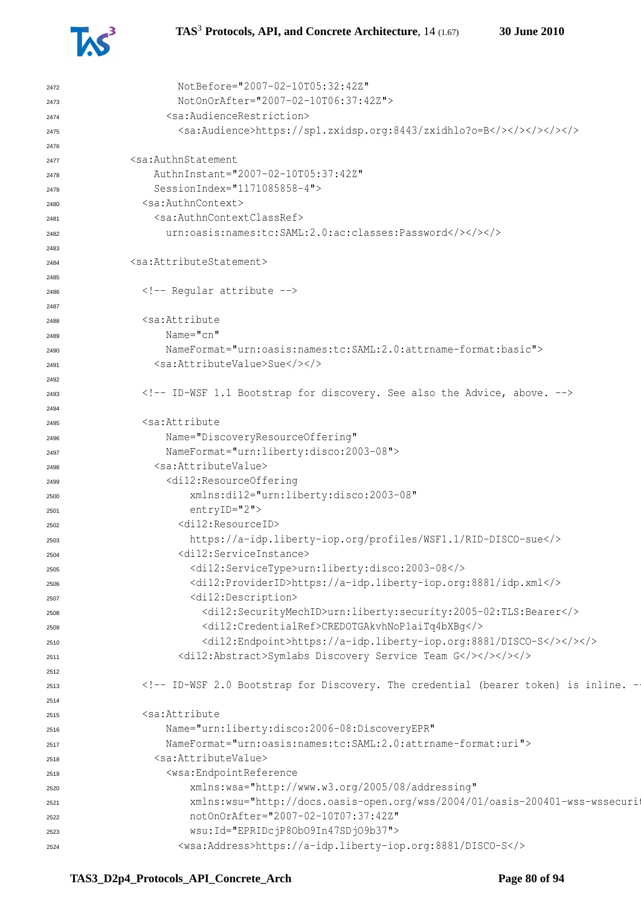

```
2472 NotBefore="2007-02-10T05:32:42Z"
2473 NotOnOrAfter="2007-02-10T06:37:42Z">
2474 <sa:AudienceRestriction>
2475 <sa:Audience>https://sp1.zxidsp.org:8443/zxidhlo?o=B</></></></></>
2476
2477 <sa:AuthnStatement
             2478 AuthnInstant="2007-02-10T05:37:42Z"
2479 SessionIndex="1171085858-4">
2480 <sa:AuthnContext>
2481 <sa:AuthnContextClassRef>
2482 urn:oasis:names:tc:SAML:2.0:ac:classes:Password</></></>
2483
2484 <sa:AttributeStatement>
2485
2486 \langle!-- Regular attribute -->
2487
2488 <sa:Attribute
2489 Name="cn"
2490 NameFormat="urn:oasis:names:tc:SAML:2.0:attrname-format:basic">
2491 <sa:AttributeValue>Sue</></>
2492
2493 <!-- ID-WSF 1.1 Bootstrap for discovery. See also the Advice, above. -->
2494
2495 <sa:Attribute
2496 Name="DiscoveryResourceOffering"
2497 NameFormat="urn:liberty:disco:2003-08">
2498 <sa:AttributeValue>
2499 <di12:ResourceOffering
2500 xmlns:di12="urn:liberty:disco:2003-08"
2501 entryID="2">
2502 <di12:ResourceID>
2503 https://a-idp.liberty-iop.org/profiles/WSF1.1/RID-DISCO-sue</>
2504 <di12:ServiceInstance>
2505 <di12:ServiceType>urn:liberty:disco:2003-08</>
2506 <di12:ProviderID>https://a-idp.liberty-iop.org:8881/idp.xml</>
2507 <di12:Description>
2508 <di12:SecurityMechID>urn:liberty:security:2005-02:TLS:Bearer</>
2509 <di12:CredentialRef>CREDOTGAkvhNoP1aiTq4bXBg</>
2510 <di12:Endpoint>https://a-idp.liberty-iop.org:8881/DISCO-S</></></>
2511 <di12:Abstract>Symlabs Discovery Service Team G</></></></>
2512
2513 <!-- ID-WSF 2.0 Bootstrap for Discovery. The credential (bearer token) is inline. -->
2514
2515 <sa:Attribute
2516 Name="urn:liberty:disco:2006-08:DiscoveryEPR"
2517 NameFormat="urn:oasis:names:tc:SAML:2.0:attrname-format:uri">
2518 <sa:AttributeValue>
2519 <wsa:EndpointReference
2520 xmlns:wsa="http://www.w3.org/2005/08/addressing"
zszi xmlns:wsu="http://docs.oasis-open.org/wss/2004/01/oasis-200401-wss-wssecuri
2522 notOnOrAfter="2007-02-10T07:37:42Z"
2523 wsu:Id="EPRIDcjP8ObO9In47SDjO9b37">
2524 <wsa:Address>https://a-idp.liberty-iop.org:8881/DISCO-S</>
```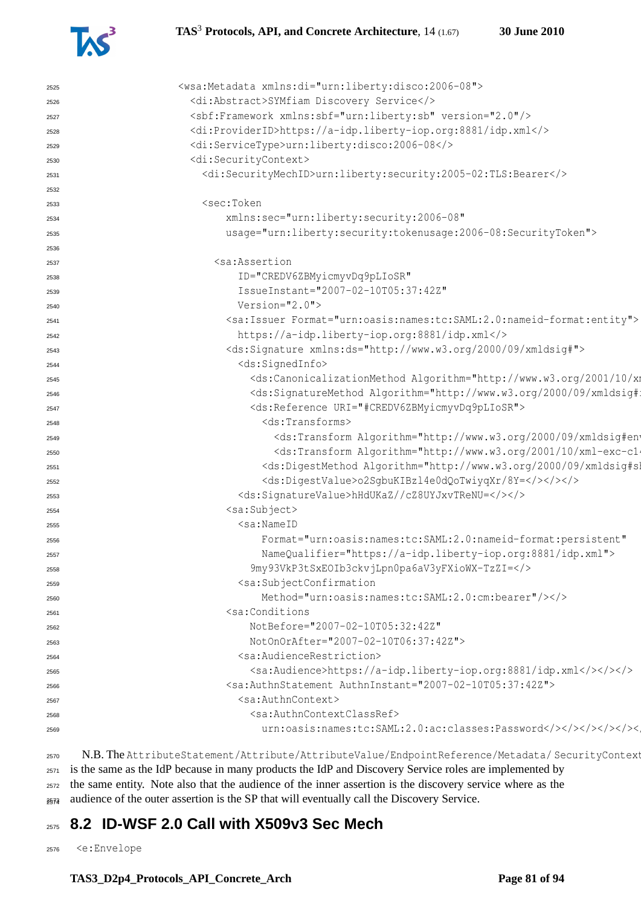

| 2525 | <wsa:metadata xmlns:di="urn:liberty:disco:2006-08"></wsa:metadata>                                                                                                                                                                                                                                                                                                                                                                                                                                                                                                                                                                                                                                       |
|------|----------------------------------------------------------------------------------------------------------------------------------------------------------------------------------------------------------------------------------------------------------------------------------------------------------------------------------------------------------------------------------------------------------------------------------------------------------------------------------------------------------------------------------------------------------------------------------------------------------------------------------------------------------------------------------------------------------|
| 2526 | <di:abstract>SYMfiam Discovery Service</di:abstract>                                                                                                                                                                                                                                                                                                                                                                                                                                                                                                                                                                                                                                                     |
| 2527 | <sbf:framework version="2.0" xmlns:sbf="urn:liberty:sb"></sbf:framework>                                                                                                                                                                                                                                                                                                                                                                                                                                                                                                                                                                                                                                 |
| 2528 | <di:providerid>https://a-idp.liberty-iop.org:8881/idp.xml</di:providerid>                                                                                                                                                                                                                                                                                                                                                                                                                                                                                                                                                                                                                                |
| 2529 | <di:servicetype>urn:liberty:disco:2006-08</di:servicetype>                                                                                                                                                                                                                                                                                                                                                                                                                                                                                                                                                                                                                                               |
| 2530 | <di:securitycontext></di:securitycontext>                                                                                                                                                                                                                                                                                                                                                                                                                                                                                                                                                                                                                                                                |
| 2531 | <di:securitymechid>urn:liberty:security:2005-02:TLS:Bearer</di:securitymechid>                                                                                                                                                                                                                                                                                                                                                                                                                                                                                                                                                                                                                           |
| 2532 |                                                                                                                                                                                                                                                                                                                                                                                                                                                                                                                                                                                                                                                                                                          |
| 2533 | <sec:token< td=""></sec:token<>                                                                                                                                                                                                                                                                                                                                                                                                                                                                                                                                                                                                                                                                          |
| 2534 | xmlns:sec="urn:liberty:security:2006-08"                                                                                                                                                                                                                                                                                                                                                                                                                                                                                                                                                                                                                                                                 |
| 2535 | usage="urn:liberty:security:tokenusage:2006-08:SecurityToken">                                                                                                                                                                                                                                                                                                                                                                                                                                                                                                                                                                                                                                           |
| 2536 |                                                                                                                                                                                                                                                                                                                                                                                                                                                                                                                                                                                                                                                                                                          |
| 2537 | <sa:assertion< td=""></sa:assertion<>                                                                                                                                                                                                                                                                                                                                                                                                                                                                                                                                                                                                                                                                    |
| 2538 | ID="CREDV6ZBMyicmyvDq9pLIoSR"                                                                                                                                                                                                                                                                                                                                                                                                                                                                                                                                                                                                                                                                            |
| 2539 | IssueInstant="2007-02-10T05:37:42Z"                                                                                                                                                                                                                                                                                                                                                                                                                                                                                                                                                                                                                                                                      |
| 2540 | $Version="2.0"$                                                                                                                                                                                                                                                                                                                                                                                                                                                                                                                                                                                                                                                                                          |
| 2541 | <sa:issuer format="urn:oasis:names:tc:SAML:2.0:nameid-format:entity"></sa:issuer>                                                                                                                                                                                                                                                                                                                                                                                                                                                                                                                                                                                                                        |
| 2542 | https://a-idp.liberty-iop.org:8881/idp.xml                                                                                                                                                                                                                                                                                                                                                                                                                                                                                                                                                                                                                                                               |
| 2543 | <ds:signature xmlns:ds="http://www.w3.org/2000/09/xmldsig#"></ds:signature>                                                                                                                                                                                                                                                                                                                                                                                                                                                                                                                                                                                                                              |
| 2544 | <ds:signedinfo></ds:signedinfo>                                                                                                                                                                                                                                                                                                                                                                                                                                                                                                                                                                                                                                                                          |
| 2545 | <ds:canonicalizationmethod 09="" 2000="" algorithm="http://www.w3.org/2001/10/xm&lt;/td&gt;&lt;/tr&gt;&lt;tr&gt;&lt;td&gt;2546&lt;/td&gt;&lt;td&gt;&lt;ds:SignatureMethod Algorithm=" http:="" td="" www.w3.org="" xmldsig#:<=""></ds:canonicalizationmethod>                                                                                                                                                                                                                                                                                                                                                                                                                                            |
| 2547 | <ds:reference uri="#CREDV6ZBMyicmyvDq9pLIoSR"></ds:reference>                                                                                                                                                                                                                                                                                                                                                                                                                                                                                                                                                                                                                                            |
| 2548 | $<$ ds:Transforms>                                                                                                                                                                                                                                                                                                                                                                                                                                                                                                                                                                                                                                                                                       |
| 2549 | <ds:transform 10="" 2001="" algorithm="http://www.w3.org/2000/09/xmldsig#ent&lt;/td&gt;&lt;/tr&gt;&lt;tr&gt;&lt;td&gt;2550&lt;/td&gt;&lt;td&gt;&lt;ds:Transform Algorithm=" http:="" td="" www.w3.org="" xml-exc-cl<=""></ds:transform>                                                                                                                                                                                                                                                                                                                                                                                                                                                                  |
| 2551 | <ds:digestmethod algorithm="http://www.w3.org/2000/09/xmldsig#sl&lt;/td&gt;&lt;/tr&gt;&lt;tr&gt;&lt;td&gt;2552&lt;/td&gt;&lt;td&gt;&lt;ds:DigestValue&gt;o2SgbuKIBzl4e0dQoTwiyqXr/8Y=&lt;/&gt;&lt;/&gt;&lt;/td&gt;&lt;/tr&gt;&lt;tr&gt;&lt;td&gt;2553&lt;/td&gt;&lt;td&gt;&lt;ds:SignatureValue&gt;hHdUKaZ//cZ8UYJxvTReNU=&lt;/&gt;&lt;/&gt;&lt;/td&gt;&lt;/tr&gt;&lt;tr&gt;&lt;td&gt;2554&lt;/td&gt;&lt;td&gt;&lt;sa:Subject&gt;&lt;/td&gt;&lt;/tr&gt;&lt;tr&gt;&lt;td&gt;2555&lt;/td&gt;&lt;td&gt;&lt;math&gt;\leq&lt;/math&gt;sa:NameID&lt;/td&gt;&lt;/tr&gt;&lt;tr&gt;&lt;td&gt;2556&lt;/td&gt;&lt;td&gt;Format=" td="" urn:oasis:names:tc:saml:2.0:nameid-format:persistent"<=""></ds:digestmethod> |
| 2557 | NameQualifier="https://a-idp.liberty-iop.org:8881/idp.xml">                                                                                                                                                                                                                                                                                                                                                                                                                                                                                                                                                                                                                                              |
| 2558 | 9my93VkP3tSxEOIb3ckvjLpn0pa6aV3yFXioWX-TzZI=                                                                                                                                                                                                                                                                                                                                                                                                                                                                                                                                                                                                                                                             |
| 2559 | <sa:subjectconfirmation< td=""></sa:subjectconfirmation<>                                                                                                                                                                                                                                                                                                                                                                                                                                                                                                                                                                                                                                                |
| 2560 | Method="urn:oasis:names:tc:SAML:2.0:cm:bearer"/>                                                                                                                                                                                                                                                                                                                                                                                                                                                                                                                                                                                                                                                         |
| 2561 | <sa:conditions< td=""></sa:conditions<>                                                                                                                                                                                                                                                                                                                                                                                                                                                                                                                                                                                                                                                                  |
| 2562 | NotBefore="2007-02-10T05:32:42Z"                                                                                                                                                                                                                                                                                                                                                                                                                                                                                                                                                                                                                                                                         |
| 2563 | NotOnOrAfter="2007-02-10T06:37:42Z">                                                                                                                                                                                                                                                                                                                                                                                                                                                                                                                                                                                                                                                                     |
| 2564 | <sa:audiencerestriction></sa:audiencerestriction>                                                                                                                                                                                                                                                                                                                                                                                                                                                                                                                                                                                                                                                        |
| 2565 | <sa:audience>https://a-idp.liberty-iop.org:8881/idp.xml</sa:audience>                                                                                                                                                                                                                                                                                                                                                                                                                                                                                                                                                                                                                                    |
| 2566 | <sa:authnstatement authninstant="2007-02-10T05:37:42Z"></sa:authnstatement>                                                                                                                                                                                                                                                                                                                                                                                                                                                                                                                                                                                                                              |
| 2567 | <sa:authncontext></sa:authncontext>                                                                                                                                                                                                                                                                                                                                                                                                                                                                                                                                                                                                                                                                      |
| 2568 | <sa:authncontextclassref></sa:authncontextclassref>                                                                                                                                                                                                                                                                                                                                                                                                                                                                                                                                                                                                                                                      |
| 2569 |                                                                                                                                                                                                                                                                                                                                                                                                                                                                                                                                                                                                                                                                                                          |
|      |                                                                                                                                                                                                                                                                                                                                                                                                                                                                                                                                                                                                                                                                                                          |

2570 N.B. The AttributeStatement/Attribute/AttributeValue/EndpointReference/Metadata/ SecurityContext is the same as the IdP because in many products the IdP and Discovery Service roles are implemented by the same entity. Note also that the audience of the inner assertion is the discovery service where as the

<sup>2574</sup> audience of the outer assertion is the SP that will eventually call the Discovery Service.

# **8.2 ID-WSF 2.0 Call with X509v3 Sec Mech**

<e:Envelope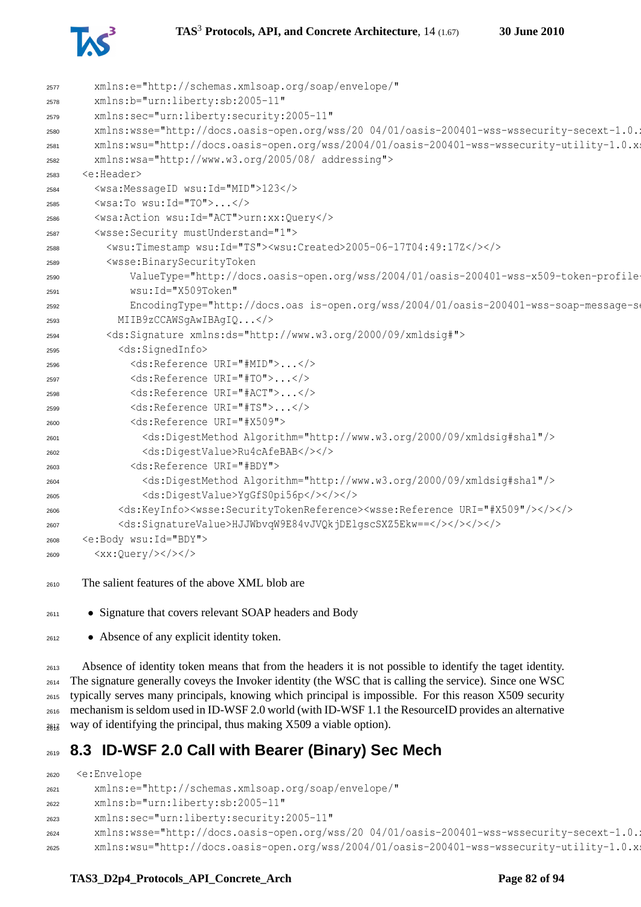



| 2577 | xmlns:e="http://schemas.xmlsoap.org/soap/envelope/"                                                                                       |
|------|-------------------------------------------------------------------------------------------------------------------------------------------|
| 2578 | xmlns:b="urn:liberty:sb:2005-11"                                                                                                          |
| 2579 | xmlns:sec="urn:liberty:security:2005-11"                                                                                                  |
| 2580 | xmlns:wsse="http://docs.oasis-open.org/wss/20 04/01/oasis-200401-wss-wssecurity-secext-1.0.1                                              |
| 2581 | xmlns:wsu="http://docs.oasis-open.org/wss/2004/01/oasis-200401-wss-wssecurity-utility-1.0.x;                                              |
| 2582 | xmlns:wsa="http://www.w3.org/2005/08/ addressing">                                                                                        |
| 2583 | <e:header></e:header>                                                                                                                     |
| 2584 | <wsa:messageid wsu:id="MID">123</wsa:messageid>                                                                                           |
| 2585 | $\langle$ wsa:To wsu:Id="TO"> $\langle$ />                                                                                                |
| 2586 | <wsa:action wsu:id="ACT">urn:xx:Query</wsa:action>                                                                                        |
| 2587 | <wsse: mustunderstand="1" security=""></wsse:>                                                                                            |
| 2588 | <wsu:timestamp wsu:id="TS"><wsu:created>2005-06-17T04:49:17Z</wsu:created></wsu:timestamp>                                                |
| 2589 | <wsse:binarysecuritytoken< td=""></wsse:binarysecuritytoken<>                                                                             |
| 2590 | ValueType="http://docs.oasis-open.org/wss/2004/01/oasis-200401-wss-x509-token-profile-                                                    |
| 2591 | wsu: Id="X509Token"                                                                                                                       |
| 2592 | EncodingType="http://docs.oas is-open.org/wss/2004/01/oasis-200401-wss-soap-message-so                                                    |
| 2593 | MIIB9zCCAWSqAwIBAqIQ                                                                                                                      |
| 2594 | <ds:signature xmlns:ds="http://www.w3.org/2000/09/xmldsig#"></ds:signature>                                                               |
| 2595 | <ds:signedinfo></ds:signedinfo>                                                                                                           |
| 2596 | <ds:reference uri="#MID"></ds:reference>                                                                                                  |
| 2597 | <ds:reference uri="#TO"></ds:reference>                                                                                                   |
| 2598 | <ds:reference uri="#ACT"></ds:reference>                                                                                                  |
| 2599 | <ds:reference uri="#TS"></ds:reference>                                                                                                   |
| 2600 | <ds:reference uri="#X509"></ds:reference>                                                                                                 |
| 2601 | <ds:digestmethod algorithm="http://www.w3.org/2000/09/xmldsig#shal"></ds:digestmethod>                                                    |
| 2602 | <ds:digestvalue>Ru4cAfeBAB</ds:digestvalue>                                                                                               |
| 2603 | <ds:reference uri="#BDY"></ds:reference>                                                                                                  |
| 2604 | <ds:digestmethod algorithm="http://www.w3.org/2000/09/xmldsig#shal"></ds:digestmethod>                                                    |
| 2605 | <ds:digestvalue>YgGfS0pi56p</ds:digestvalue>                                                                                              |
| 2606 | <ds:keyinfo><wsse:securitytokenreference><wsse:reference uri="#X509"></wsse:reference>&gt;&gt;</wsse:securitytokenreference></ds:keyinfo> |
| 2607 |                                                                                                                                           |
| 2608 | <e:body wsu:id="BDY"></e:body>                                                                                                            |
| 2609 | $\langle xx:Query/\rangle\langle t\rangle\langle t\rangle$                                                                                |
|      |                                                                                                                                           |

- The salient features of the above XML blob are
- Signature that covers relevant SOAP headers and Body
- Absence of any explicit identity token.

 Absence of identity token means that from the headers it is not possible to identify the taget identity. The signature generally coveys the Invoker identity (the WSC that is calling the service). Since one WSC typically serves many principals, knowing which principal is impossible. For this reason X509 security mechanism is seldom used in ID-WSF 2.0 world (with ID-WSF 1.1 the ResourceID provides an alternative way of identifying the principal, thus making X509 a viable option).

## **8.3 ID-WSF 2.0 Call with Bearer (Binary) Sec Mech**

```
2620 <e:Envelope
2621 xmlns:e="http://schemas.xmlsoap.org/soap/envelope/"
2622 xmlns:b="urn:liberty:sb:2005-11"
2623 xmlns:sec="urn:liberty:security:2005-11"
2624 xmlns:wsse="http://docs.oasis-open.org/wss/20 04/01/oasis-200401-wss-wssecurity-secext-1.0.xsd"
2625 xmlns:wsu="http://docs.oasis-open.org/wss/2004/01/oasis-200401-wss-wssecurity-utility-1.0.xsd"
```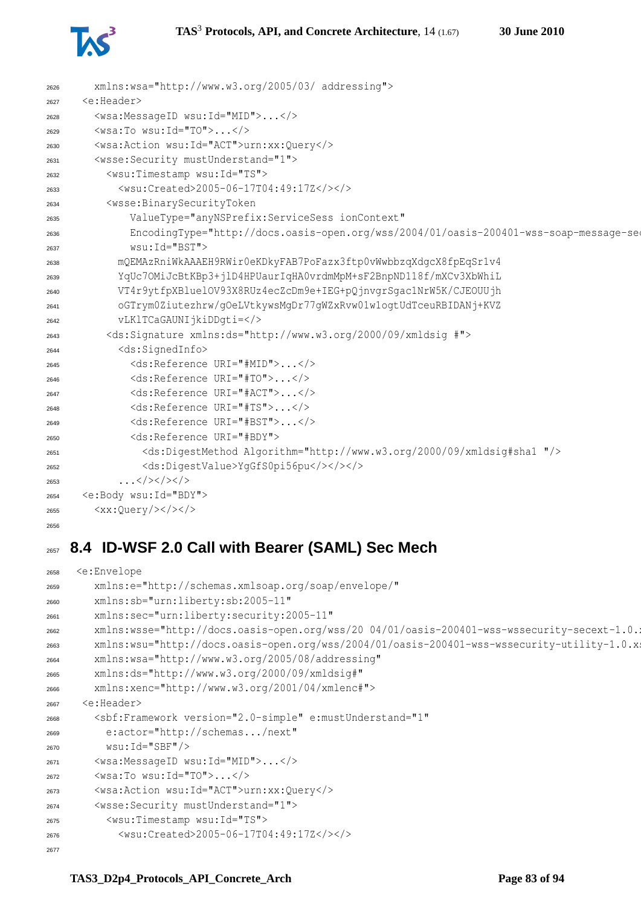

| 2626 | xmlns:wsa="http://www.w3.org/2005/03/ addressing">                                      |
|------|-----------------------------------------------------------------------------------------|
| 2627 | <e:header></e:header>                                                                   |
| 2628 | <wsa:messageid wsu:id="MID"></wsa:messageid>                                            |
| 2629 | $\langle$ wsa:To wsu:Id="TO"> $\langle$ />                                              |
| 2630 | <wsa:action wsu:id="ACT">urn:xx:Query</wsa:action>                                      |
| 2631 | <wsse: mustunderstand="1" security=""></wsse:>                                          |
| 2632 | <wsu:timestamp wsu:id="TS"></wsu:timestamp>                                             |
| 2633 | <wsu:created>2005-06-17T04:49:17Z</wsu:created>                                         |
| 2634 | <wsse:binarysecuritytoken< td=""></wsse:binarysecuritytoken<>                           |
| 2635 | ValueType="anyNSPrefix:ServiceSess_ionContext"                                          |
| 2636 | EncodingType="http://docs.oasis-open.org/wss/2004/01/oasis-200401-wss-soap-message-seo  |
| 2637 | wsu: Id="BST">                                                                          |
| 2638 | mQEMAzRniWkAAAEH9RWir0eKDkyFAB7PoFazx3ftp0vWwbbzqXdqcX8fpEqSr1v4                        |
| 2639 | YqUc7OMiJcBtKBp3+jlD4HPUaurIqHA0vrdmMpM+sF2BnpND118f/mXCv3XbWhiL                        |
| 2640 | VT4r9ytfpXBluelOV93X8RUz4ecZcDm9e+IEG+pQjnvqrSqac1NrW5K/CJEOUUjh                        |
| 2641 | oGTrym0Ziutezhrw/qOeLVtkywsMqDr77qWZxRvw01w1oqtUdTceuRBIDANj+KVZ                        |
| 2642 | vLKlTCaGAUNIjkiDDqti=                                                                   |
| 2643 | <ds:signature xmlns:ds="http://www.w3.org/2000/09/xmldsig #"></ds:signature>            |
| 2644 | <ds:signedinfo></ds:signedinfo>                                                         |
| 2645 | <ds:reference uri="#MID"></ds:reference>                                                |
| 2646 | <ds:reference uri="#TO"></ds:reference>                                                 |
| 2647 | <ds:reference uri="#ACT"></ds:reference>                                                |
| 2648 | <ds:reference uri="#TS"></ds:reference>                                                 |
| 2649 | <ds:reference uri="#BST"></ds:reference>                                                |
| 2650 | <ds:reference uri="#BDY"></ds:reference>                                                |
| 2651 | <ds:digestmethod algorithm="http://www.w3.org/2000/09/xmldsig#shal "></ds:digestmethod> |
| 2652 | <ds:digestvalue>YgGfS0pi56pu</ds:digestvalue>                                           |
| 2653 | $\ldots$ >                                                                              |
| 2654 | <e:body wsu:id="BDY"></e:body>                                                          |
| 2655 | <xx:query <="" td=""></xx:query>                                                        |
| 2656 |                                                                                         |

# **8.4 ID-WSF 2.0 Call with Bearer (SAML) Sec Mech**

```
2658 <e:Envelope
2659 xmlns:e="http://schemas.xmlsoap.org/soap/envelope/"
2660 xmlns:sb="urn:liberty:sb:2005-11"
2661 xmlns:sec="urn:liberty:security:2005-11"
2662 xmlns:wsse="http://docs.oasis-open.org/wss/20 04/01/oasis-200401-wss-wssecurity-secext-1.0.
2663 xmlns:wsu="http://docs.oasis-open.org/wss/2004/01/oasis-200401-wss-wssecurity-utility-1.0.xsd"
2664 xmlns:wsa="http://www.w3.org/2005/08/addressing"
2665 xmlns:ds="http://www.w3.org/2000/09/xmldsig#"
2666 xmlns:xenc="http://www.w3.org/2001/04/xmlenc#">
2667 <e:Header>
2668 <sbf:Framework version="2.0-simple" e:mustUnderstand="1"
2669 e:actor="http://schemas.../next"
2670 wsu:Id="SBF"/>
2671 <wsa:MessageID wsu:Id="MID">...</>
2672 <wsa:To wsu:Id="TO">...</>
2673 <wsa:Action wsu:Id="ACT">urn:xx:Query</>
2674 <wsse:Security mustUnderstand="1">
2675 <wsu:Timestamp wsu:Id="TS">
2676 <wsu:Created>2005-06-17T04:49:17Z</></>
2677
```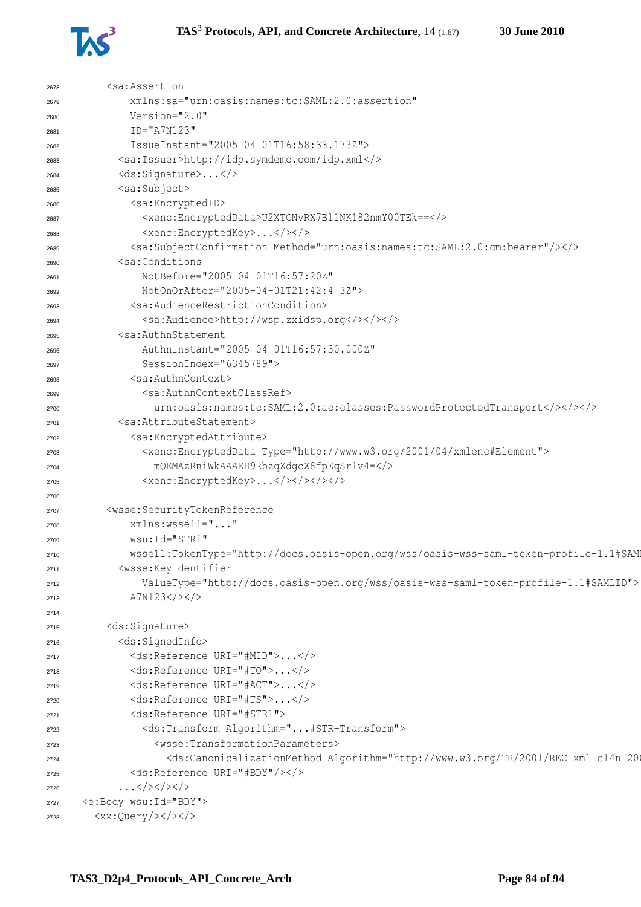

| 2678 | <sa:assertion< th=""></sa:assertion<>                                                                                                                                                                          |
|------|----------------------------------------------------------------------------------------------------------------------------------------------------------------------------------------------------------------|
| 2679 | xmlns:sa="urn:oasis:names:tc:SAML:2.0:assertion"                                                                                                                                                               |
| 2680 | Version="2.0"                                                                                                                                                                                                  |
| 2681 | $ID="A7N123"$                                                                                                                                                                                                  |
| 2682 | IssueInstant="2005-04-01T16:58:33.173Z">                                                                                                                                                                       |
| 2683 | <sa:issuer>http://idp.symdemo.com/idp.xml</sa:issuer>                                                                                                                                                          |
| 2684 | <ds:signature></ds:signature>                                                                                                                                                                                  |
| 2685 | <sa:subject></sa:subject>                                                                                                                                                                                      |
| 2686 | <sa:encryptedid></sa:encryptedid>                                                                                                                                                                              |
| 2687 | <xenc:encrypteddata>U2XTCNvRX7Bl1NK182nmY00TEk ==</xenc:encrypteddata>                                                                                                                                         |
| 2688 | <xenc:encryptedkey></xenc:encryptedkey>                                                                                                                                                                        |
| 2689 | <sa:subjectconfirmation method="urn:oasis:names:tc:SAML:2.0:cm:bearer"></sa:subjectconfirmation>                                                                                                               |
| 2690 | <sa:conditions< th=""></sa:conditions<>                                                                                                                                                                        |
| 2691 | NotBefore="2005-04-01T16:57:20Z"                                                                                                                                                                               |
| 2692 | NotOnOrAfter="2005-04-01T21:42:4 3Z">                                                                                                                                                                          |
| 2693 | <sa:audiencerestrictioncondition></sa:audiencerestrictioncondition>                                                                                                                                            |
| 2694 | <sa:audience>http://wsp.zxidsp.org</sa:audience>                                                                                                                                                               |
| 2695 | <sa:authnstatement< th=""></sa:authnstatement<>                                                                                                                                                                |
| 2696 | AuthnInstant="2005-04-01T16:57:30.000Z"                                                                                                                                                                        |
| 2697 | SessionIndex="6345789">                                                                                                                                                                                        |
| 2698 | <sa:authncontext></sa:authncontext>                                                                                                                                                                            |
| 2699 | <sa:authncontextclassref></sa:authncontextclassref>                                                                                                                                                            |
| 2700 | urn:oasis:names:tc:SAML:2.0:ac:classes:PasswordProtectedTransport>>>>                                                                                                                                          |
| 2701 | <sa:attributestatement></sa:attributestatement>                                                                                                                                                                |
| 2702 | <sa:encryptedattribute></sa:encryptedattribute>                                                                                                                                                                |
| 2703 | <xenc:encrypteddata type="http://www.w3.org/2001/04/xmlenc#Element"></xenc:encrypteddata>                                                                                                                      |
| 2704 | mQEMAzRniWkAAAEH9RbzqXdgcX8fpEqSr1v4=                                                                                                                                                                          |
| 2705 | <xenc:encryptedkey></xenc:encryptedkey>                                                                                                                                                                        |
| 2706 |                                                                                                                                                                                                                |
| 2707 | <wsse:securitytokenreference< th=""></wsse:securitytokenreference<>                                                                                                                                            |
| 2708 | xmlns:wssell=""                                                                                                                                                                                                |
| 2709 | wsu: Id="STR1"                                                                                                                                                                                                 |
| 2710 | wssell:TokenType="http://docs.oasis-open.org/wss/oasis-wss-saml-token-profile-1.1#SAM                                                                                                                          |
| 2711 | <wsse:keyidentifier< th=""></wsse:keyidentifier<>                                                                                                                                                              |
| 2712 | ValueType="http://docs.oasis-open.org/wss/oasis-wss-saml-token-profile-1.1#SAMLID">                                                                                                                            |
| 2713 | A7N123                                                                                                                                                                                                         |
| 2714 |                                                                                                                                                                                                                |
| 2715 | <ds:signature></ds:signature>                                                                                                                                                                                  |
| 2716 | <ds:signedinfo></ds:signedinfo>                                                                                                                                                                                |
| 2717 | <ds:reference uri="#MID"></ds:reference>                                                                                                                                                                       |
| 2718 | <ds:reference uri="#TO"></ds:reference>                                                                                                                                                                        |
| 2719 | <ds:reference uri="#ACT"></ds:reference>                                                                                                                                                                       |
| 2720 | <ds:reference uri="#TS"></ds:reference>                                                                                                                                                                        |
| 2721 | <ds:reference uri="#STR1"></ds:reference>                                                                                                                                                                      |
| 2722 | <ds:transform algorithm="#STR-Transform"></ds:transform>                                                                                                                                                       |
| 2723 | <wsse:transformationparameters></wsse:transformationparameters>                                                                                                                                                |
| 2724 | <ds:canonicalizationmethod #bdy"="" algorithm="http://www.w3.org/TR/2001/REC-xml-c14n-20&lt;/th&gt;&lt;/tr&gt;&lt;tr&gt;&lt;th&gt;2725&lt;/th&gt;&lt;th&gt;&lt;ds:Reference URI="></ds:canonicalizationmethod> |
| 2726 | $\ldots$                                                                                                                                                                                                       |
| 2727 | <e:body wsu:id="BDY"></e:body>                                                                                                                                                                                 |
| 2728 | $$                                                                                                                                                                                                             |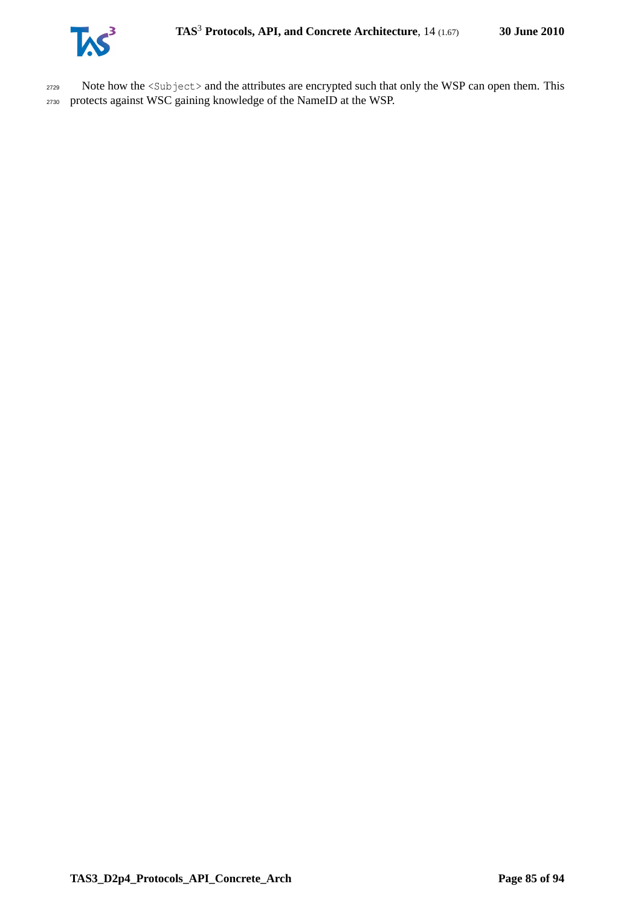

<sup>2729</sup> Note how the <Subject> and the attributes are encrypted such that only the WSP can open them. This <sup>2730</sup> protects against WSC gaining knowledge of the NameID at the WSP.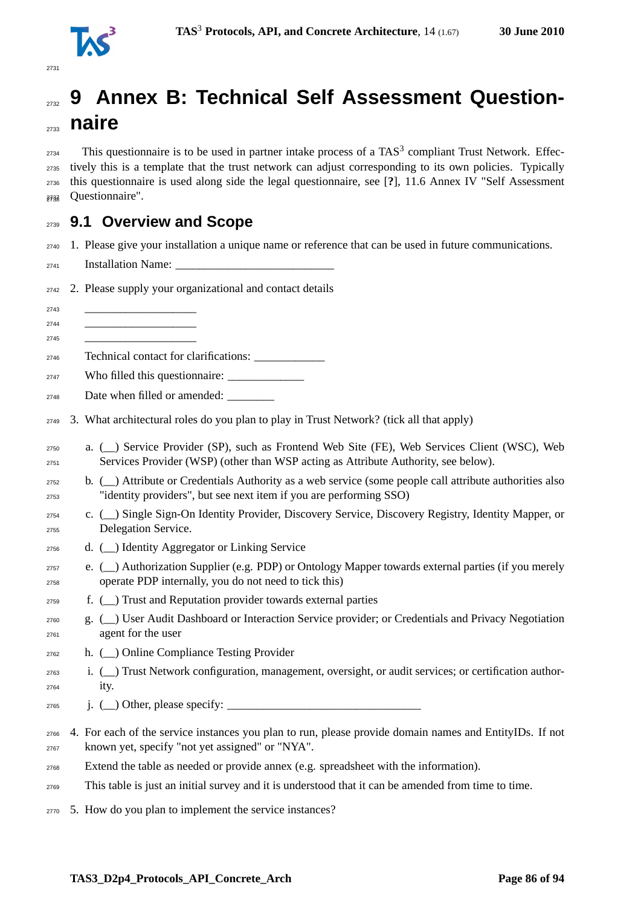

# **9 Annex B: Technical Self Assessment Question-naire**

 This questionnaire is to be used in partner intake process of a TAS<sup>3</sup> compliant Trust Network. Effec- tively this is a template that the trust network can adjust corresponding to its own policies. Typically this questionnaire is used along side the legal questionnaire, see [**?**], 11.6 Annex IV "Self Assessment a<sub>737</sub> Ouestionnaire".

### **9.1 Overview and Scope**

- 1. Please give your installation a unique name or reference that can be used in future communications.
- Installation Name: \_\_\_\_\_\_\_\_\_\_\_\_\_\_\_\_\_\_\_\_\_\_\_\_\_\_\_
- 2. Please supply your organizational and contact details
- \_\_\_\_\_\_\_\_\_\_\_\_\_\_\_\_\_\_\_ \_\_\_\_\_\_\_\_\_\_\_\_\_\_\_\_\_\_\_ \_\_\_\_\_\_\_\_\_\_\_\_\_\_\_\_\_\_\_
- Technical contact for clarifications: \_\_\_\_\_\_\_\_\_\_\_\_
- Who filled this questionnaire: \_\_\_\_\_\_\_\_\_\_\_\_\_
- 2748 Date when filled or amended:
- 3. What architectural roles do you plan to play in Trust Network? (tick all that apply)
- a. (\_\_) Service Provider (SP), such as Frontend Web Site (FE), Web Services Client (WSC), Web Services Provider (WSP) (other than WSP acting as Attribute Authority, see below).
- b. (\_\_) Attribute or Credentials Authority as a web service (some people call attribute authorities also "identity providers", but see next item if you are performing SSO)
- c. (\_\_) Single Sign-On Identity Provider, Discovery Service, Discovery Registry, Identity Mapper, or Delegation Service.
- d. (\_\_) Identity Aggregator or Linking Service
- $e.$  ( $\Box$ ) Authorization Supplier (e.g. PDP) or Ontology Mapper towards external parties (if you merely operate PDP internally, you do not need to tick this)
- f. (\_\_) Trust and Reputation provider towards external parties
- g. (\_\_) User Audit Dashboard or Interaction Service provider; or Credentials and Privacy Negotiation agent for the user
- h. (\_\_) Online Compliance Testing Provider
- i. (\_\_) Trust Network configuration, management, oversight, or audit services; or certification author-ity.
- **j.** (  $\Box$ ) Other, please specify:
- 4. For each of the service instances you plan to run, please provide domain names and EntityIDs. If not known yet, specify "not yet assigned" or "NYA".
- Extend the table as needed or provide annex (e.g. spreadsheet with the information).
- This table is just an initial survey and it is understood that it can be amended from time to time.
- 5. How do you plan to implement the service instances?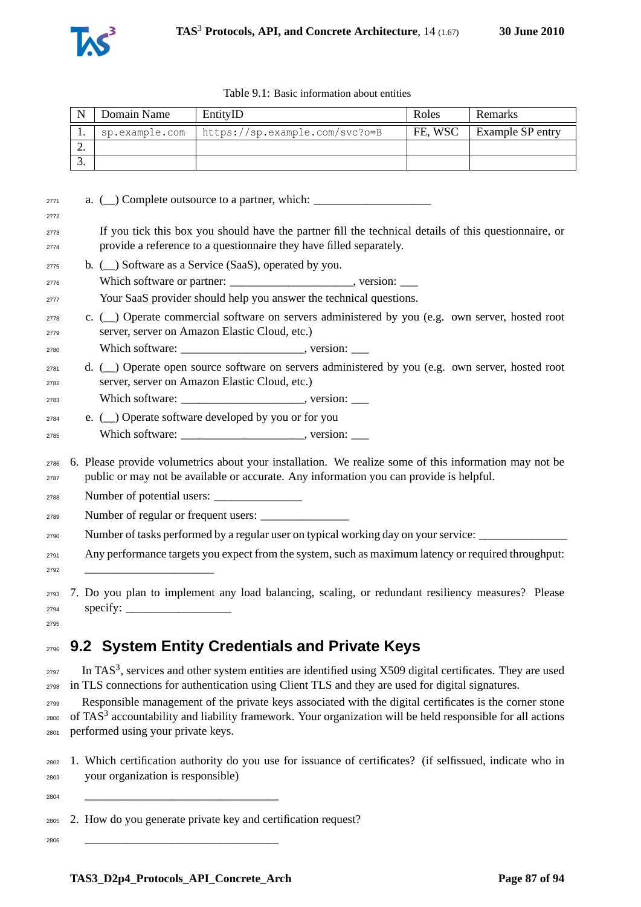

|          | Domain Name | EntityID                                        | Roles   | <b>Remarks</b>          |
|----------|-------------|-------------------------------------------------|---------|-------------------------|
|          |             | sp.example.com   https://sp.example.com/svc?o=B | FE. WSC | <b>Example SP entry</b> |
| <u>.</u> |             |                                                 |         |                         |
|          |             |                                                 |         |                         |

| 2771         | a. $(\_)$ Complete outsource to a partner, which: $\_$                                                                                                                                           |
|--------------|--------------------------------------------------------------------------------------------------------------------------------------------------------------------------------------------------|
| 2772         |                                                                                                                                                                                                  |
| 2773<br>2774 | If you tick this box you should have the partner fill the technical details of this questionnaire, or<br>provide a reference to a questionnaire they have filled separately.                     |
| 2775         | b. $(\underline{\hspace{0.5cm}})$ Software as a Service (SaaS), operated by you.                                                                                                                 |
| 2776         |                                                                                                                                                                                                  |
| 2777         | Your SaaS provider should help you answer the technical questions.                                                                                                                               |
| 2778<br>2779 | c. ( Operate commercial software on servers administered by you (e.g. own server, hosted root<br>server, server on Amazon Elastic Cloud, etc.)                                                   |
| 2780         |                                                                                                                                                                                                  |
| 2781<br>2782 | d. (_) Operate open source software on servers administered by you (e.g. own server, hosted root<br>server, server on Amazon Elastic Cloud, etc.)                                                |
| 2783         |                                                                                                                                                                                                  |
| 2784         | e. (_) Operate software developed by you or for you                                                                                                                                              |
| 2785         |                                                                                                                                                                                                  |
| 2786<br>2787 | 6. Please provide volumetrics about your installation. We realize some of this information may not be<br>public or may not be available or accurate. Any information you can provide is helpful. |
| 2788         |                                                                                                                                                                                                  |
| 2789         | Number of regular or frequent users:                                                                                                                                                             |
| 2790         | Number of tasks performed by a regular user on typical working day on your service:                                                                                                              |
| 2791<br>2792 | Any performance targets you expect from the system, such as maximum latency or required throughput:                                                                                              |
|              | are 7 Do vou plan to implement any load balancing scaling or redundant resiliency measures? Please                                                                                               |

 7. Do you plan to implement any load balancing, scaling, or redundant resiliency measures? Please specify: 

# **9.2 System Entity Credentials and Private Keys**

 $_{2797}$  In TAS<sup>3</sup>, services and other system entities are identified using X509 digital certificates. They are used in TLS connections for authentication using Client TLS and they are used for digital signatures.

 Responsible management of the private keys associated with the digital certificates is the corner stone of TAS<sup>3</sup> accountability and liability framework. Your organization will be held responsible for all actions performed using your private keys.

- 1. Which certification authority do you use for issuance of certificates? (if selfissued, indicate who in your organization is responsible)
- \_\_\_\_\_\_\_\_\_\_\_\_\_\_\_\_\_\_\_\_\_\_\_\_\_\_\_\_\_\_\_\_\_
- 2. How do you generate private key and certification request?

\_\_\_\_\_\_\_\_\_\_\_\_\_\_\_\_\_\_\_\_\_\_\_\_\_\_\_\_\_\_\_\_\_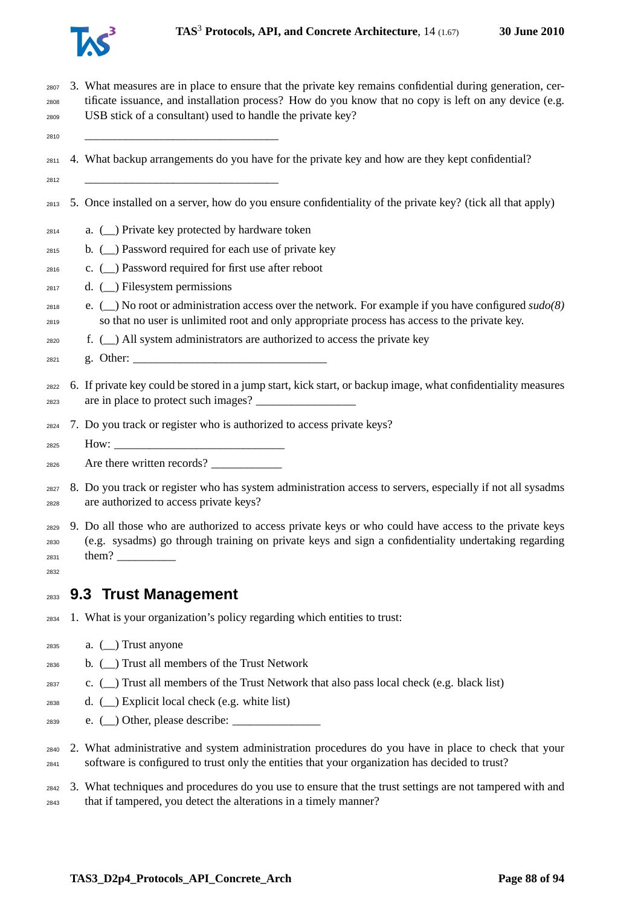

 3. What measures are in place to ensure that the private key remains confidential during generation, cer- tificate issuance, and installation process? How do you know that no copy is left on any device (e.g. USB stick of a consultant) used to handle the private key?

\_\_\_\_\_\_\_\_\_\_\_\_\_\_\_\_\_\_\_\_\_\_\_\_\_\_\_\_\_\_\_\_\_

- 4. What backup arrangements do you have for the private key and how are they kept confidential?
- \_\_\_\_\_\_\_\_\_\_\_\_\_\_\_\_\_\_\_\_\_\_\_\_\_\_\_\_\_\_\_\_\_
- 5. Once installed on a server, how do you ensure confidentiality of the private key? (tick all that apply)
- a. (\_\_) Private key protected by hardware token
- b. (\_\_) Password required for each use of private key
- c. (\_\_) Password required for first use after reboot
- $_{2817}$  d. ( ) Filesystem permissions
- e. (\_\_) No root or administration access over the network. For example if you have configured *sudo(8)* so that no user is unlimited root and only appropriate process has access to the private key.
- f. (\_\_) All system administrators are authorized to access the private key
- g. Other: \_\_\_\_\_\_\_\_\_\_\_\_\_\_\_\_\_\_\_\_\_\_\_\_\_\_\_\_\_\_\_\_\_
- 6. If private key could be stored in a jump start, kick start, or backup image, what confidentiality measures 2823 are in place to protect such images?
- 7. Do you track or register who is authorized to access private keys?
- $\text{How:}$
- $_{2826}$  Are there written records?
- 8. Do you track or register who has system administration access to servers, especially if not all sysadms are authorized to access private keys?
- 9. Do all those who are authorized to access private keys or who could have access to the private keys (e.g. sysadms) go through training on private keys and sign a confidentiality undertaking regarding 2831 them?
- **9.3 Trust Management**
- 1. What is your organization's policy regarding which entities to trust:
- a. (\_\_) Trust anyone

- b. (\_\_) Trust all members of the Trust Network
- c. () Trust all members of the Trust Network that also pass local check (e.g. black list)
- d. (  $\Box$ ) Explicit local check (e.g. white list)
- e. (\_\_) Other, please describe: \_\_\_\_\_\_\_\_\_\_\_\_\_\_\_
- 2. What administrative and system administration procedures do you have in place to check that your software is configured to trust only the entities that your organization has decided to trust?
- 3. What techniques and procedures do you use to ensure that the trust settings are not tampered with and that if tampered, you detect the alterations in a timely manner?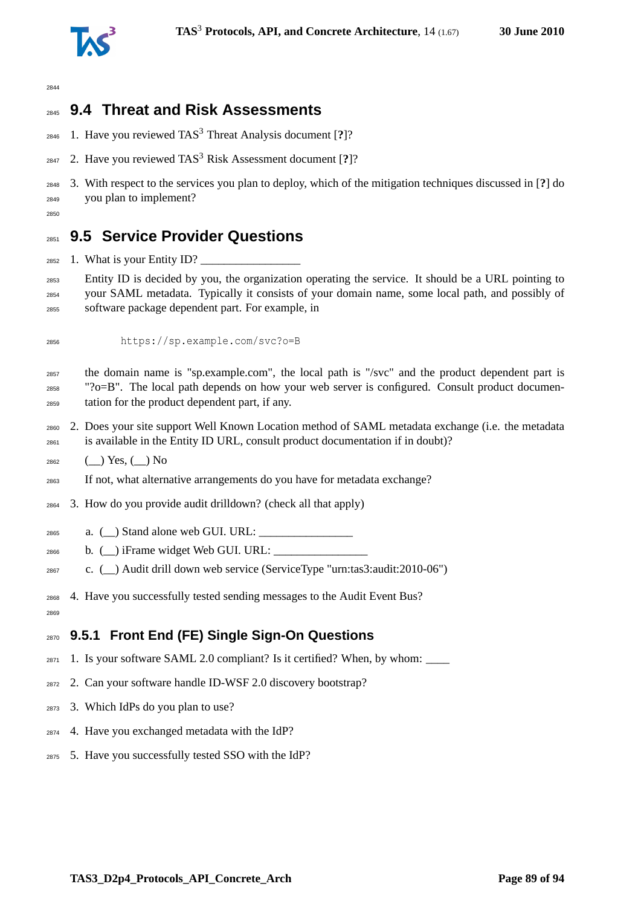

# **9.4 Threat and Risk Assessments**

- 1. Have you reviewed TAS<sup>3</sup> Threat Analysis document [**?**]?
- 2847 2. Have you reviewed TAS<sup>3</sup> Risk Assessment document [?]?
- 3. With respect to the services you plan to deploy, which of the mitigation techniques discussed in [**?**] do you plan to implement?
- 

# **9.5 Service Provider Questions**

 $_{2852}$  1. What is your Entity ID?

 Entity ID is decided by you, the organization operating the service. It should be a URL pointing to your SAML metadata. Typically it consists of your domain name, some local path, and possibly of software package dependent part. For example, in

https://sp.example.com/svc?o=B

 the domain name is "sp.example.com", the local path is "/svc" and the product dependent part is " $?o=B$ ". The local path depends on how your web server is configured. Consult product documen-tation for the product dependent part, if any.

- 2. Does your site support Well Known Location method of SAML metadata exchange (i.e. the metadata is available in the Entity ID URL, consult product documentation if in doubt)?
- (\_\_) Yes, (\_\_) No
- If not, what alternative arrangements do you have for metadata exchange?
- 3. How do you provide audit drilldown? (check all that apply)
- a.  $\Box$ ) Stand alone web GUI. URL:
- $_{2866}$  b. () iFrame widget Web GUI. URL:
- c. (\_\_) Audit drill down web service (ServiceType "urn:tas3:audit:2010-06")
- 4. Have you successfully tested sending messages to the Audit Event Bus?
- 

### **9.5.1 Front End (FE) Single Sign-On Questions**

- 1. Is your software SAML 2.0 compliant? Is it certified? When, by whom: \_\_\_\_
- 2. Can your software handle ID-WSF 2.0 discovery bootstrap?
- 3. Which IdPs do you plan to use?
- 4. Have you exchanged metadata with the IdP?
- 5. Have you successfully tested SSO with the IdP?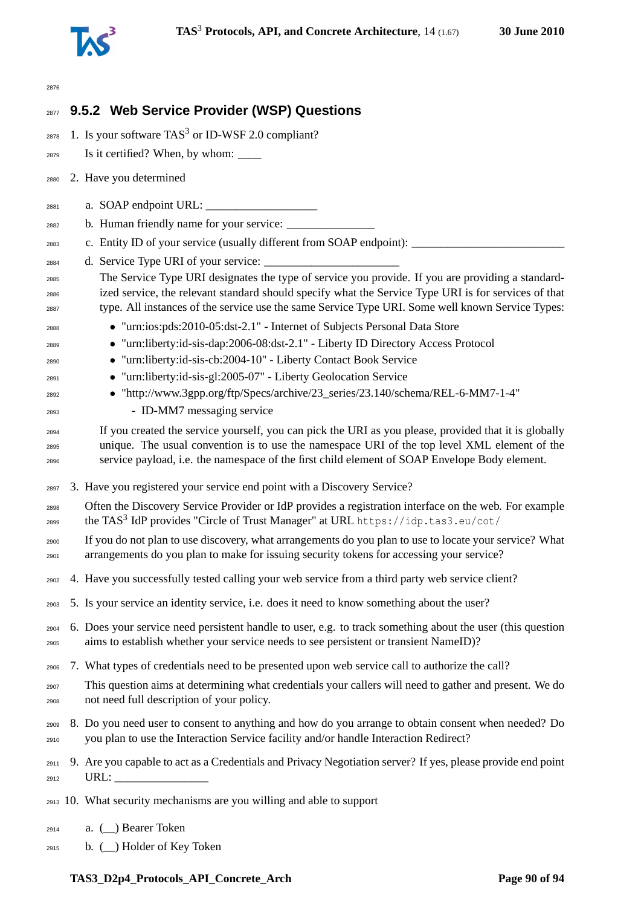

| 2876                 |                                                                                                                                                                                                                                                                                                               |
|----------------------|---------------------------------------------------------------------------------------------------------------------------------------------------------------------------------------------------------------------------------------------------------------------------------------------------------------|
| 2877                 | 9.5.2 Web Service Provider (WSP) Questions                                                                                                                                                                                                                                                                    |
| 2878                 | 1. Is your software $TAS3$ or ID-WSF 2.0 compliant?                                                                                                                                                                                                                                                           |
| 2879                 |                                                                                                                                                                                                                                                                                                               |
| 2880                 | 2. Have you determined                                                                                                                                                                                                                                                                                        |
| 2881                 |                                                                                                                                                                                                                                                                                                               |
| 2882                 |                                                                                                                                                                                                                                                                                                               |
| 2883                 | c. Entity ID of your service (usually different from SOAP endpoint): _____                                                                                                                                                                                                                                    |
| 2884                 |                                                                                                                                                                                                                                                                                                               |
| 2885<br>2886<br>2887 | The Service Type URI designates the type of service you provide. If you are providing a standard-<br>ized service, the relevant standard should specify what the Service Type URI is for services of that<br>type. All instances of the service use the same Service Type URI. Some well known Service Types: |
| 2888                 | • "urn:ios:pds:2010-05:dst-2.1" - Internet of Subjects Personal Data Store                                                                                                                                                                                                                                    |
| 2889                 | • "urn:liberty:id-sis-dap:2006-08:dst-2.1" - Liberty ID Directory Access Protocol                                                                                                                                                                                                                             |
| 2890                 | • "urn:liberty:id-sis-cb:2004-10" - Liberty Contact Book Service                                                                                                                                                                                                                                              |
| 2891                 | • "urn:liberty:id-sis-gl:2005-07" - Liberty Geolocation Service                                                                                                                                                                                                                                               |
| 2892                 | • "http://www.3gpp.org/ftp/Specs/archive/23_series/23.140/schema/REL-6-MM7-1-4"                                                                                                                                                                                                                               |
| 2893                 | - ID-MM7 messaging service                                                                                                                                                                                                                                                                                    |
| 2894<br>2895<br>2896 | If you created the service yourself, you can pick the URI as you please, provided that it is globally<br>unique. The usual convention is to use the namespace URI of the top level XML element of the<br>service payload, i.e. the namespace of the first child element of SOAP Envelope Body element.        |
| 2897                 | 3. Have you registered your service end point with a Discovery Service?                                                                                                                                                                                                                                       |
| 2898<br>2899         | Often the Discovery Service Provider or IdP provides a registration interface on the web. For example<br>the TAS <sup>3</sup> IdP provides "Circle of Trust Manager" at URL https://idp.tas3.eu/cot/                                                                                                          |
| 2900<br>2901         | If you do not plan to use discovery, what arrangements do you plan to use to locate your service? What<br>arrangements do you plan to make for issuing security tokens for accessing your service?                                                                                                            |
| 2902                 | 4. Have you successfully tested calling your web service from a third party web service client?                                                                                                                                                                                                               |
| 2903                 | 5. Is your service an identity service, i.e. does it need to know something about the user?                                                                                                                                                                                                                   |
| 2904<br>2905         | 6. Does your service need persistent handle to user, e.g. to track something about the user (this question<br>aims to establish whether your service needs to see persistent or transient NameID)?                                                                                                            |
| 2906                 | 7. What types of credentials need to be presented upon web service call to authorize the call?                                                                                                                                                                                                                |
| 2907<br>2908         | This question aims at determining what credentials your callers will need to gather and present. We do<br>not need full description of your policy.                                                                                                                                                           |
| 2909<br>2910         | 8. Do you need user to consent to anything and how do you arrange to obtain consent when needed? Do<br>you plan to use the Interaction Service facility and/or handle Interaction Redirect?                                                                                                                   |
| 2911<br>2912         | 9. Are you capable to act as a Credentials and Privacy Negotiation server? If yes, please provide end point                                                                                                                                                                                                   |
|                      | 2913 10. What security mechanisms are you willing and able to support                                                                                                                                                                                                                                         |
| 2914                 | _) Bearer Token<br>a. (                                                                                                                                                                                                                                                                                       |

b. (\_\_) Holder of Key Token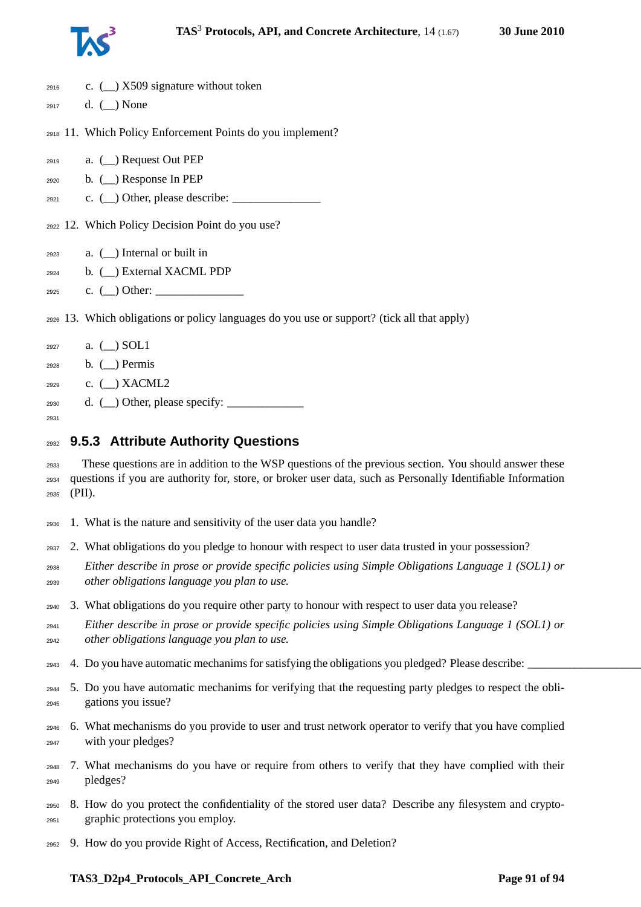

| 2916 | c. $\left(\_\right)$ X509 signature without token                                                           |
|------|-------------------------------------------------------------------------------------------------------------|
| 2917 | d. $(\_)$ None                                                                                              |
|      |                                                                                                             |
|      | 2918 11. Which Policy Enforcement Points do you implement?                                                  |
| 2919 | a. $(\_)$ Request Out PEP                                                                                   |
| 2920 | b. $\Box$ ) Response In PEP                                                                                 |
| 2921 | c. $\Box$ ) Other, please describe: $\Box$                                                                  |
|      |                                                                                                             |
|      | 2922 12. Which Policy Decision Point do you use?                                                            |
|      | a. $(\_)$ Internal or built in                                                                              |
| 2923 |                                                                                                             |
| 2924 | b. $($ $)$ External XACML PDP                                                                               |
| 2925 | c. $\Box$ Other: $\Box$                                                                                     |
|      | 2926 13. Which obligations or policy languages do you use or support? (tick all that apply)                 |
|      |                                                                                                             |
| 2927 | a. $\Box$ SOL1                                                                                              |
| 2928 | $b.$ ( $\Box$ ) Permis                                                                                      |
| 2929 | c. $(\_)$ XACML2                                                                                            |
| 2930 | d. $(\_)$ Other, please specify: $\_$                                                                       |
| 2931 |                                                                                                             |
| 2932 | 9.5.3 Attribute Authority Questions                                                                         |
| 2933 | These questions are in addition to the WSP questions of the previous section. You should answer these       |
| 2934 | questions if you are authority for, store, or broker user data, such as Personally Identifiable Information |
| 2935 | (PII).                                                                                                      |
|      |                                                                                                             |
| 2936 | 1. What is the nature and sensitivity of the user data you handle?                                          |
| 2937 | 2. What obligations do you pledge to honour with respect to user data trusted in your possession?           |
| 2938 | Either describe in prose or provide specific policies using Simple Obligations Language 1 (SOL1) or         |

# 3. What obligations do you require other party to honour with respect to user data you release?

- *Either describe in prose or provide specific policies using Simple Obligations Language 1 (SOL1) or other obligations language you plan to use.*
- $2943 \quad 4.$  Do you have automatic mechanims for satisfying the obligations you pledged? Please describe:
- 5. Do you have automatic mechanims for verifying that the requesting party pledges to respect the obli-gations you issue?
- 6. What mechanisms do you provide to user and trust network operator to verify that you have complied with your pledges?
- 7. What mechanisms do you have or require from others to verify that they have complied with their pledges?
- 8. How do you protect the confidentiality of the stored user data? Describe any filesystem and crypto-graphic protections you employ.
- 9. How do you provide Right of Access, Rectification, and Deletion?

#### **TAS3\_D2p4\_Protocols\_API\_Concrete\_Arch Page 91 of [94](#page-93-0)**

*other obligations language you plan to use.*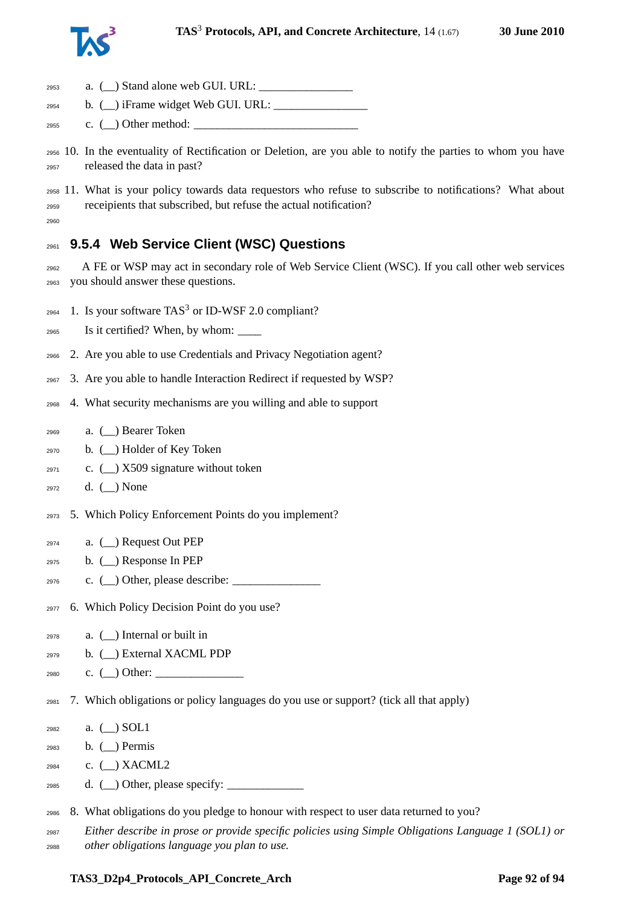

| 2953                 | $a.$ ( $\Box$ ) Stand alone web GUI. URL:                                                                                                                                |
|----------------------|--------------------------------------------------------------------------------------------------------------------------------------------------------------------------|
| 2954                 | b. $(\_)$ iFrame widget Web GUI. URL: $\_$                                                                                                                               |
| 2955                 | c. $\Box$ ) Other method: $\Box$                                                                                                                                         |
| 2956<br>2957         | 10. In the eventuality of Rectification or Deletion, are you able to notify the parties to whom you have<br>released the data in past?                                   |
| 2958<br>2959<br>2960 | 11. What is your policy towards data requestors who refuse to subscribe to notifications? What about<br>receipients that subscribed, but refuse the actual notification? |
| 2961                 | 9.5.4 Web Service Client (WSC) Questions                                                                                                                                 |
| 2962<br>2963         | A FE or WSP may act in secondary role of Web Service Client (WSC). If you call other web services<br>you should answer these questions.                                  |
| 2964                 | 1. Is your software TAS <sup>3</sup> or ID-WSF 2.0 compliant?                                                                                                            |
| 2965                 |                                                                                                                                                                          |
| 2966                 | 2. Are you able to use Credentials and Privacy Negotiation agent?                                                                                                        |
| 2967                 | 3. Are you able to handle Interaction Redirect if requested by WSP?                                                                                                      |
| 2968                 | 4. What security mechanisms are you willing and able to support                                                                                                          |
| 2969                 | a. (_) Bearer Token                                                                                                                                                      |
| 2970                 | b. ( ) Holder of Key Token                                                                                                                                               |
| 2971                 | c. $\left(\_\right)$ X509 signature without token                                                                                                                        |
| 2972                 | d. $(\_)$ None                                                                                                                                                           |
| 2973                 | 5. Which Policy Enforcement Points do you implement?                                                                                                                     |
| 2974                 | a. $(\_)$ Request Out PEP                                                                                                                                                |
| 2975                 | b. $(\_)$ Response In PEP                                                                                                                                                |
| 2976                 | c. $(\_)$ Other, please describe: $\_$                                                                                                                                   |
| 2977                 | 6. Which Policy Decision Point do you use?                                                                                                                               |
| 2978                 | a. $(\_)$ Internal or built in                                                                                                                                           |
| 2979                 | b. (_) External XACML PDP                                                                                                                                                |
| 2980                 | c. $\qquad)$ Other:                                                                                                                                                      |
| 2981                 | 7. Which obligations or policy languages do you use or support? (tick all that apply)                                                                                    |
| 2982                 | a. $(\_)$ SOL1                                                                                                                                                           |
| 2983                 | b. $\Box$ Permis                                                                                                                                                         |
| 2984                 | c. $(\_)$ XACML2                                                                                                                                                         |
| 2985                 | d. $(\_)$ Other, please specify: $\_$                                                                                                                                    |
| 2986                 | 8. What obligations do you pledge to honour with respect to user data returned to you?                                                                                   |
| 2987                 | Either describe in prose or provide specific policies using Simple Obligations Language 1 (SOL1) or                                                                      |
| 2988                 | other obligations language you plan to use.                                                                                                                              |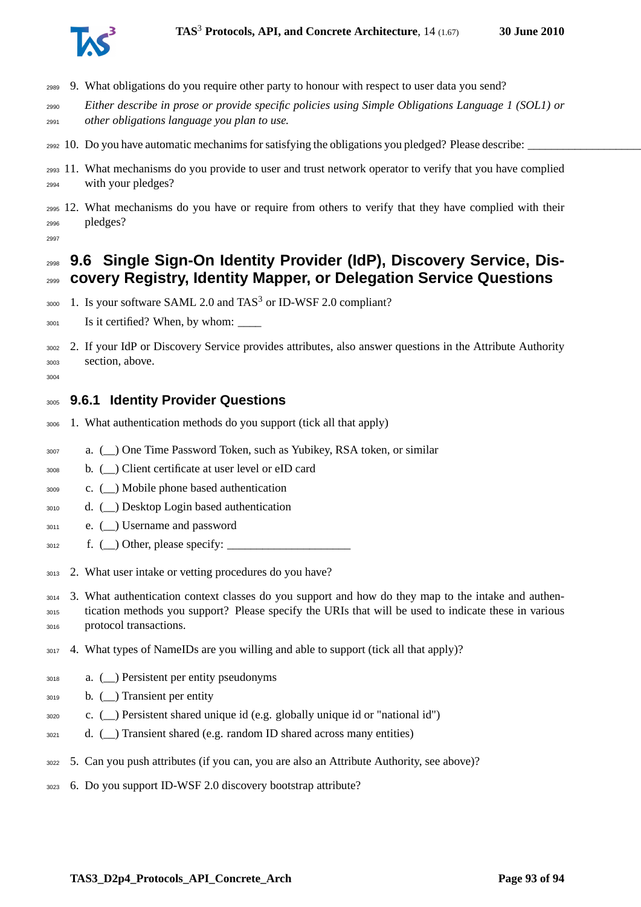

- 9. What obligations do you require other party to honour with respect to user data you send?
- *Either describe in prose or provide specific policies using Simple Obligations Language 1 (SOL1) or other obligations language you plan to use.*
- $_{2992}$  10. Do you have automatic mechanims for satisfying the obligations you pledged? Please describe:
- 11. What mechanisms do you provide to user and trust network operator to verify that you have complied with your pledges?
- 12. What mechanisms do you have or require from others to verify that they have complied with their pledges?
- 

### **9.6 Single Sign-On Identity Provider (IdP), Discovery Service, Dis-covery Registry, Identity Mapper, or Delegation Service Questions**

- 3000 1. Is your software SAML 2.0 and TAS<sup>3</sup> or ID-WSF 2.0 compliant?
- 3001 Is it certified? When, by whom:
- 2. If your IdP or Discovery Service provides attributes, also answer questions in the Attribute Authority section, above.
- 

#### **9.6.1 Identity Provider Questions**

- 1. What authentication methods do you support (tick all that apply)
- a. (\_\_) One Time Password Token, such as Yubikey, RSA token, or similar
- b. (\_\_) Client certificate at user level or eID card
- c. (\_\_) Mobile phone based authentication
- d. (\_\_) Desktop Login based authentication
- e. (\_\_) Username and password
- $\text{3012} \quad \text{f. } (\_) \text{Other, please specify: }$
- 2. What user intake or vetting procedures do you have?
- 3. What authentication context classes do you support and how do they map to the intake and authen- tication methods you support? Please specify the URIs that will be used to indicate these in various protocol transactions.
- 4. What types of NameIDs are you willing and able to support (tick all that apply)?
- a. (\_\_) Persistent per entity pseudonyms
- b. (\_\_) Transient per entity
- c. (\_\_) Persistent shared unique id (e.g. globally unique id or "national id")
- 3021 d. () Transient shared (e.g. random ID shared across many entities)
- 5. Can you push attributes (if you can, you are also an Attribute Authority, see above)?
- 6. Do you support ID-WSF 2.0 discovery bootstrap attribute?